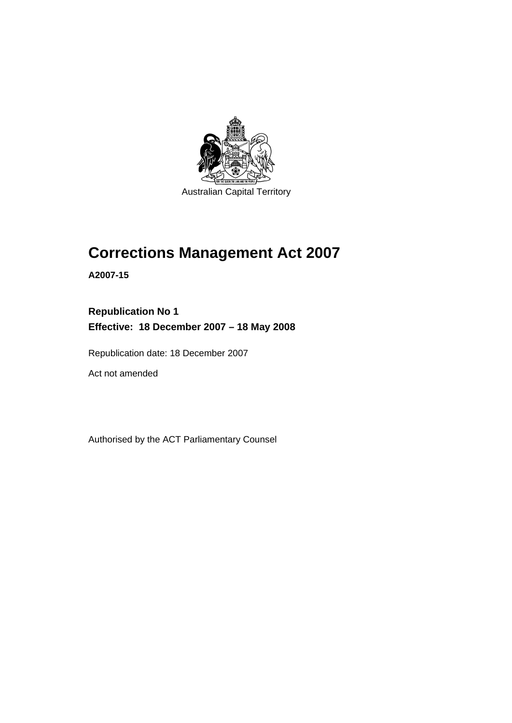

# **[Corrections Management Act 2007](#page-14-0)**

**A2007-15** 

**Republication No 1 Effective: 18 December 2007 – 18 May 2008** 

Republication date: 18 December 2007

Act not amended

Authorised by the ACT Parliamentary Counsel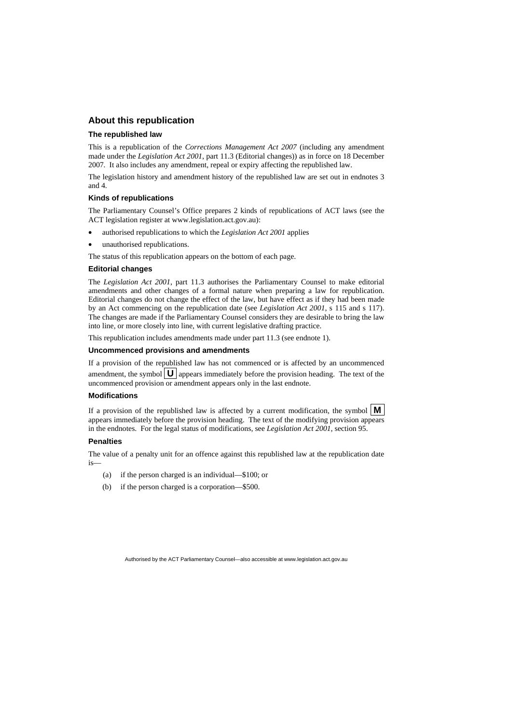#### **About this republication**

#### **The republished law**

This is a republication of the *Corrections Management Act 2007* (including any amendment made under the *Legislation Act 2001*, part 11.3 (Editorial changes)) as in force on 18 December 2007*.* It also includes any amendment, repeal or expiry affecting the republished law.

The legislation history and amendment history of the republished law are set out in endnotes 3 and 4.

#### **Kinds of republications**

The Parliamentary Counsel's Office prepares 2 kinds of republications of ACT laws (see the ACT legislation register at www.legislation.act.gov.au):

- authorised republications to which the *Legislation Act 2001* applies
- unauthorised republications.

The status of this republication appears on the bottom of each page.

#### **Editorial changes**

The *Legislation Act 2001*, part 11.3 authorises the Parliamentary Counsel to make editorial amendments and other changes of a formal nature when preparing a law for republication. Editorial changes do not change the effect of the law, but have effect as if they had been made by an Act commencing on the republication date (see *Legislation Act 2001*, s 115 and s 117). The changes are made if the Parliamentary Counsel considers they are desirable to bring the law into line, or more closely into line, with current legislative drafting practice.

This republication includes amendments made under part 11.3 (see endnote 1).

#### **Uncommenced provisions and amendments**

If a provision of the republished law has not commenced or is affected by an uncommenced amendment, the symbol  $\mathbf{U}$  appears immediately before the provision heading. The text of the uncommenced provision or amendment appears only in the last endnote.

#### **Modifications**

If a provision of the republished law is affected by a current modification, the symbol  $\mathbf{M}$ appears immediately before the provision heading. The text of the modifying provision appears in the endnotes. For the legal status of modifications, see *Legislation Act 2001*, section 95.

#### **Penalties**

The value of a penalty unit for an offence against this republished law at the republication date is—

- (a) if the person charged is an individual—\$100; or
- (b) if the person charged is a corporation—\$500.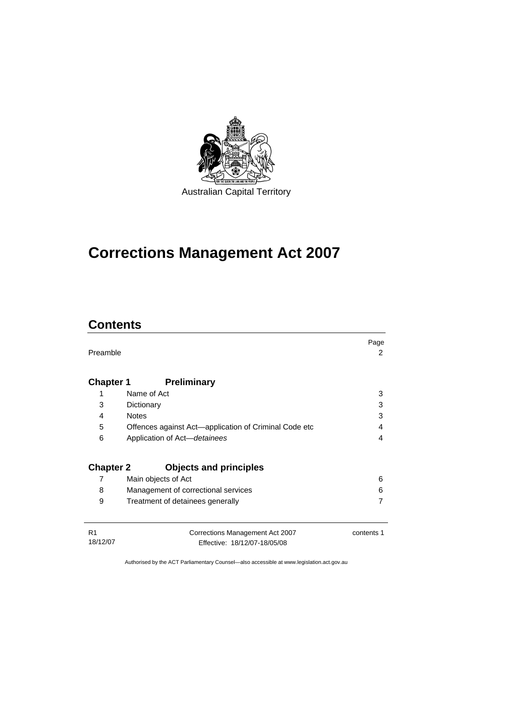

# **[Corrections Management Act 2007](#page-14-0)**

# **Contents**

| Preamble                   |                                                                 | Page<br>2  |
|----------------------------|-----------------------------------------------------------------|------------|
| <b>Chapter 1</b>           | <b>Preliminary</b>                                              |            |
| 1                          | Name of Act                                                     | 3          |
| 3                          | Dictionary                                                      | 3          |
| 4                          | <b>Notes</b>                                                    | 3          |
| 5                          | Offences against Act—application of Criminal Code etc           | 4          |
| 6                          | Application of Act-detainees                                    | 4          |
| <b>Chapter 2</b>           | <b>Objects and principles</b>                                   |            |
| 7                          | Main objects of Act                                             | 6          |
| 8                          | Management of correctional services                             | 6          |
| 9                          | Treatment of detainees generally                                |            |
| R <sub>1</sub><br>18/12/07 | Corrections Management Act 2007<br>Effective: 18/12/07-18/05/08 | contents 1 |

Effective: 18/12/07-18/05/08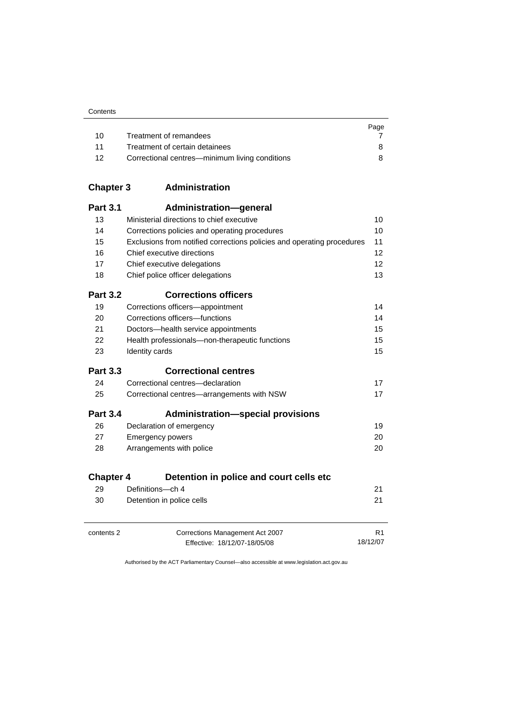| Contents |
|----------|
|----------|

|    |                                                | Page |
|----|------------------------------------------------|------|
| 10 | Treatment of remandees                         |      |
| 11 | Treatment of certain detainees                 |      |
| 12 | Correctional centres—minimum living conditions |      |

| <b>Chapter 3</b> | Administration |
|------------------|----------------|
|------------------|----------------|

| <b>Part 3.1</b>  | Administration-general                                                 |                |
|------------------|------------------------------------------------------------------------|----------------|
| 13               | Ministerial directions to chief executive                              | 10             |
| 14               | Corrections policies and operating procedures                          | 10             |
| 15               | Exclusions from notified corrections policies and operating procedures | 11             |
| 16               | Chief executive directions                                             | 12             |
| 17               | Chief executive delegations                                            | 12             |
| 18               | Chief police officer delegations                                       | 13             |
| <b>Part 3.2</b>  | <b>Corrections officers</b>                                            |                |
| 19               | Corrections officers-appointment                                       | 14             |
| 20               | Corrections officers-functions                                         | 14             |
| 21               | Doctors-health service appointments                                    | 15             |
| 22               | Health professionals-non-therapeutic functions                         | 15             |
| 23               | Identity cards                                                         | 15             |
| <b>Part 3.3</b>  | <b>Correctional centres</b>                                            |                |
| 24               | Correctional centres-declaration                                       | 17             |
| 25               | Correctional centres-arrangements with NSW                             | 17             |
| <b>Part 3.4</b>  | <b>Administration-special provisions</b>                               |                |
| 26               | Declaration of emergency                                               | 19             |
| 27               | <b>Emergency powers</b>                                                | 20             |
| 28               | Arrangements with police                                               | 20             |
| <b>Chapter 4</b> | Detention in police and court cells etc                                |                |
| 29               | Definitions-ch 4                                                       | 21             |
| 30               | Detention in police cells                                              | 21             |
| contents 2       | Corrections Management Act 2007                                        | R <sub>1</sub> |
|                  | Effective: 18/12/07-18/05/08                                           | 18/12/07       |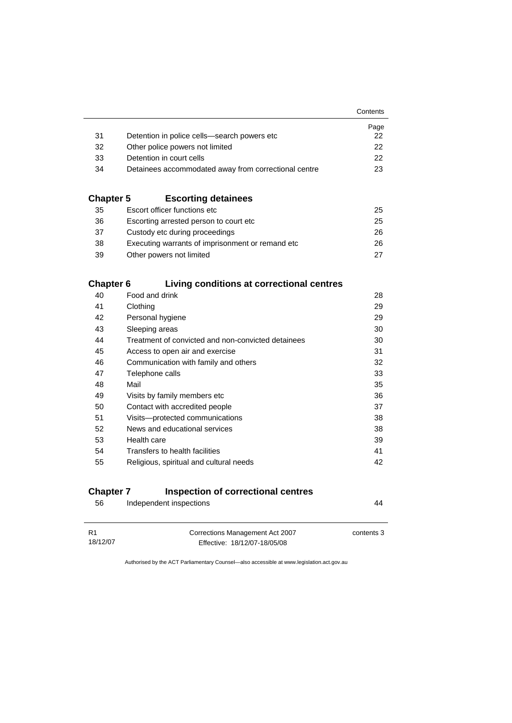|                  |                                                      | Contents |
|------------------|------------------------------------------------------|----------|
|                  |                                                      | Page     |
| 31               | Detention in police cells—search powers etc          | 22       |
| 32               | Other police powers not limited                      | 22       |
| 33               | Detention in court cells                             | 22       |
| 34               | Detainees accommodated away from correctional centre | 23       |
| <b>Chapter 5</b> | <b>Escorting detainees</b>                           |          |
| 35               | Escort officer functions etc                         | 25       |
| 36               | Escorting arrested person to court etc.              | 25       |
| 37               | Custody etc during proceedings                       | 26       |
| 38               | Executing warrants of imprisonment or remand etc     | 26       |
| 39               | Other powers not limited                             | 27       |
| <b>Chapter 6</b> | Living conditions at correctional centres            |          |
| 40               | Food and drink                                       | 28       |
| 41               | Clothing                                             | 29       |
| 42               | Personal hygiene                                     | 29       |
| 43               | Sleeping areas                                       | 30       |
| 44               | Treatment of convicted and non-convicted detainees   | 30       |
| 45               | Access to open air and exercise                      | 31       |

| 46 | Communication with family and others    | 32 |
|----|-----------------------------------------|----|
| 47 | Telephone calls                         | 33 |
| 48 | Mail                                    | 35 |
| 49 | Visits by family members etc.           | 36 |
| 50 | Contact with accredited people          | 37 |
| 51 | Visits---protected communications       | 38 |
| 52 | News and educational services           | 38 |
| 53 | Health care                             | 39 |
| 54 | Transfers to health facilities          | 41 |
| 55 | Religious, spiritual and cultural needs | 42 |
|    |                                         |    |

### **Chapter 7 Inspection of correctional centres**

| 56             | Independent inspections                                         | 44         |
|----------------|-----------------------------------------------------------------|------------|
| R1<br>18/12/07 | Corrections Management Act 2007<br>Effective: 18/12/07-18/05/08 | contents 3 |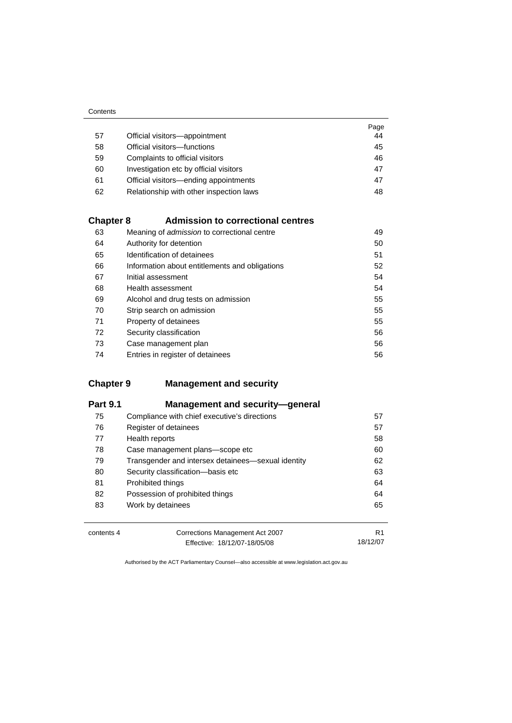| Contents |
|----------|
|----------|

|    |                                         | Page |
|----|-----------------------------------------|------|
| 57 | Official visitors-appointment           | 44   |
| 58 | Official visitors-functions             | 45   |
| 59 | Complaints to official visitors         | 46   |
| 60 | Investigation etc by official visitors  | 47   |
| 61 | Official visitors—ending appointments   | 47   |
| 62 | Relationship with other inspection laws | 48   |

#### **Chapter 8 Admission to correctional centres**

| 63 | Meaning of <i>admission</i> to correctional centre | 49 |
|----|----------------------------------------------------|----|
| 64 | Authority for detention                            | 50 |
| 65 | Identification of detainees                        | 51 |
| 66 | Information about entitlements and obligations     | 52 |
| 67 | Initial assessment                                 | 54 |
| 68 | Health assessment                                  | 54 |
| 69 | Alcohol and drug tests on admission                | 55 |
| 70 | Strip search on admission                          | 55 |
| 71 | Property of detainees                              | 55 |
| 72 | Security classification                            | 56 |
| 73 | Case management plan                               | 56 |
| 74 | Entries in register of detainees                   | 56 |

### **Chapter 9 Management and security**

| <b>Part 9.1</b> | Management and security-general                    |    |
|-----------------|----------------------------------------------------|----|
| 75              | Compliance with chief executive's directions       | 57 |
| 76              | Register of detainees                              | 57 |
| 77              | Health reports                                     | 58 |
| 78              | Case management plans-scope etc                    | 60 |
| 79              | Transgender and intersex detainees—sexual identity | 62 |
| 80              | Security classification-basis etc                  | 63 |
| 81              | Prohibited things                                  | 64 |
| 82              | Possession of prohibited things                    | 64 |
| 83              | Work by detainees                                  | 65 |
| contents 4      | Corrections Management Act 2007                    | R1 |

Effective: 18/12/07-18/05/08 18/12/07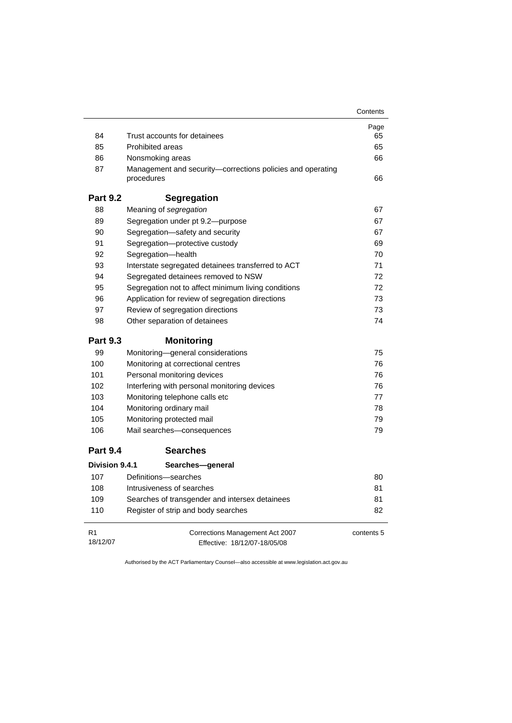|                 |                                                                          | Contents   |  |  |  |
|-----------------|--------------------------------------------------------------------------|------------|--|--|--|
|                 |                                                                          | Page       |  |  |  |
| 84              | Trust accounts for detainees                                             |            |  |  |  |
| 85              | <b>Prohibited areas</b>                                                  |            |  |  |  |
| 86              | Nonsmoking areas                                                         | 66         |  |  |  |
| 87              | Management and security—corrections policies and operating<br>procedures | 66         |  |  |  |
| <b>Part 9.2</b> | <b>Segregation</b>                                                       |            |  |  |  |
| 88              | Meaning of segregation                                                   | 67         |  |  |  |
| 89              | Segregation under pt 9.2-purpose                                         | 67         |  |  |  |
| 90              | Segregation-safety and security                                          | 67         |  |  |  |
| 91              | Segregation-protective custody                                           | 69         |  |  |  |
| 92              | Segregation-health                                                       | 70         |  |  |  |
| 93              | Interstate segregated detainees transferred to ACT                       | 71         |  |  |  |
| 94              | Segregated detainees removed to NSW                                      | 72         |  |  |  |
| 95              | Segregation not to affect minimum living conditions                      | 72         |  |  |  |
| 96              | Application for review of segregation directions                         | 73         |  |  |  |
| 97              | Review of segregation directions                                         |            |  |  |  |
| 98              | Other separation of detainees                                            | 74         |  |  |  |
| <b>Part 9.3</b> | <b>Monitoring</b>                                                        |            |  |  |  |
| 99              | Monitoring-general considerations                                        | 75         |  |  |  |
| 100             | Monitoring at correctional centres                                       | 76         |  |  |  |
| 101             | Personal monitoring devices                                              |            |  |  |  |
| 102             | Interfering with personal monitoring devices                             |            |  |  |  |
| 103             | Monitoring telephone calls etc                                           |            |  |  |  |
| 104             | Monitoring ordinary mail                                                 | 78         |  |  |  |
| 105             | Monitoring protected mail                                                | 79         |  |  |  |
| 106             | Mail searches-consequences                                               | 79         |  |  |  |
| <b>Part 9.4</b> | <b>Searches</b>                                                          |            |  |  |  |
| Division 9.4.1  | Searches-general                                                         |            |  |  |  |
| 107             | Definitions-searches                                                     | 80         |  |  |  |
| 108             | Intrusiveness of searches                                                | 81         |  |  |  |
| 109             | Searches of transgender and intersex detainees                           | 81         |  |  |  |
| 110             | Register of strip and body searches                                      | 82         |  |  |  |
| R <sub>1</sub>  | Corrections Management Act 2007                                          | contents 5 |  |  |  |
| 18/12/07        | Effective: 18/12/07-18/05/08                                             |            |  |  |  |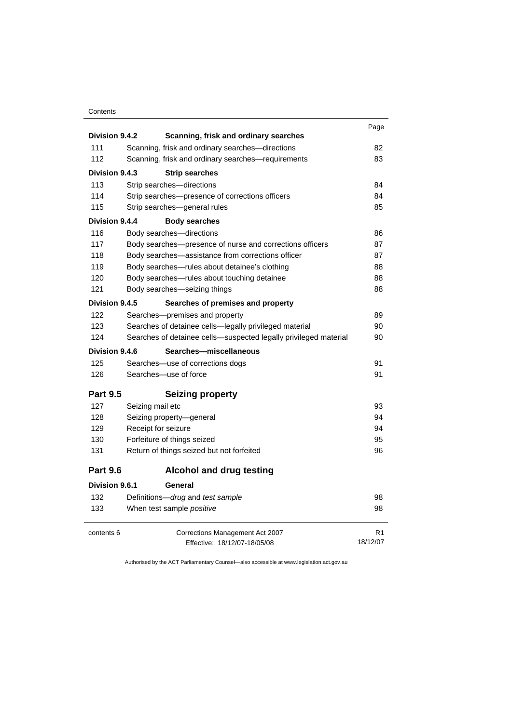#### **Contents**

|                 |                                                                  | Page           |  |  |
|-----------------|------------------------------------------------------------------|----------------|--|--|
| Division 9.4.2  | Scanning, frisk and ordinary searches                            |                |  |  |
| 111             | Scanning, frisk and ordinary searches-directions                 | 82             |  |  |
| 112             | Scanning, frisk and ordinary searches-requirements               | 83             |  |  |
| Division 9.4.3  | <b>Strip searches</b>                                            |                |  |  |
| 113             | Strip searches-directions                                        |                |  |  |
| 114             | Strip searches-presence of corrections officers                  | 84             |  |  |
| 115             | Strip searches-general rules                                     | 85             |  |  |
| Division 9.4.4  | <b>Body searches</b>                                             |                |  |  |
| 116             | Body searches-directions                                         | 86             |  |  |
| 117             | Body searches-presence of nurse and corrections officers         | 87             |  |  |
| 118             | Body searches-assistance from corrections officer                | 87             |  |  |
| 119             | Body searches-rules about detainee's clothing                    | 88             |  |  |
| 120             | Body searches-rules about touching detainee                      | 88             |  |  |
| 121             | Body searches-seizing things                                     | 88             |  |  |
| Division 9.4.5  | Searches of premises and property                                |                |  |  |
| 122             | Searches-premises and property                                   | 89             |  |  |
| 123             | Searches of detainee cells-legally privileged material           | 90             |  |  |
| 124             | Searches of detainee cells-suspected legally privileged material | 90             |  |  |
| Division 9.4.6  | Searches-miscellaneous                                           |                |  |  |
| 125             | Searches—use of corrections dogs                                 | 91             |  |  |
| 126             | Searches-use of force                                            | 91             |  |  |
| <b>Part 9.5</b> | <b>Seizing property</b>                                          |                |  |  |
| 127             | Seizing mail etc                                                 | 93             |  |  |
| 128             | Seizing property-general                                         | 94             |  |  |
| 129             | Receipt for seizure                                              | 94             |  |  |
| 130             | Forfeiture of things seized                                      | 95             |  |  |
| 131             | Return of things seized but not forfeited                        | 96             |  |  |
| <b>Part 9.6</b> | <b>Alcohol and drug testing</b>                                  |                |  |  |
| Division 9.6.1  | General                                                          |                |  |  |
| 132             | Definitions-drug and test sample                                 | 98             |  |  |
| 133             | When test sample positive                                        | 98             |  |  |
| contents 6      | Corrections Management Act 2007                                  | R <sub>1</sub> |  |  |
|                 | Effective: 18/12/07-18/05/08                                     | 18/12/07       |  |  |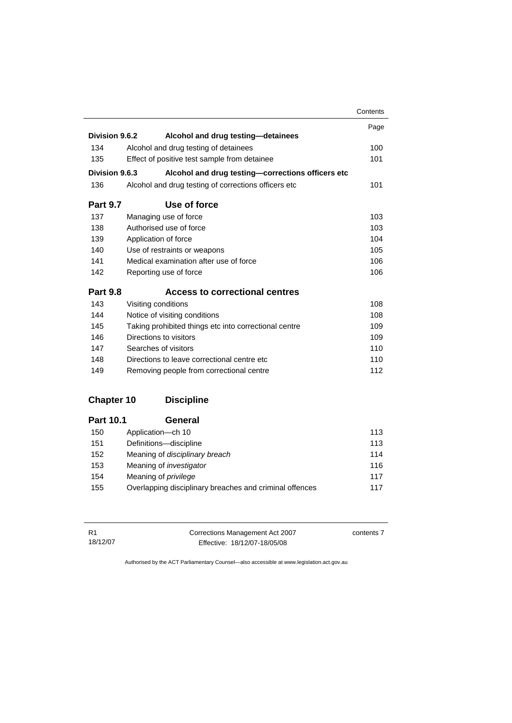|                 |                                                       | Contents |
|-----------------|-------------------------------------------------------|----------|
|                 |                                                       | Page     |
| Division 9.6.2  | Alcohol and drug testing-detainees                    |          |
| 134             | Alcohol and drug testing of detainees                 | 100      |
| 135             | Effect of positive test sample from detainee          | 101      |
| Division 9.6.3  | Alcohol and drug testing-corrections officers etc     |          |
| 136             | Alcohol and drug testing of corrections officers etc  | 101      |
| <b>Part 9.7</b> | Use of force                                          |          |
| 137             | Managing use of force                                 | 103      |
| 138             | Authorised use of force                               |          |
| 139             | Application of force                                  |          |
| 140             | Use of restraints or weapons                          |          |
| 141             | Medical examination after use of force                |          |
| 142             | Reporting use of force                                | 106      |
| <b>Part 9.8</b> | Access to correctional centres                        |          |
| 143             | Visiting conditions                                   | 108      |
| 144             | Notice of visiting conditions                         | 108      |
| 145             | Taking prohibited things etc into correctional centre | 109      |
| 146             | Directions to visitors                                | 109      |
| 147             | Searches of visitors                                  | 110      |
| 148             | Directions to leave correctional centre etc.          | 110      |
| 149             | Removing people from correctional centre              | 112      |

### **Chapter 10 Discipline**

| <b>Part 10.1</b> | General                                                 |     |
|------------------|---------------------------------------------------------|-----|
| 150              | Application-ch 10                                       | 113 |
| 151              | Definitions-discipline                                  | 113 |
| 152              | Meaning of disciplinary breach                          | 114 |
| 153              | Meaning of <i>investigator</i>                          | 116 |
| 154              | Meaning of <i>privilege</i>                             | 117 |
| 155              | Overlapping disciplinary breaches and criminal offences | 117 |

R1 18/12/07 Corrections Management Act 2007

contents 7

Effective: 18/12/07-18/05/08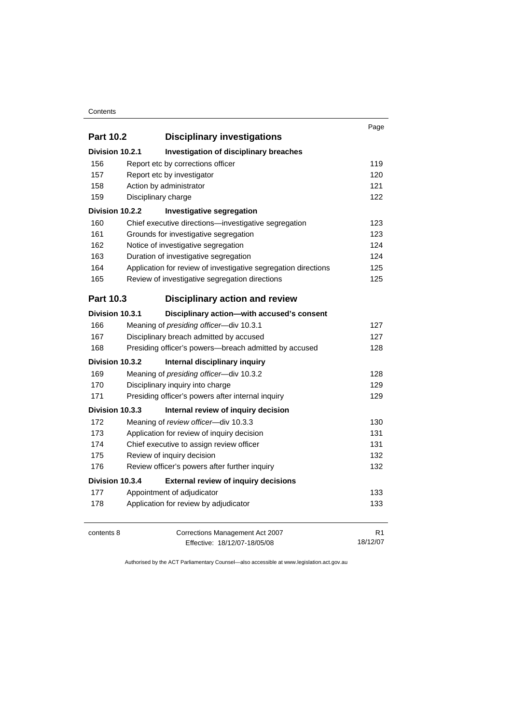#### **Contents**

| <b>Part 10.2</b> | <b>Disciplinary investigations</b>                             | Page     |
|------------------|----------------------------------------------------------------|----------|
| Division 10.2.1  | Investigation of disciplinary breaches                         |          |
| 156              | Report etc by corrections officer                              | 119      |
| 157              | Report etc by investigator                                     | 120      |
| 158              | Action by administrator                                        | 121      |
| 159              | Disciplinary charge                                            | 122      |
| Division 10.2.2  | Investigative segregation                                      |          |
| 160              | Chief executive directions-investigative segregation           | 123      |
| 161              | Grounds for investigative segregation                          | 123      |
| 162              | Notice of investigative segregation                            | 124      |
| 163              | Duration of investigative segregation                          | 124      |
| 164              | Application for review of investigative segregation directions | 125      |
| 165              | Review of investigative segregation directions                 | 125      |
| Part 10.3        | <b>Disciplinary action and review</b>                          |          |
| Division 10.3.1  | Disciplinary action-with accused's consent                     |          |
| 166              | Meaning of presiding officer-div 10.3.1                        | 127      |
| 167              | Disciplinary breach admitted by accused                        | 127      |
| 168              | Presiding officer's powers-breach admitted by accused          | 128      |
| Division 10.3.2  | Internal disciplinary inquiry                                  |          |
| 169              | Meaning of presiding officer-div 10.3.2                        | 128      |
| 170              | Disciplinary inquiry into charge                               | 129      |
| 171              | Presiding officer's powers after internal inquiry              | 129      |
| Division 10.3.3  | Internal review of inquiry decision                            |          |
| 172              | Meaning of review officer-div 10.3.3                           | 130      |
| 173              | Application for review of inquiry decision                     | 131      |
| 174              | Chief executive to assign review officer                       | 131      |
| 175              | Review of inquiry decision                                     | 132      |
| 176              | Review officer's powers after further inquiry                  | 132      |
| Division 10.3.4  | <b>External review of inquiry decisions</b>                    |          |
| 177              | Appointment of adjudicator                                     | 133      |
| 178              | Application for review by adjudicator                          | 133      |
| contents 8       | Corrections Management Act 2007                                | R1       |
|                  | Effective: 18/12/07-18/05/08                                   | 18/12/07 |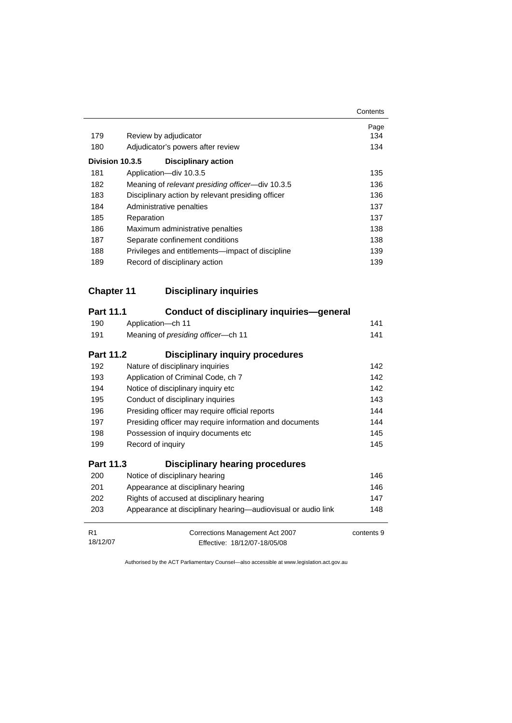|                 |                                                   | Contents |
|-----------------|---------------------------------------------------|----------|
|                 |                                                   | Page     |
| 179             | Review by adjudicator                             | 134      |
| 180             | Adjudicator's powers after review                 | 134      |
| Division 10.3.5 | <b>Disciplinary action</b>                        |          |
| 181             | Application-div 10.3.5                            | 135      |
| 182             | Meaning of relevant presiding officer—div 10.3.5  | 136      |
| 183             | Disciplinary action by relevant presiding officer | 136      |
| 184             | Administrative penalties                          | 137      |
| 185             | Reparation                                        | 137      |
| 186             | Maximum administrative penalties                  | 138      |
| 187             | Separate confinement conditions                   | 138      |
| 188             | Privileges and entitlements—impact of discipline  | 139      |
| 189             | Record of disciplinary action                     | 139      |

# **Chapter 11 Disciplinary inquiries**

| <b>Part 11.1</b>           | Conduct of disciplinary inquiries—general                       |            |
|----------------------------|-----------------------------------------------------------------|------------|
| 190                        | Application-ch 11                                               | 141        |
| 191                        | Meaning of <i>presiding officer</i> —ch 11                      | 141        |
| Part 11.2                  | <b>Disciplinary inquiry procedures</b>                          |            |
| 192                        | Nature of disciplinary inquiries                                | 142        |
| 193                        | Application of Criminal Code, ch 7                              | 142        |
| 194                        | Notice of disciplinary inquiry etc                              | 142        |
| 195                        | Conduct of disciplinary inquiries                               | 143        |
| 196                        | Presiding officer may require official reports                  | 144        |
| 197                        | Presiding officer may require information and documents         | 144        |
| 198                        | Possession of inquiry documents etc.                            | 145        |
| 199                        | Record of inquiry                                               | 145        |
| <b>Part 11.3</b>           | <b>Disciplinary hearing procedures</b>                          |            |
| 200                        | Notice of disciplinary hearing                                  | 146        |
| 201                        | Appearance at disciplinary hearing                              | 146        |
| 202                        | Rights of accused at disciplinary hearing                       | 147        |
| 203                        | Appearance at disciplinary hearing—audiovisual or audio link    | 148        |
| R <sub>1</sub><br>18/12/07 | Corrections Management Act 2007<br>Effective: 18/12/07-18/05/08 | contents 9 |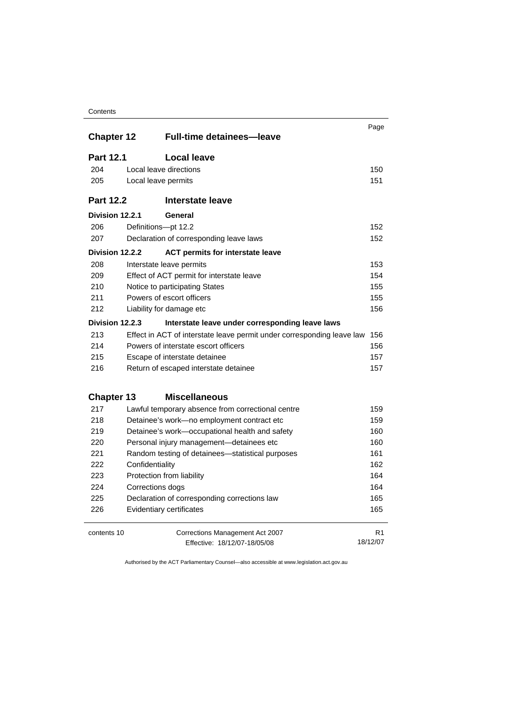#### **Contents**

|                   |                                       | <b>Full-time detainees-leave</b>                                       | Page           |
|-------------------|---------------------------------------|------------------------------------------------------------------------|----------------|
| <b>Chapter 12</b> |                                       |                                                                        |                |
| <b>Part 12.1</b>  |                                       | <b>Local leave</b>                                                     |                |
| 204               |                                       | Local leave directions                                                 | 150            |
| 205               | Local leave permits                   |                                                                        | 151            |
| <b>Part 12.2</b>  |                                       | Interstate leave                                                       |                |
| Division 12.2.1   |                                       | General                                                                |                |
| 206               | Definitions-pt 12.2                   |                                                                        | 152            |
| 207               |                                       | Declaration of corresponding leave laws                                | 152            |
| Division 12.2.2   |                                       | <b>ACT permits for interstate leave</b>                                |                |
| 208               |                                       | Interstate leave permits                                               | 153            |
| 209               |                                       | Effect of ACT permit for interstate leave                              | 154            |
| 210               |                                       | Notice to participating States                                         | 155            |
| 211               |                                       | Powers of escort officers                                              | 155            |
| 212               |                                       | Liability for damage etc                                               | 156            |
| Division 12.2.3   |                                       | Interstate leave under corresponding leave laws                        |                |
| 213               |                                       | Effect in ACT of interstate leave permit under corresponding leave law | 156            |
| 214               | Powers of interstate escort officers  |                                                                        | 156            |
| 215               |                                       | Escape of interstate detainee                                          |                |
| 216               | Return of escaped interstate detainee |                                                                        | 157            |
| <b>Chapter 13</b> |                                       | <b>Miscellaneous</b>                                                   |                |
| 217               |                                       | Lawful temporary absence from correctional centre                      | 159            |
| 218               |                                       | Detainee's work-no employment contract etc                             | 159            |
| 219               |                                       | Detainee's work-occupational health and safety                         | 160            |
| 220               |                                       | Personal injury management-detainees etc                               | 160            |
| 221               |                                       | Random testing of detainees-statistical purposes                       | 161            |
| 222               | Confidentiality                       |                                                                        | 162            |
| 223               |                                       | Protection from liability                                              | 164            |
| 224               | Corrections dogs                      |                                                                        | 164            |
| 225               |                                       | Declaration of corresponding corrections law                           | 165            |
| 226               |                                       | Evidentiary certificates                                               | 165            |
| contents 10       |                                       | Corrections Management Act 2007                                        | R <sub>1</sub> |
|                   |                                       | Effective: 18/12/07-18/05/08                                           | 18/12/07       |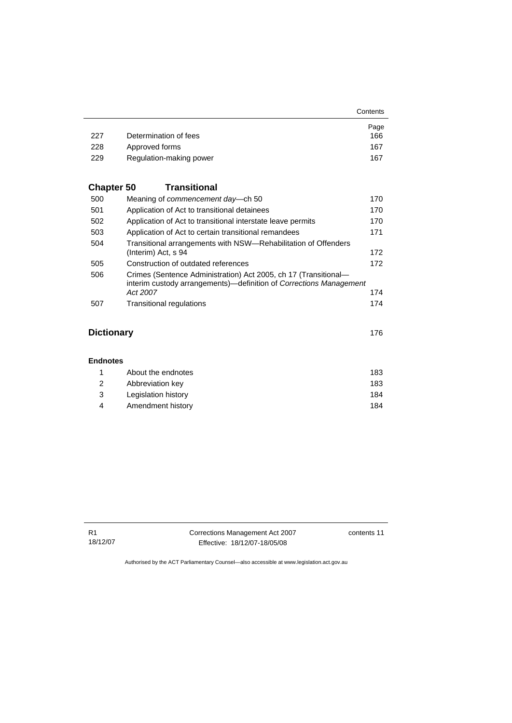|     |                         | Contents |
|-----|-------------------------|----------|
|     |                         | Page     |
| 227 | Determination of fees   | 166      |
| 228 | Approved forms          | 167      |
| 229 | Regulation-making power | 167      |

# **Chapter 50 Transitional**

| 500 | Meaning of <i>commencement</i> day—ch 50                                                                                              | 170 |
|-----|---------------------------------------------------------------------------------------------------------------------------------------|-----|
| 501 | Application of Act to transitional detainees                                                                                          | 170 |
| 502 | Application of Act to transitional interstate leave permits                                                                           | 170 |
| 503 | Application of Act to certain transitional remandees                                                                                  | 171 |
| 504 | Transitional arrangements with NSW—Rehabilitation of Offenders                                                                        |     |
|     | (Interim) Act, s 94                                                                                                                   | 172 |
| 505 | Construction of outdated references                                                                                                   | 172 |
| 506 | Crimes (Sentence Administration) Act 2005, ch 17 (Transitional-<br>interim custody arrangements)—definition of Corrections Management |     |
|     | Act 2007                                                                                                                              | 174 |
| 507 | <b>Transitional regulations</b>                                                                                                       | 174 |
|     |                                                                                                                                       |     |
|     |                                                                                                                                       |     |

### **Dictionary** [176](#page-189-0)

| <b>Endnotes</b> |                     |     |
|-----------------|---------------------|-----|
|                 | About the endnotes  | 183 |
| 2               | Abbreviation key    | 183 |
| 3               | Legislation history | 184 |
| 4               | Amendment history   | 184 |

| R1       |  |
|----------|--|
| 18/12/07 |  |

Corrections Management Act 2007 Effective: 18/12/07-18/05/08

contents 11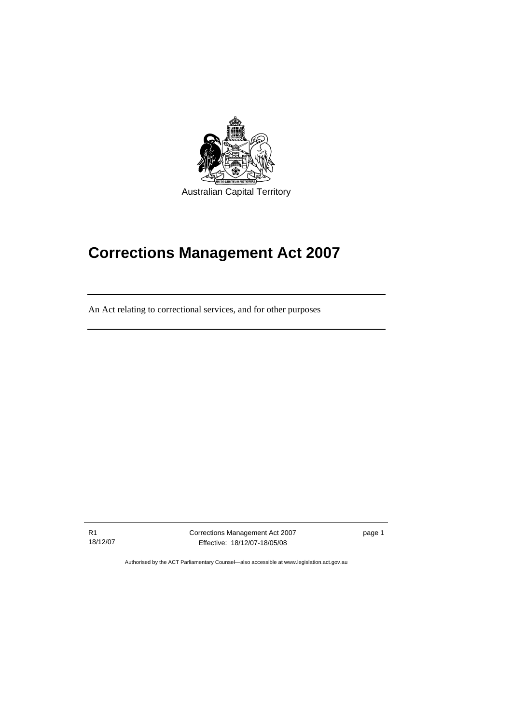<span id="page-14-0"></span>

# **Corrections Management Act 2007**

An Act relating to correctional services, and for other purposes

R1 18/12/07

Ī

Corrections Management Act 2007 Effective: 18/12/07-18/05/08

page 1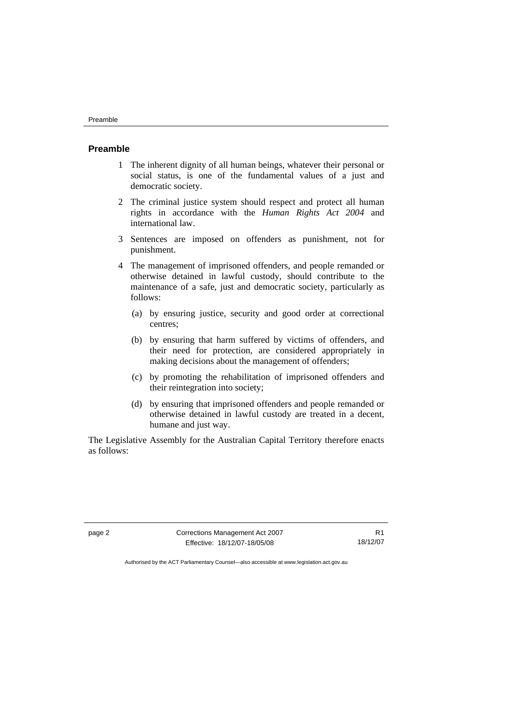#### <span id="page-15-0"></span>**Preamble**

- 1 The inherent dignity of all human beings, whatever their personal or social status, is one of the fundamental values of a just and democratic society.
- 2 The criminal justice system should respect and protect all human rights in accordance with the *Human Rights Act 2004* and international law.
- 3 Sentences are imposed on offenders as punishment, not for punishment.
- 4 The management of imprisoned offenders, and people remanded or otherwise detained in lawful custody, should contribute to the maintenance of a safe, just and democratic society, particularly as follows:
	- (a) by ensuring justice, security and good order at correctional centres;
	- (b) by ensuring that harm suffered by victims of offenders, and their need for protection, are considered appropriately in making decisions about the management of offenders;
	- (c) by promoting the rehabilitation of imprisoned offenders and their reintegration into society;
	- (d) by ensuring that imprisoned offenders and people remanded or otherwise detained in lawful custody are treated in a decent, humane and just way.

The Legislative Assembly for the Australian Capital Territory therefore enacts as follows:

page 2 Corrections Management Act 2007 Effective: 18/12/07-18/05/08

R1 18/12/07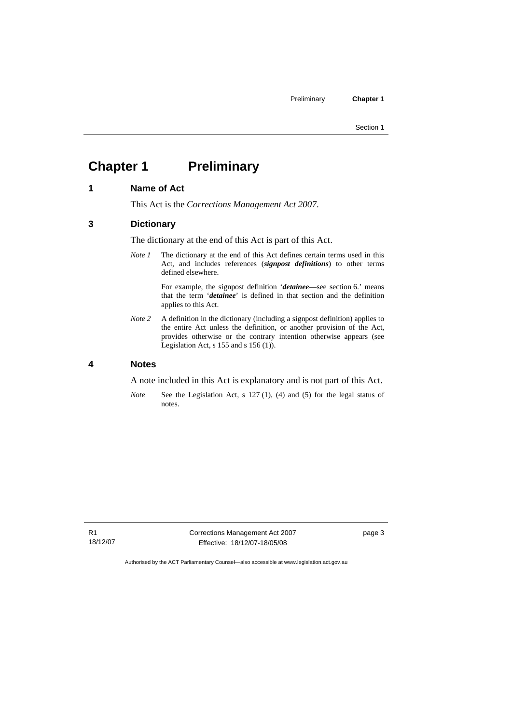# <span id="page-16-0"></span>**Chapter 1** Preliminary

#### **1 Name of Act**

This Act is the *Corrections Management Act 2007*.

#### **3 Dictionary**

The dictionary at the end of this Act is part of this Act.

*Note 1* The dictionary at the end of this Act defines certain terms used in this Act, and includes references (*signpost definitions*) to other terms defined elsewhere.

> For example, the signpost definition '*detainee*—see section 6.' means that the term '*detainee*' is defined in that section and the definition applies to this Act.

*Note 2* A definition in the dictionary (including a signpost definition) applies to the entire Act unless the definition, or another provision of the Act, provides otherwise or the contrary intention otherwise appears (see Legislation Act, s  $155$  and s  $156$  (1)).

#### **4 Notes**

A note included in this Act is explanatory and is not part of this Act.

*Note* See the Legislation Act, s 127 (1), (4) and (5) for the legal status of notes.

R1 18/12/07 Corrections Management Act 2007 Effective: 18/12/07-18/05/08

page 3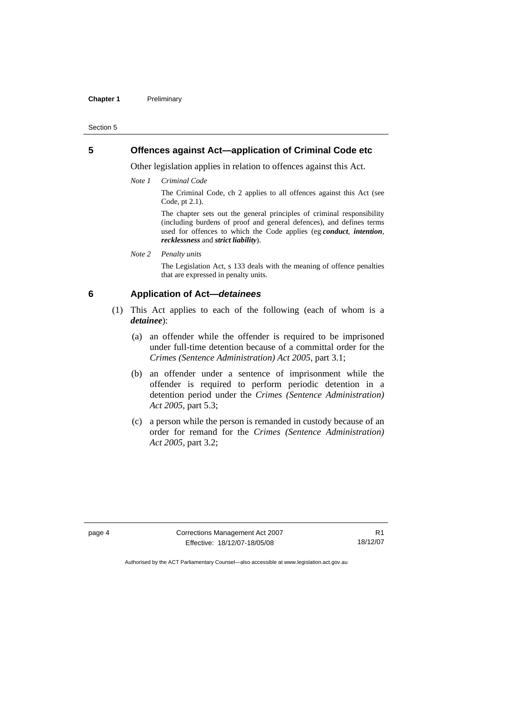#### <span id="page-17-0"></span>**Chapter 1** Preliminary

#### Section 5

#### **5 Offences against Act—application of Criminal Code etc**

Other legislation applies in relation to offences against this Act.

*Note 1 Criminal Code*

The Criminal Code, ch 2 applies to all offences against this Act (see Code, pt 2.1).

The chapter sets out the general principles of criminal responsibility (including burdens of proof and general defences), and defines terms used for offences to which the Code applies (eg *conduct*, *intention*, *recklessness* and *strict liability*).

*Note 2 Penalty units*  The Legislation Act, s 133 deals with the meaning of offence penalties that are expressed in penalty units.

#### **6 Application of Act—***detainees*

- (1) This Act applies to each of the following (each of whom is a *detainee*):
	- (a) an offender while the offender is required to be imprisoned under full-time detention because of a committal order for the *Crimes (Sentence Administration) Act 2005*, part 3.1;
	- (b) an offender under a sentence of imprisonment while the offender is required to perform periodic detention in a detention period under the *Crimes (Sentence Administration) Act 2005,* part 5.3;
	- (c) a person while the person is remanded in custody because of an order for remand for the *Crimes (Sentence Administration) Act 2005*, part 3.2;

page 4 Corrections Management Act 2007 Effective: 18/12/07-18/05/08

R1 18/12/07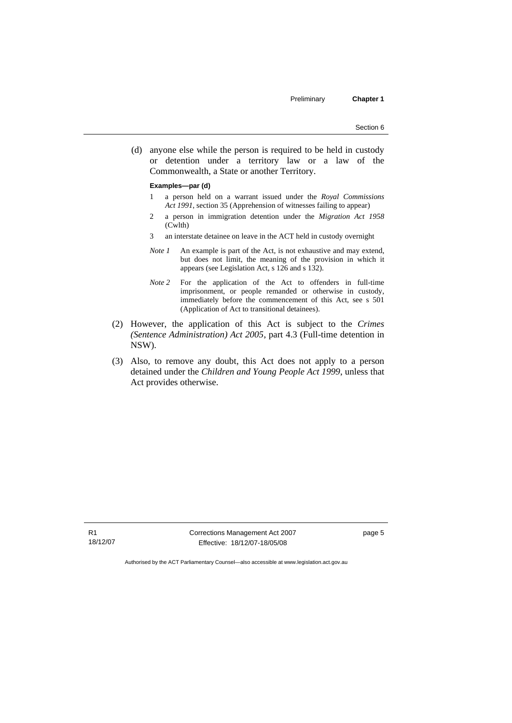(d) anyone else while the person is required to be held in custody or detention under a territory law or a law of the Commonwealth, a State or another Territory.

#### **Examples—par (d)**

- 1 a person held on a warrant issued under the *Royal Commissions Act 1991*, section 35 (Apprehension of witnesses failing to appear)
- 2 a person in immigration detention under the *Migration Act 1958*  (Cwlth)
- 3 an interstate detainee on leave in the ACT held in custody overnight
- *Note 1* An example is part of the Act, is not exhaustive and may extend, but does not limit, the meaning of the provision in which it appears (see Legislation Act, s 126 and s 132).
- *Note 2* For the application of the Act to offenders in full-time imprisonment, or people remanded or otherwise in custody, immediately before the commencement of this Act, see s 501 (Application of Act to transitional detainees).
- (2) However, the application of this Act is subject to the *Crimes (Sentence Administration) Act 2005*, part 4.3 (Full-time detention in NSW).
- (3) Also, to remove any doubt, this Act does not apply to a person detained under the *Children and Young People Act 1999*, unless that Act provides otherwise.

R1 18/12/07 Corrections Management Act 2007 Effective: 18/12/07-18/05/08

page 5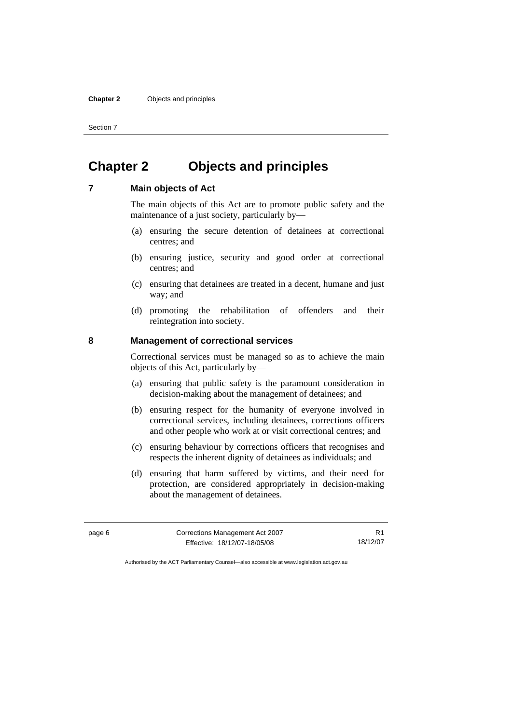# <span id="page-19-0"></span>**Chapter 2 Objects and principles**

#### **7 Main objects of Act**

The main objects of this Act are to promote public safety and the maintenance of a just society, particularly by—

- (a) ensuring the secure detention of detainees at correctional centres; and
- (b) ensuring justice, security and good order at correctional centres; and
- (c) ensuring that detainees are treated in a decent, humane and just way; and
- (d) promoting the rehabilitation of offenders and their reintegration into society.

#### **8 Management of correctional services**

Correctional services must be managed so as to achieve the main objects of this Act, particularly by—

- (a) ensuring that public safety is the paramount consideration in decision-making about the management of detainees; and
- (b) ensuring respect for the humanity of everyone involved in correctional services, including detainees, corrections officers and other people who work at or visit correctional centres; and
- (c) ensuring behaviour by corrections officers that recognises and respects the inherent dignity of detainees as individuals; and
- (d) ensuring that harm suffered by victims, and their need for protection, are considered appropriately in decision-making about the management of detainees.

| page 6 | Corrections Management Act 2007 |          |
|--------|---------------------------------|----------|
|        | Effective: 18/12/07-18/05/08    | 18/12/07 |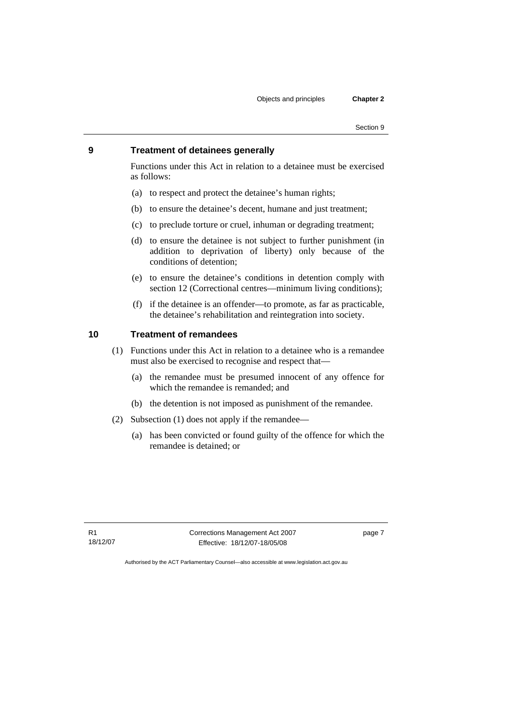#### <span id="page-20-0"></span>**9 Treatment of detainees generally**

Functions under this Act in relation to a detainee must be exercised as follows:

- (a) to respect and protect the detainee's human rights;
- (b) to ensure the detainee's decent, humane and just treatment;
- (c) to preclude torture or cruel, inhuman or degrading treatment;
- (d) to ensure the detainee is not subject to further punishment (in addition to deprivation of liberty) only because of the conditions of detention;
- (e) to ensure the detainee's conditions in detention comply with section 12 (Correctional centres—minimum living conditions);
- (f) if the detainee is an offender—to promote, as far as practicable, the detainee's rehabilitation and reintegration into society.

#### **10 Treatment of remandees**

- (1) Functions under this Act in relation to a detainee who is a remandee must also be exercised to recognise and respect that—
	- (a) the remandee must be presumed innocent of any offence for which the remandee is remanded; and
	- (b) the detention is not imposed as punishment of the remandee.
- (2) Subsection (1) does not apply if the remandee—
	- (a) has been convicted or found guilty of the offence for which the remandee is detained; or

R1 18/12/07 Corrections Management Act 2007 Effective: 18/12/07-18/05/08

page 7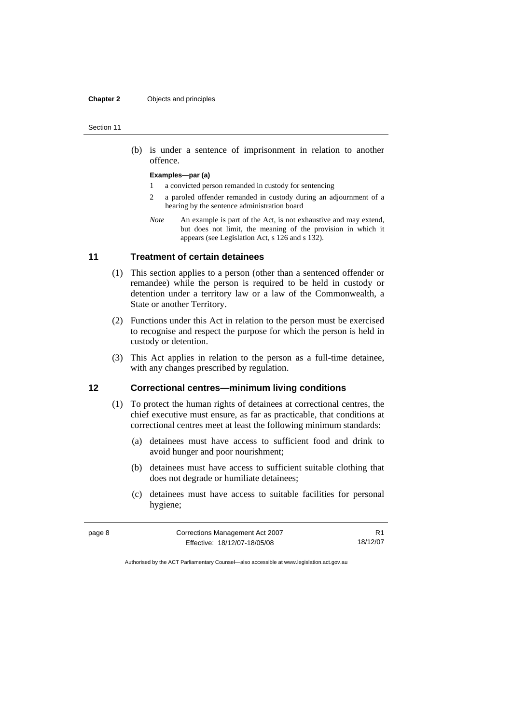#### <span id="page-21-0"></span>**Chapter 2** Objects and principles

#### Section 11

 (b) is under a sentence of imprisonment in relation to another offence.

#### **Examples—par (a)**

- 1 a convicted person remanded in custody for sentencing
- 2 a paroled offender remanded in custody during an adjournment of a hearing by the sentence administration board
- *Note* An example is part of the Act, is not exhaustive and may extend, but does not limit, the meaning of the provision in which it appears (see Legislation Act, s 126 and s 132).

#### **11 Treatment of certain detainees**

- (1) This section applies to a person (other than a sentenced offender or remandee) while the person is required to be held in custody or detention under a territory law or a law of the Commonwealth, a State or another Territory.
- (2) Functions under this Act in relation to the person must be exercised to recognise and respect the purpose for which the person is held in custody or detention.
- (3) This Act applies in relation to the person as a full-time detainee, with any changes prescribed by regulation.

#### **12 Correctional centres—minimum living conditions**

- (1) To protect the human rights of detainees at correctional centres, the chief executive must ensure, as far as practicable, that conditions at correctional centres meet at least the following minimum standards:
	- (a) detainees must have access to sufficient food and drink to avoid hunger and poor nourishment;
	- (b) detainees must have access to sufficient suitable clothing that does not degrade or humiliate detainees;
	- (c) detainees must have access to suitable facilities for personal hygiene;

| page 8 | Corrections Management Act 2007 |          |
|--------|---------------------------------|----------|
|        | Effective: 18/12/07-18/05/08    | 18/12/07 |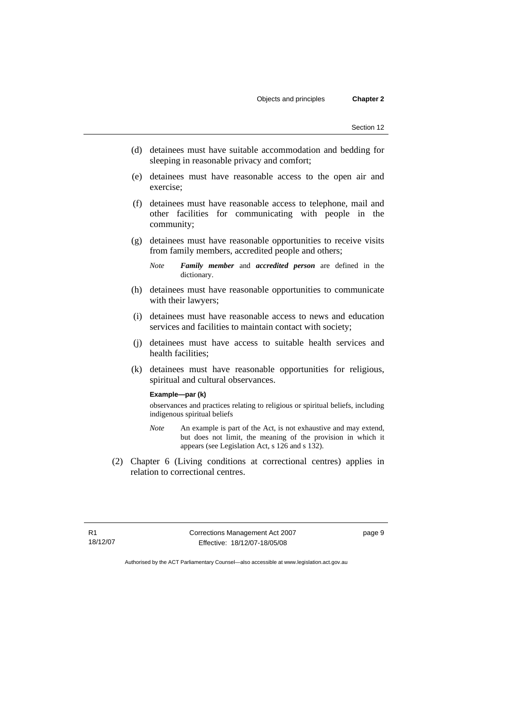- (d) detainees must have suitable accommodation and bedding for sleeping in reasonable privacy and comfort;
- (e) detainees must have reasonable access to the open air and exercise;
- (f) detainees must have reasonable access to telephone, mail and other facilities for communicating with people in the community;
- (g) detainees must have reasonable opportunities to receive visits from family members, accredited people and others;
	- *Note Family member* and *accredited person* are defined in the dictionary.
- (h) detainees must have reasonable opportunities to communicate with their lawyers:
- (i) detainees must have reasonable access to news and education services and facilities to maintain contact with society;
- (j) detainees must have access to suitable health services and health facilities;
- (k) detainees must have reasonable opportunities for religious, spiritual and cultural observances.

#### **Example—par (k)**

observances and practices relating to religious or spiritual beliefs, including indigenous spiritual beliefs

- *Note* An example is part of the Act, is not exhaustive and may extend, but does not limit, the meaning of the provision in which it appears (see Legislation Act, s 126 and s 132).
- (2) Chapter 6 (Living conditions at correctional centres) applies in relation to correctional centres.

R1 18/12/07 Corrections Management Act 2007 Effective: 18/12/07-18/05/08

page 9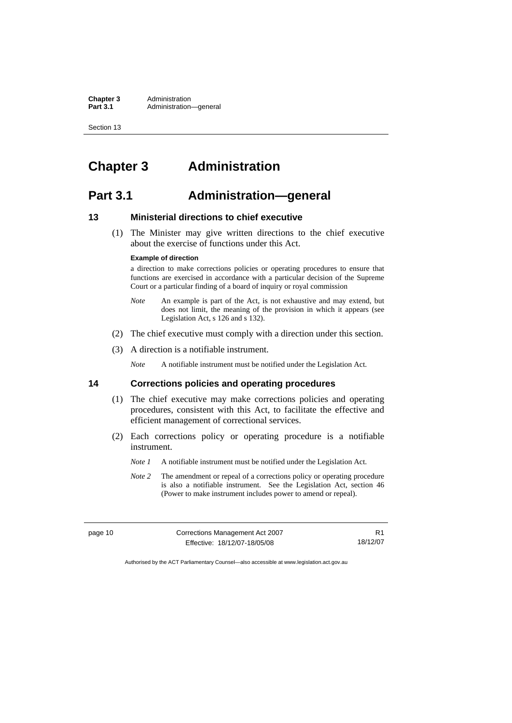# <span id="page-23-0"></span>**Chapter 3 Administration**

## **Part 3.1 Administration—general**

#### **13 Ministerial directions to chief executive**

 (1) The Minister may give written directions to the chief executive about the exercise of functions under this Act.

#### **Example of direction**

a direction to make corrections policies or operating procedures to ensure that functions are exercised in accordance with a particular decision of the Supreme Court or a particular finding of a board of inquiry or royal commission

- *Note* An example is part of the Act, is not exhaustive and may extend, but does not limit, the meaning of the provision in which it appears (see Legislation Act, s 126 and s 132).
- (2) The chief executive must comply with a direction under this section.
- (3) A direction is a notifiable instrument.

*Note* A notifiable instrument must be notified under the Legislation Act.

#### **14 Corrections policies and operating procedures**

- (1) The chief executive may make corrections policies and operating procedures, consistent with this Act, to facilitate the effective and efficient management of correctional services.
- (2) Each corrections policy or operating procedure is a notifiable instrument.
	- *Note 1* A notifiable instrument must be notified under the Legislation Act.
	- *Note 2* The amendment or repeal of a corrections policy or operating procedure is also a notifiable instrument. See the Legislation Act, section 46 (Power to make instrument includes power to amend or repeal).

| page 10 | Corrections Management Act 2007 |          |
|---------|---------------------------------|----------|
|         | Effective: 18/12/07-18/05/08    | 18/12/07 |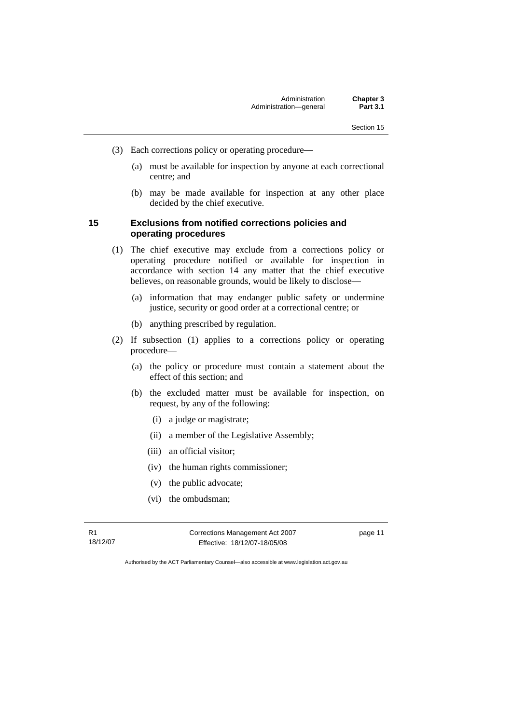- <span id="page-24-0"></span> (3) Each corrections policy or operating procedure—
	- (a) must be available for inspection by anyone at each correctional centre; and
	- (b) may be made available for inspection at any other place decided by the chief executive.

#### **15 Exclusions from notified corrections policies and operating procedures**

- (1) The chief executive may exclude from a corrections policy or operating procedure notified or available for inspection in accordance with section 14 any matter that the chief executive believes, on reasonable grounds, would be likely to disclose—
	- (a) information that may endanger public safety or undermine justice, security or good order at a correctional centre; or
	- (b) anything prescribed by regulation.
- (2) If subsection (1) applies to a corrections policy or operating procedure—
	- (a) the policy or procedure must contain a statement about the effect of this section; and
	- (b) the excluded matter must be available for inspection, on request, by any of the following:
		- (i) a judge or magistrate;
		- (ii) a member of the Legislative Assembly;
		- (iii) an official visitor;
		- (iv) the human rights commissioner;
		- (v) the public advocate;
		- (vi) the ombudsman;

R1 18/12/07 Corrections Management Act 2007 Effective: 18/12/07-18/05/08

page 11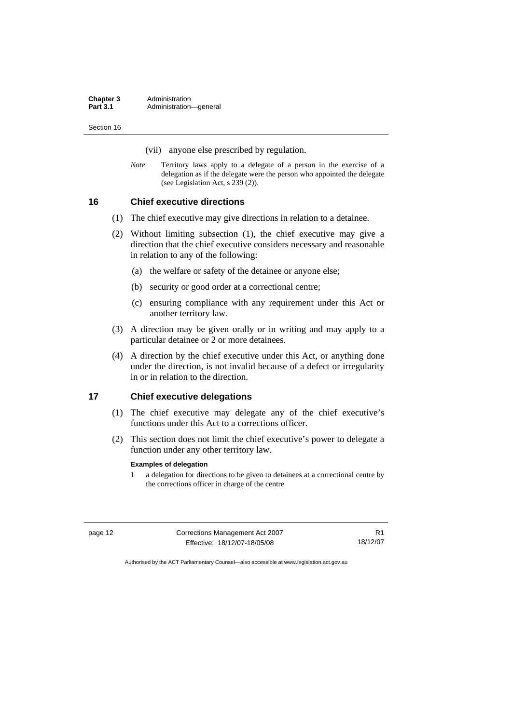(vii) anyone else prescribed by regulation.

<span id="page-25-0"></span>*Note* Territory laws apply to a delegate of a person in the exercise of a delegation as if the delegate were the person who appointed the delegate (see Legislation Act, s 239 (2)).

**16 Chief executive directions** 

- (1) The chief executive may give directions in relation to a detainee.
- (2) Without limiting subsection (1), the chief executive may give a direction that the chief executive considers necessary and reasonable in relation to any of the following:
	- (a) the welfare or safety of the detainee or anyone else;
	- (b) security or good order at a correctional centre;
	- (c) ensuring compliance with any requirement under this Act or another territory law.
- (3) A direction may be given orally or in writing and may apply to a particular detainee or 2 or more detainees.
- (4) A direction by the chief executive under this Act, or anything done under the direction, is not invalid because of a defect or irregularity in or in relation to the direction.

#### **17 Chief executive delegations**

- (1) The chief executive may delegate any of the chief executive's functions under this Act to a corrections officer.
- (2) This section does not limit the chief executive's power to delegate a function under any other territory law.

#### **Examples of delegation**

1 a delegation for directions to be given to detainees at a correctional centre by the corrections officer in charge of the centre

| page 12 | Corrections Management Act 2007 |          |
|---------|---------------------------------|----------|
|         | Effective: 18/12/07-18/05/08    | 18/12/07 |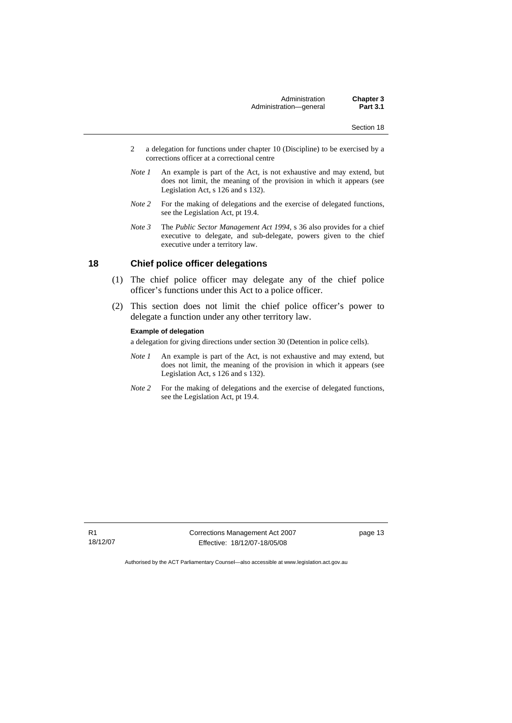- <span id="page-26-0"></span>2 a delegation for functions under chapter 10 (Discipline) to be exercised by a corrections officer at a correctional centre
- *Note 1* An example is part of the Act, is not exhaustive and may extend, but does not limit, the meaning of the provision in which it appears (see Legislation Act, s 126 and s 132).
- *Note 2* For the making of delegations and the exercise of delegated functions, see the Legislation Act, pt 19.4.
- *Note 3* The *Public Sector Management Act 1994*, s 36 also provides for a chief executive to delegate, and sub-delegate, powers given to the chief executive under a territory law.

#### **18 Chief police officer delegations**

- (1) The chief police officer may delegate any of the chief police officer's functions under this Act to a police officer.
- (2) This section does not limit the chief police officer's power to delegate a function under any other territory law.

#### **Example of delegation**

a delegation for giving directions under section 30 (Detention in police cells).

- *Note 1* An example is part of the Act, is not exhaustive and may extend, but does not limit, the meaning of the provision in which it appears (see Legislation Act, s 126 and s 132).
- *Note 2* For the making of delegations and the exercise of delegated functions, see the Legislation Act, pt 19.4.

Corrections Management Act 2007 Effective: 18/12/07-18/05/08

page 13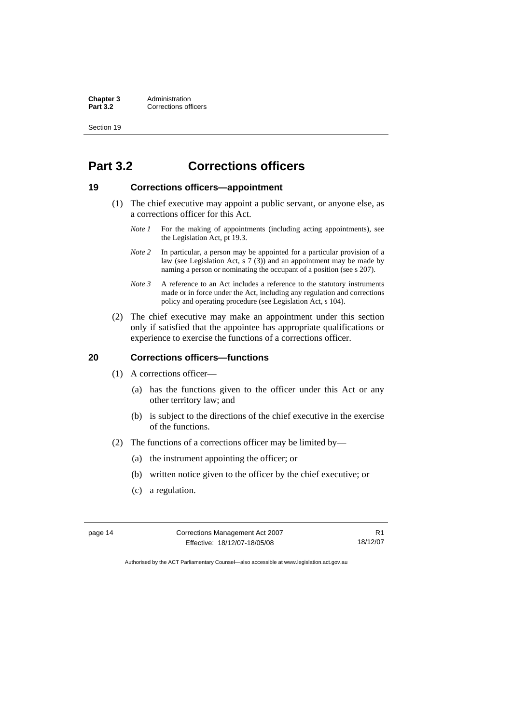# <span id="page-27-0"></span>**Part 3.2 Corrections officers**

### **19 Corrections officers—appointment**

- (1) The chief executive may appoint a public servant, or anyone else, as a corrections officer for this Act.
	- *Note 1* For the making of appointments (including acting appointments), see the Legislation Act, pt 19.3.
	- *Note 2* In particular, a person may be appointed for a particular provision of a law (see Legislation Act, s  $7(3)$ ) and an appointment may be made by naming a person or nominating the occupant of a position (see s 207).
	- *Note 3* A reference to an Act includes a reference to the statutory instruments made or in force under the Act, including any regulation and corrections policy and operating procedure (see Legislation Act, s 104).
- (2) The chief executive may make an appointment under this section only if satisfied that the appointee has appropriate qualifications or experience to exercise the functions of a corrections officer.

#### **20 Corrections officers—functions**

- (1) A corrections officer—
	- (a) has the functions given to the officer under this Act or any other territory law; and
	- (b) is subject to the directions of the chief executive in the exercise of the functions.
- (2) The functions of a corrections officer may be limited by—
	- (a) the instrument appointing the officer; or
	- (b) written notice given to the officer by the chief executive; or
	- (c) a regulation.

page 14 Corrections Management Act 2007 Effective: 18/12/07-18/05/08

R1 18/12/07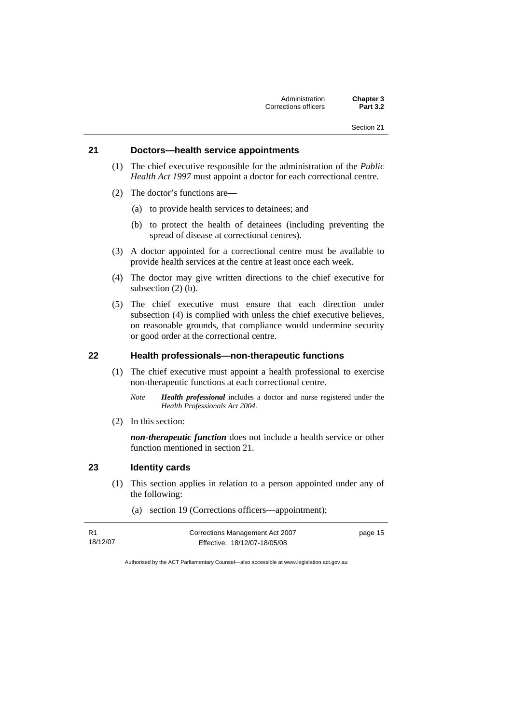#### <span id="page-28-0"></span>**21 Doctors—health service appointments**

- (1) The chief executive responsible for the administration of the *Public Health Act 1997* must appoint a doctor for each correctional centre.
- (2) The doctor's functions are—
	- (a) to provide health services to detainees; and
	- (b) to protect the health of detainees (including preventing the spread of disease at correctional centres).
- (3) A doctor appointed for a correctional centre must be available to provide health services at the centre at least once each week.
- (4) The doctor may give written directions to the chief executive for subsection (2) (b).
- (5) The chief executive must ensure that each direction under subsection (4) is complied with unless the chief executive believes, on reasonable grounds, that compliance would undermine security or good order at the correctional centre.

#### **22 Health professionals—non-therapeutic functions**

- (1) The chief executive must appoint a health professional to exercise non-therapeutic functions at each correctional centre.
	- *Note Health professional* includes a doctor and nurse registered under the *Health Professionals Act 2004*.
- (2) In this section:

*non-therapeutic function* does not include a health service or other function mentioned in section 21.

#### **23 Identity cards**

- (1) This section applies in relation to a person appointed under any of the following:
	- (a) section 19 (Corrections officers—appointment);

| - R 1    | Corrections Management Act 2007 | page 15 |
|----------|---------------------------------|---------|
| 18/12/07 | Effective: 18/12/07-18/05/08    |         |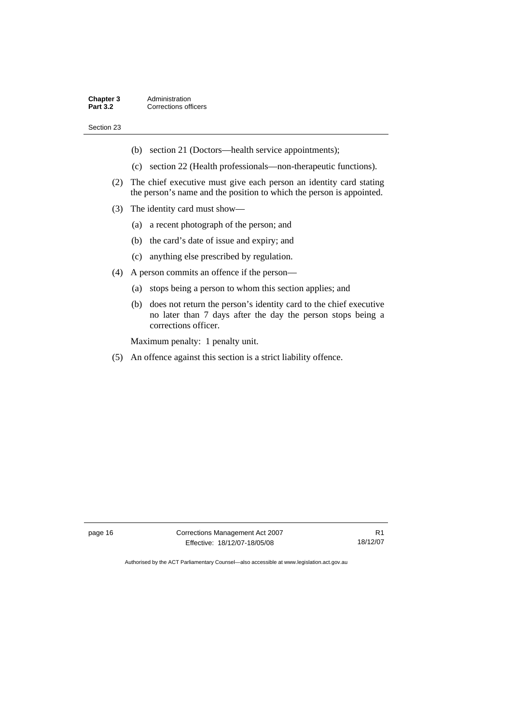- (b) section 21 (Doctors—health service appointments);
- (c) section 22 (Health professionals—non-therapeutic functions).
- (2) The chief executive must give each person an identity card stating the person's name and the position to which the person is appointed.
- (3) The identity card must show—
	- (a) a recent photograph of the person; and
	- (b) the card's date of issue and expiry; and
	- (c) anything else prescribed by regulation.
- (4) A person commits an offence if the person—
	- (a) stops being a person to whom this section applies; and
	- (b) does not return the person's identity card to the chief executive no later than 7 days after the day the person stops being a corrections officer.

Maximum penalty: 1 penalty unit.

(5) An offence against this section is a strict liability offence.

page 16 Corrections Management Act 2007 Effective: 18/12/07-18/05/08

R1 18/12/07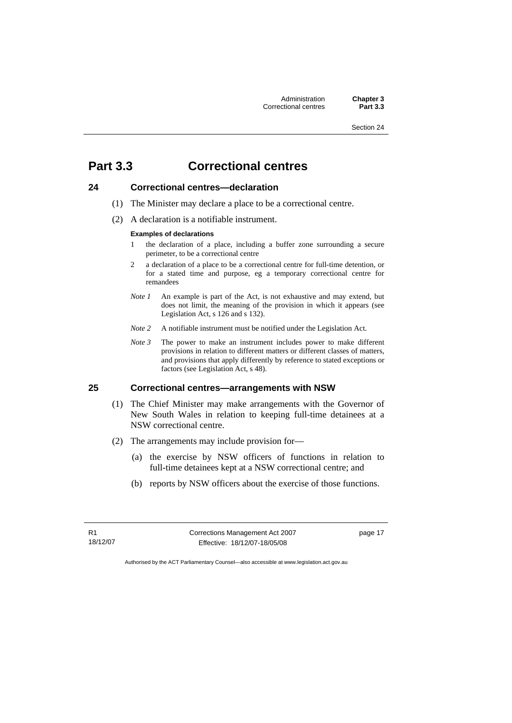# <span id="page-30-0"></span>**Part 3.3 Correctional centres**

#### **24 Correctional centres—declaration**

- (1) The Minister may declare a place to be a correctional centre.
- (2) A declaration is a notifiable instrument.

#### **Examples of declarations**

- 1 the declaration of a place, including a buffer zone surrounding a secure perimeter, to be a correctional centre
- 2 a declaration of a place to be a correctional centre for full-time detention, or for a stated time and purpose, eg a temporary correctional centre for remandees
- *Note 1* An example is part of the Act, is not exhaustive and may extend, but does not limit, the meaning of the provision in which it appears (see Legislation Act, s 126 and s 132).
- *Note 2* A notifiable instrument must be notified under the Legislation Act.
- *Note 3* The power to make an instrument includes power to make different provisions in relation to different matters or different classes of matters, and provisions that apply differently by reference to stated exceptions or factors (see Legislation Act, s 48).

#### **25 Correctional centres—arrangements with NSW**

- (1) The Chief Minister may make arrangements with the Governor of New South Wales in relation to keeping full-time detainees at a NSW correctional centre.
- (2) The arrangements may include provision for—
	- (a) the exercise by NSW officers of functions in relation to full-time detainees kept at a NSW correctional centre; and
	- (b) reports by NSW officers about the exercise of those functions.

R1 18/12/07 Corrections Management Act 2007 Effective: 18/12/07-18/05/08

page 17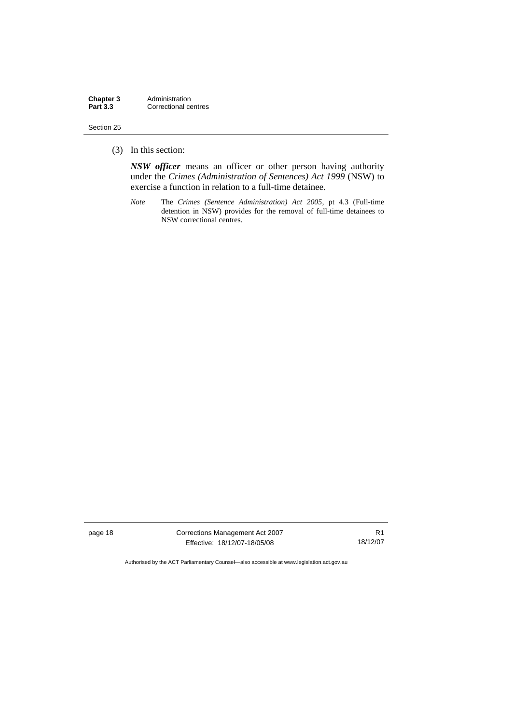(3) In this section:

*NSW officer* means an officer or other person having authority under the *Crimes (Administration of Sentences) Act 1999* (NSW) to exercise a function in relation to a full-time detainee.

*Note* The *Crimes (Sentence Administration) Act 2005*, pt 4.3 (Full-time detention in NSW) provides for the removal of full-time detainees to NSW correctional centres.

page 18 Corrections Management Act 2007 Effective: 18/12/07-18/05/08

R1 18/12/07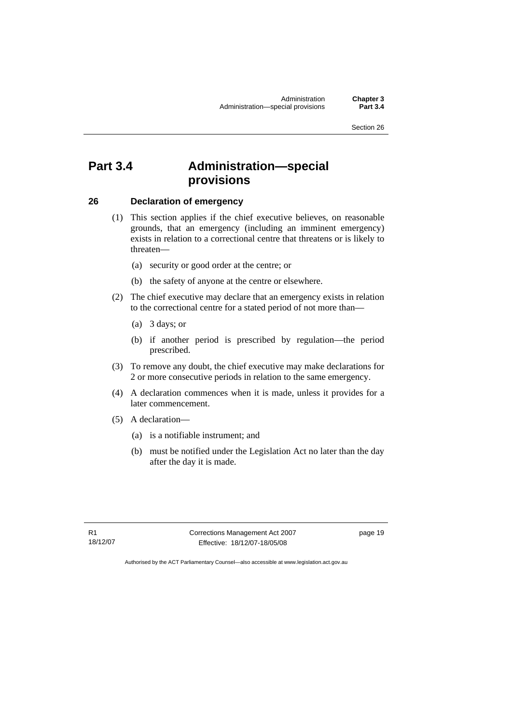# <span id="page-32-0"></span>**Part 3.4 Administration—special provisions**

#### **26 Declaration of emergency**

- (1) This section applies if the chief executive believes, on reasonable grounds, that an emergency (including an imminent emergency) exists in relation to a correctional centre that threatens or is likely to threaten—
	- (a) security or good order at the centre; or
	- (b) the safety of anyone at the centre or elsewhere.
- (2) The chief executive may declare that an emergency exists in relation to the correctional centre for a stated period of not more than—
	- (a) 3 days; or
	- (b) if another period is prescribed by regulation—the period prescribed.
- (3) To remove any doubt, the chief executive may make declarations for 2 or more consecutive periods in relation to the same emergency.
- (4) A declaration commences when it is made, unless it provides for a later commencement.
- (5) A declaration—
	- (a) is a notifiable instrument; and
	- (b) must be notified under the Legislation Act no later than the day after the day it is made.

R1 18/12/07 Corrections Management Act 2007 Effective: 18/12/07-18/05/08

page 19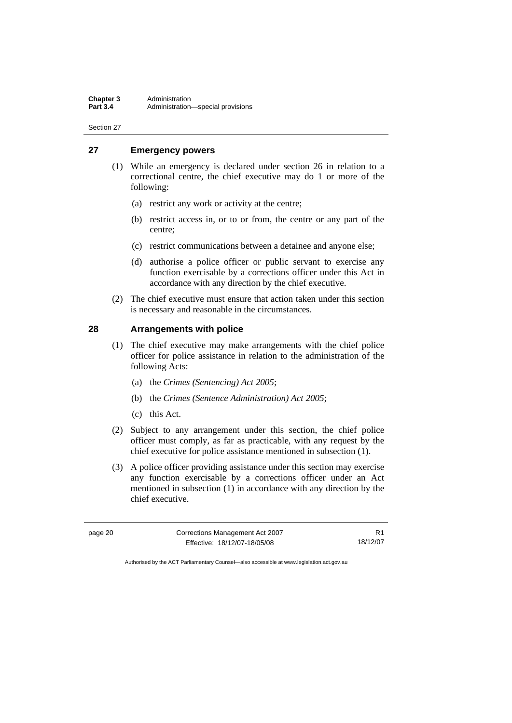#### <span id="page-33-0"></span>**27 Emergency powers**

- (1) While an emergency is declared under section 26 in relation to a correctional centre, the chief executive may do 1 or more of the following:
	- (a) restrict any work or activity at the centre;
	- (b) restrict access in, or to or from, the centre or any part of the centre;
	- (c) restrict communications between a detainee and anyone else;
	- (d) authorise a police officer or public servant to exercise any function exercisable by a corrections officer under this Act in accordance with any direction by the chief executive.
- (2) The chief executive must ensure that action taken under this section is necessary and reasonable in the circumstances.

#### **28 Arrangements with police**

- (1) The chief executive may make arrangements with the chief police officer for police assistance in relation to the administration of the following Acts:
	- (a) the *Crimes (Sentencing) Act 2005*;
	- (b) the *Crimes (Sentence Administration) Act 2005*;
	- (c) this Act.
- (2) Subject to any arrangement under this section, the chief police officer must comply, as far as practicable, with any request by the chief executive for police assistance mentioned in subsection (1).
- (3) A police officer providing assistance under this section may exercise any function exercisable by a corrections officer under an Act mentioned in subsection (1) in accordance with any direction by the chief executive.

| page 20 | Corrections Management Act 2007 |          |
|---------|---------------------------------|----------|
|         | Effective: 18/12/07-18/05/08    | 18/12/07 |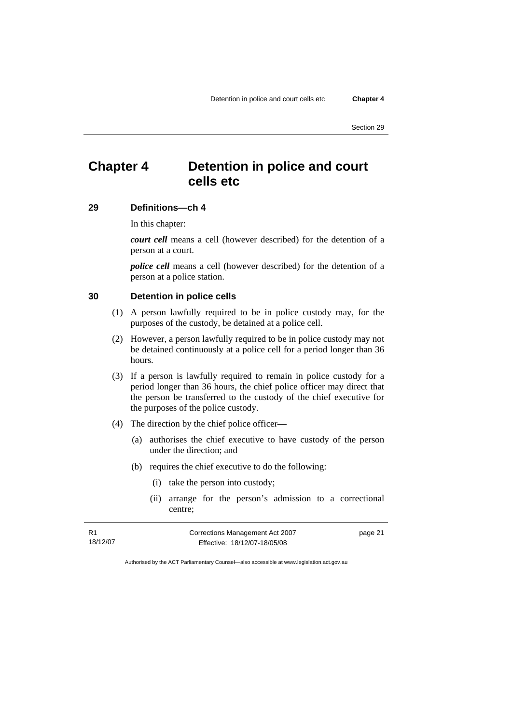# <span id="page-34-0"></span>**Chapter 4 Detention in police and court cells etc**

#### **29 Definitions—ch 4**

In this chapter:

*court cell* means a cell (however described) for the detention of a person at a court.

*police cell* means a cell (however described) for the detention of a person at a police station.

#### **30 Detention in police cells**

- (1) A person lawfully required to be in police custody may, for the purposes of the custody, be detained at a police cell.
- (2) However, a person lawfully required to be in police custody may not be detained continuously at a police cell for a period longer than 36 hours.
- (3) If a person is lawfully required to remain in police custody for a period longer than 36 hours, the chief police officer may direct that the person be transferred to the custody of the chief executive for the purposes of the police custody.
- (4) The direction by the chief police officer—
	- (a) authorises the chief executive to have custody of the person under the direction; and
	- (b) requires the chief executive to do the following:
		- (i) take the person into custody;
		- (ii) arrange for the person's admission to a correctional centre;

R1 18/12/07 Corrections Management Act 2007 Effective: 18/12/07-18/05/08

page 21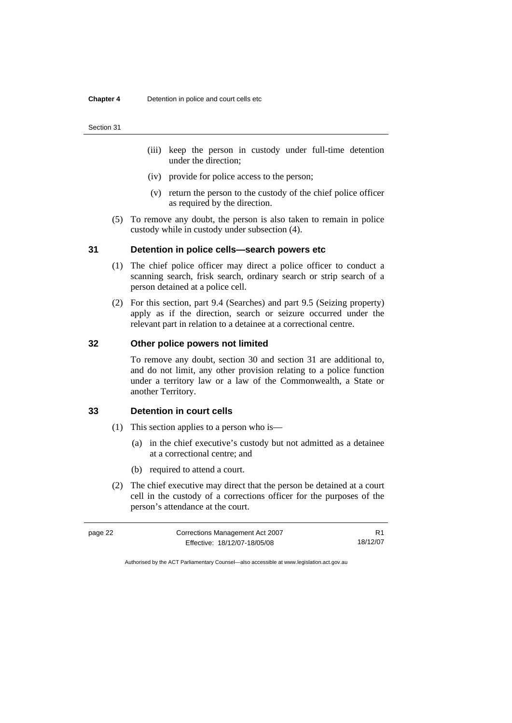- <span id="page-35-0"></span> (iii) keep the person in custody under full-time detention under the direction;
- (iv) provide for police access to the person;
- (v) return the person to the custody of the chief police officer as required by the direction.
- (5) To remove any doubt, the person is also taken to remain in police custody while in custody under subsection (4).

#### **31 Detention in police cells—search powers etc**

- (1) The chief police officer may direct a police officer to conduct a scanning search, frisk search, ordinary search or strip search of a person detained at a police cell.
- (2) For this section, part 9.4 (Searches) and part 9.5 (Seizing property) apply as if the direction, search or seizure occurred under the relevant part in relation to a detainee at a correctional centre.

#### **32 Other police powers not limited**

To remove any doubt, section 30 and section 31 are additional to, and do not limit, any other provision relating to a police function under a territory law or a law of the Commonwealth, a State or another Territory.

#### **33 Detention in court cells**

- (1) This section applies to a person who is—
	- (a) in the chief executive's custody but not admitted as a detainee at a correctional centre; and
	- (b) required to attend a court.
- (2) The chief executive may direct that the person be detained at a court cell in the custody of a corrections officer for the purposes of the person's attendance at the court.

| page 22 | Corrections Management Act 2007 |          |
|---------|---------------------------------|----------|
|         | Effective: 18/12/07-18/05/08    | 18/12/07 |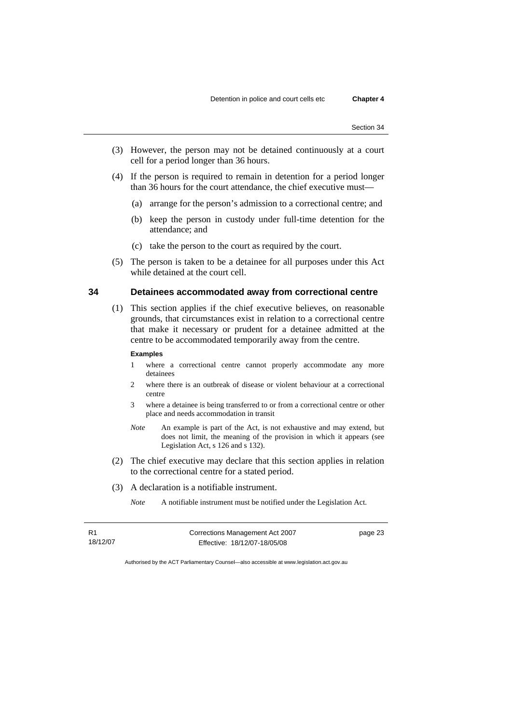- (3) However, the person may not be detained continuously at a court cell for a period longer than 36 hours.
- (4) If the person is required to remain in detention for a period longer than 36 hours for the court attendance, the chief executive must—
	- (a) arrange for the person's admission to a correctional centre; and
	- (b) keep the person in custody under full-time detention for the attendance; and
	- (c) take the person to the court as required by the court.
- (5) The person is taken to be a detainee for all purposes under this Act while detained at the court cell.

# **34 Detainees accommodated away from correctional centre**

 (1) This section applies if the chief executive believes, on reasonable grounds, that circumstances exist in relation to a correctional centre that make it necessary or prudent for a detainee admitted at the centre to be accommodated temporarily away from the centre.

#### **Examples**

- 1 where a correctional centre cannot properly accommodate any more detainees
- 2 where there is an outbreak of disease or violent behaviour at a correctional centre
- 3 where a detainee is being transferred to or from a correctional centre or other place and needs accommodation in transit
- *Note* An example is part of the Act, is not exhaustive and may extend, but does not limit, the meaning of the provision in which it appears (see Legislation Act, s 126 and s 132).
- (2) The chief executive may declare that this section applies in relation to the correctional centre for a stated period.
- (3) A declaration is a notifiable instrument.

*Note* A notifiable instrument must be notified under the Legislation Act.

R1 18/12/07 Corrections Management Act 2007 Effective: 18/12/07-18/05/08

page 23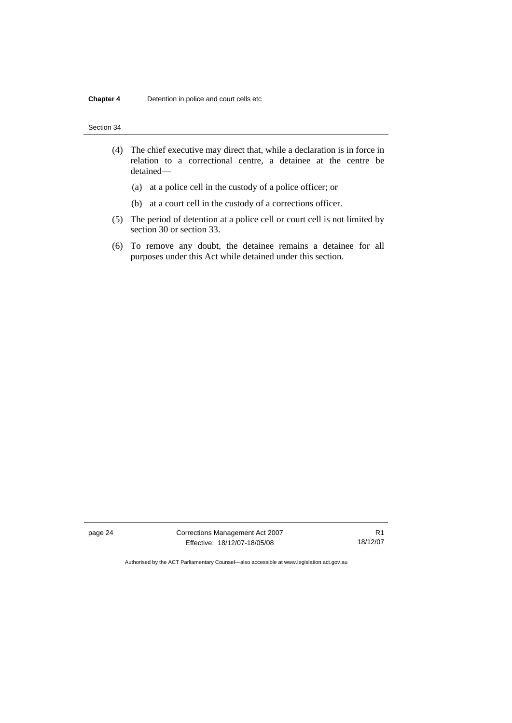| Section 34 |  |
|------------|--|
|------------|--|

- (4) The chief executive may direct that, while a declaration is in force in relation to a correctional centre, a detainee at the centre be detained—
	- (a) at a police cell in the custody of a police officer; or
	- (b) at a court cell in the custody of a corrections officer.
- (5) The period of detention at a police cell or court cell is not limited by section 30 or section 33.
- (6) To remove any doubt, the detainee remains a detainee for all purposes under this Act while detained under this section.

page 24 Corrections Management Act 2007 Effective: 18/12/07-18/05/08

R1 18/12/07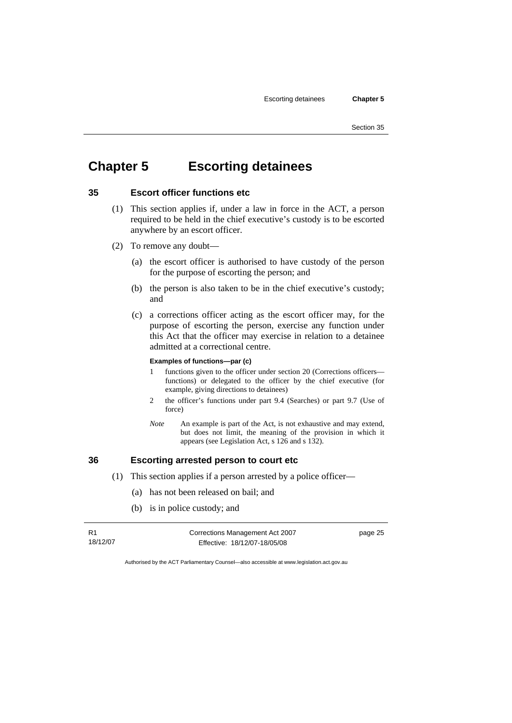# **Chapter 5 Escorting detainees**

# **35 Escort officer functions etc**

- (1) This section applies if, under a law in force in the ACT, a person required to be held in the chief executive's custody is to be escorted anywhere by an escort officer.
- (2) To remove any doubt—
	- (a) the escort officer is authorised to have custody of the person for the purpose of escorting the person; and
	- (b) the person is also taken to be in the chief executive's custody; and
	- (c) a corrections officer acting as the escort officer may, for the purpose of escorting the person, exercise any function under this Act that the officer may exercise in relation to a detainee admitted at a correctional centre.

### **Examples of functions—par (c)**

- 1 functions given to the officer under section 20 (Corrections officers functions) or delegated to the officer by the chief executive (for example, giving directions to detainees)
- 2 the officer's functions under part 9.4 (Searches) or part 9.7 (Use of force)
- *Note* An example is part of the Act, is not exhaustive and may extend, but does not limit, the meaning of the provision in which it appears (see Legislation Act, s 126 and s 132).

## **36 Escorting arrested person to court etc**

- (1) This section applies if a person arrested by a police officer—
	- (a) has not been released on bail; and
	- (b) is in police custody; and

| R1       | Corrections Management Act 2007 |  |
|----------|---------------------------------|--|
| 18/12/07 | Effective: 18/12/07-18/05/08    |  |

page 25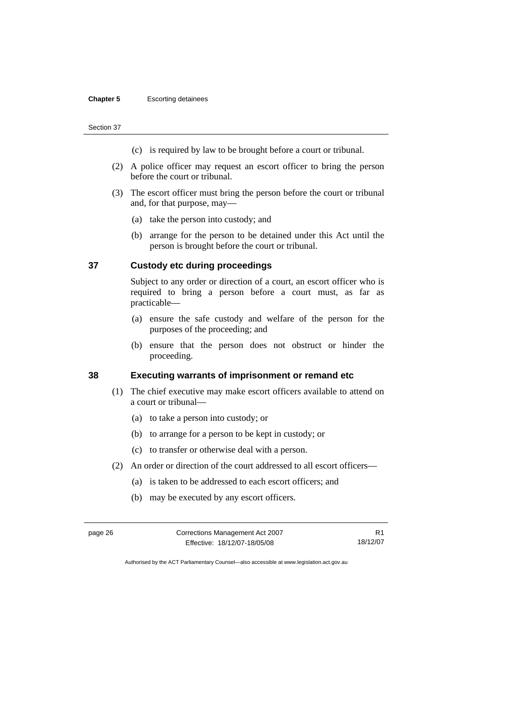## **Chapter 5** Escorting detainees

#### Section 37

- (c) is required by law to be brought before a court or tribunal.
- (2) A police officer may request an escort officer to bring the person before the court or tribunal.
- (3) The escort officer must bring the person before the court or tribunal and, for that purpose, may—
	- (a) take the person into custody; and
	- (b) arrange for the person to be detained under this Act until the person is brought before the court or tribunal.

## **37 Custody etc during proceedings**

Subject to any order or direction of a court, an escort officer who is required to bring a person before a court must, as far as practicable—

- (a) ensure the safe custody and welfare of the person for the purposes of the proceeding; and
- (b) ensure that the person does not obstruct or hinder the proceeding.

# **38 Executing warrants of imprisonment or remand etc**

- (1) The chief executive may make escort officers available to attend on a court or tribunal—
	- (a) to take a person into custody; or
	- (b) to arrange for a person to be kept in custody; or
	- (c) to transfer or otherwise deal with a person.
- (2) An order or direction of the court addressed to all escort officers—
	- (a) is taken to be addressed to each escort officers; and
	- (b) may be executed by any escort officers.

| page 26 | Corrections Management Act 2007 |          |
|---------|---------------------------------|----------|
|         | Effective: 18/12/07-18/05/08    | 18/12/07 |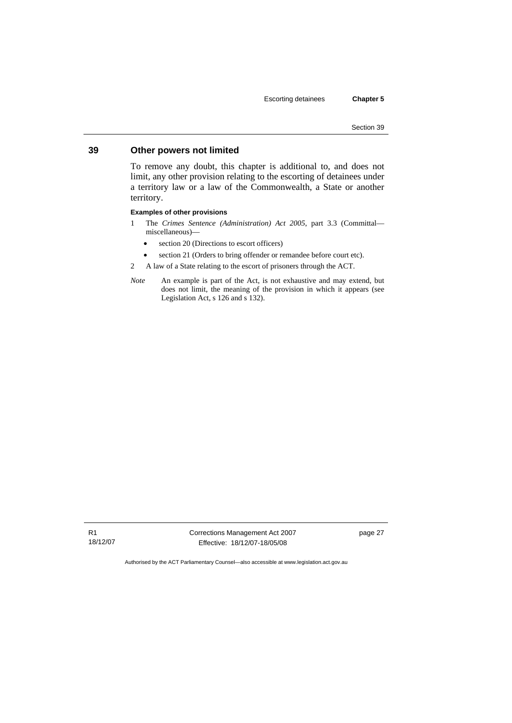# **39 Other powers not limited**

To remove any doubt, this chapter is additional to, and does not limit, any other provision relating to the escorting of detainees under a territory law or a law of the Commonwealth, a State or another territory.

## **Examples of other provisions**

- 1 The *Crimes Sentence (Administration) Act 2005*, part 3.3 (Committal miscellaneous)—
	- section 20 (Directions to escort officers)
	- section 21 (Orders to bring offender or remandee before court etc).
- 2 A law of a State relating to the escort of prisoners through the ACT.
- *Note* An example is part of the Act, is not exhaustive and may extend, but does not limit, the meaning of the provision in which it appears (see Legislation Act, s 126 and s 132).

R1 18/12/07 Corrections Management Act 2007 Effective: 18/12/07-18/05/08

page 27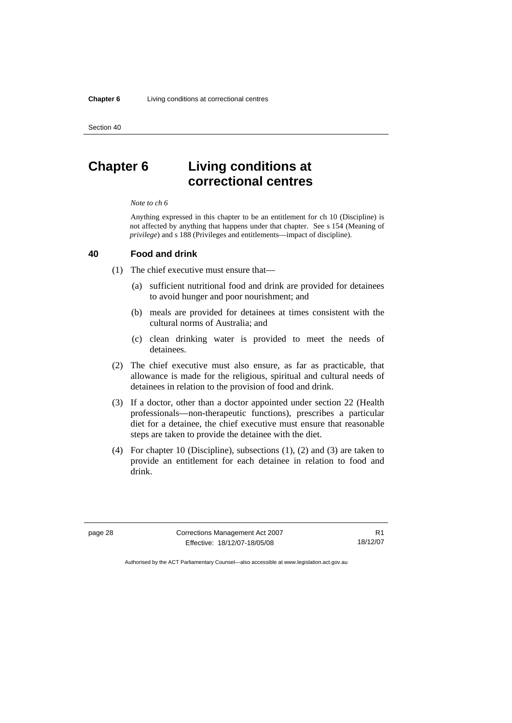# **Chapter 6 Living conditions at correctional centres**

#### *Note to ch 6*

Anything expressed in this chapter to be an entitlement for ch 10 (Discipline) is not affected by anything that happens under that chapter. See s 154 (Meaning of *privilege*) and s 188 (Privileges and entitlements—impact of discipline).

# **40 Food and drink**

(1) The chief executive must ensure that—

- (a) sufficient nutritional food and drink are provided for detainees to avoid hunger and poor nourishment; and
- (b) meals are provided for detainees at times consistent with the cultural norms of Australia; and
- (c) clean drinking water is provided to meet the needs of detainees.
- (2) The chief executive must also ensure, as far as practicable, that allowance is made for the religious, spiritual and cultural needs of detainees in relation to the provision of food and drink.
- (3) If a doctor, other than a doctor appointed under section 22 (Health professionals—non-therapeutic functions), prescribes a particular diet for a detainee, the chief executive must ensure that reasonable steps are taken to provide the detainee with the diet.
- (4) For chapter 10 (Discipline), subsections (1), (2) and (3) are taken to provide an entitlement for each detainee in relation to food and drink.

page 28 Corrections Management Act 2007 Effective: 18/12/07-18/05/08

R1 18/12/07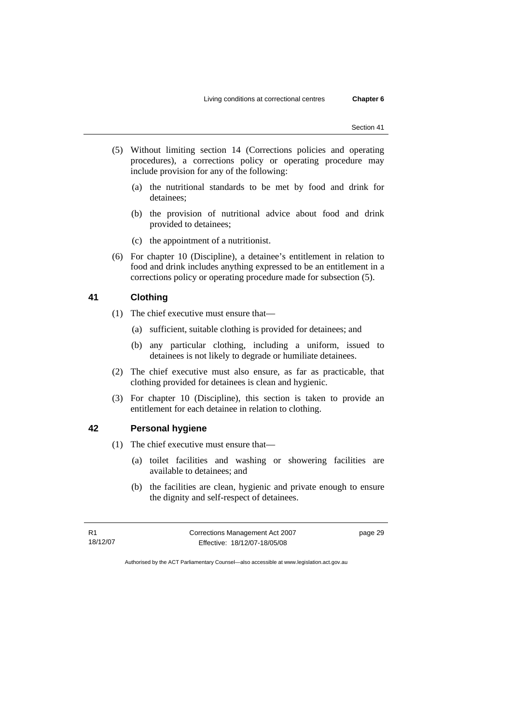- (5) Without limiting section 14 (Corrections policies and operating procedures), a corrections policy or operating procedure may include provision for any of the following:
	- (a) the nutritional standards to be met by food and drink for detainees;
	- (b) the provision of nutritional advice about food and drink provided to detainees;
	- (c) the appointment of a nutritionist.
- (6) For chapter 10 (Discipline), a detainee's entitlement in relation to food and drink includes anything expressed to be an entitlement in a corrections policy or operating procedure made for subsection (5).

# **41 Clothing**

- (1) The chief executive must ensure that—
	- (a) sufficient, suitable clothing is provided for detainees; and
	- (b) any particular clothing, including a uniform, issued to detainees is not likely to degrade or humiliate detainees.
- (2) The chief executive must also ensure, as far as practicable, that clothing provided for detainees is clean and hygienic.
- (3) For chapter 10 (Discipline), this section is taken to provide an entitlement for each detainee in relation to clothing.

# **42 Personal hygiene**

- (1) The chief executive must ensure that—
	- (a) toilet facilities and washing or showering facilities are available to detainees; and
	- (b) the facilities are clean, hygienic and private enough to ensure the dignity and self-respect of detainees.

R1 18/12/07 Corrections Management Act 2007 Effective: 18/12/07-18/05/08

page 29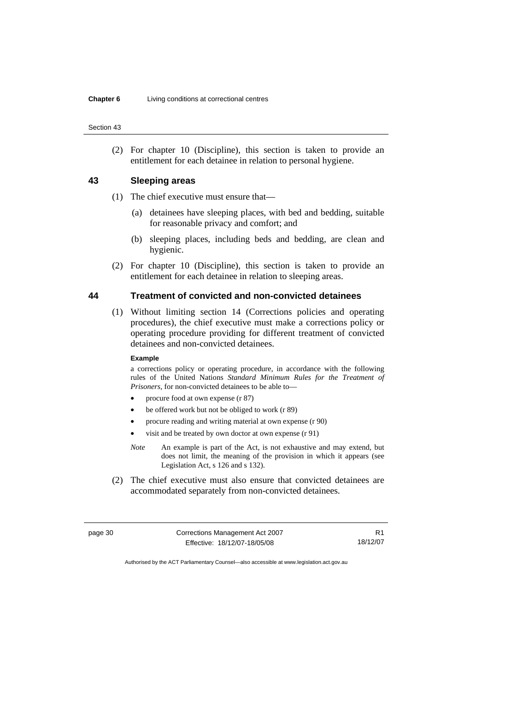(2) For chapter 10 (Discipline), this section is taken to provide an entitlement for each detainee in relation to personal hygiene.

### **43 Sleeping areas**

- (1) The chief executive must ensure that—
	- (a) detainees have sleeping places, with bed and bedding, suitable for reasonable privacy and comfort; and
	- (b) sleeping places, including beds and bedding, are clean and hygienic.
- (2) For chapter 10 (Discipline), this section is taken to provide an entitlement for each detainee in relation to sleeping areas.

## **44 Treatment of convicted and non-convicted detainees**

 (1) Without limiting section 14 (Corrections policies and operating procedures), the chief executive must make a corrections policy or operating procedure providing for different treatment of convicted detainees and non-convicted detainees.

#### **Example**

a corrections policy or operating procedure, in accordance with the following rules of the United Nations *Standard Minimum Rules for the Treatment of Prisoners*, for non-convicted detainees to be able to—

- procure food at own expense (r 87)
- be offered work but not be obliged to work (r 89)
- procure reading and writing material at own expense (r 90)
- visit and be treated by own doctor at own expense (r 91)
- *Note* An example is part of the Act, is not exhaustive and may extend, but does not limit, the meaning of the provision in which it appears (see Legislation Act, s 126 and s 132).
- (2) The chief executive must also ensure that convicted detainees are accommodated separately from non-convicted detainees.

| page 30 | Corrections Management Act 2007 |          |
|---------|---------------------------------|----------|
|         | Effective: 18/12/07-18/05/08    | 18/12/07 |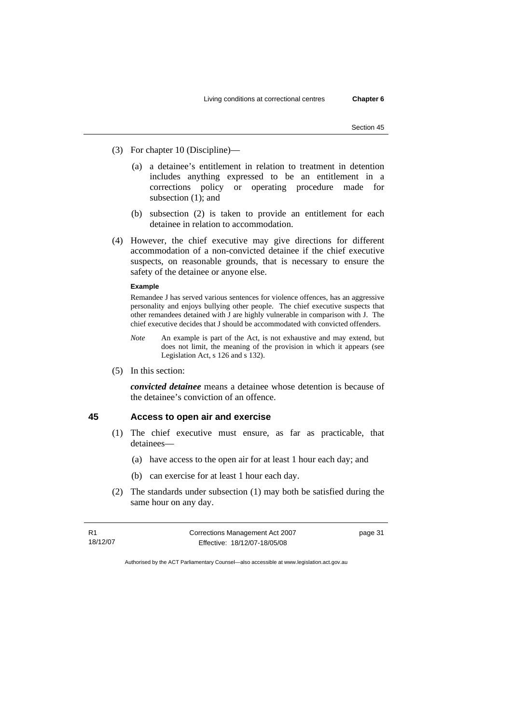- (3) For chapter 10 (Discipline)—
	- (a) a detainee's entitlement in relation to treatment in detention includes anything expressed to be an entitlement in a corrections policy or operating procedure made for subsection (1); and
	- (b) subsection (2) is taken to provide an entitlement for each detainee in relation to accommodation.
- (4) However, the chief executive may give directions for different accommodation of a non-convicted detainee if the chief executive suspects, on reasonable grounds, that is necessary to ensure the safety of the detainee or anyone else.

### **Example**

Remandee J has served various sentences for violence offences, has an aggressive personality and enjoys bullying other people. The chief executive suspects that other remandees detained with J are highly vulnerable in comparison with J. The chief executive decides that J should be accommodated with convicted offenders.

- *Note* An example is part of the Act, is not exhaustive and may extend, but does not limit, the meaning of the provision in which it appears (see Legislation Act, s 126 and s 132).
- (5) In this section:

*convicted detainee* means a detainee whose detention is because of the detainee's conviction of an offence.

## **45 Access to open air and exercise**

- (1) The chief executive must ensure, as far as practicable, that detainees—
	- (a) have access to the open air for at least 1 hour each day; and
	- (b) can exercise for at least 1 hour each day.
- (2) The standards under subsection (1) may both be satisfied during the same hour on any day.

R1 18/12/07 Corrections Management Act 2007 Effective: 18/12/07-18/05/08

page 31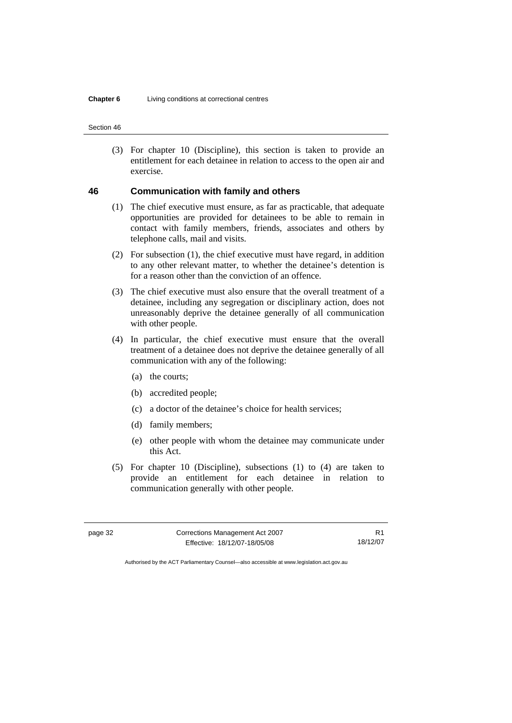(3) For chapter 10 (Discipline), this section is taken to provide an entitlement for each detainee in relation to access to the open air and exercise.

# **46 Communication with family and others**

- (1) The chief executive must ensure, as far as practicable, that adequate opportunities are provided for detainees to be able to remain in contact with family members, friends, associates and others by telephone calls, mail and visits.
- (2) For subsection (1), the chief executive must have regard, in addition to any other relevant matter, to whether the detainee's detention is for a reason other than the conviction of an offence.
- (3) The chief executive must also ensure that the overall treatment of a detainee, including any segregation or disciplinary action, does not unreasonably deprive the detainee generally of all communication with other people.
- (4) In particular, the chief executive must ensure that the overall treatment of a detainee does not deprive the detainee generally of all communication with any of the following:
	- (a) the courts;
	- (b) accredited people;
	- (c) a doctor of the detainee's choice for health services;
	- (d) family members;
	- (e) other people with whom the detainee may communicate under this Act.
- (5) For chapter 10 (Discipline), subsections (1) to (4) are taken to provide an entitlement for each detainee in relation to communication generally with other people.

| page 32 | Corrections Management Act 2007 |          |
|---------|---------------------------------|----------|
|         | Effective: 18/12/07-18/05/08    | 18/12/07 |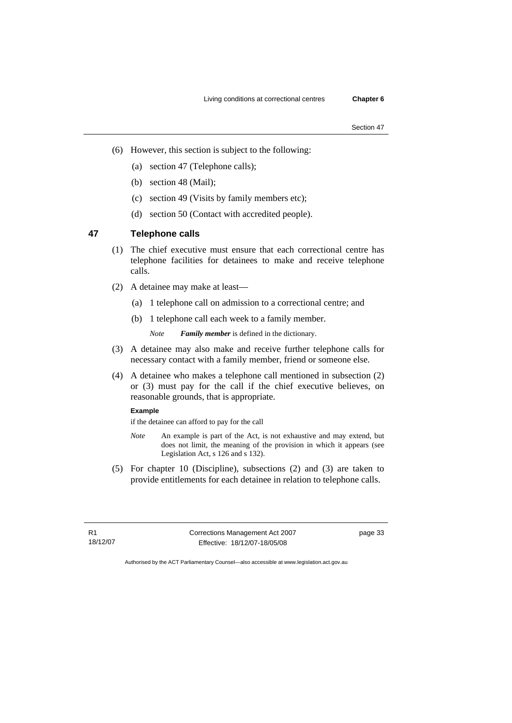- (6) However, this section is subject to the following:
	- (a) section 47 (Telephone calls);
	- (b) section 48 (Mail);
	- (c) section 49 (Visits by family members etc);
	- (d) section 50 (Contact with accredited people).

# **47 Telephone calls**

- (1) The chief executive must ensure that each correctional centre has telephone facilities for detainees to make and receive telephone calls.
- (2) A detainee may make at least—
	- (a) 1 telephone call on admission to a correctional centre; and
	- (b) 1 telephone call each week to a family member.

*Note Family member* is defined in the dictionary.

- (3) A detainee may also make and receive further telephone calls for necessary contact with a family member, friend or someone else.
- (4) A detainee who makes a telephone call mentioned in subsection (2) or (3) must pay for the call if the chief executive believes, on reasonable grounds, that is appropriate.

# **Example**

if the detainee can afford to pay for the call

- *Note* An example is part of the Act, is not exhaustive and may extend, but does not limit, the meaning of the provision in which it appears (see Legislation Act, s 126 and s 132).
- (5) For chapter 10 (Discipline), subsections (2) and (3) are taken to provide entitlements for each detainee in relation to telephone calls.

R1 18/12/07 Corrections Management Act 2007 Effective: 18/12/07-18/05/08

page 33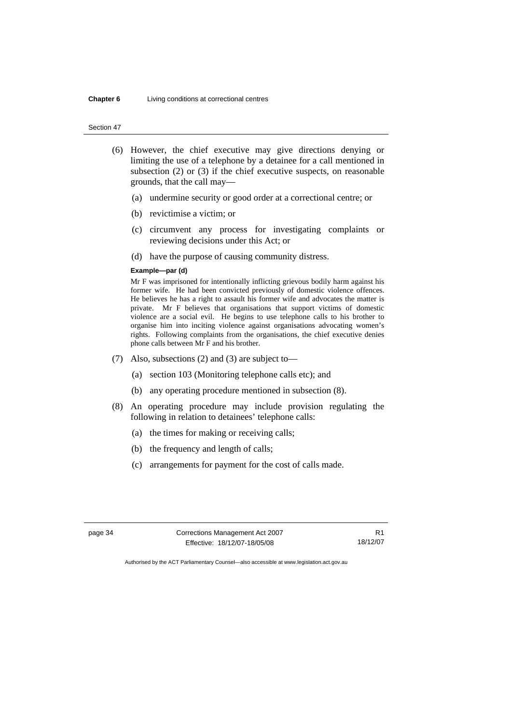#### **Chapter 6** Living conditions at correctional centres

#### Section 47

- (6) However, the chief executive may give directions denying or limiting the use of a telephone by a detainee for a call mentioned in subsection (2) or (3) if the chief executive suspects, on reasonable grounds, that the call may—
	- (a) undermine security or good order at a correctional centre; or
	- (b) revictimise a victim; or
	- (c) circumvent any process for investigating complaints or reviewing decisions under this Act; or
	- (d) have the purpose of causing community distress.

#### **Example—par (d)**

Mr F was imprisoned for intentionally inflicting grievous bodily harm against his former wife. He had been convicted previously of domestic violence offences. He believes he has a right to assault his former wife and advocates the matter is private. Mr F believes that organisations that support victims of domestic violence are a social evil. He begins to use telephone calls to his brother to organise him into inciting violence against organisations advocating women's rights. Following complaints from the organisations, the chief executive denies phone calls between Mr F and his brother.

- (7) Also, subsections (2) and (3) are subject to—
	- (a) section 103 (Monitoring telephone calls etc); and
	- (b) any operating procedure mentioned in subsection (8).
- (8) An operating procedure may include provision regulating the following in relation to detainees' telephone calls:
	- (a) the times for making or receiving calls;
	- (b) the frequency and length of calls;
	- (c) arrangements for payment for the cost of calls made.

page 34 Corrections Management Act 2007 Effective: 18/12/07-18/05/08

R1 18/12/07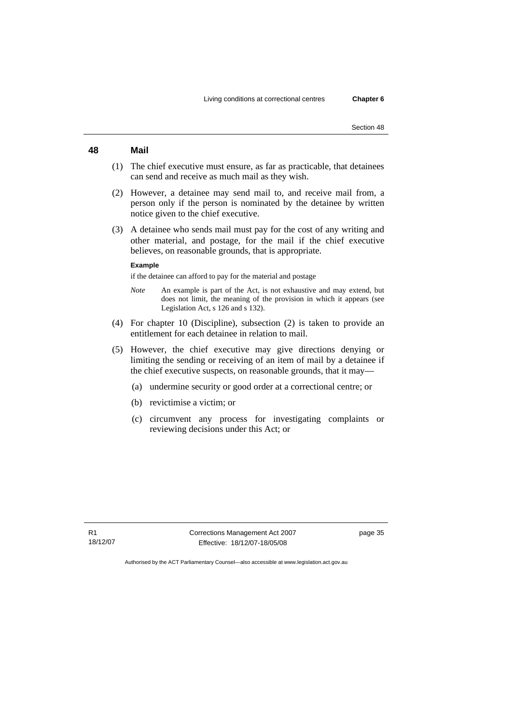# **48 Mail**

- (1) The chief executive must ensure, as far as practicable, that detainees can send and receive as much mail as they wish.
- (2) However, a detainee may send mail to, and receive mail from, a person only if the person is nominated by the detainee by written notice given to the chief executive.
- (3) A detainee who sends mail must pay for the cost of any writing and other material, and postage, for the mail if the chief executive believes, on reasonable grounds, that is appropriate.

#### **Example**

if the detainee can afford to pay for the material and postage

- *Note* An example is part of the Act, is not exhaustive and may extend, but does not limit, the meaning of the provision in which it appears (see Legislation Act, s 126 and s 132).
- (4) For chapter 10 (Discipline), subsection (2) is taken to provide an entitlement for each detainee in relation to mail.
- (5) However, the chief executive may give directions denying or limiting the sending or receiving of an item of mail by a detainee if the chief executive suspects, on reasonable grounds, that it may—
	- (a) undermine security or good order at a correctional centre; or
	- (b) revictimise a victim; or
	- (c) circumvent any process for investigating complaints or reviewing decisions under this Act; or

Corrections Management Act 2007 Effective: 18/12/07-18/05/08

page 35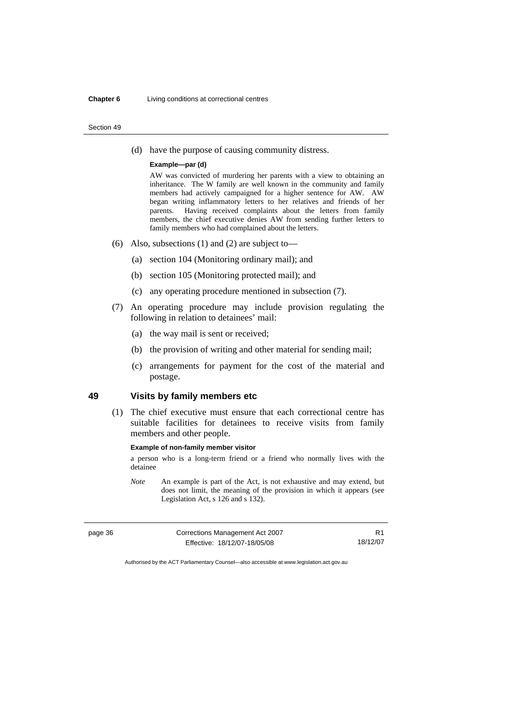#### **Chapter 6** Living conditions at correctional centres

#### Section 49

(d) have the purpose of causing community distress.

#### **Example—par (d)**

AW was convicted of murdering her parents with a view to obtaining an inheritance. The W family are well known in the community and family members had actively campaigned for a higher sentence for AW. AW began writing inflammatory letters to her relatives and friends of her parents. Having received complaints about the letters from family members, the chief executive denies AW from sending further letters to family members who had complained about the letters.

- (6) Also, subsections (1) and (2) are subject to—
	- (a) section 104 (Monitoring ordinary mail); and
	- (b) section 105 (Monitoring protected mail); and
	- (c) any operating procedure mentioned in subsection (7).
- (7) An operating procedure may include provision regulating the following in relation to detainees' mail:
	- (a) the way mail is sent or received;
	- (b) the provision of writing and other material for sending mail;
	- (c) arrangements for payment for the cost of the material and postage.

# **49 Visits by family members etc**

 (1) The chief executive must ensure that each correctional centre has suitable facilities for detainees to receive visits from family members and other people.

#### **Example of non-family member visitor**

a person who is a long-term friend or a friend who normally lives with the detainee

*Note* An example is part of the Act, is not exhaustive and may extend, but does not limit, the meaning of the provision in which it appears (see Legislation Act, s 126 and s 132).

| page 36 | Corrections Management Act 2007 |          |
|---------|---------------------------------|----------|
|         | Effective: 18/12/07-18/05/08    | 18/12/07 |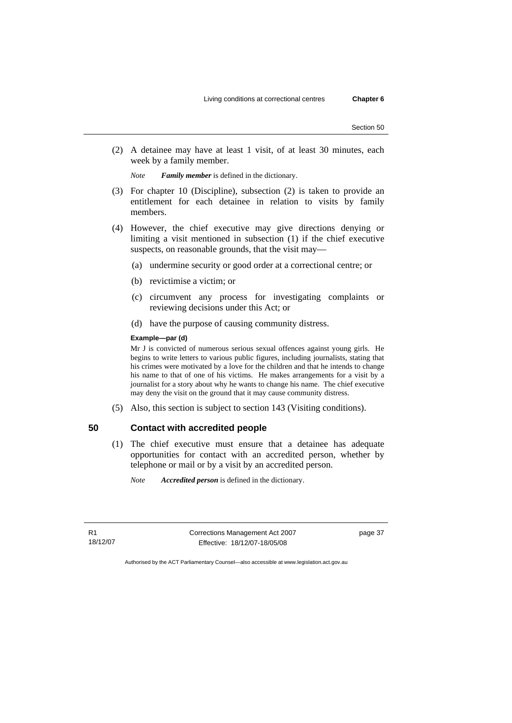(2) A detainee may have at least 1 visit, of at least 30 minutes, each week by a family member.

*Note Family member* is defined in the dictionary.

- (3) For chapter 10 (Discipline), subsection (2) is taken to provide an entitlement for each detainee in relation to visits by family members.
- (4) However, the chief executive may give directions denying or limiting a visit mentioned in subsection (1) if the chief executive suspects, on reasonable grounds, that the visit may—
	- (a) undermine security or good order at a correctional centre; or
	- (b) revictimise a victim; or
	- (c) circumvent any process for investigating complaints or reviewing decisions under this Act; or
	- (d) have the purpose of causing community distress.

## **Example—par (d)**

Mr J is convicted of numerous serious sexual offences against young girls. He begins to write letters to various public figures, including journalists, stating that his crimes were motivated by a love for the children and that he intends to change his name to that of one of his victims. He makes arrangements for a visit by a journalist for a story about why he wants to change his name. The chief executive may deny the visit on the ground that it may cause community distress.

(5) Also, this section is subject to section 143 (Visiting conditions).

# **50 Contact with accredited people**

- (1) The chief executive must ensure that a detainee has adequate opportunities for contact with an accredited person, whether by telephone or mail or by a visit by an accredited person.
	- *Note Accredited person* is defined in the dictionary.

R1 18/12/07 Corrections Management Act 2007 Effective: 18/12/07-18/05/08

page 37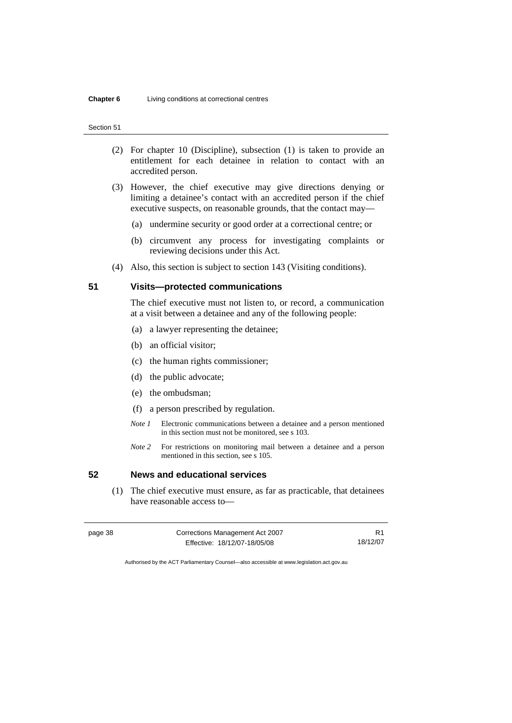- (2) For chapter 10 (Discipline), subsection (1) is taken to provide an entitlement for each detainee in relation to contact with an accredited person.
- (3) However, the chief executive may give directions denying or limiting a detainee's contact with an accredited person if the chief executive suspects, on reasonable grounds, that the contact may—
	- (a) undermine security or good order at a correctional centre; or
	- (b) circumvent any process for investigating complaints or reviewing decisions under this Act.
- (4) Also, this section is subject to section 143 (Visiting conditions).

# **51 Visits—protected communications**

The chief executive must not listen to, or record, a communication at a visit between a detainee and any of the following people:

- (a) a lawyer representing the detainee;
- (b) an official visitor;
- (c) the human rights commissioner;
- (d) the public advocate;
- (e) the ombudsman;
- (f) a person prescribed by regulation.
- *Note 1* Electronic communications between a detainee and a person mentioned in this section must not be monitored, see s 103.
- *Note 2* For restrictions on monitoring mail between a detainee and a person mentioned in this section, see s 105.

# **52 News and educational services**

 (1) The chief executive must ensure, as far as practicable, that detainees have reasonable access to—

| page 38 | Corrections Management Act 2007 |          |
|---------|---------------------------------|----------|
|         | Effective: 18/12/07-18/05/08    | 18/12/07 |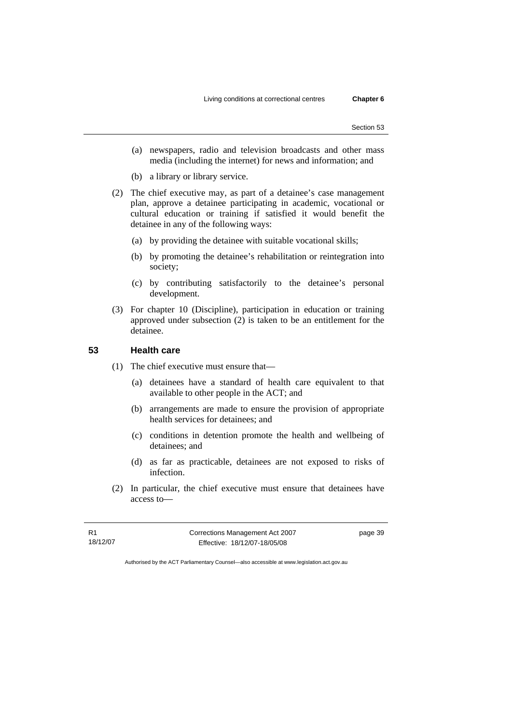- (a) newspapers, radio and television broadcasts and other mass media (including the internet) for news and information; and
- (b) a library or library service.
- (2) The chief executive may, as part of a detainee's case management plan, approve a detainee participating in academic, vocational or cultural education or training if satisfied it would benefit the detainee in any of the following ways:
	- (a) by providing the detainee with suitable vocational skills;
	- (b) by promoting the detainee's rehabilitation or reintegration into society;
	- (c) by contributing satisfactorily to the detainee's personal development.
- (3) For chapter 10 (Discipline), participation in education or training approved under subsection (2) is taken to be an entitlement for the detainee.

# **53 Health care**

- (1) The chief executive must ensure that—
	- (a) detainees have a standard of health care equivalent to that available to other people in the ACT; and
	- (b) arrangements are made to ensure the provision of appropriate health services for detainees; and
	- (c) conditions in detention promote the health and wellbeing of detainees; and
	- (d) as far as practicable, detainees are not exposed to risks of infection.
- (2) In particular, the chief executive must ensure that detainees have access to—

R1 18/12/07 Corrections Management Act 2007 Effective: 18/12/07-18/05/08

page 39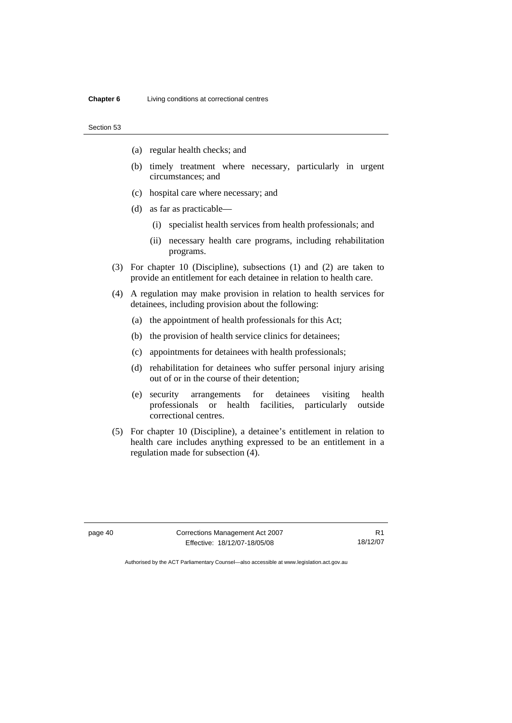- (a) regular health checks; and
- (b) timely treatment where necessary, particularly in urgent circumstances; and
- (c) hospital care where necessary; and
- (d) as far as practicable—
	- (i) specialist health services from health professionals; and
	- (ii) necessary health care programs, including rehabilitation programs.
- (3) For chapter 10 (Discipline), subsections (1) and (2) are taken to provide an entitlement for each detainee in relation to health care.
- (4) A regulation may make provision in relation to health services for detainees, including provision about the following:
	- (a) the appointment of health professionals for this Act;
	- (b) the provision of health service clinics for detainees;
	- (c) appointments for detainees with health professionals;
	- (d) rehabilitation for detainees who suffer personal injury arising out of or in the course of their detention;
	- (e) security arrangements for detainees visiting health professionals or health facilities, particularly outside correctional centres.
- (5) For chapter 10 (Discipline), a detainee's entitlement in relation to health care includes anything expressed to be an entitlement in a regulation made for subsection (4).

page 40 Corrections Management Act 2007 Effective: 18/12/07-18/05/08

R1 18/12/07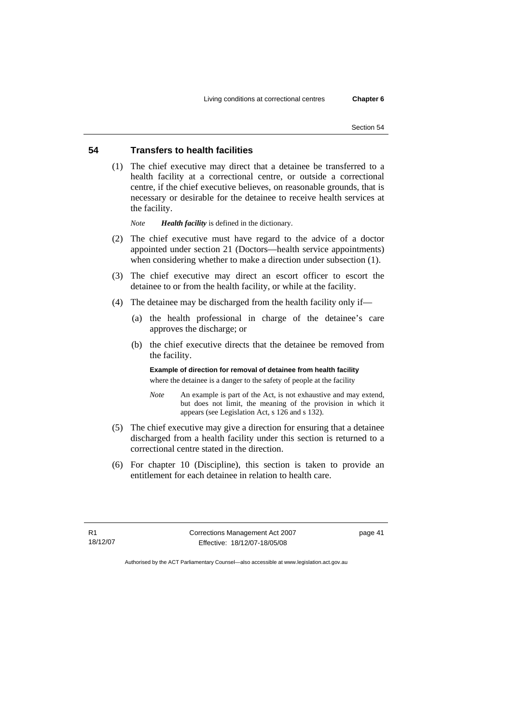# **54 Transfers to health facilities**

 (1) The chief executive may direct that a detainee be transferred to a health facility at a correctional centre, or outside a correctional centre, if the chief executive believes, on reasonable grounds, that is necessary or desirable for the detainee to receive health services at the facility.

*Note Health facility* is defined in the dictionary.

- (2) The chief executive must have regard to the advice of a doctor appointed under section 21 (Doctors—health service appointments) when considering whether to make a direction under subsection (1).
- (3) The chief executive may direct an escort officer to escort the detainee to or from the health facility, or while at the facility.
- (4) The detainee may be discharged from the health facility only if—
	- (a) the health professional in charge of the detainee's care approves the discharge; or
	- (b) the chief executive directs that the detainee be removed from the facility.

**Example of direction for removal of detainee from health facility**  where the detainee is a danger to the safety of people at the facility

- *Note* An example is part of the Act, is not exhaustive and may extend, but does not limit, the meaning of the provision in which it appears (see Legislation Act, s 126 and s 132).
- (5) The chief executive may give a direction for ensuring that a detainee discharged from a health facility under this section is returned to a correctional centre stated in the direction.
- (6) For chapter 10 (Discipline), this section is taken to provide an entitlement for each detainee in relation to health care.

R1 18/12/07 Corrections Management Act 2007 Effective: 18/12/07-18/05/08

page 41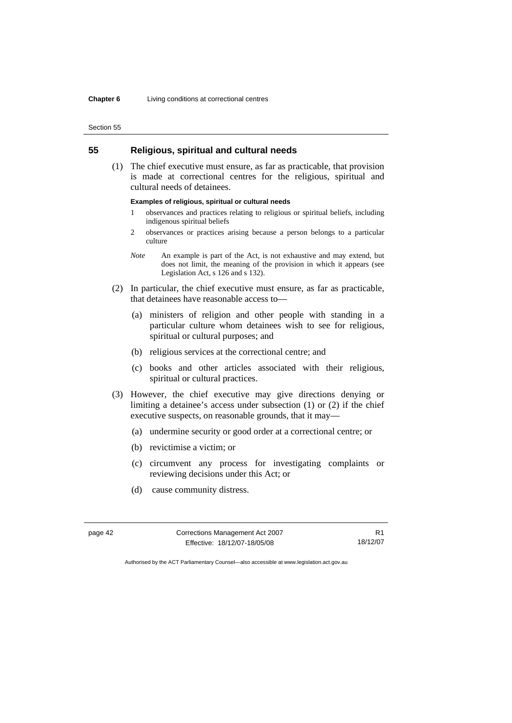## **55 Religious, spiritual and cultural needs**

 (1) The chief executive must ensure, as far as practicable, that provision is made at correctional centres for the religious, spiritual and cultural needs of detainees.

### **Examples of religious, spiritual or cultural needs**

- 1 observances and practices relating to religious or spiritual beliefs, including indigenous spiritual beliefs
- 2 observances or practices arising because a person belongs to a particular culture
- *Note* An example is part of the Act, is not exhaustive and may extend, but does not limit, the meaning of the provision in which it appears (see Legislation Act, s 126 and s 132).
- (2) In particular, the chief executive must ensure, as far as practicable, that detainees have reasonable access to—
	- (a) ministers of religion and other people with standing in a particular culture whom detainees wish to see for religious, spiritual or cultural purposes; and
	- (b) religious services at the correctional centre; and
	- (c) books and other articles associated with their religious, spiritual or cultural practices.
- (3) However, the chief executive may give directions denying or limiting a detainee's access under subsection (1) or (2) if the chief executive suspects, on reasonable grounds, that it may—
	- (a) undermine security or good order at a correctional centre; or
	- (b) revictimise a victim; or
	- (c) circumvent any process for investigating complaints or reviewing decisions under this Act; or
	- (d) cause community distress.

| page 42 | Corrections Management Act 2007 |          |
|---------|---------------------------------|----------|
|         | Effective: 18/12/07-18/05/08    | 18/12/07 |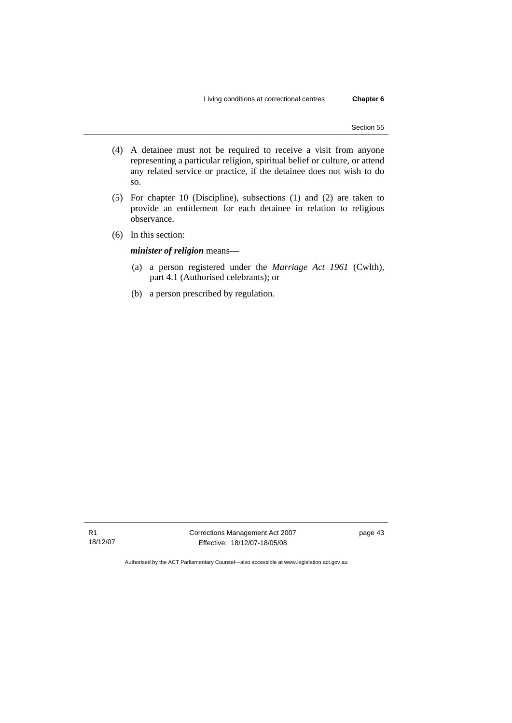- (4) A detainee must not be required to receive a visit from anyone representing a particular religion, spiritual belief or culture, or attend any related service or practice, if the detainee does not wish to do so.
- (5) For chapter 10 (Discipline), subsections (1) and (2) are taken to provide an entitlement for each detainee in relation to religious observance.
- (6) In this section:

*minister of religion* means—

- (a) a person registered under the *Marriage Act 1961* (Cwlth), part 4.1 (Authorised celebrants); or
- (b) a person prescribed by regulation.

Corrections Management Act 2007 Effective: 18/12/07-18/05/08

page 43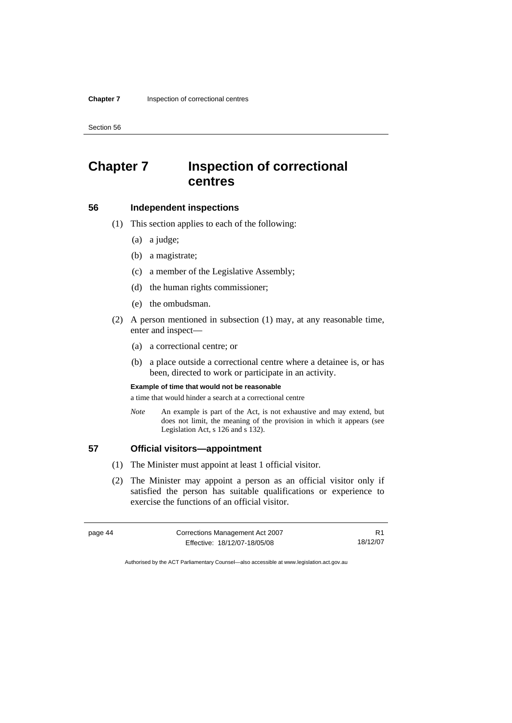# **Chapter 7 Inspection of correctional centres**

## **56 Independent inspections**

- (1) This section applies to each of the following:
	- (a) a judge;
	- (b) a magistrate;
	- (c) a member of the Legislative Assembly;
	- (d) the human rights commissioner;
	- (e) the ombudsman.
- (2) A person mentioned in subsection (1) may, at any reasonable time, enter and inspect—
	- (a) a correctional centre; or
	- (b) a place outside a correctional centre where a detainee is, or has been, directed to work or participate in an activity.

#### **Example of time that would not be reasonable**

a time that would hinder a search at a correctional centre

*Note* An example is part of the Act, is not exhaustive and may extend, but does not limit, the meaning of the provision in which it appears (see Legislation Act, s 126 and s 132).

# **57 Official visitors—appointment**

- (1) The Minister must appoint at least 1 official visitor.
- (2) The Minister may appoint a person as an official visitor only if satisfied the person has suitable qualifications or experience to exercise the functions of an official visitor.

| page 44 | Corrections Management Act 2007 |          |
|---------|---------------------------------|----------|
|         | Effective: 18/12/07-18/05/08    | 18/12/07 |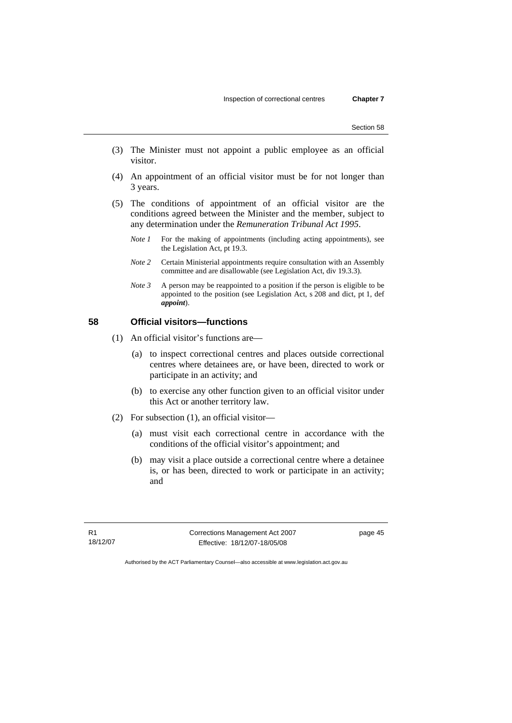- (3) The Minister must not appoint a public employee as an official visitor.
- (4) An appointment of an official visitor must be for not longer than 3 years.
- (5) The conditions of appointment of an official visitor are the conditions agreed between the Minister and the member, subject to any determination under the *Remuneration Tribunal Act 1995*.
	- *Note 1* For the making of appointments (including acting appointments), see the Legislation Act, pt 19.3.
	- *Note 2* Certain Ministerial appointments require consultation with an Assembly committee and are disallowable (see Legislation Act, div 19.3.3).
	- *Note 3* A person may be reappointed to a position if the person is eligible to be appointed to the position (see Legislation Act, s 208 and dict, pt 1, def *appoint*).

# **58 Official visitors—functions**

- (1) An official visitor's functions are—
	- (a) to inspect correctional centres and places outside correctional centres where detainees are, or have been, directed to work or participate in an activity; and
	- (b) to exercise any other function given to an official visitor under this Act or another territory law.
- (2) For subsection (1), an official visitor—
	- (a) must visit each correctional centre in accordance with the conditions of the official visitor's appointment; and
	- (b) may visit a place outside a correctional centre where a detainee is, or has been, directed to work or participate in an activity; and

R1 18/12/07 Corrections Management Act 2007 Effective: 18/12/07-18/05/08

page 45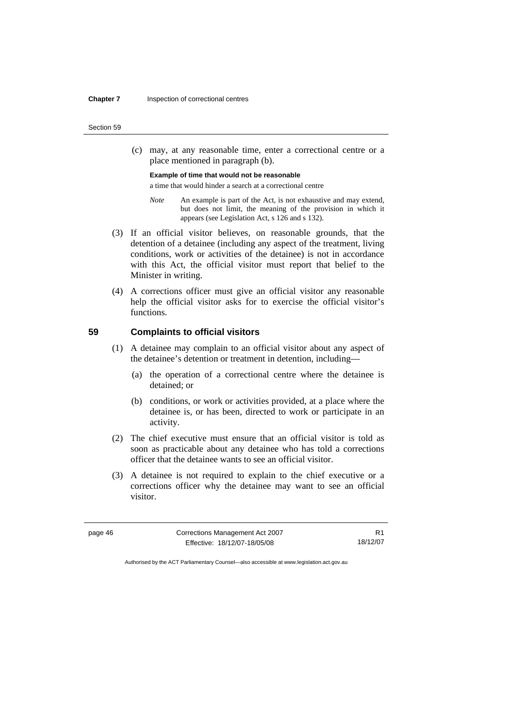(c) may, at any reasonable time, enter a correctional centre or a place mentioned in paragraph (b).

#### **Example of time that would not be reasonable**

a time that would hinder a search at a correctional centre

- *Note* An example is part of the Act, is not exhaustive and may extend, but does not limit, the meaning of the provision in which it appears (see Legislation Act, s 126 and s 132).
- (3) If an official visitor believes, on reasonable grounds, that the detention of a detainee (including any aspect of the treatment, living conditions, work or activities of the detainee) is not in accordance with this Act, the official visitor must report that belief to the Minister in writing.
- (4) A corrections officer must give an official visitor any reasonable help the official visitor asks for to exercise the official visitor's functions.

### **59 Complaints to official visitors**

- (1) A detainee may complain to an official visitor about any aspect of the detainee's detention or treatment in detention, including—
	- (a) the operation of a correctional centre where the detainee is detained; or
	- (b) conditions, or work or activities provided, at a place where the detainee is, or has been, directed to work or participate in an activity.
- (2) The chief executive must ensure that an official visitor is told as soon as practicable about any detainee who has told a corrections officer that the detainee wants to see an official visitor.
- (3) A detainee is not required to explain to the chief executive or a corrections officer why the detainee may want to see an official visitor.

| page 46 | Corrections Management Act 2007 |          |
|---------|---------------------------------|----------|
|         | Effective: 18/12/07-18/05/08    | 18/12/07 |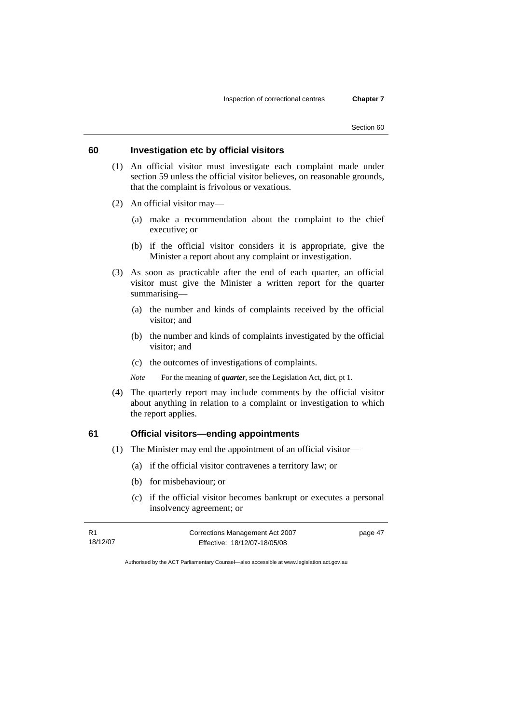# **60 Investigation etc by official visitors**

- (1) An official visitor must investigate each complaint made under section 59 unless the official visitor believes, on reasonable grounds, that the complaint is frivolous or vexatious.
- (2) An official visitor may—
	- (a) make a recommendation about the complaint to the chief executive; or
	- (b) if the official visitor considers it is appropriate, give the Minister a report about any complaint or investigation.
- (3) As soon as practicable after the end of each quarter, an official visitor must give the Minister a written report for the quarter summarising—
	- (a) the number and kinds of complaints received by the official visitor; and
	- (b) the number and kinds of complaints investigated by the official visitor; and
	- (c) the outcomes of investigations of complaints.
	- *Note* For the meaning of *quarter*, see the Legislation Act, dict, pt 1.
- (4) The quarterly report may include comments by the official visitor about anything in relation to a complaint or investigation to which the report applies.

### **61 Official visitors—ending appointments**

- (1) The Minister may end the appointment of an official visitor—
	- (a) if the official visitor contravenes a territory law; or
	- (b) for misbehaviour; or
	- (c) if the official visitor becomes bankrupt or executes a personal insolvency agreement; or

| R1       | Corrections Management Act 2007 |  |
|----------|---------------------------------|--|
| 18/12/07 | Effective: 18/12/07-18/05/08    |  |

page 47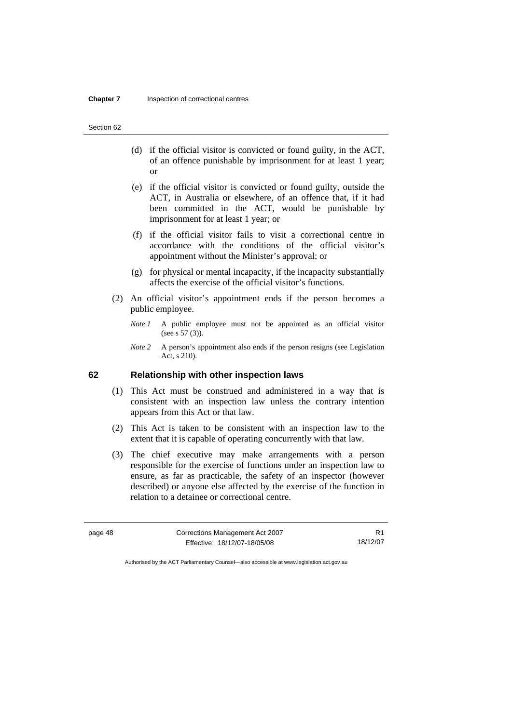- (d) if the official visitor is convicted or found guilty, in the ACT, of an offence punishable by imprisonment for at least 1 year; or
- (e) if the official visitor is convicted or found guilty, outside the ACT, in Australia or elsewhere, of an offence that, if it had been committed in the ACT, would be punishable by imprisonment for at least 1 year; or
- (f) if the official visitor fails to visit a correctional centre in accordance with the conditions of the official visitor's appointment without the Minister's approval; or
- (g) for physical or mental incapacity, if the incapacity substantially affects the exercise of the official visitor's functions.
- (2) An official visitor's appointment ends if the person becomes a public employee.
	- *Note 1* A public employee must not be appointed as an official visitor (see s 57 (3)).
	- *Note 2* A person's appointment also ends if the person resigns (see Legislation Act, s 210).

**62 Relationship with other inspection laws** 

- (1) This Act must be construed and administered in a way that is consistent with an inspection law unless the contrary intention appears from this Act or that law.
- (2) This Act is taken to be consistent with an inspection law to the extent that it is capable of operating concurrently with that law.
- (3) The chief executive may make arrangements with a person responsible for the exercise of functions under an inspection law to ensure, as far as practicable, the safety of an inspector (however described) or anyone else affected by the exercise of the function in relation to a detainee or correctional centre.

| page 48 | Corrections Management Act 2007 |          |
|---------|---------------------------------|----------|
|         | Effective: 18/12/07-18/05/08    | 18/12/07 |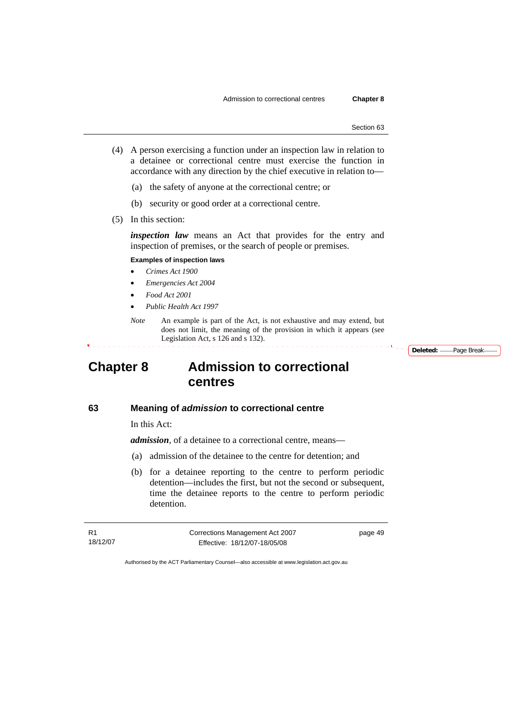- (4) A person exercising a function under an inspection law in relation to a detainee or correctional centre must exercise the function in accordance with any direction by the chief executive in relation to—
	- (a) the safety of anyone at the correctional centre; or
	- (b) security or good order at a correctional centre.
- (5) In this section:

*inspection law* means an Act that provides for the entry and inspection of premises, or the search of people or premises.

#### **Examples of inspection laws**

- *Crimes Act 1900*
- *Emergencies Act 2004*
- *Food Act 2001*
- *Public Health Act 1997*
- *Note* An example is part of the Act, is not exhaustive and may extend, but does not limit, the meaning of the provision in which it appears (see Legislation Act, s 126 and s 132).

**Deleted:** Page Break

# **Chapter 8 Admission to correctional centres**

# **63 Meaning of** *admission* **to correctional centre**

In this Act:

*admission,* of a detainee to a correctional centre, means—

- (a) admission of the detainee to the centre for detention; and
- (b) for a detainee reporting to the centre to perform periodic detention—includes the first, but not the second or subsequent, time the detainee reports to the centre to perform periodic detention.

R1 18/12/07 Corrections Management Act 2007 Effective: 18/12/07-18/05/08

page 49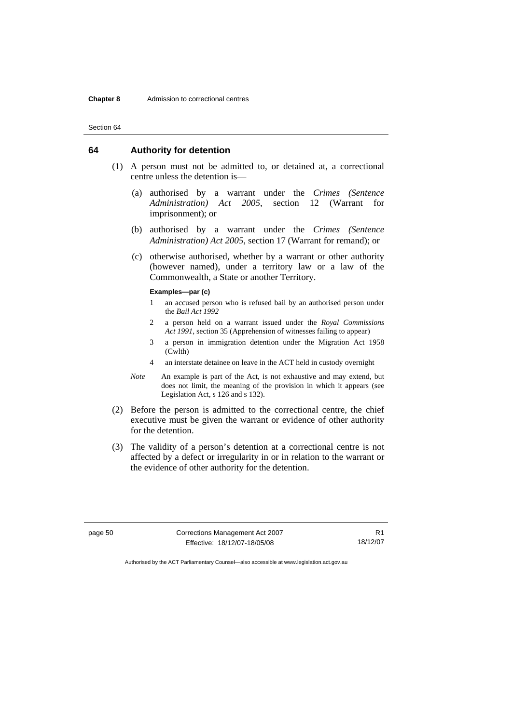## **64 Authority for detention**

- (1) A person must not be admitted to, or detained at, a correctional centre unless the detention is—
	- (a) authorised by a warrant under the *Crimes (Sentence Administration) Act 2005*, section 12 (Warrant for imprisonment); or
	- (b) authorised by a warrant under the *Crimes (Sentence Administration) Act 2005*, section 17 (Warrant for remand); or
	- (c) otherwise authorised, whether by a warrant or other authority (however named), under a territory law or a law of the Commonwealth, a State or another Territory.

#### **Examples—par (c)**

- 1 an accused person who is refused bail by an authorised person under the *Bail Act 1992*
- 2 a person held on a warrant issued under the *Royal Commissions Act 1991*, section 35 (Apprehension of witnesses failing to appear)
- 3 a person in immigration detention under the Migration Act 1958 (Cwlth)
- 4 an interstate detainee on leave in the ACT held in custody overnight
- *Note* An example is part of the Act, is not exhaustive and may extend, but does not limit, the meaning of the provision in which it appears (see Legislation Act, s 126 and s 132).
- (2) Before the person is admitted to the correctional centre, the chief executive must be given the warrant or evidence of other authority for the detention.
- (3) The validity of a person's detention at a correctional centre is not affected by a defect or irregularity in or in relation to the warrant or the evidence of other authority for the detention.

page 50 Corrections Management Act 2007 Effective: 18/12/07-18/05/08

R1 18/12/07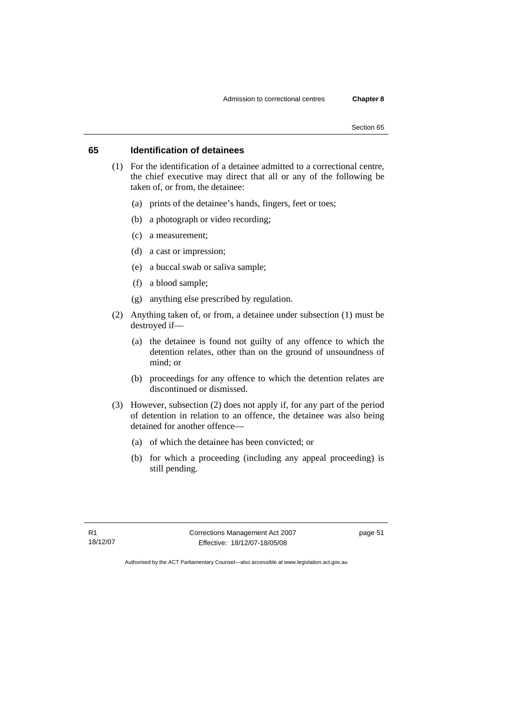# **65 Identification of detainees**

- (1) For the identification of a detainee admitted to a correctional centre, the chief executive may direct that all or any of the following be taken of, or from, the detainee:
	- (a) prints of the detainee's hands, fingers, feet or toes;
	- (b) a photograph or video recording;
	- (c) a measurement;
	- (d) a cast or impression;
	- (e) a buccal swab or saliva sample;
	- (f) a blood sample;
	- (g) anything else prescribed by regulation.
- (2) Anything taken of, or from, a detainee under subsection (1) must be destroyed if—
	- (a) the detainee is found not guilty of any offence to which the detention relates, other than on the ground of unsoundness of mind; or
	- (b) proceedings for any offence to which the detention relates are discontinued or dismissed.
- (3) However, subsection (2) does not apply if, for any part of the period of detention in relation to an offence, the detainee was also being detained for another offence—
	- (a) of which the detainee has been convicted; or
	- (b) for which a proceeding (including any appeal proceeding) is still pending.

R1 18/12/07 Corrections Management Act 2007 Effective: 18/12/07-18/05/08

page 51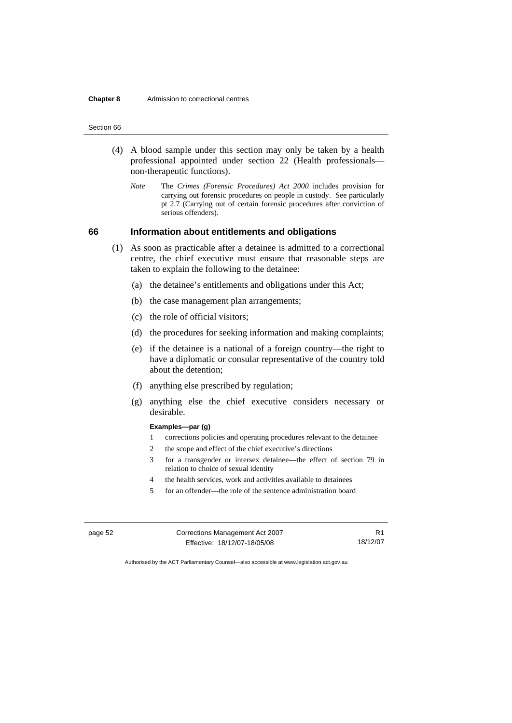- (4) A blood sample under this section may only be taken by a health professional appointed under section 22 (Health professionals non-therapeutic functions).
	- *Note* The *Crimes (Forensic Procedures) Act 2000* includes provision for carrying out forensic procedures on people in custody. See particularly pt 2.7 (Carrying out of certain forensic procedures after conviction of serious offenders).

# **66 Information about entitlements and obligations**

- (1) As soon as practicable after a detainee is admitted to a correctional centre, the chief executive must ensure that reasonable steps are taken to explain the following to the detainee:
	- (a) the detainee's entitlements and obligations under this Act;
	- (b) the case management plan arrangements;
	- (c) the role of official visitors;
	- (d) the procedures for seeking information and making complaints;
	- (e) if the detainee is a national of a foreign country—the right to have a diplomatic or consular representative of the country told about the detention;
	- (f) anything else prescribed by regulation;
	- (g) anything else the chief executive considers necessary or desirable.

### **Examples—par (g)**

- 1 corrections policies and operating procedures relevant to the detainee
- 2 the scope and effect of the chief executive's directions
- 3 for a transgender or intersex detainee—the effect of section 79 in relation to choice of sexual identity
- 4 the health services, work and activities available to detainees
- 5 for an offender—the role of the sentence administration board

| page 52 | Corrections Management Act 2007 |          |
|---------|---------------------------------|----------|
|         | Effective: 18/12/07-18/05/08    | 18/12/07 |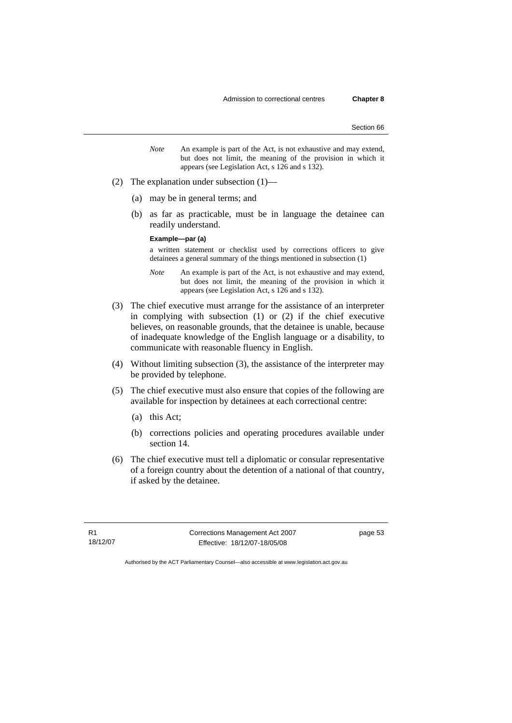- *Note* An example is part of the Act, is not exhaustive and may extend, but does not limit, the meaning of the provision in which it appears (see Legislation Act, s 126 and s 132).
- (2) The explanation under subsection (1)—
	- (a) may be in general terms; and
	- (b) as far as practicable, must be in language the detainee can readily understand.

#### **Example—par (a)**

a written statement or checklist used by corrections officers to give detainees a general summary of the things mentioned in subsection (1)

*Note* An example is part of the Act, is not exhaustive and may extend, but does not limit, the meaning of the provision in which it appears (see Legislation Act, s 126 and s 132).

- (3) The chief executive must arrange for the assistance of an interpreter in complying with subsection (1) or (2) if the chief executive believes, on reasonable grounds, that the detainee is unable, because of inadequate knowledge of the English language or a disability, to communicate with reasonable fluency in English.
- (4) Without limiting subsection (3), the assistance of the interpreter may be provided by telephone.
- (5) The chief executive must also ensure that copies of the following are available for inspection by detainees at each correctional centre:
	- (a) this Act;
	- (b) corrections policies and operating procedures available under section 14.
- (6) The chief executive must tell a diplomatic or consular representative of a foreign country about the detention of a national of that country, if asked by the detainee.

R1 18/12/07 Corrections Management Act 2007 Effective: 18/12/07-18/05/08

page 53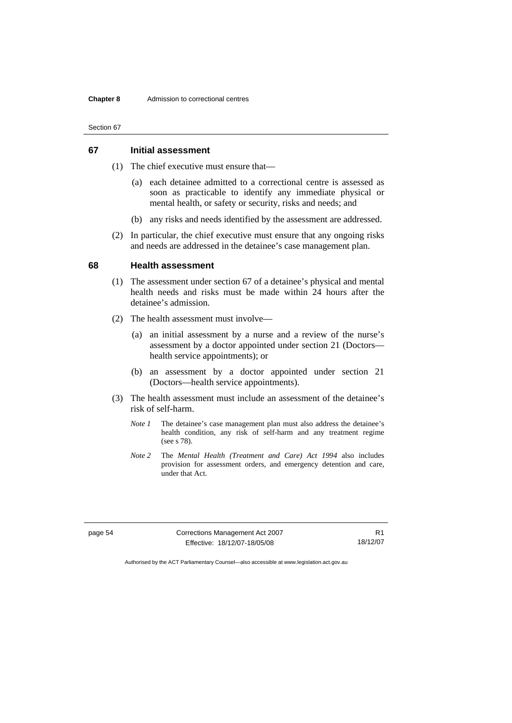# **67 Initial assessment**

- (1) The chief executive must ensure that—
	- (a) each detainee admitted to a correctional centre is assessed as soon as practicable to identify any immediate physical or mental health, or safety or security, risks and needs; and
	- (b) any risks and needs identified by the assessment are addressed.
- (2) In particular, the chief executive must ensure that any ongoing risks and needs are addressed in the detainee's case management plan.

### **68 Health assessment**

- (1) The assessment under section 67 of a detainee's physical and mental health needs and risks must be made within 24 hours after the detainee's admission.
- (2) The health assessment must involve—
	- (a) an initial assessment by a nurse and a review of the nurse's assessment by a doctor appointed under section 21 (Doctors health service appointments); or
	- (b) an assessment by a doctor appointed under section 21 (Doctors—health service appointments).
- (3) The health assessment must include an assessment of the detainee's risk of self-harm.
	- *Note 1* The detainee's case management plan must also address the detainee's health condition, any risk of self-harm and any treatment regime (see s 78).
	- *Note 2* The *Mental Health (Treatment and Care) Act 1994* also includes provision for assessment orders, and emergency detention and care, under that Act.

page 54 Corrections Management Act 2007 Effective: 18/12/07-18/05/08

R1 18/12/07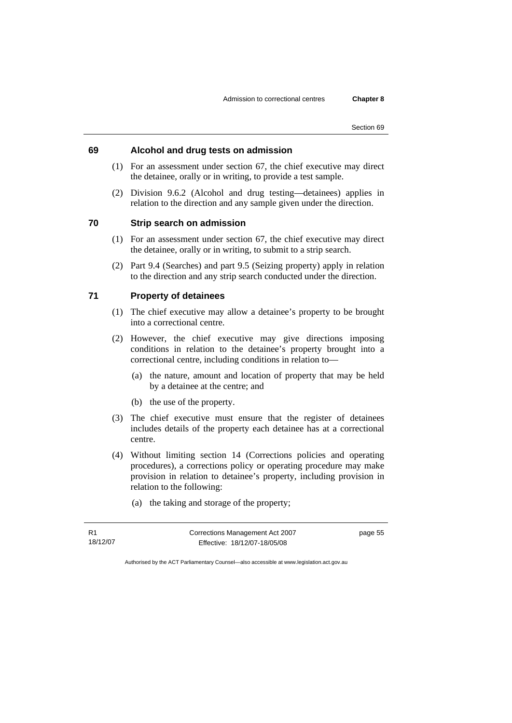# **69 Alcohol and drug tests on admission**

- (1) For an assessment under section 67, the chief executive may direct the detainee, orally or in writing, to provide a test sample.
- (2) Division 9.6.2 (Alcohol and drug testing—detainees) applies in relation to the direction and any sample given under the direction.

## **70 Strip search on admission**

- (1) For an assessment under section 67, the chief executive may direct the detainee, orally or in writing, to submit to a strip search.
- (2) Part 9.4 (Searches) and part 9.5 (Seizing property) apply in relation to the direction and any strip search conducted under the direction.

# **71 Property of detainees**

- (1) The chief executive may allow a detainee's property to be brought into a correctional centre.
- (2) However, the chief executive may give directions imposing conditions in relation to the detainee's property brought into a correctional centre, including conditions in relation to—
	- (a) the nature, amount and location of property that may be held by a detainee at the centre; and
	- (b) the use of the property.
- (3) The chief executive must ensure that the register of detainees includes details of the property each detainee has at a correctional centre.
- (4) Without limiting section 14 (Corrections policies and operating procedures), a corrections policy or operating procedure may make provision in relation to detainee's property, including provision in relation to the following:
	- (a) the taking and storage of the property;

R1 18/12/07 Corrections Management Act 2007 Effective: 18/12/07-18/05/08

page 55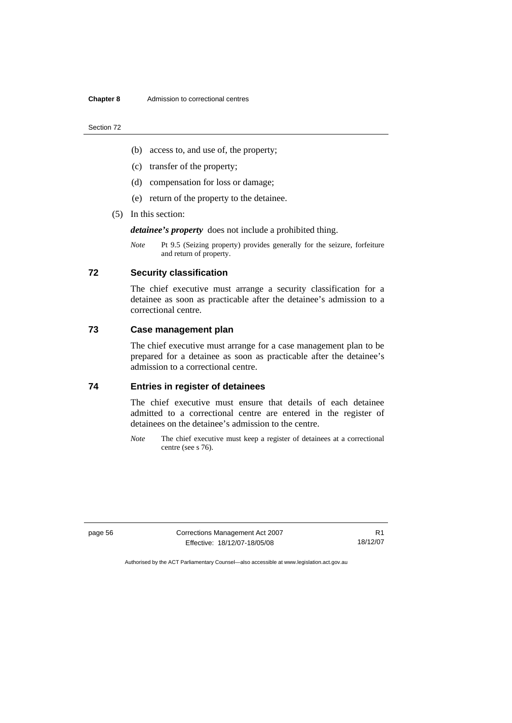- (b) access to, and use of, the property;
- (c) transfer of the property;
- (d) compensation for loss or damage;
- (e) return of the property to the detainee.
- (5) In this section:

*detainee's property* does not include a prohibited thing.

*Note* Pt 9.5 (Seizing property) provides generally for the seizure, forfeiture and return of property.

# **72 Security classification**

The chief executive must arrange a security classification for a detainee as soon as practicable after the detainee's admission to a correctional centre.

# **73 Case management plan**

The chief executive must arrange for a case management plan to be prepared for a detainee as soon as practicable after the detainee's admission to a correctional centre.

# **74 Entries in register of detainees**

The chief executive must ensure that details of each detainee admitted to a correctional centre are entered in the register of detainees on the detainee's admission to the centre.

*Note* The chief executive must keep a register of detainees at a correctional centre (see s 76).

page 56 Corrections Management Act 2007 Effective: 18/12/07-18/05/08

R1 18/12/07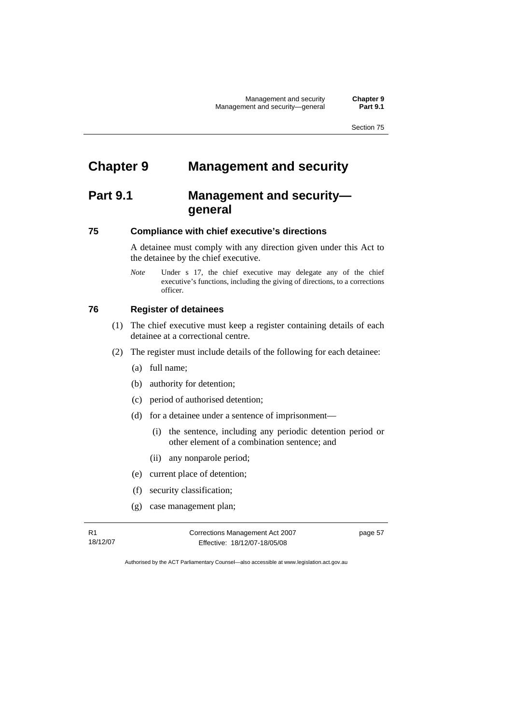# **Chapter 9 Management and security**

# **Part 9.1 Management and security general**

# **75 Compliance with chief executive's directions**

A detainee must comply with any direction given under this Act to the detainee by the chief executive.

*Note* **Under** s 17, the chief executive may delegate any of the chief executive's functions, including the giving of directions, to a corrections officer.

# **76 Register of detainees**

- (1) The chief executive must keep a register containing details of each detainee at a correctional centre.
- (2) The register must include details of the following for each detainee:
	- (a) full name;
	- (b) authority for detention;
	- (c) period of authorised detention;
	- (d) for a detainee under a sentence of imprisonment—
		- (i) the sentence, including any periodic detention period or other element of a combination sentence; and
		- (ii) any nonparole period;
	- (e) current place of detention;
	- (f) security classification;
	- (g) case management plan;

R1 18/12/07 Corrections Management Act 2007 Effective: 18/12/07-18/05/08

page 57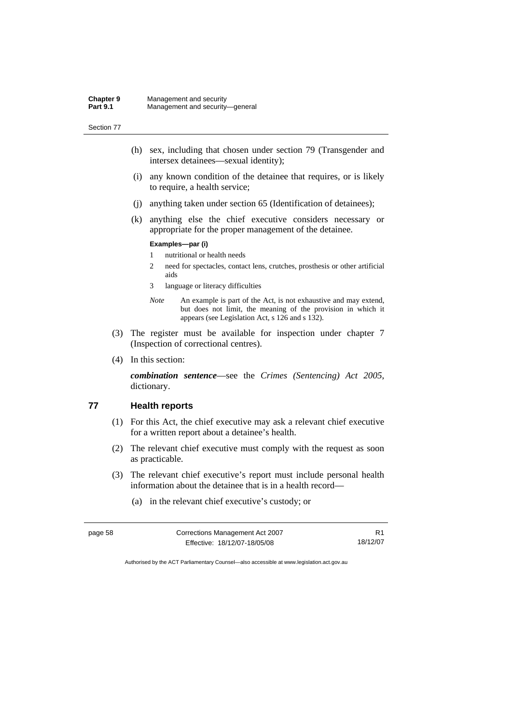- (h) sex, including that chosen under section 79 (Transgender and intersex detainees—sexual identity);
- (i) any known condition of the detainee that requires, or is likely to require, a health service;
- (j) anything taken under section 65 (Identification of detainees);
- (k) anything else the chief executive considers necessary or appropriate for the proper management of the detainee.

### **Examples—par (i)**

- 1 nutritional or health needs
- 2 need for spectacles, contact lens, crutches, prosthesis or other artificial aids
- 3 language or literacy difficulties
- *Note* An example is part of the Act, is not exhaustive and may extend, but does not limit, the meaning of the provision in which it appears (see Legislation Act, s 126 and s 132).
- (3) The register must be available for inspection under chapter 7 (Inspection of correctional centres).
- (4) In this section:

*combination sentence*—see the *Crimes (Sentencing) Act 2005*, dictionary.

## **77 Health reports**

- (1) For this Act, the chief executive may ask a relevant chief executive for a written report about a detainee's health.
- (2) The relevant chief executive must comply with the request as soon as practicable.
- (3) The relevant chief executive's report must include personal health information about the detainee that is in a health record—
	- (a) in the relevant chief executive's custody; or

| page 58 | Corrections Management Act 2007 | R <sub>1</sub> |
|---------|---------------------------------|----------------|
|         | Effective: 18/12/07-18/05/08    | 18/12/07       |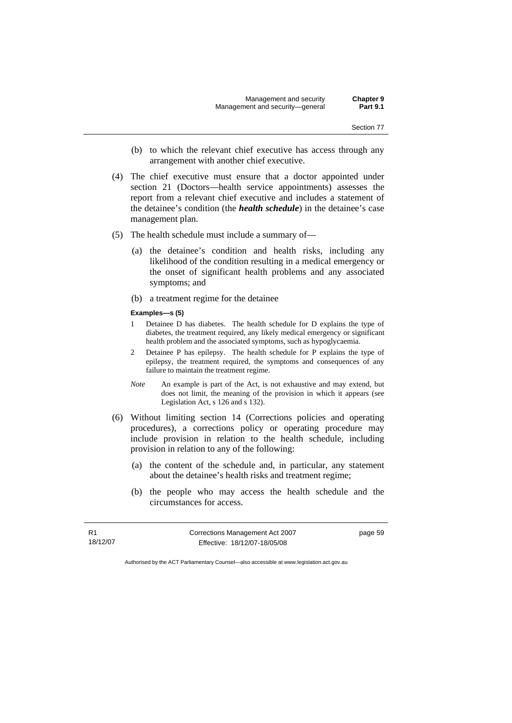- (b) to which the relevant chief executive has access through any arrangement with another chief executive.
- (4) The chief executive must ensure that a doctor appointed under section 21 (Doctors—health service appointments) assesses the report from a relevant chief executive and includes a statement of the detainee's condition (the *health schedule*) in the detainee's case management plan.
- (5) The health schedule must include a summary of—
	- (a) the detainee's condition and health risks, including any likelihood of the condition resulting in a medical emergency or the onset of significant health problems and any associated symptoms; and
	- (b) a treatment regime for the detainee
	- **Examples—s (5)**
	- 1 Detainee D has diabetes. The health schedule for D explains the type of diabetes, the treatment required, any likely medical emergency or significant health problem and the associated symptoms, such as hypoglycaemia.
	- 2 Detainee P has epilepsy. The health schedule for P explains the type of epilepsy, the treatment required, the symptoms and consequences of any failure to maintain the treatment regime.
	- *Note* An example is part of the Act, is not exhaustive and may extend, but does not limit, the meaning of the provision in which it appears (see Legislation Act, s 126 and s 132).
- (6) Without limiting section 14 (Corrections policies and operating procedures), a corrections policy or operating procedure may include provision in relation to the health schedule, including provision in relation to any of the following:
	- (a) the content of the schedule and, in particular, any statement about the detainee's health risks and treatment regime;
	- (b) the people who may access the health schedule and the circumstances for access.

R1 18/12/07 Corrections Management Act 2007 Effective: 18/12/07-18/05/08

page 59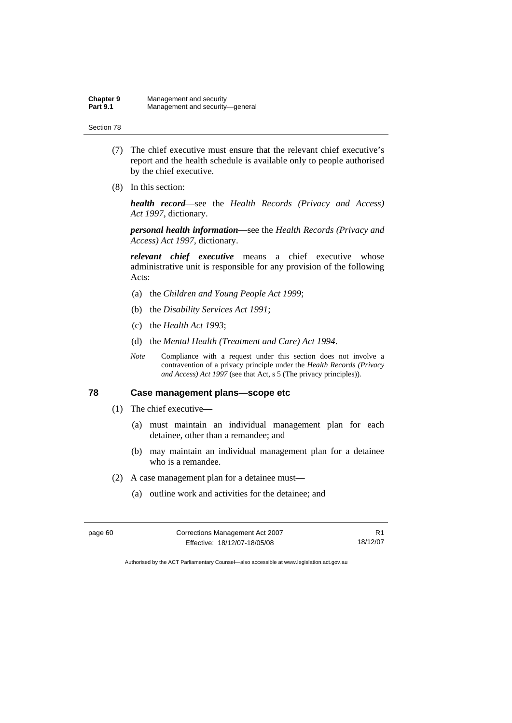- (7) The chief executive must ensure that the relevant chief executive's report and the health schedule is available only to people authorised by the chief executive.
- (8) In this section:

*health record*—see the *Health Records (Privacy and Access) Act 1997*, dictionary.

*personal health information*—see the *Health Records (Privacy and Access) Act 1997*, dictionary.

*relevant chief executive* means a chief executive whose administrative unit is responsible for any provision of the following Acts:

- (a) the *Children and Young People Act 1999*;
- (b) the *Disability Services Act 1991*;
- (c) the *Health Act 1993*;
- (d) the *Mental Health (Treatment and Care) Act 1994*.
- *Note* Compliance with a request under this section does not involve a contravention of a privacy principle under the *Health Records (Privacy and Access) Act 1997* (see that Act, s 5 (The privacy principles))*.*

#### **78 Case management plans—scope etc**

- (1) The chief executive—
	- (a) must maintain an individual management plan for each detainee, other than a remandee; and
	- (b) may maintain an individual management plan for a detainee who is a remandee.
- (2) A case management plan for a detainee must—
	- (a) outline work and activities for the detainee; and

| page 60 | Corrections Management Act 2007 | R <sub>1</sub> |
|---------|---------------------------------|----------------|
|         | Effective: 18/12/07-18/05/08    | 18/12/07       |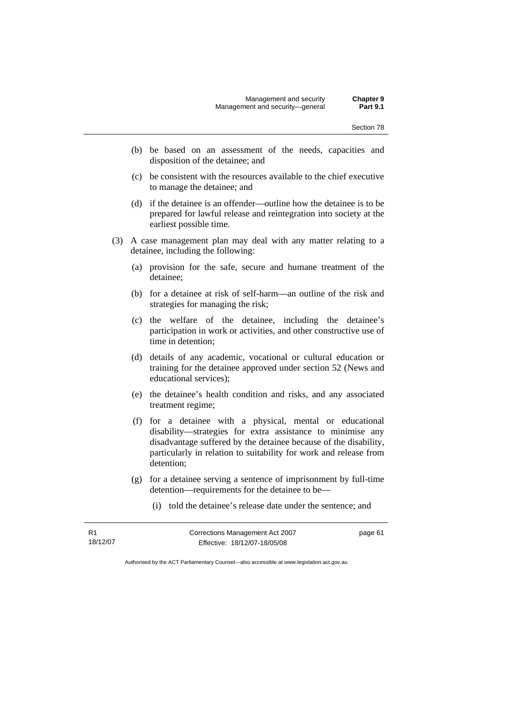- (b) be based on an assessment of the needs, capacities and disposition of the detainee; and
- (c) be consistent with the resources available to the chief executive to manage the detainee; and
- (d) if the detainee is an offender—outline how the detainee is to be prepared for lawful release and reintegration into society at the earliest possible time.
- (3) A case management plan may deal with any matter relating to a detainee, including the following:
	- (a) provision for the safe, secure and humane treatment of the detainee;
	- (b) for a detainee at risk of self-harm—an outline of the risk and strategies for managing the risk;
	- (c) the welfare of the detainee, including the detainee's participation in work or activities, and other constructive use of time in detention;
	- (d) details of any academic, vocational or cultural education or training for the detainee approved under section 52 (News and educational services);
	- (e) the detainee's health condition and risks, and any associated treatment regime;
	- (f) for a detainee with a physical, mental or educational disability—strategies for extra assistance to minimise any disadvantage suffered by the detainee because of the disability, particularly in relation to suitability for work and release from detention;
	- (g) for a detainee serving a sentence of imprisonment by full-time detention—requirements for the detainee to be—
		- (i) told the detainee's release date under the sentence; and

R1 18/12/07 Corrections Management Act 2007 Effective: 18/12/07-18/05/08

page 61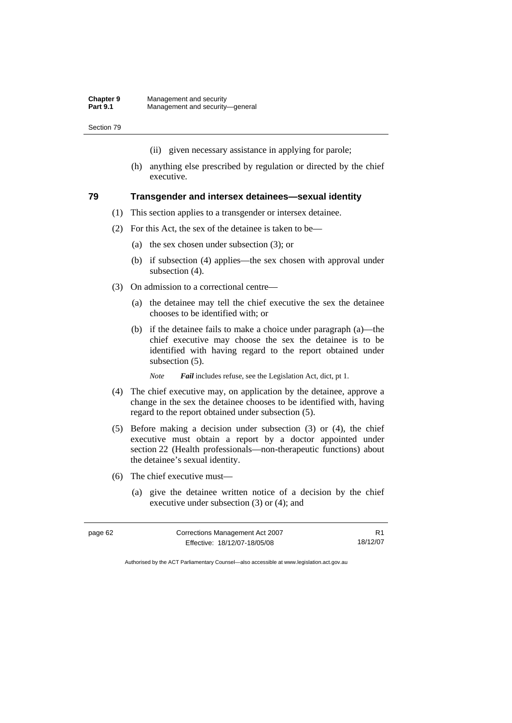- (ii) given necessary assistance in applying for parole;
- (h) anything else prescribed by regulation or directed by the chief executive.

#### **79 Transgender and intersex detainees—sexual identity**

- (1) This section applies to a transgender or intersex detainee.
- (2) For this Act, the sex of the detainee is taken to be—
	- (a) the sex chosen under subsection (3); or
	- (b) if subsection (4) applies—the sex chosen with approval under subsection  $(4)$ .
- (3) On admission to a correctional centre—
	- (a) the detainee may tell the chief executive the sex the detainee chooses to be identified with; or
	- (b) if the detainee fails to make a choice under paragraph (a)—the chief executive may choose the sex the detainee is to be identified with having regard to the report obtained under subsection (5).
		- *Note Fail* includes refuse, see the Legislation Act, dict, pt 1.
- (4) The chief executive may, on application by the detainee, approve a change in the sex the detainee chooses to be identified with, having regard to the report obtained under subsection (5).
- (5) Before making a decision under subsection (3) or (4), the chief executive must obtain a report by a doctor appointed under section 22 (Health professionals—non-therapeutic functions) about the detainee's sexual identity.
- (6) The chief executive must—
	- (a) give the detainee written notice of a decision by the chief executive under subsection (3) or (4); and

| page 62 | Corrections Management Act 2007 |          |
|---------|---------------------------------|----------|
|         | Effective: 18/12/07-18/05/08    | 18/12/07 |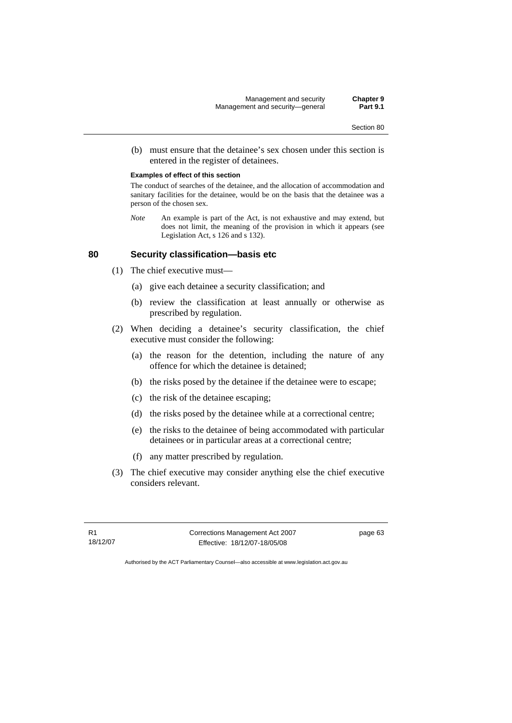(b) must ensure that the detainee's sex chosen under this section is entered in the register of detainees.

#### **Examples of effect of this section**

The conduct of searches of the detainee, and the allocation of accommodation and sanitary facilities for the detainee, would be on the basis that the detainee was a person of the chosen sex.

*Note* An example is part of the Act, is not exhaustive and may extend, but does not limit, the meaning of the provision in which it appears (see Legislation Act, s 126 and s 132).

#### **80 Security classification—basis etc**

- (1) The chief executive must—
	- (a) give each detainee a security classification; and
	- (b) review the classification at least annually or otherwise as prescribed by regulation.
- (2) When deciding a detainee's security classification, the chief executive must consider the following:
	- (a) the reason for the detention, including the nature of any offence for which the detainee is detained;
	- (b) the risks posed by the detainee if the detainee were to escape;
	- (c) the risk of the detainee escaping;
	- (d) the risks posed by the detainee while at a correctional centre;
	- (e) the risks to the detainee of being accommodated with particular detainees or in particular areas at a correctional centre;
	- (f) any matter prescribed by regulation.
- (3) The chief executive may consider anything else the chief executive considers relevant.

R1 18/12/07 Corrections Management Act 2007 Effective: 18/12/07-18/05/08

page 63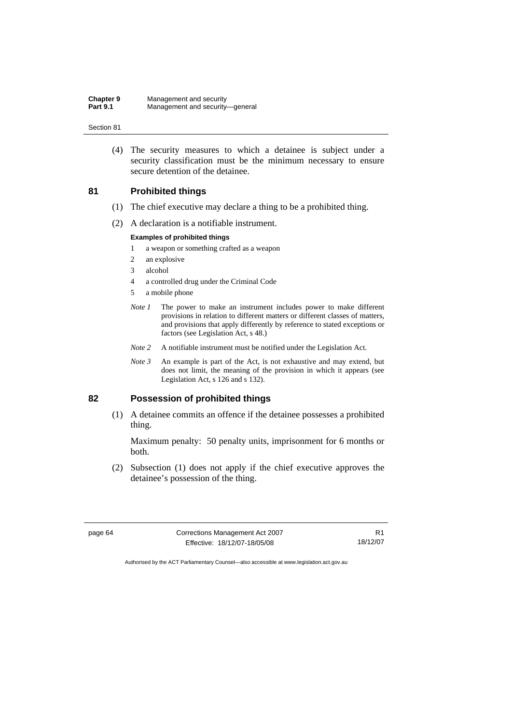(4) The security measures to which a detainee is subject under a security classification must be the minimum necessary to ensure secure detention of the detainee.

## **81 Prohibited things**

- (1) The chief executive may declare a thing to be a prohibited thing.
- (2) A declaration is a notifiable instrument.

#### **Examples of prohibited things**

- 1 a weapon or something crafted as a weapon
- 2 an explosive
- 3 alcohol
- 4 a controlled drug under the Criminal Code
- 5 a mobile phone
- *Note 1* The power to make an instrument includes power to make different provisions in relation to different matters or different classes of matters, and provisions that apply differently by reference to stated exceptions or factors (see Legislation Act, s 48.)
- *Note 2* A notifiable instrument must be notified under the Legislation Act.
- *Note 3* An example is part of the Act, is not exhaustive and may extend, but does not limit, the meaning of the provision in which it appears (see Legislation Act, s 126 and s 132).

## **82 Possession of prohibited things**

 (1) A detainee commits an offence if the detainee possesses a prohibited thing.

Maximum penalty: 50 penalty units, imprisonment for 6 months or both.

 (2) Subsection (1) does not apply if the chief executive approves the detainee's possession of the thing.

| page 64 |  |
|---------|--|
|---------|--|

**Corrections Management Act 2007** Effective: 18/12/07-18/05/08

R1 18/12/07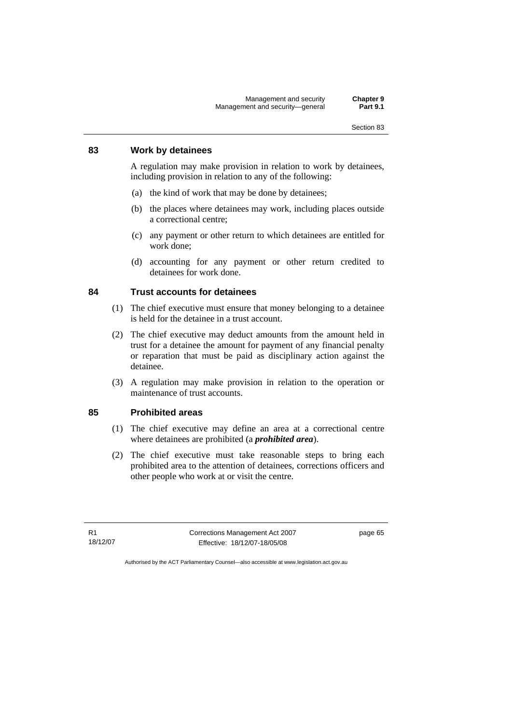## **83 Work by detainees**

A regulation may make provision in relation to work by detainees, including provision in relation to any of the following:

- (a) the kind of work that may be done by detainees;
- (b) the places where detainees may work, including places outside a correctional centre;
- (c) any payment or other return to which detainees are entitled for work done;
- (d) accounting for any payment or other return credited to detainees for work done.

## **84 Trust accounts for detainees**

- (1) The chief executive must ensure that money belonging to a detainee is held for the detainee in a trust account.
- (2) The chief executive may deduct amounts from the amount held in trust for a detainee the amount for payment of any financial penalty or reparation that must be paid as disciplinary action against the detainee.
- (3) A regulation may make provision in relation to the operation or maintenance of trust accounts.

## **85 Prohibited areas**

- (1) The chief executive may define an area at a correctional centre where detainees are prohibited (a *prohibited area*).
- (2) The chief executive must take reasonable steps to bring each prohibited area to the attention of detainees, corrections officers and other people who work at or visit the centre.

R1 18/12/07 Corrections Management Act 2007 Effective: 18/12/07-18/05/08

page 65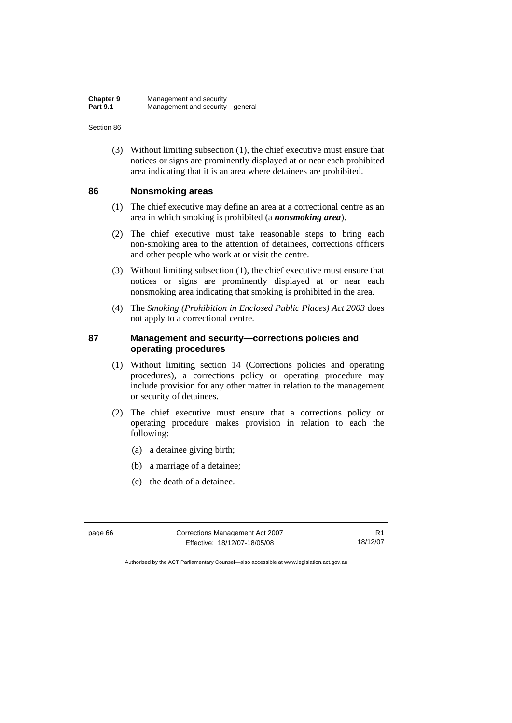(3) Without limiting subsection (1), the chief executive must ensure that notices or signs are prominently displayed at or near each prohibited area indicating that it is an area where detainees are prohibited.

#### **86 Nonsmoking areas**

- (1) The chief executive may define an area at a correctional centre as an area in which smoking is prohibited (a *nonsmoking area*).
- (2) The chief executive must take reasonable steps to bring each non-smoking area to the attention of detainees, corrections officers and other people who work at or visit the centre.
- (3) Without limiting subsection (1), the chief executive must ensure that notices or signs are prominently displayed at or near each nonsmoking area indicating that smoking is prohibited in the area.
- (4) The *Smoking (Prohibition in Enclosed Public Places) Act 2003* does not apply to a correctional centre.

## **87 Management and security—corrections policies and operating procedures**

- (1) Without limiting section 14 (Corrections policies and operating procedures), a corrections policy or operating procedure may include provision for any other matter in relation to the management or security of detainees.
- (2) The chief executive must ensure that a corrections policy or operating procedure makes provision in relation to each the following:
	- (a) a detainee giving birth;
	- (b) a marriage of a detainee;
	- (c) the death of a detainee.

page 66 Corrections Management Act 2007 Effective: 18/12/07-18/05/08

R1 18/12/07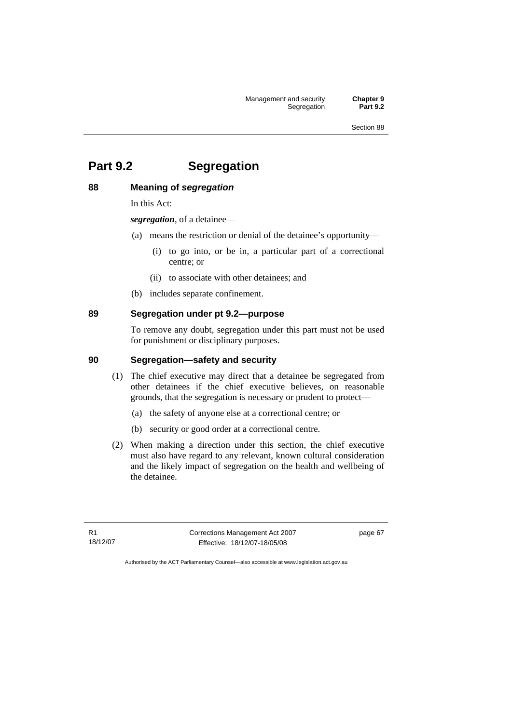Management and security **Chapter 9**  Segregation

Section 88

# **Part 9.2 Segregation**

# **88 Meaning of** *segregation*

In this Act:

*segregation*, of a detainee—

- (a) means the restriction or denial of the detainee's opportunity—
	- (i) to go into, or be in, a particular part of a correctional centre; or
	- (ii) to associate with other detainees; and
- (b) includes separate confinement.

# **89 Segregation under pt 9.2—purpose**

To remove any doubt, segregation under this part must not be used for punishment or disciplinary purposes.

# **90 Segregation—safety and security**

- (1) The chief executive may direct that a detainee be segregated from other detainees if the chief executive believes, on reasonable grounds, that the segregation is necessary or prudent to protect—
	- (a) the safety of anyone else at a correctional centre; or
	- (b) security or good order at a correctional centre.
- (2) When making a direction under this section, the chief executive must also have regard to any relevant, known cultural consideration and the likely impact of segregation on the health and wellbeing of the detainee.

R1 18/12/07 Corrections Management Act 2007 Effective: 18/12/07-18/05/08

page 67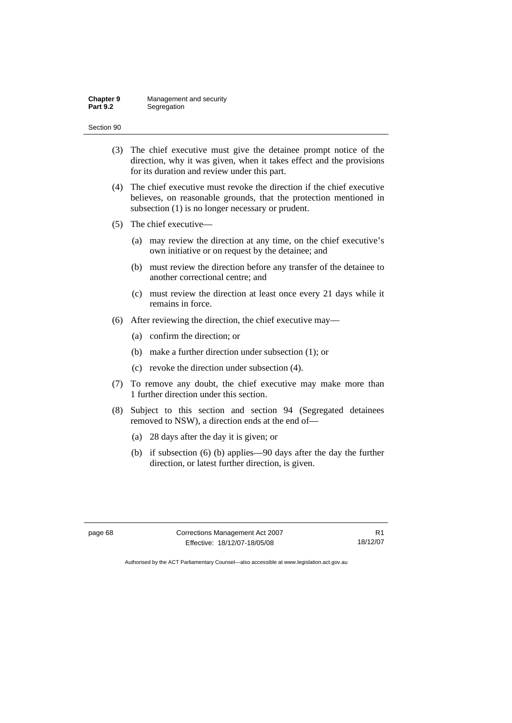# (3) The chief executive must give the detainee prompt notice of the direction, why it was given, when it takes effect and the provisions for its duration and review under this part. (4) The chief executive must revoke the direction if the chief executive believes, on reasonable grounds, that the protection mentioned in subsection (1) is no longer necessary or prudent. (5) The chief executive— (a) may review the direction at any time, on the chief executive's own initiative or on request by the detainee; and (b) must review the direction before any transfer of the detainee to another correctional centre; and (c) must review the direction at least once every 21 days while it remains in force. (6) After reviewing the direction, the chief executive may— (a) confirm the direction; or (b) make a further direction under subsection (1); or (c) revoke the direction under subsection (4). (7) To remove any doubt, the chief executive may make more than 1 further direction under this section.

- (8) Subject to this section and section 94 (Segregated detainees removed to NSW), a direction ends at the end of—
	- (a) 28 days after the day it is given; or
	- (b) if subsection (6) (b) applies—90 days after the day the further direction, or latest further direction, is given.

page 68 Corrections Management Act 2007 Effective: 18/12/07-18/05/08

R1 18/12/07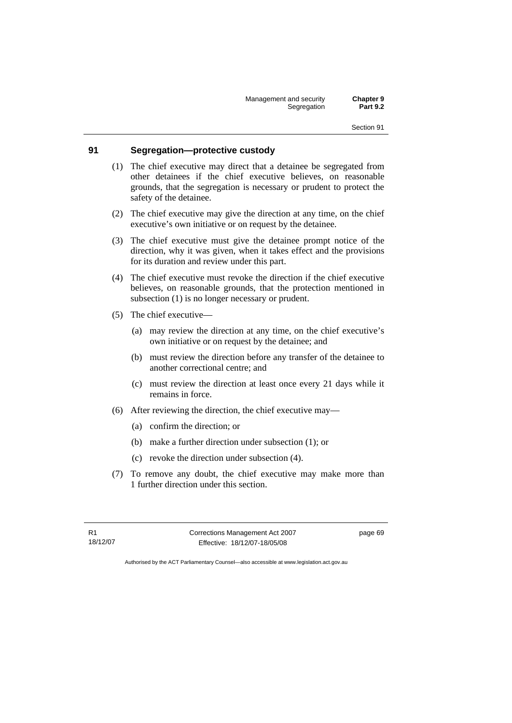Management and security **Chapter 9 Segregation** 

#### **91 Segregation—protective custody**

- (1) The chief executive may direct that a detainee be segregated from other detainees if the chief executive believes, on reasonable grounds, that the segregation is necessary or prudent to protect the safety of the detainee.
- (2) The chief executive may give the direction at any time, on the chief executive's own initiative or on request by the detainee.
- (3) The chief executive must give the detainee prompt notice of the direction, why it was given, when it takes effect and the provisions for its duration and review under this part.
- (4) The chief executive must revoke the direction if the chief executive believes, on reasonable grounds, that the protection mentioned in subsection (1) is no longer necessary or prudent.
- (5) The chief executive—
	- (a) may review the direction at any time, on the chief executive's own initiative or on request by the detainee; and
	- (b) must review the direction before any transfer of the detainee to another correctional centre; and
	- (c) must review the direction at least once every 21 days while it remains in force.
- (6) After reviewing the direction, the chief executive may—
	- (a) confirm the direction; or
	- (b) make a further direction under subsection (1); or
	- (c) revoke the direction under subsection (4).
- (7) To remove any doubt, the chief executive may make more than 1 further direction under this section.

R1 18/12/07 Corrections Management Act 2007 Effective: 18/12/07-18/05/08

page 69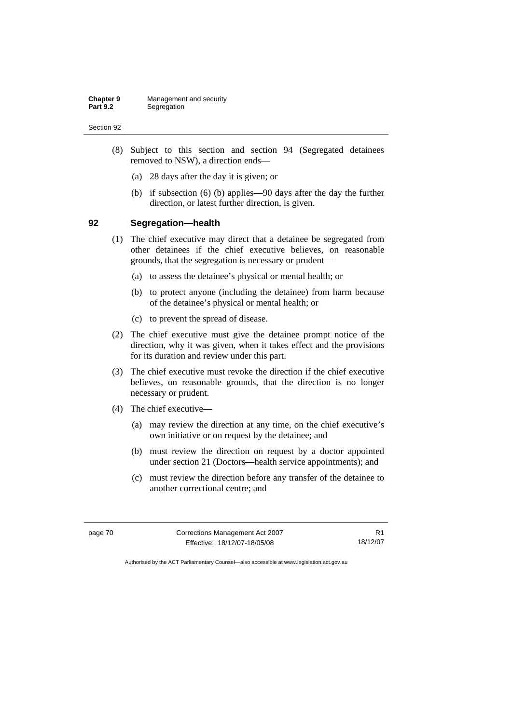- (8) Subject to this section and section 94 (Segregated detainees removed to NSW), a direction ends—
	- (a) 28 days after the day it is given; or
	- (b) if subsection (6) (b) applies—90 days after the day the further direction, or latest further direction, is given.

#### **92 Segregation—health**

- (1) The chief executive may direct that a detainee be segregated from other detainees if the chief executive believes, on reasonable grounds, that the segregation is necessary or prudent—
	- (a) to assess the detainee's physical or mental health; or
	- (b) to protect anyone (including the detainee) from harm because of the detainee's physical or mental health; or
	- (c) to prevent the spread of disease.
- (2) The chief executive must give the detainee prompt notice of the direction, why it was given, when it takes effect and the provisions for its duration and review under this part.
- (3) The chief executive must revoke the direction if the chief executive believes, on reasonable grounds, that the direction is no longer necessary or prudent.
- (4) The chief executive—
	- (a) may review the direction at any time, on the chief executive's own initiative or on request by the detainee; and
	- (b) must review the direction on request by a doctor appointed under section 21 (Doctors—health service appointments); and
	- (c) must review the direction before any transfer of the detainee to another correctional centre; and

| page 70 | Corrections Management Act 2007 |          |
|---------|---------------------------------|----------|
|         | Effective: 18/12/07-18/05/08    | 18/12/07 |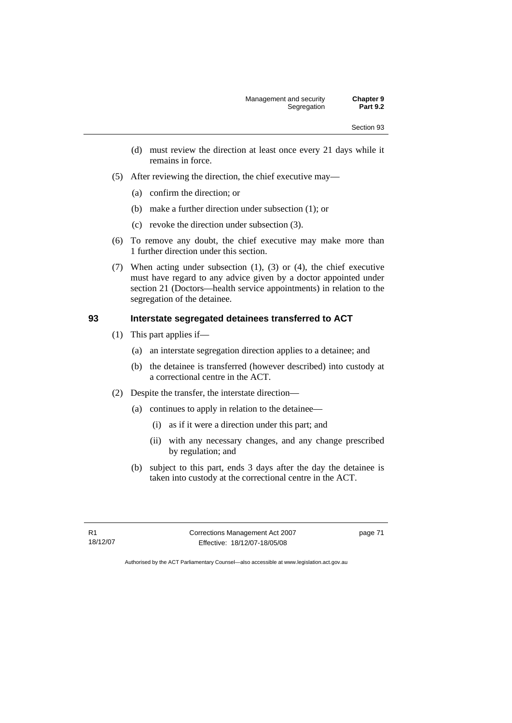- (d) must review the direction at least once every 21 days while it remains in force.
- (5) After reviewing the direction, the chief executive may—
	- (a) confirm the direction; or
	- (b) make a further direction under subsection (1); or
	- (c) revoke the direction under subsection (3).
- (6) To remove any doubt, the chief executive may make more than 1 further direction under this section.
- (7) When acting under subsection (1), (3) or (4), the chief executive must have regard to any advice given by a doctor appointed under section 21 (Doctors—health service appointments) in relation to the segregation of the detainee.

#### **93 Interstate segregated detainees transferred to ACT**

- (1) This part applies if—
	- (a) an interstate segregation direction applies to a detainee; and
	- (b) the detainee is transferred (however described) into custody at a correctional centre in the ACT.
- (2) Despite the transfer, the interstate direction—
	- (a) continues to apply in relation to the detainee—
		- (i) as if it were a direction under this part; and
		- (ii) with any necessary changes, and any change prescribed by regulation; and
	- (b) subject to this part, ends 3 days after the day the detainee is taken into custody at the correctional centre in the ACT.

R1 18/12/07 Corrections Management Act 2007 Effective: 18/12/07-18/05/08

page 71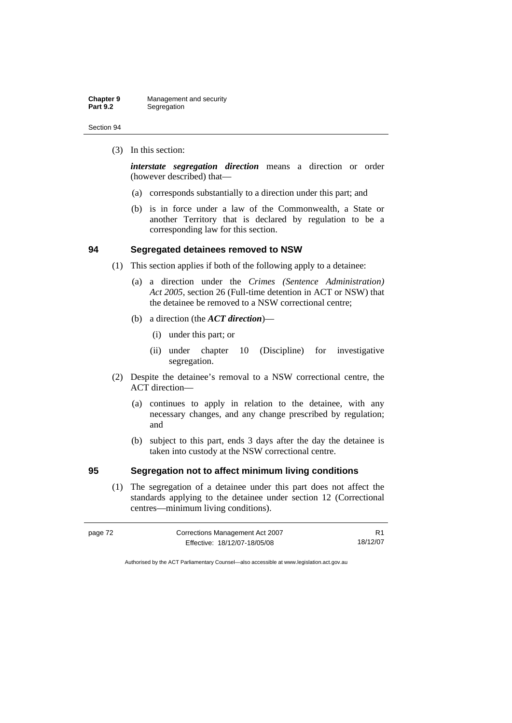(3) In this section:

*interstate segregation direction* means a direction or order (however described) that—

- (a) corresponds substantially to a direction under this part; and
- (b) is in force under a law of the Commonwealth, a State or another Territory that is declared by regulation to be a corresponding law for this section.

### **94 Segregated detainees removed to NSW**

- (1) This section applies if both of the following apply to a detainee:
	- (a) a direction under the *Crimes (Sentence Administration) Act 2005*, section 26 (Full-time detention in ACT or NSW) that the detainee be removed to a NSW correctional centre;
	- (b) a direction (the *ACT direction*)—
		- (i) under this part; or
		- (ii) under chapter 10 (Discipline) for investigative segregation.
- (2) Despite the detainee's removal to a NSW correctional centre, the ACT direction—
	- (a) continues to apply in relation to the detainee, with any necessary changes, and any change prescribed by regulation; and
	- (b) subject to this part, ends 3 days after the day the detainee is taken into custody at the NSW correctional centre.

## **95 Segregation not to affect minimum living conditions**

 (1) The segregation of a detainee under this part does not affect the standards applying to the detainee under section 12 (Correctional centres—minimum living conditions).

| page 72 | Corrections Management Act 2007 |          |
|---------|---------------------------------|----------|
|         | Effective: 18/12/07-18/05/08    | 18/12/07 |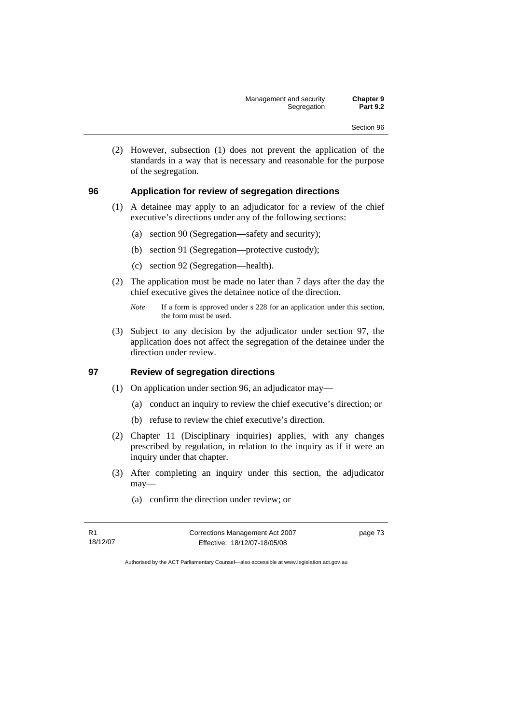(2) However, subsection (1) does not prevent the application of the standards in a way that is necessary and reasonable for the purpose of the segregation.

#### **96 Application for review of segregation directions**

- (1) A detainee may apply to an adjudicator for a review of the chief executive's directions under any of the following sections:
	- (a) section 90 (Segregation—safety and security);
	- (b) section 91 (Segregation—protective custody);
	- (c) section 92 (Segregation—health).
- (2) The application must be made no later than 7 days after the day the chief executive gives the detainee notice of the direction.
	- *Note* If a form is approved under s 228 for an application under this section, the form must be used.
- (3) Subject to any decision by the adjudicator under section 97, the application does not affect the segregation of the detainee under the direction under review.

#### **97 Review of segregation directions**

- (1) On application under section 96, an adjudicator may—
	- (a) conduct an inquiry to review the chief executive's direction; or
	- (b) refuse to review the chief executive's direction.
- (2) Chapter 11 (Disciplinary inquiries) applies, with any changes prescribed by regulation, in relation to the inquiry as if it were an inquiry under that chapter.
- (3) After completing an inquiry under this section, the adjudicator may—
	- (a) confirm the direction under review; or

R1 18/12/07 Corrections Management Act 2007 Effective: 18/12/07-18/05/08

page 73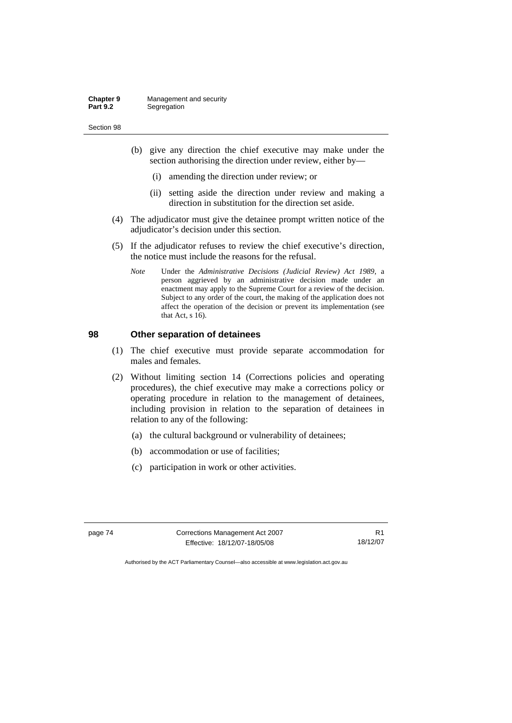- (b) give any direction the chief executive may make under the section authorising the direction under review, either by—
	- (i) amending the direction under review; or
	- (ii) setting aside the direction under review and making a direction in substitution for the direction set aside.
- (4) The adjudicator must give the detainee prompt written notice of the adjudicator's decision under this section.
- (5) If the adjudicator refuses to review the chief executive's direction, the notice must include the reasons for the refusal.
	- *Note* Under the *Administrative Decisions (Judicial Review) Act 1989*, a person aggrieved by an administrative decision made under an enactment may apply to the Supreme Court for a review of the decision. Subject to any order of the court, the making of the application does not affect the operation of the decision or prevent its implementation (see that Act, s 16).

## **98 Other separation of detainees**

- (1) The chief executive must provide separate accommodation for males and females.
- (2) Without limiting section 14 (Corrections policies and operating procedures), the chief executive may make a corrections policy or operating procedure in relation to the management of detainees, including provision in relation to the separation of detainees in relation to any of the following:
	- (a) the cultural background or vulnerability of detainees;
	- (b) accommodation or use of facilities;
	- (c) participation in work or other activities.

page 74 Corrections Management Act 2007 Effective: 18/12/07-18/05/08

R1 18/12/07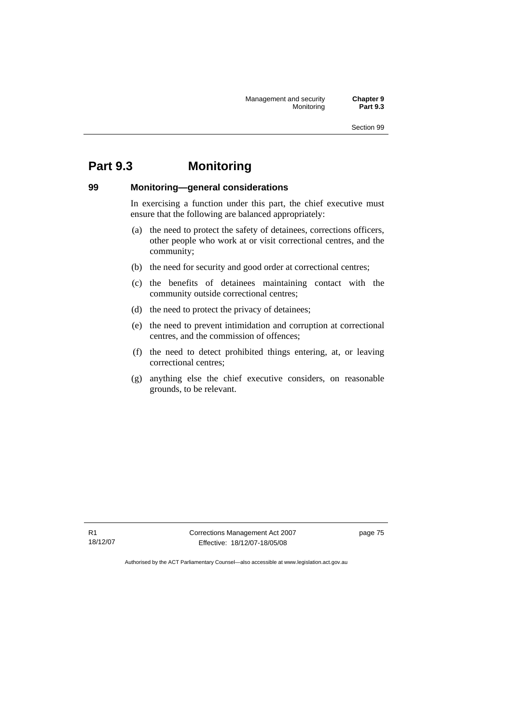# **Part 9.3 Monitoring**

# **99 Monitoring—general considerations**

In exercising a function under this part, the chief executive must ensure that the following are balanced appropriately:

- (a) the need to protect the safety of detainees, corrections officers, other people who work at or visit correctional centres, and the community;
- (b) the need for security and good order at correctional centres;
- (c) the benefits of detainees maintaining contact with the community outside correctional centres;
- (d) the need to protect the privacy of detainees;
- (e) the need to prevent intimidation and corruption at correctional centres, and the commission of offences;
- (f) the need to detect prohibited things entering, at, or leaving correctional centres;
- (g) anything else the chief executive considers, on reasonable grounds, to be relevant.

R1 18/12/07 Corrections Management Act 2007 Effective: 18/12/07-18/05/08

page 75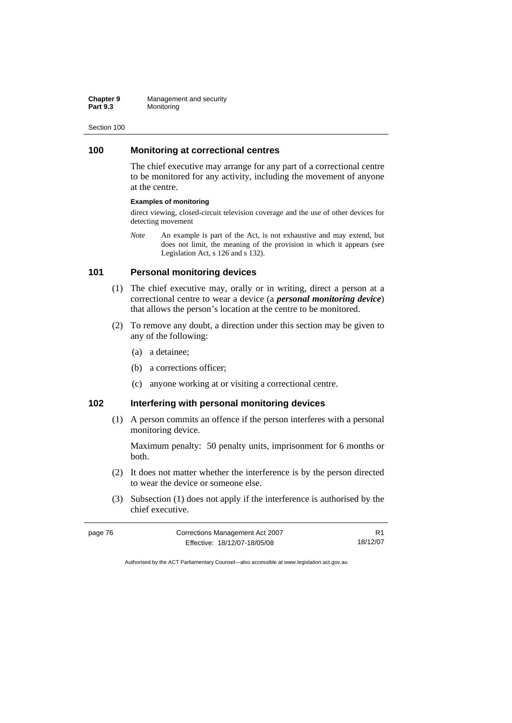#### **100 Monitoring at correctional centres**

The chief executive may arrange for any part of a correctional centre to be monitored for any activity, including the movement of anyone at the centre.

#### **Examples of monitoring**

direct viewing, closed-circuit television coverage and the use of other devices for detecting movement

*Note* An example is part of the Act, is not exhaustive and may extend, but does not limit, the meaning of the provision in which it appears (see Legislation Act, s 126 and s 132).

#### **101 Personal monitoring devices**

- (1) The chief executive may, orally or in writing, direct a person at a correctional centre to wear a device (a *personal monitoring device*) that allows the person's location at the centre to be monitored.
- (2) To remove any doubt, a direction under this section may be given to any of the following:
	- (a) a detainee;
	- (b) a corrections officer;
	- (c) anyone working at or visiting a correctional centre.

## **102 Interfering with personal monitoring devices**

 (1) A person commits an offence if the person interferes with a personal monitoring device.

Maximum penalty: 50 penalty units, imprisonment for 6 months or both.

- (2) It does not matter whether the interference is by the person directed to wear the device or someone else.
- (3) Subsection (1) does not apply if the interference is authorised by the chief executive.

| page 76 | Corrections Management Act 2007 |          |
|---------|---------------------------------|----------|
|         | Effective: 18/12/07-18/05/08    | 18/12/07 |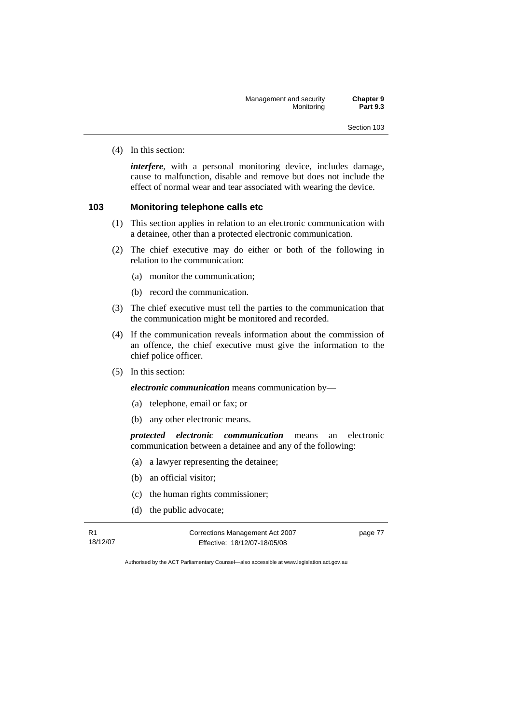(4) In this section:

*interfere*, with a personal monitoring device, includes damage, cause to malfunction, disable and remove but does not include the effect of normal wear and tear associated with wearing the device.

#### **103 Monitoring telephone calls etc**

- (1) This section applies in relation to an electronic communication with a detainee, other than a protected electronic communication.
- (2) The chief executive may do either or both of the following in relation to the communication:
	- (a) monitor the communication;
	- (b) record the communication.
- (3) The chief executive must tell the parties to the communication that the communication might be monitored and recorded.
- (4) If the communication reveals information about the commission of an offence, the chief executive must give the information to the chief police officer.
- (5) In this section:

*electronic communication* means communication by—

- (a) telephone, email or fax; or
- (b) any other electronic means.

*protected electronic communication* means an electronic communication between a detainee and any of the following:

- (a) a lawyer representing the detainee;
- (b) an official visitor;
- (c) the human rights commissioner;
- (d) the public advocate;

R1 18/12/07 Corrections Management Act 2007 Effective: 18/12/07-18/05/08

page 77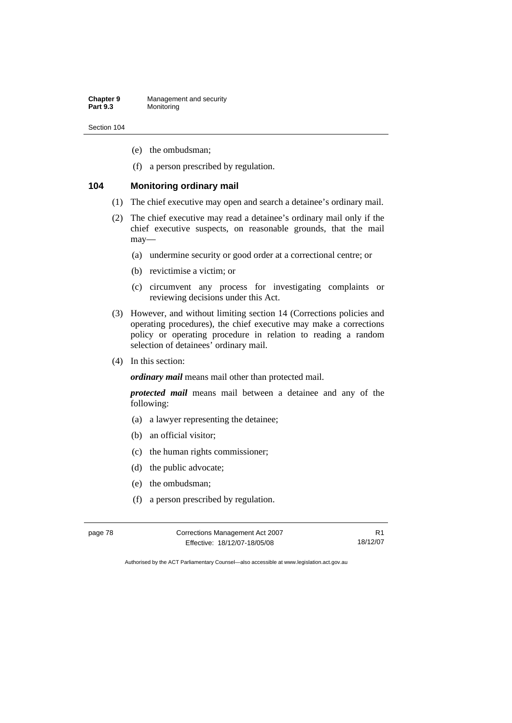- (e) the ombudsman;
- (f) a person prescribed by regulation.

#### **104 Monitoring ordinary mail**

- (1) The chief executive may open and search a detainee's ordinary mail.
- (2) The chief executive may read a detainee's ordinary mail only if the chief executive suspects, on reasonable grounds, that the mail may—
	- (a) undermine security or good order at a correctional centre; or
	- (b) revictimise a victim; or
	- (c) circumvent any process for investigating complaints or reviewing decisions under this Act.
- (3) However, and without limiting section 14 (Corrections policies and operating procedures), the chief executive may make a corrections policy or operating procedure in relation to reading a random selection of detainees' ordinary mail.
- (4) In this section:

*ordinary mail* means mail other than protected mail.

*protected mail* means mail between a detainee and any of the following:

- (a) a lawyer representing the detainee;
- (b) an official visitor;
- (c) the human rights commissioner;
- (d) the public advocate;
- (e) the ombudsman;
- (f) a person prescribed by regulation.

| page 78 | Corrections Management Act 2007 |          |
|---------|---------------------------------|----------|
|         | Effective: 18/12/07-18/05/08    | 18/12/07 |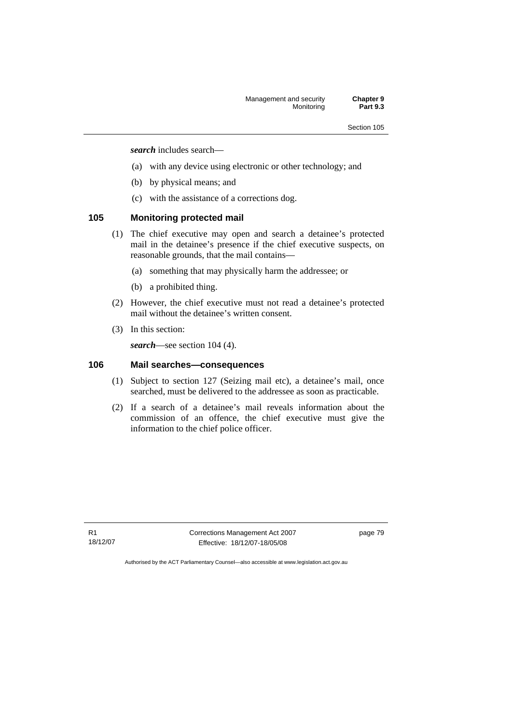*search* includes search—

- (a) with any device using electronic or other technology; and
- (b) by physical means; and
- (c) with the assistance of a corrections dog.

## **105 Monitoring protected mail**

- (1) The chief executive may open and search a detainee's protected mail in the detainee's presence if the chief executive suspects, on reasonable grounds, that the mail contains—
	- (a) something that may physically harm the addressee; or
	- (b) a prohibited thing.
- (2) However, the chief executive must not read a detainee's protected mail without the detainee's written consent.
- (3) In this section:

*search*—see section 104 (4).

# **106 Mail searches—consequences**

- (1) Subject to section 127 (Seizing mail etc), a detainee's mail, once searched, must be delivered to the addressee as soon as practicable.
- (2) If a search of a detainee's mail reveals information about the commission of an offence, the chief executive must give the information to the chief police officer.

R1 18/12/07 Corrections Management Act 2007 Effective: 18/12/07-18/05/08

page 79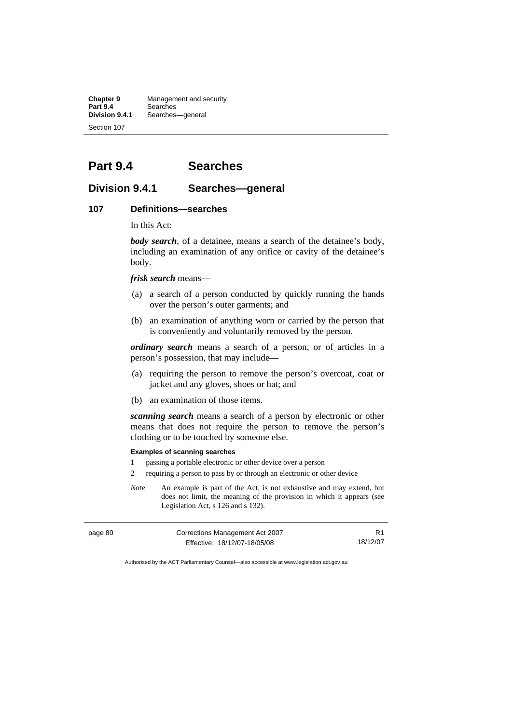**Chapter 9 Management and security**<br>**Part 9.4 Searches Part 9.4** Searches **Division 9.4.1** Searches—general Section 107

# **Part 9.4 Searches**

## **Division 9.4.1 Searches—general**

#### **107 Definitions—searches**

In this Act:

*body search*, of a detainee, means a search of the detainee's body, including an examination of any orifice or cavity of the detainee's body.

*frisk search* means—

- (a) a search of a person conducted by quickly running the hands over the person's outer garments; and
- (b) an examination of anything worn or carried by the person that is conveniently and voluntarily removed by the person.

*ordinary search* means a search of a person, or of articles in a person's possession, that may include—

- (a) requiring the person to remove the person's overcoat, coat or jacket and any gloves, shoes or hat; and
- (b) an examination of those items.

*scanning search* means a search of a person by electronic or other means that does not require the person to remove the person's clothing or to be touched by someone else.

#### **Examples of scanning searches**

- 1 passing a portable electronic or other device over a person
- 2 requiring a person to pass by or through an electronic or other device
- *Note* An example is part of the Act, is not exhaustive and may extend, but does not limit, the meaning of the provision in which it appears (see Legislation Act, s 126 and s 132).

| page 80 | Corrections Management Act 2007 |          |
|---------|---------------------------------|----------|
|         | Effective: 18/12/07-18/05/08    | 18/12/07 |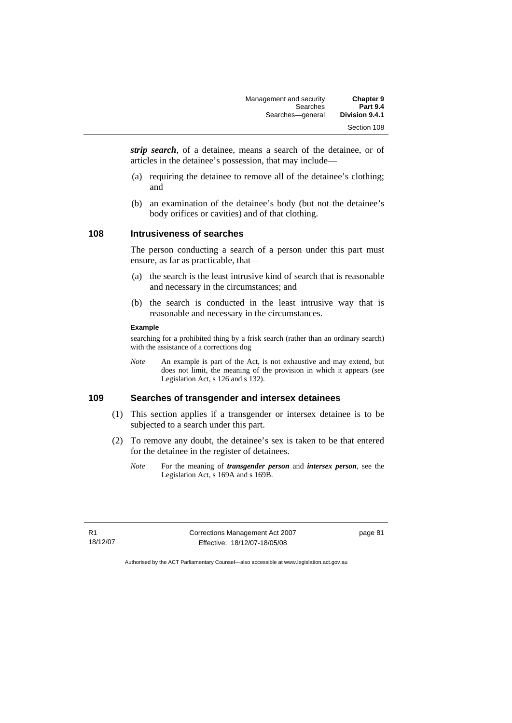| <b>Chapter 9</b> | Management and security |
|------------------|-------------------------|
| <b>Part 9.4</b>  | Searches                |
| Division 9.4.1   | Searches-qeneral        |
| Section 108      |                         |

*strip search*, of a detainee, means a search of the detainee, or of articles in the detainee's possession, that may include—

- (a) requiring the detainee to remove all of the detainee's clothing; and
- (b) an examination of the detainee's body (but not the detainee's body orifices or cavities) and of that clothing.

#### **108 Intrusiveness of searches**

The person conducting a search of a person under this part must ensure, as far as practicable, that—

- (a) the search is the least intrusive kind of search that is reasonable and necessary in the circumstances; and
- (b) the search is conducted in the least intrusive way that is reasonable and necessary in the circumstances.

#### **Example**

searching for a prohibited thing by a frisk search (rather than an ordinary search) with the assistance of a corrections dog

*Note* An example is part of the Act, is not exhaustive and may extend, but does not limit, the meaning of the provision in which it appears (see Legislation Act, s 126 and s 132).

#### **109 Searches of transgender and intersex detainees**

- (1) This section applies if a transgender or intersex detainee is to be subjected to a search under this part.
- (2) To remove any doubt, the detainee's sex is taken to be that entered for the detainee in the register of detainees.
	- *Note* For the meaning of *transgender person* and *intersex person*, see the Legislation Act, s 169A and s 169B.

R1 18/12/07 Corrections Management Act 2007 Effective: 18/12/07-18/05/08

page 81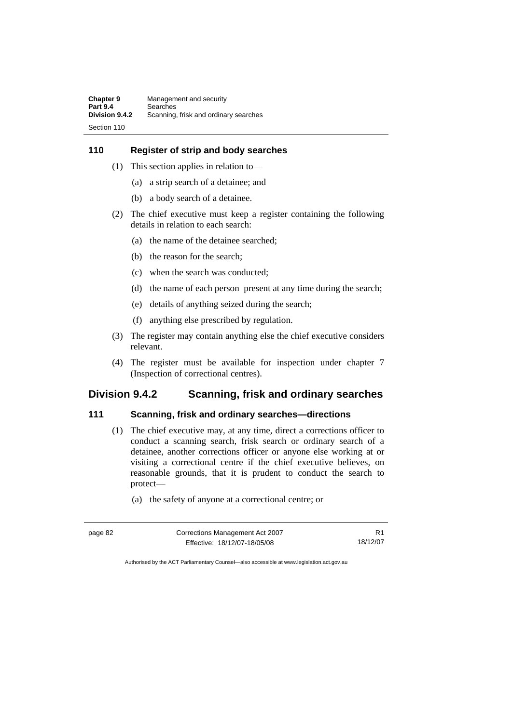## **110 Register of strip and body searches**

- (1) This section applies in relation to—
	- (a) a strip search of a detainee; and
	- (b) a body search of a detainee.
- (2) The chief executive must keep a register containing the following details in relation to each search:
	- (a) the name of the detainee searched;
	- (b) the reason for the search;
	- (c) when the search was conducted;
	- (d) the name of each person present at any time during the search;
	- (e) details of anything seized during the search;
	- (f) anything else prescribed by regulation.
- (3) The register may contain anything else the chief executive considers relevant.
- (4) The register must be available for inspection under chapter 7 (Inspection of correctional centres).

# **Division 9.4.2 Scanning, frisk and ordinary searches**

#### **111 Scanning, frisk and ordinary searches—directions**

- (1) The chief executive may, at any time, direct a corrections officer to conduct a scanning search, frisk search or ordinary search of a detainee, another corrections officer or anyone else working at or visiting a correctional centre if the chief executive believes, on reasonable grounds, that it is prudent to conduct the search to protect—
	- (a) the safety of anyone at a correctional centre; or

| page 82 | Corrections Management Act 2007 |          |
|---------|---------------------------------|----------|
|         | Effective: 18/12/07-18/05/08    | 18/12/07 |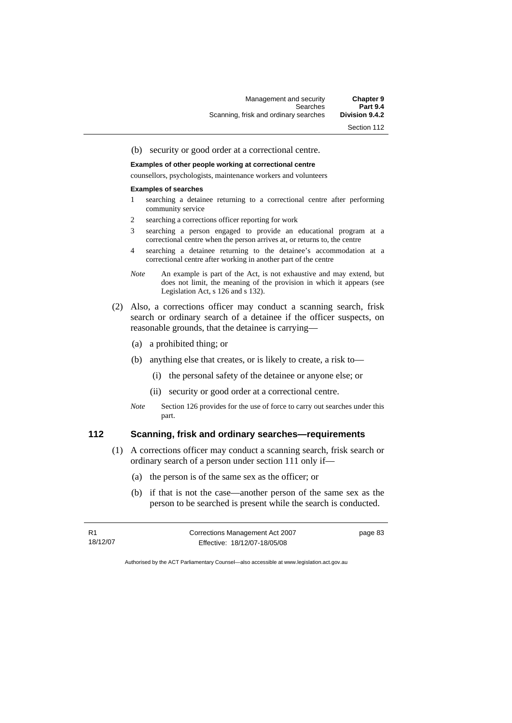(b) security or good order at a correctional centre.

**Examples of other people working at correctional centre**  counsellors, psychologists, maintenance workers and volunteers

## **Examples of searches**

- 1 searching a detainee returning to a correctional centre after performing community service
- 2 searching a corrections officer reporting for work
- 3 searching a person engaged to provide an educational program at a correctional centre when the person arrives at, or returns to, the centre
- 4 searching a detainee returning to the detainee's accommodation at a correctional centre after working in another part of the centre
- *Note* An example is part of the Act, is not exhaustive and may extend, but does not limit, the meaning of the provision in which it appears (see Legislation Act, s 126 and s 132).
- (2) Also, a corrections officer may conduct a scanning search, frisk search or ordinary search of a detainee if the officer suspects, on reasonable grounds, that the detainee is carrying—
	- (a) a prohibited thing; or
	- (b) anything else that creates, or is likely to create, a risk to—
		- (i) the personal safety of the detainee or anyone else; or
		- (ii) security or good order at a correctional centre.
	- *Note* Section 126 provides for the use of force to carry out searches under this part.

#### **112 Scanning, frisk and ordinary searches—requirements**

- (1) A corrections officer may conduct a scanning search, frisk search or ordinary search of a person under section 111 only if—
	- (a) the person is of the same sex as the officer; or
	- (b) if that is not the case—another person of the same sex as the person to be searched is present while the search is conducted.

R1 18/12/07 Corrections Management Act 2007 Effective: 18/12/07-18/05/08

page 83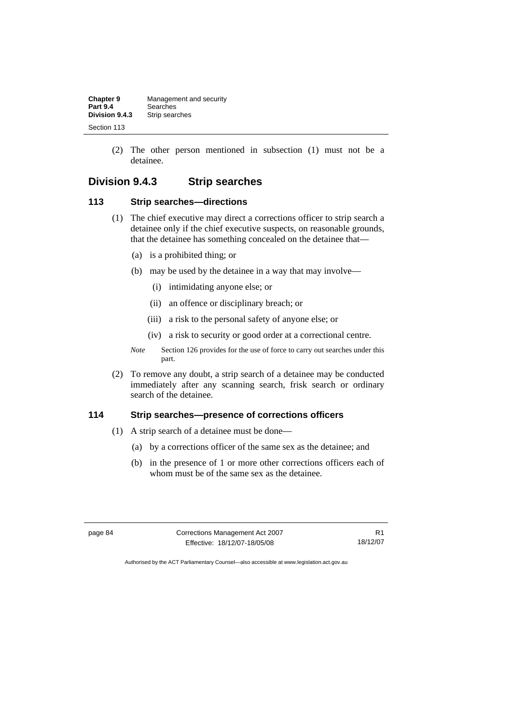(2) The other person mentioned in subsection (1) must not be a detainee.

# **Division 9.4.3 Strip searches**

## **113 Strip searches—directions**

- (1) The chief executive may direct a corrections officer to strip search a detainee only if the chief executive suspects, on reasonable grounds, that the detainee has something concealed on the detainee that—
	- (a) is a prohibited thing; or
	- (b) may be used by the detainee in a way that may involve—
		- (i) intimidating anyone else; or
		- (ii) an offence or disciplinary breach; or
		- (iii) a risk to the personal safety of anyone else; or
		- (iv) a risk to security or good order at a correctional centre.
	- *Note* Section 126 provides for the use of force to carry out searches under this part.
- (2) To remove any doubt, a strip search of a detainee may be conducted immediately after any scanning search, frisk search or ordinary search of the detainee.

#### **114 Strip searches—presence of corrections officers**

- (1) A strip search of a detainee must be done—
	- (a) by a corrections officer of the same sex as the detainee; and
	- (b) in the presence of 1 or more other corrections officers each of whom must be of the same sex as the detainee.

page 84 Corrections Management Act 2007 Effective: 18/12/07-18/05/08

R1 18/12/07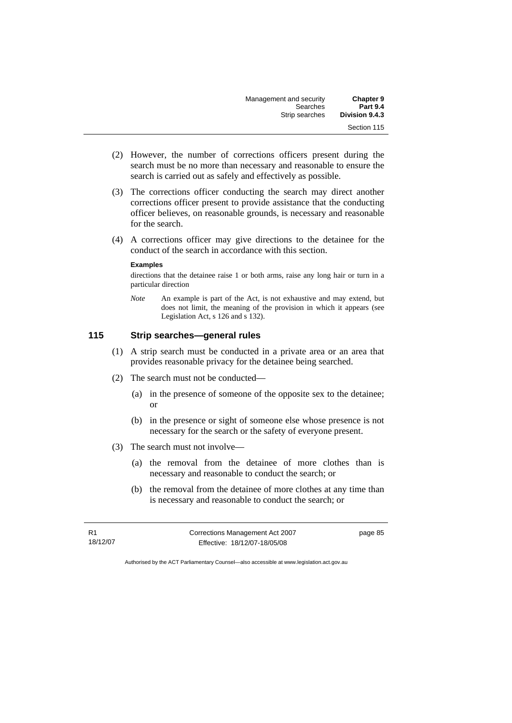| <b>Chapter 9</b> | Management and security |
|------------------|-------------------------|
| <b>Part 9.4</b>  | Searches                |
| Division 9.4.3   | Strip searches          |
| Section 115      |                         |

- (2) However, the number of corrections officers present during the search must be no more than necessary and reasonable to ensure the search is carried out as safely and effectively as possible.
- (3) The corrections officer conducting the search may direct another corrections officer present to provide assistance that the conducting officer believes, on reasonable grounds, is necessary and reasonable for the search.
- (4) A corrections officer may give directions to the detainee for the conduct of the search in accordance with this section.

#### **Examples**

directions that the detainee raise 1 or both arms, raise any long hair or turn in a particular direction

*Note* An example is part of the Act, is not exhaustive and may extend, but does not limit, the meaning of the provision in which it appears (see Legislation Act, s 126 and s 132).

## **115 Strip searches—general rules**

- (1) A strip search must be conducted in a private area or an area that provides reasonable privacy for the detainee being searched.
- (2) The search must not be conducted—
	- (a) in the presence of someone of the opposite sex to the detainee; or
	- (b) in the presence or sight of someone else whose presence is not necessary for the search or the safety of everyone present.
- (3) The search must not involve—
	- (a) the removal from the detainee of more clothes than is necessary and reasonable to conduct the search; or
	- (b) the removal from the detainee of more clothes at any time than is necessary and reasonable to conduct the search; or

R1 18/12/07 Corrections Management Act 2007 Effective: 18/12/07-18/05/08

page 85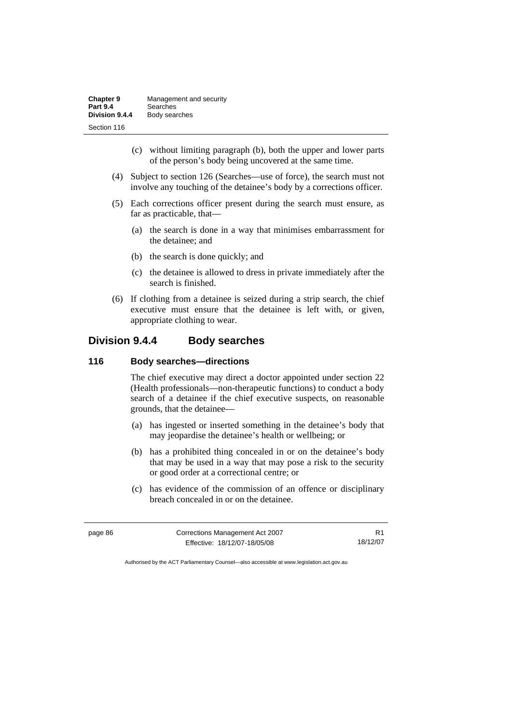- (c) without limiting paragraph (b), both the upper and lower parts of the person's body being uncovered at the same time.
- (4) Subject to section 126 (Searches—use of force), the search must not involve any touching of the detainee's body by a corrections officer.
- (5) Each corrections officer present during the search must ensure, as far as practicable, that—
	- (a) the search is done in a way that minimises embarrassment for the detainee; and
	- (b) the search is done quickly; and
	- (c) the detainee is allowed to dress in private immediately after the search is finished.
- (6) If clothing from a detainee is seized during a strip search, the chief executive must ensure that the detainee is left with, or given, appropriate clothing to wear.

# **Division 9.4.4 Body searches**

#### **116 Body searches—directions**

The chief executive may direct a doctor appointed under section 22 (Health professionals—non-therapeutic functions) to conduct a body search of a detainee if the chief executive suspects, on reasonable grounds, that the detainee—

- (a) has ingested or inserted something in the detainee's body that may jeopardise the detainee's health or wellbeing; or
- (b) has a prohibited thing concealed in or on the detainee's body that may be used in a way that may pose a risk to the security or good order at a correctional centre; or
- (c) has evidence of the commission of an offence or disciplinary breach concealed in or on the detainee.

| page 86 | Corrections Management Act 2007 |          |
|---------|---------------------------------|----------|
|         | Effective: 18/12/07-18/05/08    | 18/12/07 |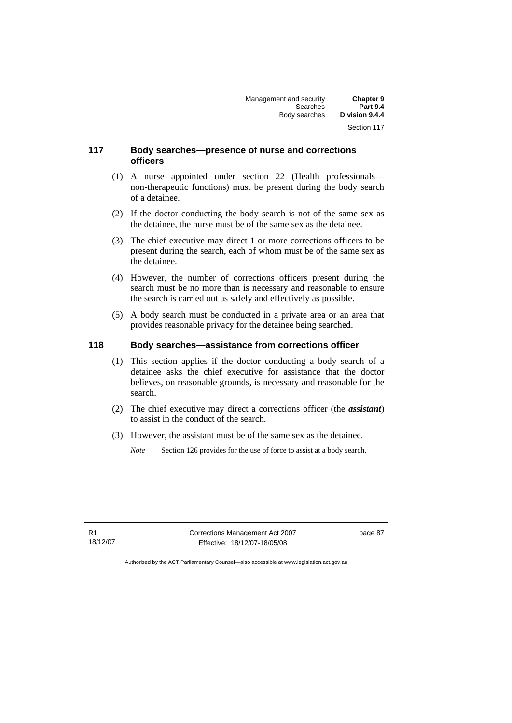#### **117 Body searches—presence of nurse and corrections officers**

- (1) A nurse appointed under section 22 (Health professionals non-therapeutic functions) must be present during the body search of a detainee.
- (2) If the doctor conducting the body search is not of the same sex as the detainee, the nurse must be of the same sex as the detainee.
- (3) The chief executive may direct 1 or more corrections officers to be present during the search, each of whom must be of the same sex as the detainee.
- (4) However, the number of corrections officers present during the search must be no more than is necessary and reasonable to ensure the search is carried out as safely and effectively as possible.
- (5) A body search must be conducted in a private area or an area that provides reasonable privacy for the detainee being searched.

## **118 Body searches—assistance from corrections officer**

- (1) This section applies if the doctor conducting a body search of a detainee asks the chief executive for assistance that the doctor believes, on reasonable grounds, is necessary and reasonable for the search.
- (2) The chief executive may direct a corrections officer (the *assistant*) to assist in the conduct of the search.
- (3) However, the assistant must be of the same sex as the detainee.
	- *Note* Section 126 provides for the use of force to assist at a body search.

R1 18/12/07 Corrections Management Act 2007 Effective: 18/12/07-18/05/08

page 87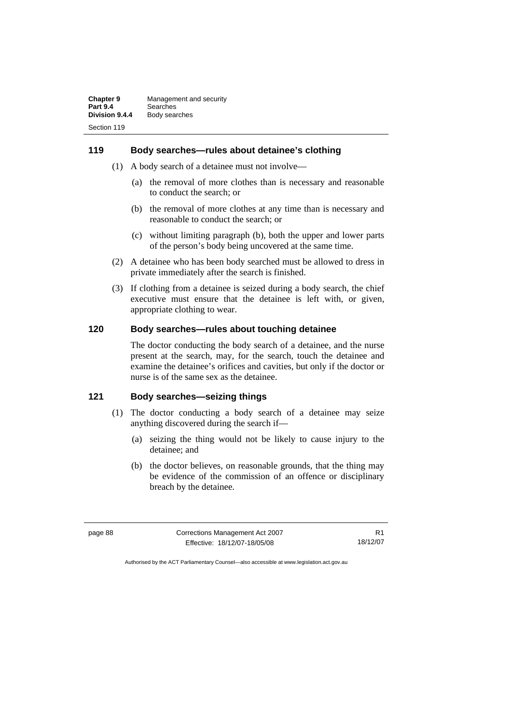#### **119 Body searches—rules about detainee's clothing**

- (1) A body search of a detainee must not involve—
	- (a) the removal of more clothes than is necessary and reasonable to conduct the search; or
	- (b) the removal of more clothes at any time than is necessary and reasonable to conduct the search; or
	- (c) without limiting paragraph (b), both the upper and lower parts of the person's body being uncovered at the same time.
- (2) A detainee who has been body searched must be allowed to dress in private immediately after the search is finished.
- (3) If clothing from a detainee is seized during a body search, the chief executive must ensure that the detainee is left with, or given, appropriate clothing to wear.

## **120 Body searches—rules about touching detainee**

The doctor conducting the body search of a detainee, and the nurse present at the search, may, for the search, touch the detainee and examine the detainee's orifices and cavities, but only if the doctor or nurse is of the same sex as the detainee.

### **121 Body searches—seizing things**

- (1) The doctor conducting a body search of a detainee may seize anything discovered during the search if—
	- (a) seizing the thing would not be likely to cause injury to the detainee; and
	- (b) the doctor believes, on reasonable grounds, that the thing may be evidence of the commission of an offence or disciplinary breach by the detainee.

| page 88 | Corrections Management Act 2007 |          |
|---------|---------------------------------|----------|
|         | Effective: 18/12/07-18/05/08    | 18/12/07 |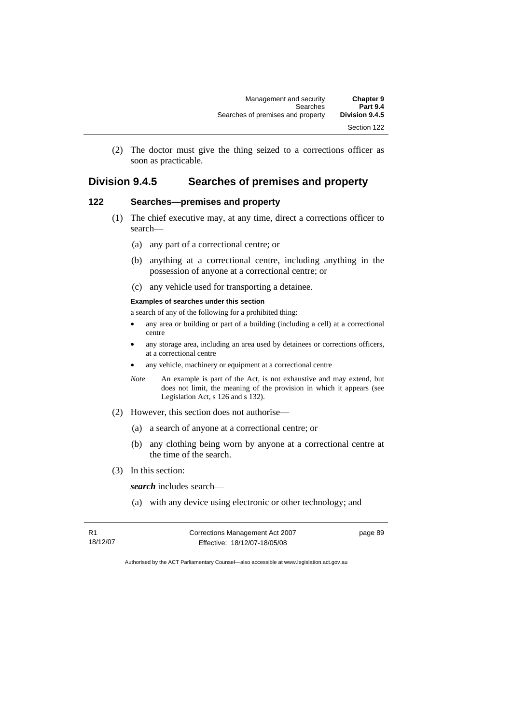(2) The doctor must give the thing seized to a corrections officer as soon as practicable.

# **Division 9.4.5 Searches of premises and property**

# **122 Searches—premises and property**

- (1) The chief executive may, at any time, direct a corrections officer to search—
	- (a) any part of a correctional centre; or
	- (b) anything at a correctional centre, including anything in the possession of anyone at a correctional centre; or
	- (c) any vehicle used for transporting a detainee.

#### **Examples of searches under this section**

a search of any of the following for a prohibited thing:

- any area or building or part of a building (including a cell) at a correctional centre
- any storage area, including an area used by detainees or corrections officers, at a correctional centre
- any vehicle, machinery or equipment at a correctional centre
- *Note* An example is part of the Act, is not exhaustive and may extend, but does not limit, the meaning of the provision in which it appears (see Legislation Act, s 126 and s 132).
- (2) However, this section does not authorise—
	- (a) a search of anyone at a correctional centre; or
	- (b) any clothing being worn by anyone at a correctional centre at the time of the search.
- (3) In this section:

*search* includes search—

(a) with any device using electronic or other technology; and

R1 18/12/07 Corrections Management Act 2007 Effective: 18/12/07-18/05/08

page 89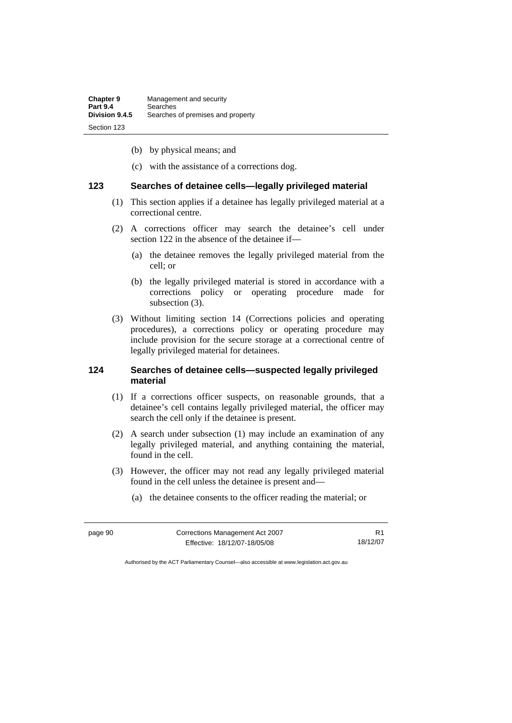- (b) by physical means; and
- (c) with the assistance of a corrections dog.

#### **123 Searches of detainee cells—legally privileged material**

- (1) This section applies if a detainee has legally privileged material at a correctional centre.
- (2) A corrections officer may search the detainee's cell under section 122 in the absence of the detainee if—
	- (a) the detainee removes the legally privileged material from the cell; or
	- (b) the legally privileged material is stored in accordance with a corrections policy or operating procedure made for subsection (3).
- (3) Without limiting section 14 (Corrections policies and operating procedures), a corrections policy or operating procedure may include provision for the secure storage at a correctional centre of legally privileged material for detainees.

#### **124 Searches of detainee cells—suspected legally privileged material**

- (1) If a corrections officer suspects, on reasonable grounds, that a detainee's cell contains legally privileged material, the officer may search the cell only if the detainee is present.
- (2) A search under subsection (1) may include an examination of any legally privileged material, and anything containing the material, found in the cell.
- (3) However, the officer may not read any legally privileged material found in the cell unless the detainee is present and—
	- (a) the detainee consents to the officer reading the material; or

| page 90 | Corrections Management Act 2007 |          |
|---------|---------------------------------|----------|
|         | Effective: 18/12/07-18/05/08    | 18/12/07 |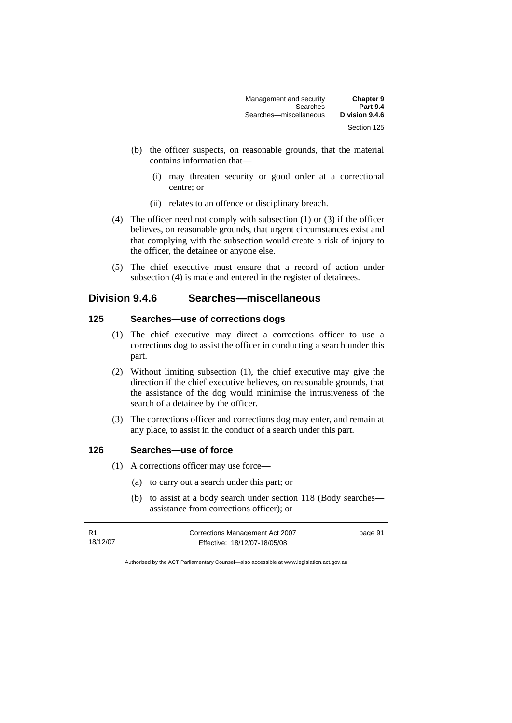| Management and security | <b>Chapter 9</b> |
|-------------------------|------------------|
| Searches                | <b>Part 9.4</b>  |
| Searches-miscellaneous  | Division 9.4.6   |
|                         | Section 125      |

- (b) the officer suspects, on reasonable grounds, that the material contains information that—
	- (i) may threaten security or good order at a correctional centre; or
	- (ii) relates to an offence or disciplinary breach.
- (4) The officer need not comply with subsection (1) or (3) if the officer believes, on reasonable grounds, that urgent circumstances exist and that complying with the subsection would create a risk of injury to the officer, the detainee or anyone else.
- (5) The chief executive must ensure that a record of action under subsection (4) is made and entered in the register of detainees.

# **Division 9.4.6 Searches—miscellaneous**

## **125 Searches—use of corrections dogs**

- (1) The chief executive may direct a corrections officer to use a corrections dog to assist the officer in conducting a search under this part.
- (2) Without limiting subsection (1), the chief executive may give the direction if the chief executive believes, on reasonable grounds, that the assistance of the dog would minimise the intrusiveness of the search of a detainee by the officer.
- (3) The corrections officer and corrections dog may enter, and remain at any place, to assist in the conduct of a search under this part.

## **126 Searches—use of force**

- (1) A corrections officer may use force—
	- (a) to carry out a search under this part; or
	- (b) to assist at a body search under section 118 (Body searches assistance from corrections officer); or

| R1       | Corrections Management Act 2007 | page 91 |
|----------|---------------------------------|---------|
| 18/12/07 | Effective: 18/12/07-18/05/08    |         |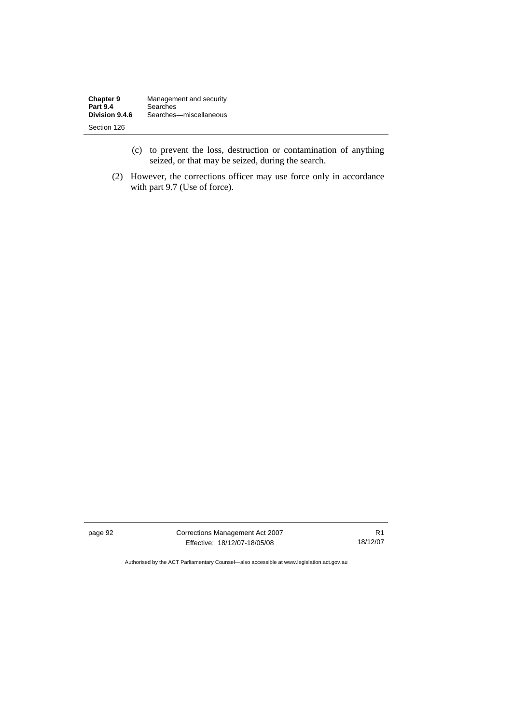| <b>Chapter 9</b> | Management and security |
|------------------|-------------------------|
| <b>Part 9.4</b>  | Searches                |
| Division 9.4.6   | Searches-miscellaneous  |
| Section 126      |                         |

- (c) to prevent the loss, destruction or contamination of anything seized, or that may be seized, during the search.
- (2) However, the corrections officer may use force only in accordance with part 9.7 (Use of force).

page 92 Corrections Management Act 2007 Effective: 18/12/07-18/05/08

R1 18/12/07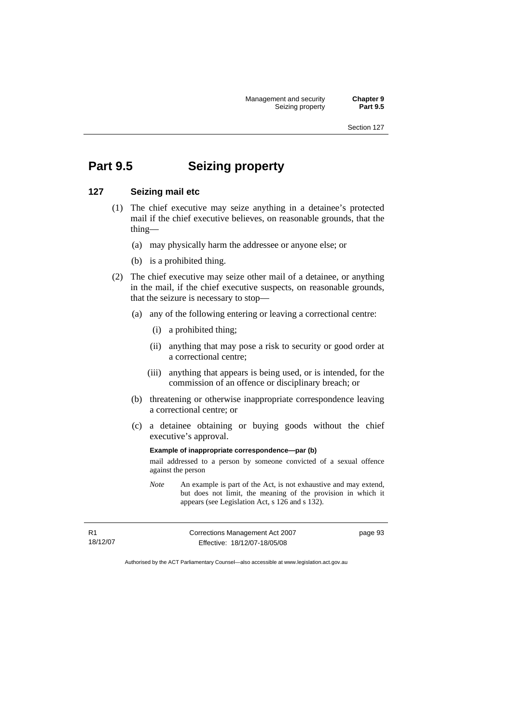Management and security **Chapter 9**<br>Seizing property **Part 9.5** Seizing property

Section 127

# **Part 9.5 Seizing property**

#### **127 Seizing mail etc**

- (1) The chief executive may seize anything in a detainee's protected mail if the chief executive believes, on reasonable grounds, that the thing—
	- (a) may physically harm the addressee or anyone else; or
	- (b) is a prohibited thing.
- (2) The chief executive may seize other mail of a detainee, or anything in the mail, if the chief executive suspects, on reasonable grounds, that the seizure is necessary to stop—
	- (a) any of the following entering or leaving a correctional centre:
		- (i) a prohibited thing;
		- (ii) anything that may pose a risk to security or good order at a correctional centre;
		- (iii) anything that appears is being used, or is intended, for the commission of an offence or disciplinary breach; or
	- (b) threatening or otherwise inappropriate correspondence leaving a correctional centre; or
	- (c) a detainee obtaining or buying goods without the chief executive's approval.

**Example of inappropriate correspondence—par (b)**  mail addressed to a person by someone convicted of a sexual offence against the person

*Note* An example is part of the Act, is not exhaustive and may extend, but does not limit, the meaning of the provision in which it appears (see Legislation Act, s 126 and s 132).

R1 18/12/07 Corrections Management Act 2007 Effective: 18/12/07-18/05/08

page 93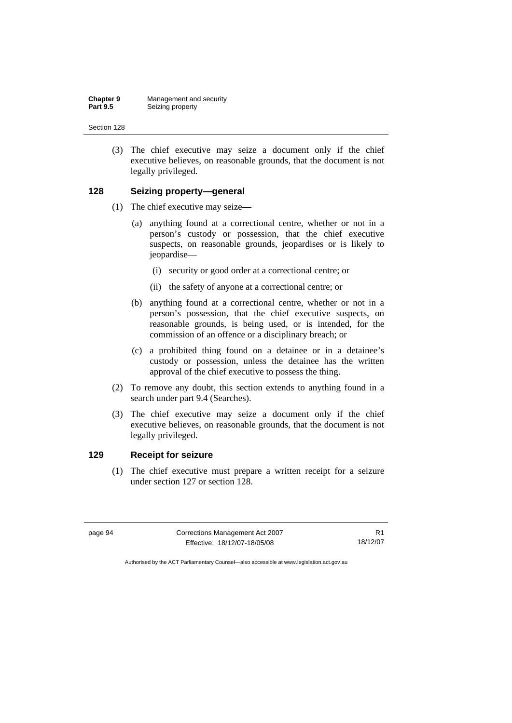(3) The chief executive may seize a document only if the chief executive believes, on reasonable grounds, that the document is not legally privileged.

#### **128 Seizing property—general**

- (1) The chief executive may seize—
	- (a) anything found at a correctional centre, whether or not in a person's custody or possession, that the chief executive suspects, on reasonable grounds, jeopardises or is likely to jeopardise—
		- (i) security or good order at a correctional centre; or
		- (ii) the safety of anyone at a correctional centre; or
	- (b) anything found at a correctional centre, whether or not in a person's possession, that the chief executive suspects, on reasonable grounds, is being used, or is intended, for the commission of an offence or a disciplinary breach; or
	- (c) a prohibited thing found on a detainee or in a detainee's custody or possession, unless the detainee has the written approval of the chief executive to possess the thing.
- (2) To remove any doubt, this section extends to anything found in a search under part 9.4 (Searches).
- (3) The chief executive may seize a document only if the chief executive believes, on reasonable grounds, that the document is not legally privileged.

#### **129 Receipt for seizure**

 (1) The chief executive must prepare a written receipt for a seizure under section 127 or section 128.

| page 94 | Corrections Management Act 2007 |          |
|---------|---------------------------------|----------|
|         | Effective: 18/12/07-18/05/08    | 18/12/07 |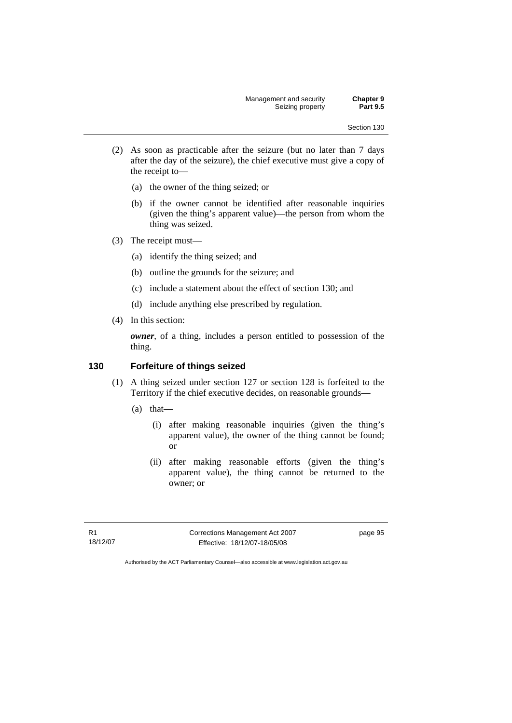- (2) As soon as practicable after the seizure (but no later than 7 days after the day of the seizure), the chief executive must give a copy of the receipt to—
	- (a) the owner of the thing seized; or
	- (b) if the owner cannot be identified after reasonable inquiries (given the thing's apparent value)—the person from whom the thing was seized.
- (3) The receipt must—
	- (a) identify the thing seized; and
	- (b) outline the grounds for the seizure; and
	- (c) include a statement about the effect of section 130; and
	- (d) include anything else prescribed by regulation.
- (4) In this section:

*owner*, of a thing, includes a person entitled to possession of the thing.

### **130 Forfeiture of things seized**

- (1) A thing seized under section 127 or section 128 is forfeited to the Territory if the chief executive decides, on reasonable grounds—
	- (a) that—
		- (i) after making reasonable inquiries (given the thing's apparent value), the owner of the thing cannot be found; or
		- (ii) after making reasonable efforts (given the thing's apparent value), the thing cannot be returned to the owner; or

R1 18/12/07 Corrections Management Act 2007 Effective: 18/12/07-18/05/08

page 95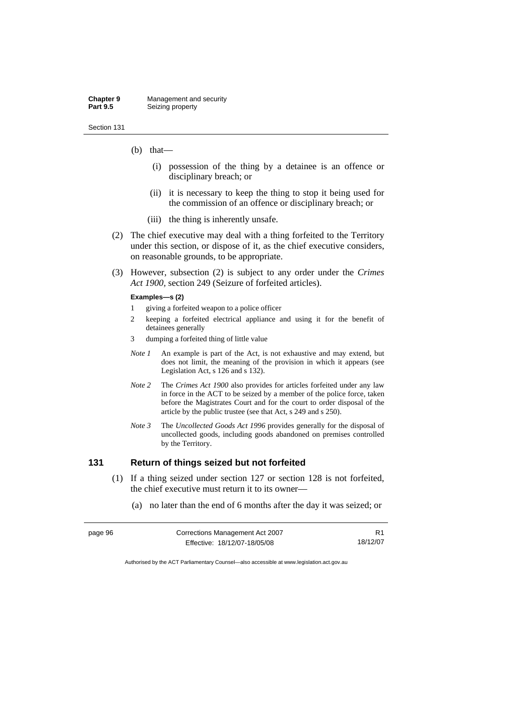- (b) that—
	- (i) possession of the thing by a detainee is an offence or disciplinary breach; or
	- (ii) it is necessary to keep the thing to stop it being used for the commission of an offence or disciplinary breach; or
	- (iii) the thing is inherently unsafe.
- (2) The chief executive may deal with a thing forfeited to the Territory under this section, or dispose of it, as the chief executive considers, on reasonable grounds, to be appropriate.
- (3) However, subsection (2) is subject to any order under the *Crimes Act 1900,* section 249 (Seizure of forfeited articles).

#### **Examples—s (2)**

- 1 giving a forfeited weapon to a police officer
- 2 keeping a forfeited electrical appliance and using it for the benefit of detainees generally
- 3 dumping a forfeited thing of little value
- *Note 1* An example is part of the Act, is not exhaustive and may extend, but does not limit, the meaning of the provision in which it appears (see Legislation Act, s 126 and s 132).
- *Note 2* The *Crimes Act 1900* also provides for articles forfeited under any law in force in the ACT to be seized by a member of the police force, taken before the Magistrates Court and for the court to order disposal of the article by the public trustee (see that Act, s 249 and s 250).
- *Note 3* The *Uncollected Goods Act 1996* provides generally for the disposal of uncollected goods, including goods abandoned on premises controlled by the Territory.

### **131 Return of things seized but not forfeited**

- (1) If a thing seized under section 127 or section 128 is not forfeited, the chief executive must return it to its owner—
	- (a) no later than the end of 6 months after the day it was seized; or

| page 96 | Corrections Management Act 2007 |          |
|---------|---------------------------------|----------|
|         | Effective: 18/12/07-18/05/08    | 18/12/07 |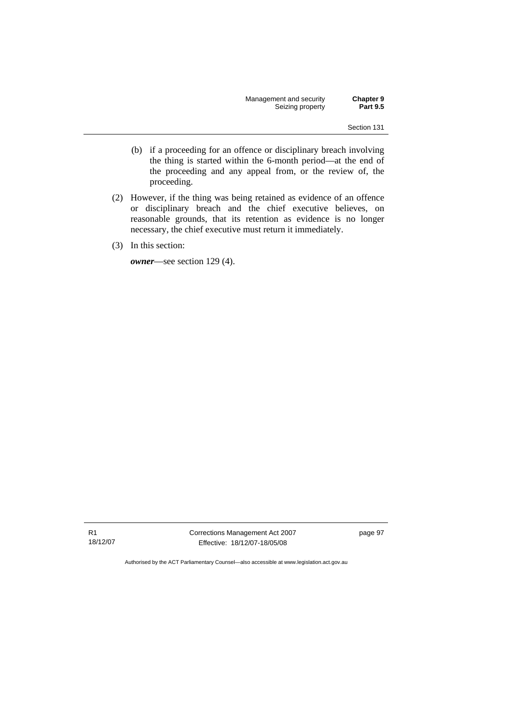Management and security **Chapter 9**<br>Seizing property **Part 9.5** Seizing property

Section 131

- (b) if a proceeding for an offence or disciplinary breach involving the thing is started within the 6-month period—at the end of the proceeding and any appeal from, or the review of, the proceeding.
- (2) However, if the thing was being retained as evidence of an offence or disciplinary breach and the chief executive believes, on reasonable grounds, that its retention as evidence is no longer necessary, the chief executive must return it immediately.
- (3) In this section:

*owner*—see section 129 (4).

R1 18/12/07 Corrections Management Act 2007 Effective: 18/12/07-18/05/08

page 97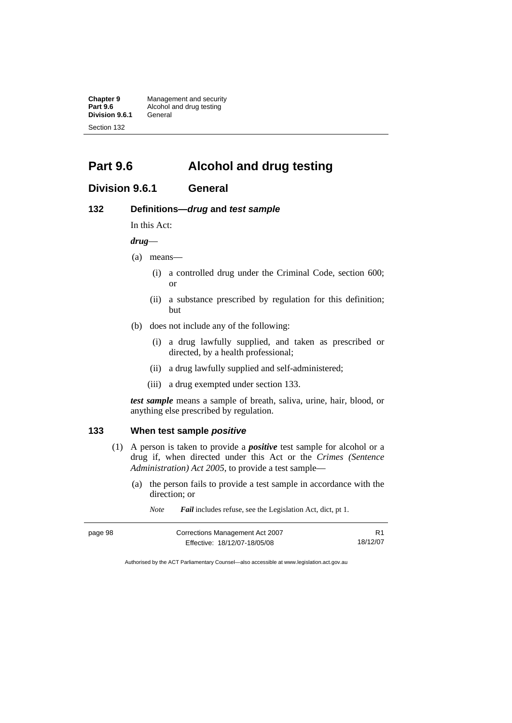**Chapter 9 Management and security**<br>**Part 9.6 Alcohol and drug testing** Alcohol and drug testing **Division 9.6.1** General Section 132

**Part 9.6 Alcohol and drug testing** 

## **Division 9.6.1 General**

### **132 Definitions—***drug* **and** *test sample*

In this Act:

*drug*—

- (a) means—
	- (i) a controlled drug under the Criminal Code, section 600; or
	- (ii) a substance prescribed by regulation for this definition; but
- (b) does not include any of the following:
	- (i) a drug lawfully supplied, and taken as prescribed or directed, by a health professional;
	- (ii) a drug lawfully supplied and self-administered;
	- (iii) a drug exempted under section 133.

*test sample* means a sample of breath, saliva, urine, hair, blood, or anything else prescribed by regulation.

### **133 When test sample** *positive*

- (1) A person is taken to provide a *positive* test sample for alcohol or a drug if, when directed under this Act or the *Crimes (Sentence Administration) Act 2005*, to provide a test sample—
	- (a) the person fails to provide a test sample in accordance with the direction; or

*Note Fail* includes refuse, see the Legislation Act, dict, pt 1.

| page 98 | Corrections Management Act 2007 |          |
|---------|---------------------------------|----------|
|         | Effective: 18/12/07-18/05/08    | 18/12/07 |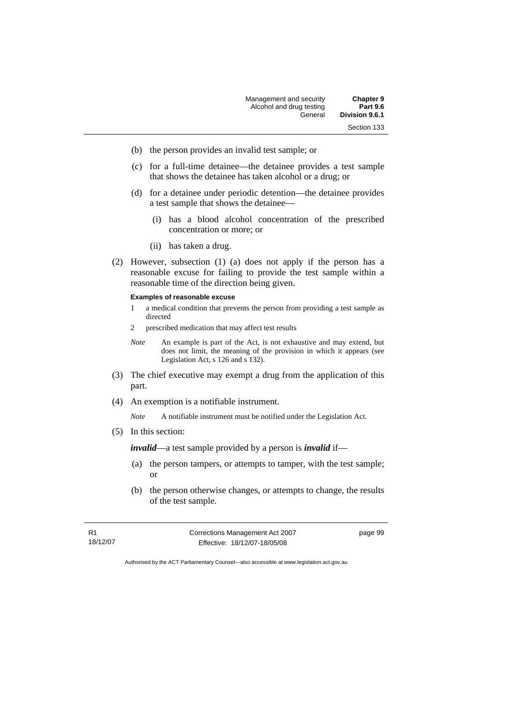- (b) the person provides an invalid test sample; or
- (c) for a full-time detainee—the detainee provides a test sample that shows the detainee has taken alcohol or a drug; or
- (d) for a detainee under periodic detention—the detainee provides a test sample that shows the detainee—
	- (i) has a blood alcohol concentration of the prescribed concentration or more; or
	- (ii) has taken a drug.
- (2) However, subsection (1) (a) does not apply if the person has a reasonable excuse for failing to provide the test sample within a reasonable time of the direction being given.

#### **Examples of reasonable excuse**

- 1 a medical condition that prevents the person from providing a test sample as directed
- 2 prescribed medication that may affect test results
- *Note* An example is part of the Act, is not exhaustive and may extend, but does not limit, the meaning of the provision in which it appears (see Legislation Act, s 126 and s 132).
- (3) The chief executive may exempt a drug from the application of this part.
- (4) An exemption is a notifiable instrument.

*Note* A notifiable instrument must be notified under the Legislation Act.

(5) In this section:

*invalid*—a test sample provided by a person is *invalid* if—

- (a) the person tampers, or attempts to tamper, with the test sample; or
- (b) the person otherwise changes, or attempts to change, the results of the test sample.

R1 18/12/07 Corrections Management Act 2007 Effective: 18/12/07-18/05/08

page 99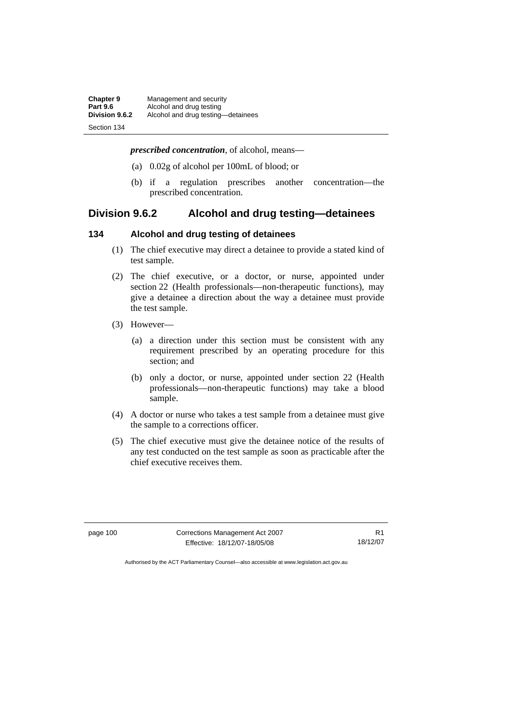| Chapter 9       | Management and security            |
|-----------------|------------------------------------|
| <b>Part 9.6</b> | Alcohol and drug testing           |
| Division 9.6.2  | Alcohol and drug testing-detainees |
| Section 134     |                                    |

*prescribed concentration*, of alcohol, means—

- (a) 0.02g of alcohol per 100mL of blood; or
- (b) if a regulation prescribes another concentration—the prescribed concentration.

# **Division 9.6.2 Alcohol and drug testing—detainees**

#### **134 Alcohol and drug testing of detainees**

- (1) The chief executive may direct a detainee to provide a stated kind of test sample.
- (2) The chief executive, or a doctor, or nurse, appointed under section 22 (Health professionals—non-therapeutic functions), may give a detainee a direction about the way a detainee must provide the test sample.
- (3) However—
	- (a) a direction under this section must be consistent with any requirement prescribed by an operating procedure for this section; and
	- (b) only a doctor, or nurse, appointed under section 22 (Health professionals—non-therapeutic functions) may take a blood sample.
- (4) A doctor or nurse who takes a test sample from a detainee must give the sample to a corrections officer.
- (5) The chief executive must give the detainee notice of the results of any test conducted on the test sample as soon as practicable after the chief executive receives them.

page 100 Corrections Management Act 2007 Effective: 18/12/07-18/05/08

R1 18/12/07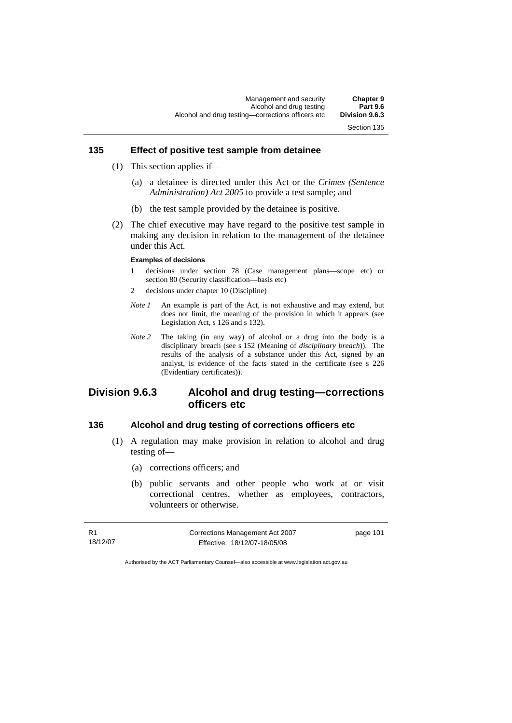### **135 Effect of positive test sample from detainee**

- (1) This section applies if—
	- (a) a detainee is directed under this Act or the *Crimes (Sentence Administration) Act 2005* to provide a test sample; and
	- (b) the test sample provided by the detainee is positive.
- (2) The chief executive may have regard to the positive test sample in making any decision in relation to the management of the detainee under this Act.

#### **Examples of decisions**

- 1 decisions under section 78 (Case management plans—scope etc) or section 80 (Security classification—basis etc)
- 2 decisions under chapter 10 (Discipline)
- *Note 1* An example is part of the Act, is not exhaustive and may extend, but does not limit, the meaning of the provision in which it appears (see Legislation Act, s 126 and s 132).
- *Note 2* The taking (in any way) of alcohol or a drug into the body is a disciplinary breach (see s 152 (Meaning of *disciplinary breach*)). The results of the analysis of a substance under this Act, signed by an analyst, is evidence of the facts stated in the certificate (see s 226 (Evidentiary certificates)).

# **Division 9.6.3 Alcohol and drug testing—corrections officers etc**

### **136 Alcohol and drug testing of corrections officers etc**

- (1) A regulation may make provision in relation to alcohol and drug testing of—
	- (a) corrections officers; and
	- (b) public servants and other people who work at or visit correctional centres, whether as employees, contractors, volunteers or otherwise.

| - R1     | Corrections Management Act 2007 | page 101 |
|----------|---------------------------------|----------|
| 18/12/07 | Effective: 18/12/07-18/05/08    |          |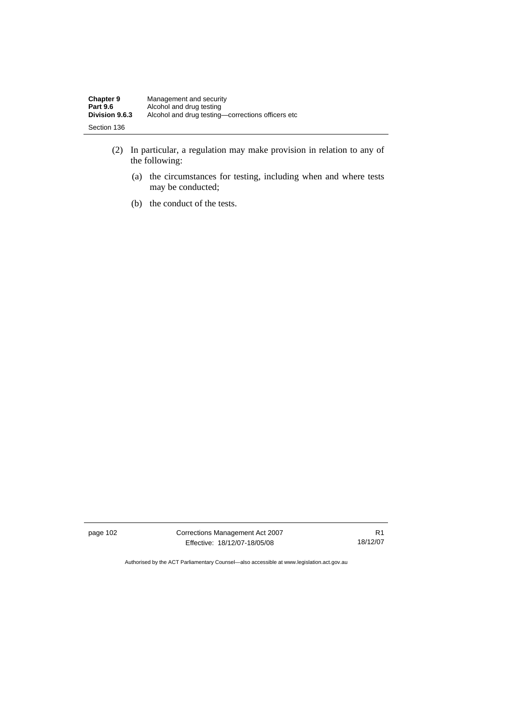| <b>Chapter 9</b>      | Management and security                           |
|-----------------------|---------------------------------------------------|
| <b>Part 9.6</b>       | Alcohol and drug testing                          |
| <b>Division 9.6.3</b> | Alcohol and drug testing-corrections officers etc |
| Section 136           |                                                   |

- (2) In particular, a regulation may make provision in relation to any of the following:
	- (a) the circumstances for testing, including when and where tests may be conducted;
	- (b) the conduct of the tests.

page 102 Corrections Management Act 2007 Effective: 18/12/07-18/05/08

R1 18/12/07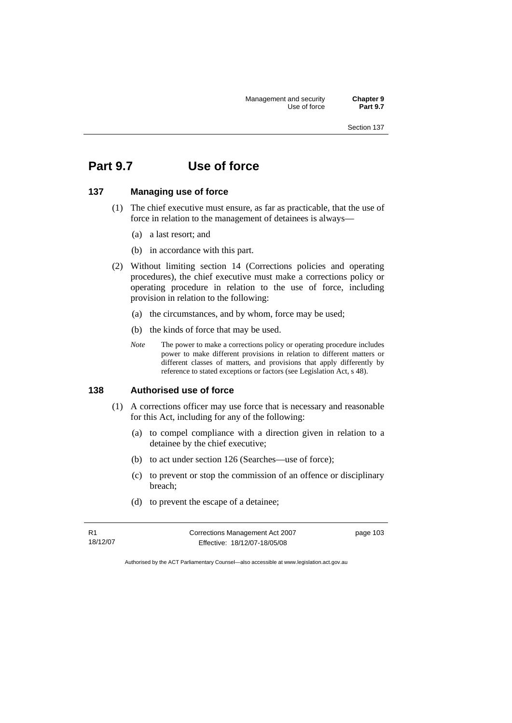Management and security **Chapter 9**  Use of force

Section 137

# **Part 9.7 Use of force**

### **137 Managing use of force**

- (1) The chief executive must ensure, as far as practicable, that the use of force in relation to the management of detainees is always—
	- (a) a last resort; and
	- (b) in accordance with this part.
- (2) Without limiting section 14 (Corrections policies and operating procedures), the chief executive must make a corrections policy or operating procedure in relation to the use of force, including provision in relation to the following:
	- (a) the circumstances, and by whom, force may be used;
	- (b) the kinds of force that may be used.
	- *Note* The power to make a corrections policy or operating procedure includes power to make different provisions in relation to different matters or different classes of matters, and provisions that apply differently by reference to stated exceptions or factors (see Legislation Act, s 48).

### **138 Authorised use of force**

- (1) A corrections officer may use force that is necessary and reasonable for this Act, including for any of the following:
	- (a) to compel compliance with a direction given in relation to a detainee by the chief executive;
	- (b) to act under section 126 (Searches—use of force);
	- (c) to prevent or stop the commission of an offence or disciplinary breach;
	- (d) to prevent the escape of a detainee;

R1 18/12/07 Corrections Management Act 2007 Effective: 18/12/07-18/05/08

page 103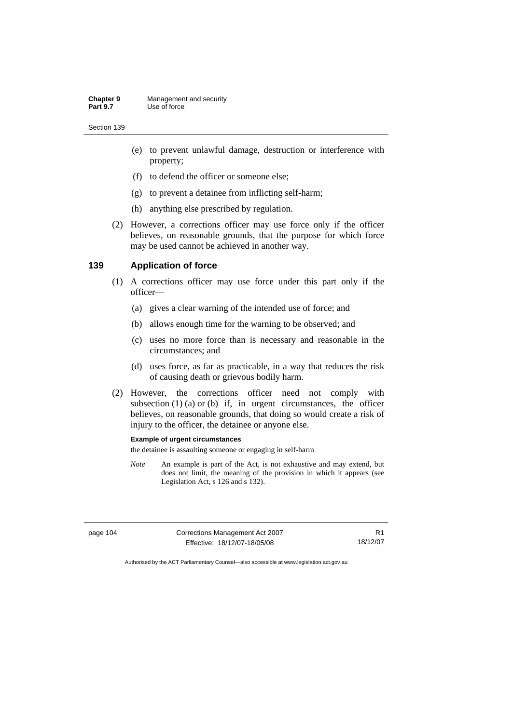- (e) to prevent unlawful damage, destruction or interference with property;
- (f) to defend the officer or someone else;
- (g) to prevent a detainee from inflicting self-harm;
- (h) anything else prescribed by regulation.
- (2) However, a corrections officer may use force only if the officer believes, on reasonable grounds, that the purpose for which force may be used cannot be achieved in another way.

#### **139 Application of force**

- (1) A corrections officer may use force under this part only if the officer—
	- (a) gives a clear warning of the intended use of force; and
	- (b) allows enough time for the warning to be observed; and
	- (c) uses no more force than is necessary and reasonable in the circumstances; and
	- (d) uses force, as far as practicable, in a way that reduces the risk of causing death or grievous bodily harm.
- (2) However, the corrections officer need not comply with subsection  $(1)$   $(a)$  or  $(b)$  if, in urgent circumstances, the officer believes, on reasonable grounds, that doing so would create a risk of injury to the officer, the detainee or anyone else.

#### **Example of urgent circumstances**

the detainee is assaulting someone or engaging in self-harm

*Note* An example is part of the Act, is not exhaustive and may extend, but does not limit, the meaning of the provision in which it appears (see Legislation Act, s 126 and s 132).

R1

page 104 Corrections Management Act 2007 Effective: 18/12/07-18/05/08 18/12/07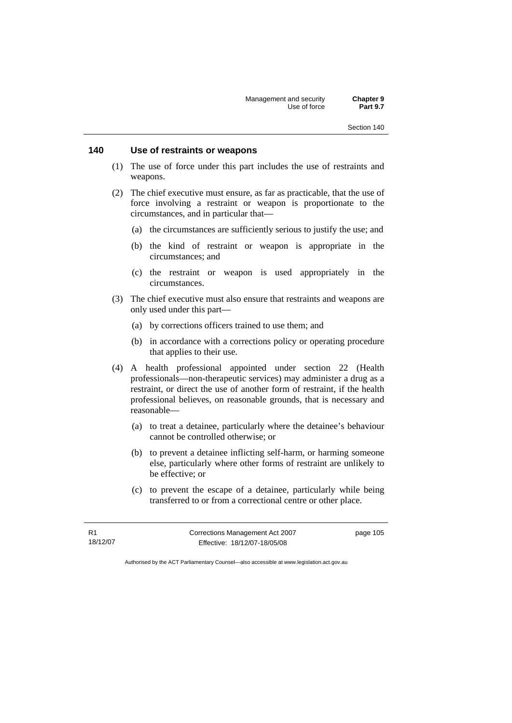### **140 Use of restraints or weapons**

- (1) The use of force under this part includes the use of restraints and weapons.
- (2) The chief executive must ensure, as far as practicable, that the use of force involving a restraint or weapon is proportionate to the circumstances, and in particular that—
	- (a) the circumstances are sufficiently serious to justify the use; and
	- (b) the kind of restraint or weapon is appropriate in the circumstances; and
	- (c) the restraint or weapon is used appropriately in the circumstances.
- (3) The chief executive must also ensure that restraints and weapons are only used under this part—
	- (a) by corrections officers trained to use them; and
	- (b) in accordance with a corrections policy or operating procedure that applies to their use.
- (4) A health professional appointed under section 22 (Health professionals—non-therapeutic services) may administer a drug as a restraint, or direct the use of another form of restraint, if the health professional believes, on reasonable grounds, that is necessary and reasonable—
	- (a) to treat a detainee, particularly where the detainee's behaviour cannot be controlled otherwise; or
	- (b) to prevent a detainee inflicting self-harm, or harming someone else, particularly where other forms of restraint are unlikely to be effective; or
	- (c) to prevent the escape of a detainee, particularly while being transferred to or from a correctional centre or other place.

R1 18/12/07 Corrections Management Act 2007 Effective: 18/12/07-18/05/08

page 105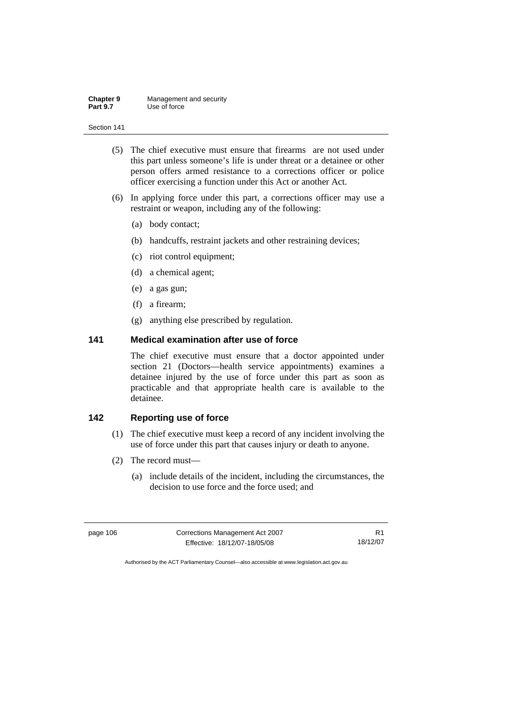- (5) The chief executive must ensure that firearms are not used under this part unless someone's life is under threat or a detainee or other person offers armed resistance to a corrections officer or police officer exercising a function under this Act or another Act.
- (6) In applying force under this part, a corrections officer may use a restraint or weapon, including any of the following:
	- (a) body contact;
	- (b) handcuffs, restraint jackets and other restraining devices;
	- (c) riot control equipment;
	- (d) a chemical agent;
	- (e) a gas gun;
	- (f) a firearm;
	- (g) anything else prescribed by regulation.

### **141 Medical examination after use of force**

The chief executive must ensure that a doctor appointed under section 21 (Doctors—health service appointments) examines a detainee injured by the use of force under this part as soon as practicable and that appropriate health care is available to the detainee.

## **142 Reporting use of force**

- (1) The chief executive must keep a record of any incident involving the use of force under this part that causes injury or death to anyone.
- (2) The record must—
	- (a) include details of the incident, including the circumstances, the decision to use force and the force used; and

| page 106 | Corrections Management Act 2007 |          |
|----------|---------------------------------|----------|
|          | Effective: 18/12/07-18/05/08    | 18/12/07 |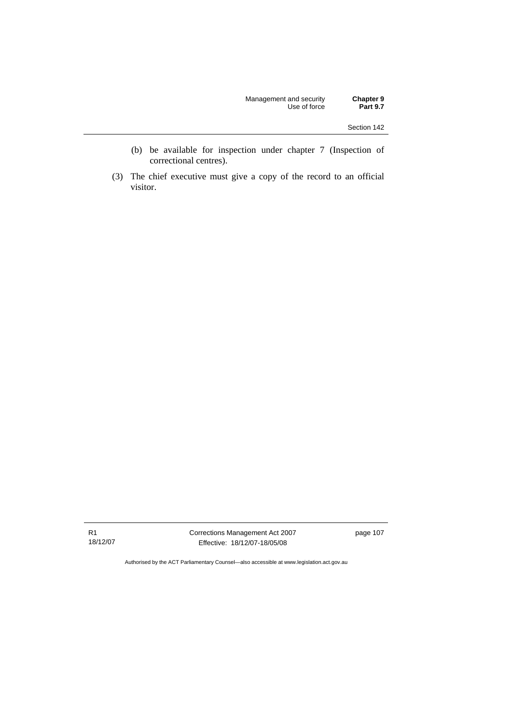| Management and security | <b>Chapter 9</b> |
|-------------------------|------------------|
| Use of force            | <b>Part 9.7</b>  |

- (b) be available for inspection under chapter 7 (Inspection of correctional centres).
- (3) The chief executive must give a copy of the record to an official visitor.

R1 18/12/07 Corrections Management Act 2007 Effective: 18/12/07-18/05/08

page 107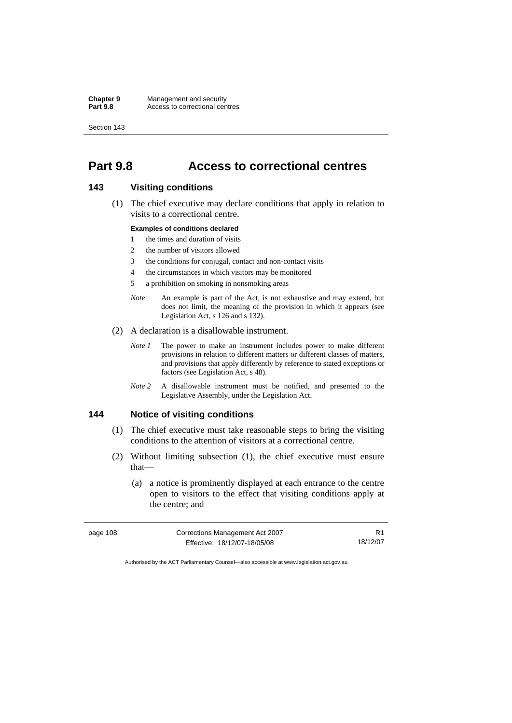# **Part 9.8 Access to correctional centres**

## **143 Visiting conditions**

 (1) The chief executive may declare conditions that apply in relation to visits to a correctional centre.

#### **Examples of conditions declared**

- 1 the times and duration of visits
- 2 the number of visitors allowed
- 3 the conditions for conjugal, contact and non-contact visits
- 4 the circumstances in which visitors may be monitored
- 5 a prohibition on smoking in nonsmoking areas
- *Note* An example is part of the Act, is not exhaustive and may extend, but does not limit, the meaning of the provision in which it appears (see Legislation Act, s 126 and s 132).
- (2) A declaration is a disallowable instrument.
	- *Note 1* The power to make an instrument includes power to make different provisions in relation to different matters or different classes of matters, and provisions that apply differently by reference to stated exceptions or factors (see Legislation Act, s 48).
	- *Note 2* A disallowable instrument must be notified, and presented to the Legislative Assembly, under the Legislation Act.

### **144 Notice of visiting conditions**

- (1) The chief executive must take reasonable steps to bring the visiting conditions to the attention of visitors at a correctional centre.
- (2) Without limiting subsection (1), the chief executive must ensure that—
	- (a) a notice is prominently displayed at each entrance to the centre open to visitors to the effect that visiting conditions apply at the centre; and

| page 108 | Corrections Management Act 2007 |          |
|----------|---------------------------------|----------|
|          | Effective: 18/12/07-18/05/08    | 18/12/07 |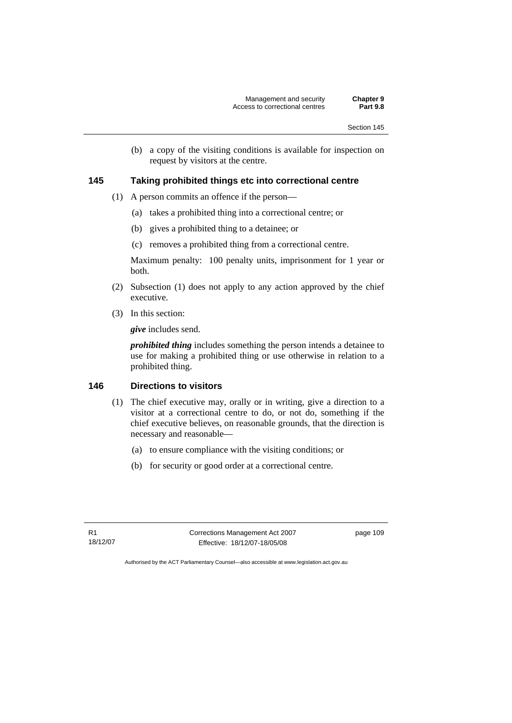(b) a copy of the visiting conditions is available for inspection on request by visitors at the centre.

### **145 Taking prohibited things etc into correctional centre**

- (1) A person commits an offence if the person—
	- (a) takes a prohibited thing into a correctional centre; or
	- (b) gives a prohibited thing to a detainee; or
	- (c) removes a prohibited thing from a correctional centre.

Maximum penalty: 100 penalty units, imprisonment for 1 year or both.

- (2) Subsection (1) does not apply to any action approved by the chief executive.
- (3) In this section:

*give* includes send.

*prohibited thing* includes something the person intends a detainee to use for making a prohibited thing or use otherwise in relation to a prohibited thing.

### **146 Directions to visitors**

- (1) The chief executive may, orally or in writing, give a direction to a visitor at a correctional centre to do, or not do, something if the chief executive believes, on reasonable grounds, that the direction is necessary and reasonable—
	- (a) to ensure compliance with the visiting conditions; or
	- (b) for security or good order at a correctional centre.

R1 18/12/07 Corrections Management Act 2007 Effective: 18/12/07-18/05/08

page 109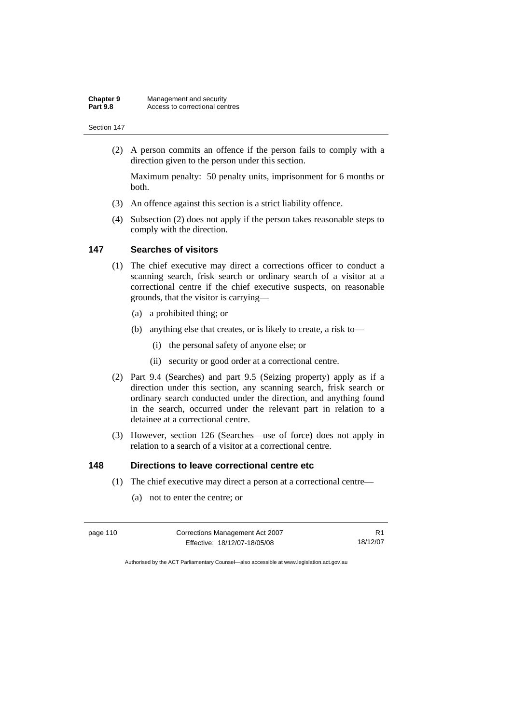(2) A person commits an offence if the person fails to comply with a direction given to the person under this section.

Maximum penalty: 50 penalty units, imprisonment for 6 months or both.

- (3) An offence against this section is a strict liability offence.
- (4) Subsection (2) does not apply if the person takes reasonable steps to comply with the direction.

### **147 Searches of visitors**

- (1) The chief executive may direct a corrections officer to conduct a scanning search, frisk search or ordinary search of a visitor at a correctional centre if the chief executive suspects, on reasonable grounds, that the visitor is carrying—
	- (a) a prohibited thing; or
	- (b) anything else that creates, or is likely to create, a risk to—
		- (i) the personal safety of anyone else; or
		- (ii) security or good order at a correctional centre.
- (2) Part 9.4 (Searches) and part 9.5 (Seizing property) apply as if a direction under this section, any scanning search, frisk search or ordinary search conducted under the direction, and anything found in the search, occurred under the relevant part in relation to a detainee at a correctional centre.
- (3) However, section 126 (Searches—use of force) does not apply in relation to a search of a visitor at a correctional centre.

### **148 Directions to leave correctional centre etc**

- (1) The chief executive may direct a person at a correctional centre—
	- (a) not to enter the centre; or

| page 110 | Corrections Management Act 2007 |          |
|----------|---------------------------------|----------|
|          | Effective: 18/12/07-18/05/08    | 18/12/07 |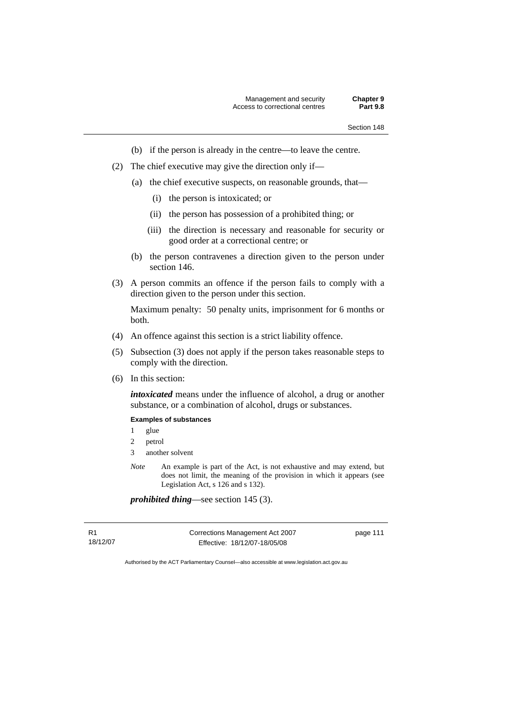- (b) if the person is already in the centre—to leave the centre.
- (2) The chief executive may give the direction only if—
	- (a) the chief executive suspects, on reasonable grounds, that—
		- (i) the person is intoxicated; or
		- (ii) the person has possession of a prohibited thing; or
		- (iii) the direction is necessary and reasonable for security or good order at a correctional centre; or
	- (b) the person contravenes a direction given to the person under section 146.
- (3) A person commits an offence if the person fails to comply with a direction given to the person under this section.

Maximum penalty: 50 penalty units, imprisonment for 6 months or both.

- (4) An offence against this section is a strict liability offence.
- (5) Subsection (3) does not apply if the person takes reasonable steps to comply with the direction.
- (6) In this section:

*intoxicated* means under the influence of alcohol, a drug or another substance, or a combination of alcohol, drugs or substances.

### **Examples of substances**

- 1 glue
- 2 petrol
- 3 another solvent
- *Note* An example is part of the Act, is not exhaustive and may extend, but does not limit, the meaning of the provision in which it appears (see Legislation Act, s 126 and s 132).

*prohibited thing*—see section 145 (3).

R1 18/12/07 Corrections Management Act 2007 Effective: 18/12/07-18/05/08

page 111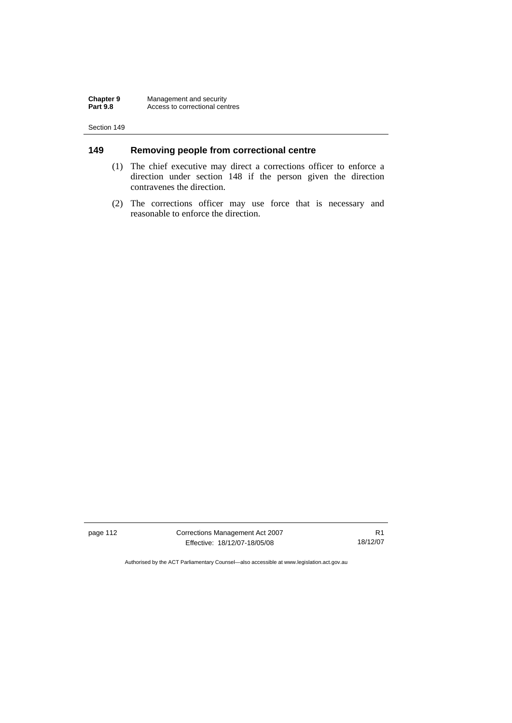## **149 Removing people from correctional centre**

- (1) The chief executive may direct a corrections officer to enforce a direction under section 148 if the person given the direction contravenes the direction.
- (2) The corrections officer may use force that is necessary and reasonable to enforce the direction.

page 112 Corrections Management Act 2007 Effective: 18/12/07-18/05/08

R1 18/12/07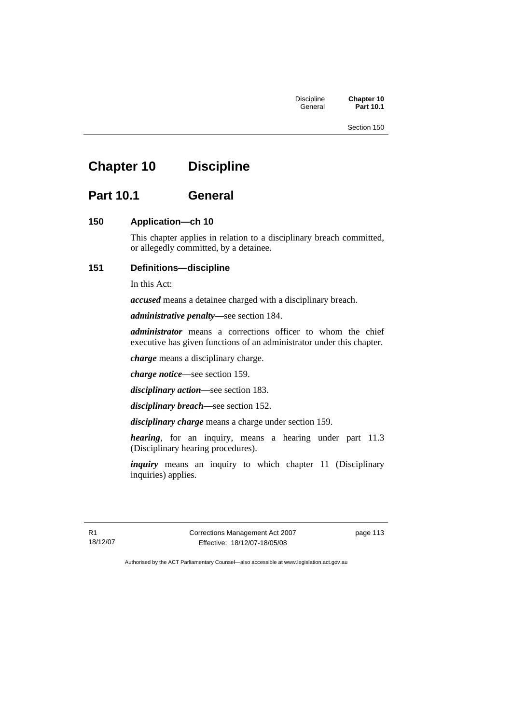**Part 10.1** 

# **Chapter 10 Discipline**

# **Part 10.1 General**

### **150 Application—ch 10**

This chapter applies in relation to a disciplinary breach committed, or allegedly committed, by a detainee.

### **151 Definitions—discipline**

In this Act:

*accused* means a detainee charged with a disciplinary breach.

*administrative penalty*—see section 184.

*administrator* means a corrections officer to whom the chief executive has given functions of an administrator under this chapter.

*charge* means a disciplinary charge.

*charge notice*—see section 159.

*disciplinary action*—see section 183.

*disciplinary breach*—see section 152.

*disciplinary charge* means a charge under section 159.

*hearing*, for an inquiry, means a hearing under part 11.3 (Disciplinary hearing procedures).

*inquiry* means an inquiry to which chapter 11 (Disciplinary inquiries) applies.

R1 18/12/07 Corrections Management Act 2007 Effective: 18/12/07-18/05/08

page 113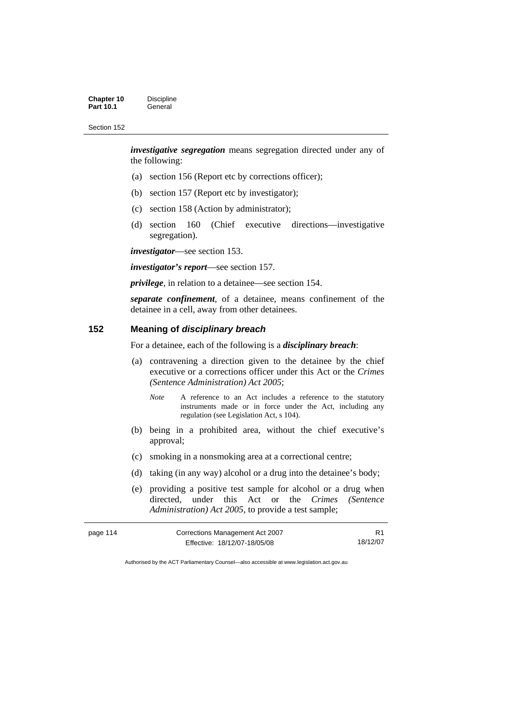*investigative segregation* means segregation directed under any of the following:

- (a) section 156 (Report etc by corrections officer);
- (b) section 157 (Report etc by investigator);
- (c) section 158 (Action by administrator);
- (d) section 160 (Chief executive directions—investigative segregation).

*investigator*—see section 153.

*investigator's report*—see section 157.

*privilege*, in relation to a detainee—see section 154.

*separate confinement*, of a detainee, means confinement of the detainee in a cell, away from other detainees.

### **152 Meaning of** *disciplinary breach*

For a detainee, each of the following is a *disciplinary breach*:

- (a) contravening a direction given to the detainee by the chief executive or a corrections officer under this Act or the *Crimes (Sentence Administration) Act 2005*;
	- *Note* A reference to an Act includes a reference to the statutory instruments made or in force under the Act, including any regulation (see Legislation Act, s 104).
- (b) being in a prohibited area, without the chief executive's approval;
- (c) smoking in a nonsmoking area at a correctional centre;
- (d) taking (in any way) alcohol or a drug into the detainee's body;
- (e) providing a positive test sample for alcohol or a drug when directed, under this Act or the *Crimes (Sentence Administration) Act 2005*, to provide a test sample;

| page 114 | Corrections Management Act 2007 | R <sub>1</sub> |
|----------|---------------------------------|----------------|
|          | Effective: 18/12/07-18/05/08    | 18/12/07       |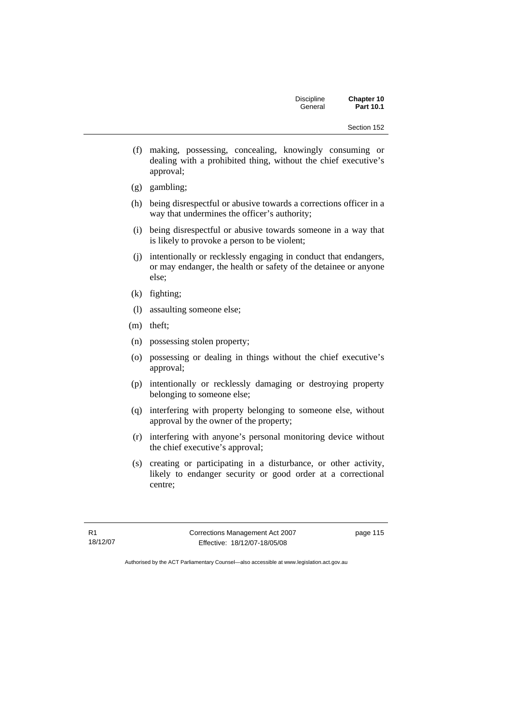- (f) making, possessing, concealing, knowingly consuming or dealing with a prohibited thing, without the chief executive's approval;
- (g) gambling;
- (h) being disrespectful or abusive towards a corrections officer in a way that undermines the officer's authority;
- (i) being disrespectful or abusive towards someone in a way that is likely to provoke a person to be violent;
- (j) intentionally or recklessly engaging in conduct that endangers, or may endanger, the health or safety of the detainee or anyone else;
- (k) fighting;
- (l) assaulting someone else;
- (m) theft;
- (n) possessing stolen property;
- (o) possessing or dealing in things without the chief executive's approval;
- (p) intentionally or recklessly damaging or destroying property belonging to someone else;
- (q) interfering with property belonging to someone else, without approval by the owner of the property;
- (r) interfering with anyone's personal monitoring device without the chief executive's approval;
- (s) creating or participating in a disturbance, or other activity, likely to endanger security or good order at a correctional centre;

R1 18/12/07 Corrections Management Act 2007 Effective: 18/12/07-18/05/08

page 115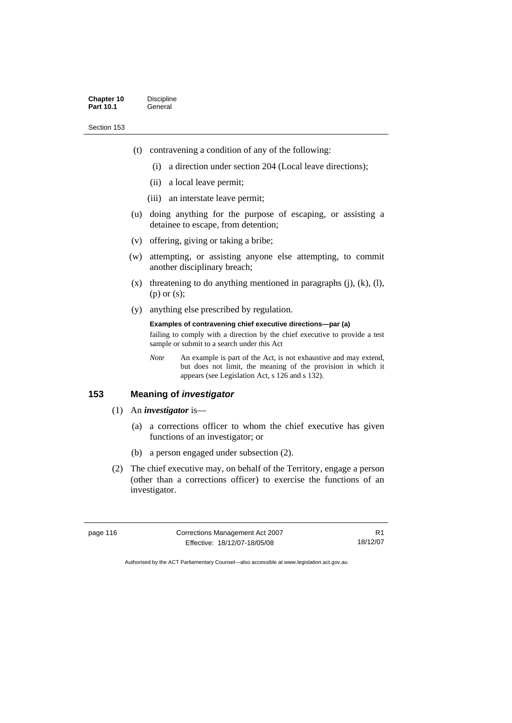- (t) contravening a condition of any of the following:
	- (i) a direction under section 204 (Local leave directions);
	- (ii) a local leave permit;
	- (iii) an interstate leave permit;
- (u) doing anything for the purpose of escaping, or assisting a detainee to escape, from detention;
- (v) offering, giving or taking a bribe;
- (w) attempting, or assisting anyone else attempting, to commit another disciplinary breach;
- $(x)$  threatening to do anything mentioned in paragraphs  $(i)$ ,  $(k)$ ,  $(l)$ , (p) or (s);
- (y) anything else prescribed by regulation.

#### **Examples of contravening chief executive directions—par (a)**

failing to comply with a direction by the chief executive to provide a test sample or submit to a search under this Act

*Note* An example is part of the Act, is not exhaustive and may extend, but does not limit, the meaning of the provision in which it appears (see Legislation Act, s 126 and s 132).

### **153 Meaning of** *investigator*

### (1) An *investigator* is—

- (a) a corrections officer to whom the chief executive has given functions of an investigator; or
- (b) a person engaged under subsection (2).
- (2) The chief executive may, on behalf of the Territory, engage a person (other than a corrections officer) to exercise the functions of an investigator.

| page 116 | Corrections Management Act 2007 |          |
|----------|---------------------------------|----------|
|          | Effective: 18/12/07-18/05/08    | 18/12/07 |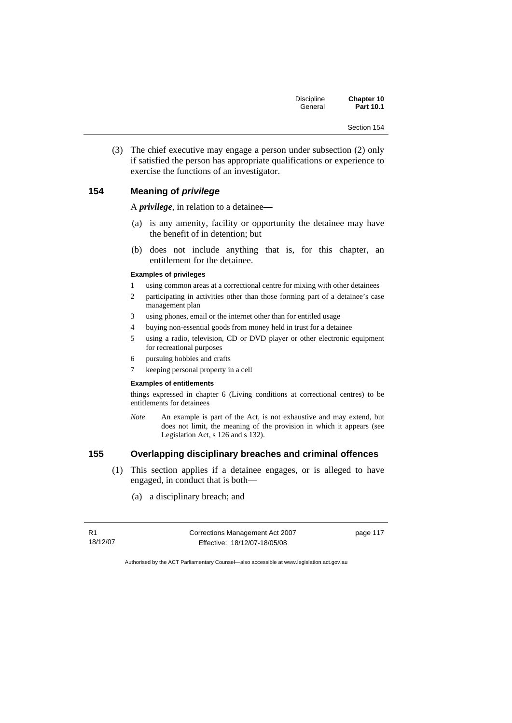(3) The chief executive may engage a person under subsection (2) only if satisfied the person has appropriate qualifications or experience to exercise the functions of an investigator.

### **154 Meaning of** *privilege*

A *privilege*, in relation to a detainee*—*

- (a) is any amenity, facility or opportunity the detainee may have the benefit of in detention; but
- (b) does not include anything that is, for this chapter, an entitlement for the detainee.

#### **Examples of privileges**

- 1 using common areas at a correctional centre for mixing with other detainees
- 2 participating in activities other than those forming part of a detainee's case management plan
- 3 using phones, email or the internet other than for entitled usage
- 4 buying non-essential goods from money held in trust for a detainee
- 5 using a radio, television, CD or DVD player or other electronic equipment for recreational purposes
- 6 pursuing hobbies and crafts
- 7 keeping personal property in a cell

#### **Examples of entitlements**

things expressed in chapter 6 (Living conditions at correctional centres) to be entitlements for detainees

*Note* An example is part of the Act, is not exhaustive and may extend, but does not limit, the meaning of the provision in which it appears (see Legislation Act, s 126 and s 132).

### **155 Overlapping disciplinary breaches and criminal offences**

- (1) This section applies if a detainee engages, or is alleged to have engaged, in conduct that is both—
	- (a) a disciplinary breach; and

R1 18/12/07 Corrections Management Act 2007 Effective: 18/12/07-18/05/08

page 117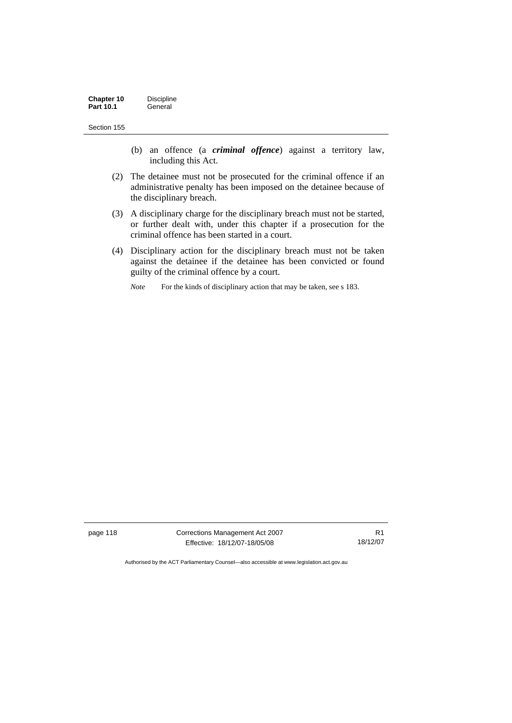- (b) an offence (a *criminal offence*) against a territory law, including this Act.
- (2) The detainee must not be prosecuted for the criminal offence if an administrative penalty has been imposed on the detainee because of the disciplinary breach.
- (3) A disciplinary charge for the disciplinary breach must not be started, or further dealt with, under this chapter if a prosecution for the criminal offence has been started in a court.
- (4) Disciplinary action for the disciplinary breach must not be taken against the detainee if the detainee has been convicted or found guilty of the criminal offence by a court.
	- *Note* For the kinds of disciplinary action that may be taken, see s 183.

page 118 Corrections Management Act 2007 Effective: 18/12/07-18/05/08

R1 18/12/07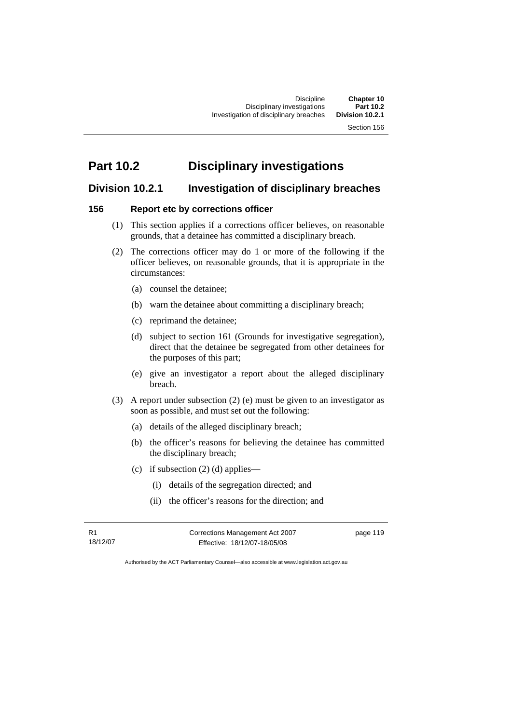# **Part 10.2 Disciplinary investigations**

# **Division 10.2.1 Investigation of disciplinary breaches**

### **156 Report etc by corrections officer**

- (1) This section applies if a corrections officer believes, on reasonable grounds, that a detainee has committed a disciplinary breach.
- (2) The corrections officer may do 1 or more of the following if the officer believes, on reasonable grounds, that it is appropriate in the circumstances:
	- (a) counsel the detainee;
	- (b) warn the detainee about committing a disciplinary breach;
	- (c) reprimand the detainee;
	- (d) subject to section 161 (Grounds for investigative segregation), direct that the detainee be segregated from other detainees for the purposes of this part;
	- (e) give an investigator a report about the alleged disciplinary breach.
- (3) A report under subsection (2) (e) must be given to an investigator as soon as possible, and must set out the following:
	- (a) details of the alleged disciplinary breach;
	- (b) the officer's reasons for believing the detainee has committed the disciplinary breach;
	- (c) if subsection  $(2)$  (d) applies—
		- (i) details of the segregation directed; and
		- (ii) the officer's reasons for the direction; and

R1 18/12/07 Corrections Management Act 2007 Effective: 18/12/07-18/05/08

page 119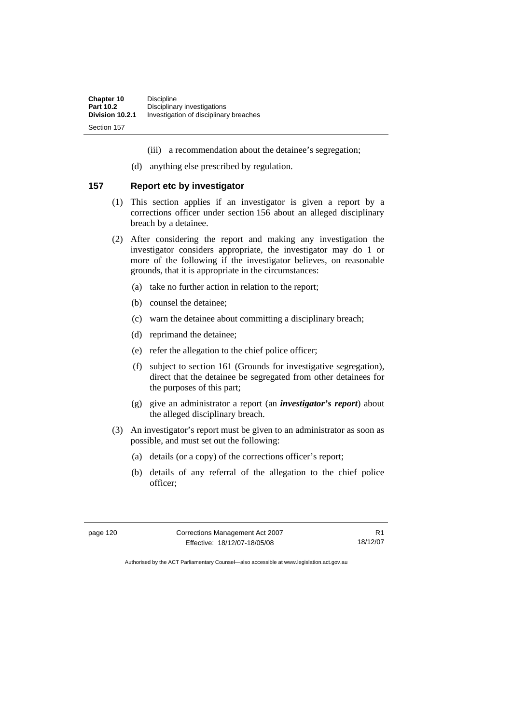- (iii) a recommendation about the detainee's segregation;
- (d) anything else prescribed by regulation.

### **157 Report etc by investigator**

- (1) This section applies if an investigator is given a report by a corrections officer under section 156 about an alleged disciplinary breach by a detainee.
- (2) After considering the report and making any investigation the investigator considers appropriate, the investigator may do 1 or more of the following if the investigator believes, on reasonable grounds, that it is appropriate in the circumstances:
	- (a) take no further action in relation to the report;
	- (b) counsel the detainee;
	- (c) warn the detainee about committing a disciplinary breach;
	- (d) reprimand the detainee;
	- (e) refer the allegation to the chief police officer;
	- (f) subject to section 161 (Grounds for investigative segregation), direct that the detainee be segregated from other detainees for the purposes of this part;
	- (g) give an administrator a report (an *investigator's report*) about the alleged disciplinary breach.
- (3) An investigator's report must be given to an administrator as soon as possible, and must set out the following:
	- (a) details (or a copy) of the corrections officer's report;
	- (b) details of any referral of the allegation to the chief police officer;

| page 120 |  |  |
|----------|--|--|
|----------|--|--|

**Corrections Management Act 2007** Effective: 18/12/07-18/05/08

R1 18/12/07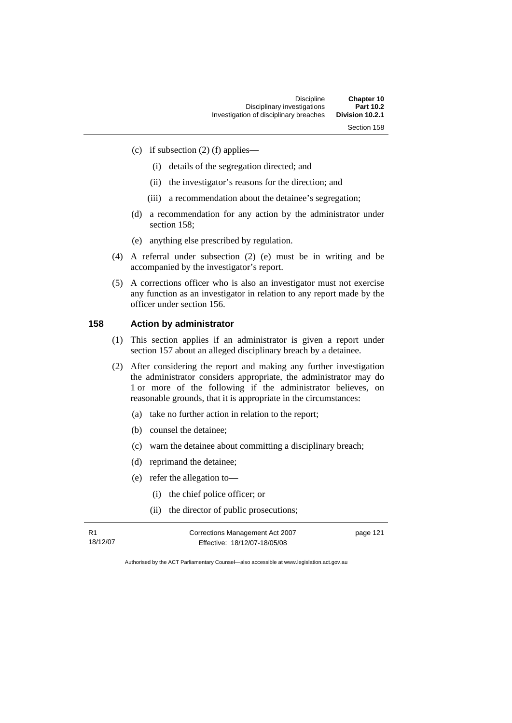(c) if subsection  $(2)$  (f) applies—

- (i) details of the segregation directed; and
- (ii) the investigator's reasons for the direction; and
- (iii) a recommendation about the detainee's segregation;
- (d) a recommendation for any action by the administrator under section 158;
- (e) anything else prescribed by regulation.
- (4) A referral under subsection (2) (e) must be in writing and be accompanied by the investigator's report.
- (5) A corrections officer who is also an investigator must not exercise any function as an investigator in relation to any report made by the officer under section 156.

## **158 Action by administrator**

- (1) This section applies if an administrator is given a report under section 157 about an alleged disciplinary breach by a detainee.
- (2) After considering the report and making any further investigation the administrator considers appropriate, the administrator may do 1 or more of the following if the administrator believes, on reasonable grounds, that it is appropriate in the circumstances:
	- (a) take no further action in relation to the report;
	- (b) counsel the detainee;
	- (c) warn the detainee about committing a disciplinary breach;
	- (d) reprimand the detainee;
	- (e) refer the allegation to—
		- (i) the chief police officer; or
		- (ii) the director of public prosecutions;

| R1       | Corrections Management Act 2007 | page 121 |
|----------|---------------------------------|----------|
| 18/12/07 | Effective: 18/12/07-18/05/08    |          |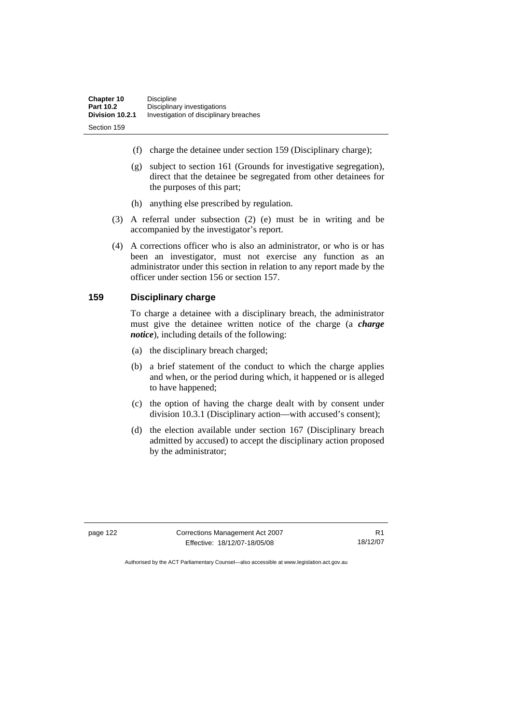- (f) charge the detainee under section 159 (Disciplinary charge);
- (g) subject to section 161 (Grounds for investigative segregation), direct that the detainee be segregated from other detainees for the purposes of this part;
- (h) anything else prescribed by regulation.
- (3) A referral under subsection (2) (e) must be in writing and be accompanied by the investigator's report.
- (4) A corrections officer who is also an administrator, or who is or has been an investigator, must not exercise any function as an administrator under this section in relation to any report made by the officer under section 156 or section 157.

### **159 Disciplinary charge**

To charge a detainee with a disciplinary breach, the administrator must give the detainee written notice of the charge (a *charge notice*), including details of the following:

- (a) the disciplinary breach charged;
- (b) a brief statement of the conduct to which the charge applies and when, or the period during which, it happened or is alleged to have happened;
- (c) the option of having the charge dealt with by consent under division 10.3.1 (Disciplinary action—with accused's consent);
- (d) the election available under section 167 (Disciplinary breach admitted by accused) to accept the disciplinary action proposed by the administrator;

page 122 Corrections Management Act 2007 Effective: 18/12/07-18/05/08

R1 18/12/07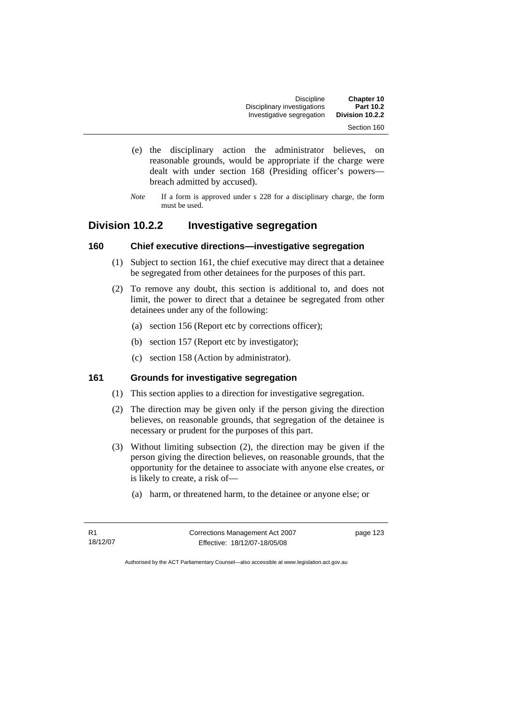| Chapter 10      | <b>Discipline</b>           |  |
|-----------------|-----------------------------|--|
| Part 10.2       | Disciplinary investigations |  |
| Division 10.2.2 | Investigative segregation   |  |
| Section 160     |                             |  |

- (e) the disciplinary action the administrator believes, on reasonable grounds, would be appropriate if the charge were dealt with under section 168 (Presiding officer's powers breach admitted by accused).
- *Note* If a form is approved under s 228 for a disciplinary charge, the form must be used.

# **Division 10.2.2 Investigative segregation**

### **160 Chief executive directions—investigative segregation**

- (1) Subject to section 161, the chief executive may direct that a detainee be segregated from other detainees for the purposes of this part.
- (2) To remove any doubt, this section is additional to, and does not limit, the power to direct that a detainee be segregated from other detainees under any of the following:
	- (a) section 156 (Report etc by corrections officer);
	- (b) section 157 (Report etc by investigator);
	- (c) section 158 (Action by administrator).

### **161 Grounds for investigative segregation**

- (1) This section applies to a direction for investigative segregation.
- (2) The direction may be given only if the person giving the direction believes, on reasonable grounds, that segregation of the detainee is necessary or prudent for the purposes of this part.
- (3) Without limiting subsection (2), the direction may be given if the person giving the direction believes, on reasonable grounds, that the opportunity for the detainee to associate with anyone else creates, or is likely to create, a risk of—
	- (a) harm, or threatened harm, to the detainee or anyone else; or

R1 18/12/07 Corrections Management Act 2007 Effective: 18/12/07-18/05/08

page 123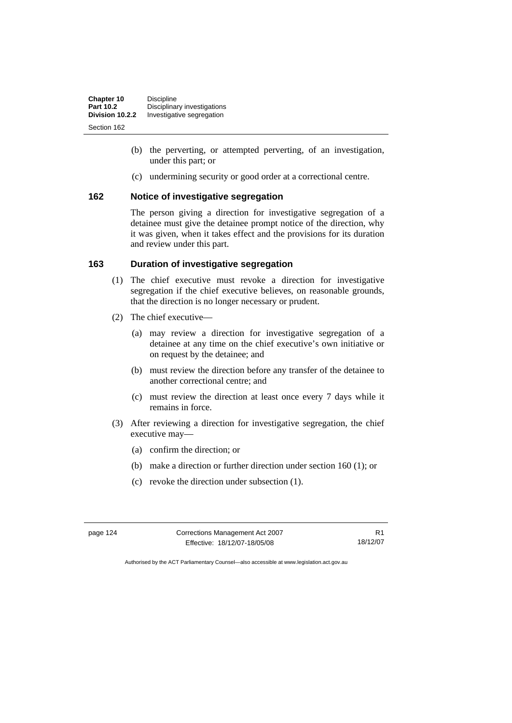| Chapter 10       | <b>Discipline</b>           |
|------------------|-----------------------------|
| <b>Part 10.2</b> | Disciplinary investigations |
| Division 10.2.2  | Investigative segregation   |
| Section 162      |                             |

- (b) the perverting, or attempted perverting, of an investigation, under this part; or
- (c) undermining security or good order at a correctional centre.

### **162 Notice of investigative segregation**

The person giving a direction for investigative segregation of a detainee must give the detainee prompt notice of the direction, why it was given, when it takes effect and the provisions for its duration and review under this part.

### **163 Duration of investigative segregation**

- (1) The chief executive must revoke a direction for investigative segregation if the chief executive believes, on reasonable grounds, that the direction is no longer necessary or prudent.
- (2) The chief executive—
	- (a) may review a direction for investigative segregation of a detainee at any time on the chief executive's own initiative or on request by the detainee; and
	- (b) must review the direction before any transfer of the detainee to another correctional centre; and
	- (c) must review the direction at least once every 7 days while it remains in force.
- (3) After reviewing a direction for investigative segregation, the chief executive may—
	- (a) confirm the direction; or
	- (b) make a direction or further direction under section 160 (1); or
	- (c) revoke the direction under subsection (1).

| page | 124 |
|------|-----|
|------|-----|

**Corrections Management Act 2007** Effective: 18/12/07-18/05/08

R1 18/12/07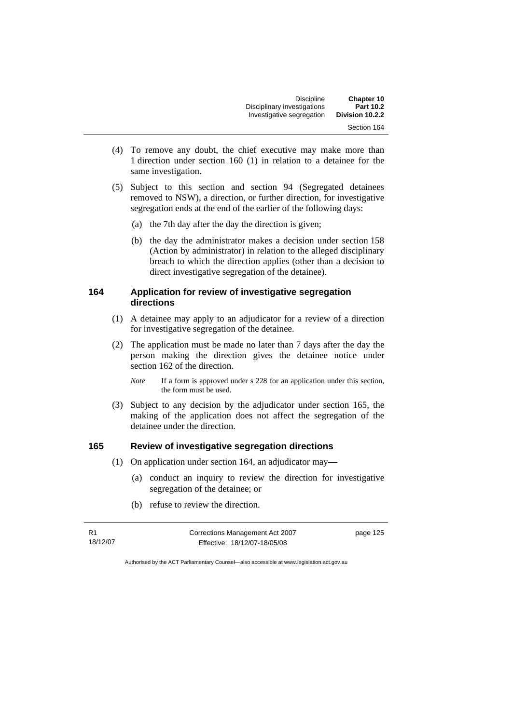| Chapter 10      | <b>Discipline</b>           |  |
|-----------------|-----------------------------|--|
| Part 10.2       | Disciplinary investigations |  |
| Division 10.2.2 | Investigative segregation   |  |
| Section 164     |                             |  |

- (4) To remove any doubt, the chief executive may make more than 1 direction under section 160 (1) in relation to a detainee for the same investigation.
- (5) Subject to this section and section 94 (Segregated detainees removed to NSW), a direction, or further direction, for investigative segregation ends at the end of the earlier of the following days:
	- (a) the 7th day after the day the direction is given;
	- (b) the day the administrator makes a decision under section 158 (Action by administrator) in relation to the alleged disciplinary breach to which the direction applies (other than a decision to direct investigative segregation of the detainee).

### **164 Application for review of investigative segregation directions**

- (1) A detainee may apply to an adjudicator for a review of a direction for investigative segregation of the detainee.
- (2) The application must be made no later than 7 days after the day the person making the direction gives the detainee notice under section 162 of the direction.
	- *Note* If a form is approved under s 228 for an application under this section, the form must be used.
- (3) Subject to any decision by the adjudicator under section 165, the making of the application does not affect the segregation of the detainee under the direction.

### **165 Review of investigative segregation directions**

- (1) On application under section 164, an adjudicator may—
	- (a) conduct an inquiry to review the direction for investigative segregation of the detainee; or
	- (b) refuse to review the direction.

R1 18/12/07 Corrections Management Act 2007 Effective: 18/12/07-18/05/08

page 125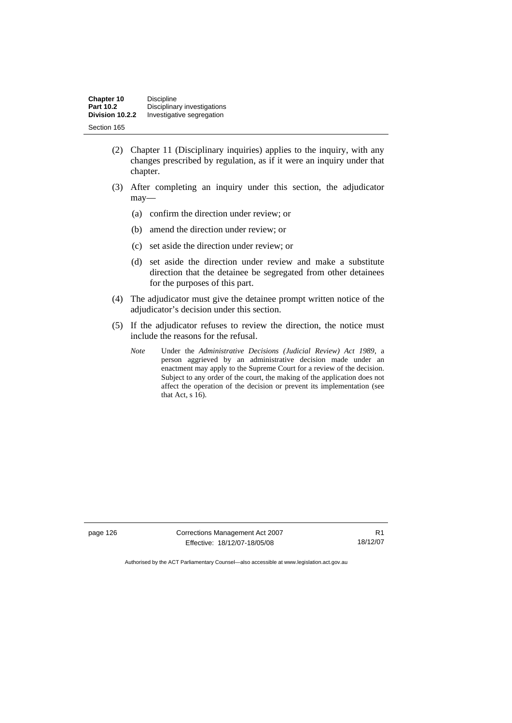| Chapter 10       | <b>Discipline</b>           |
|------------------|-----------------------------|
| <b>Part 10.2</b> | Disciplinary investigations |
| Division 10.2.2  | Investigative segregation   |
| Section 165      |                             |

- (2) Chapter 11 (Disciplinary inquiries) applies to the inquiry, with any changes prescribed by regulation, as if it were an inquiry under that chapter.
- (3) After completing an inquiry under this section, the adjudicator may—
	- (a) confirm the direction under review; or
	- (b) amend the direction under review; or
	- (c) set aside the direction under review; or
	- (d) set aside the direction under review and make a substitute direction that the detainee be segregated from other detainees for the purposes of this part.
- (4) The adjudicator must give the detainee prompt written notice of the adjudicator's decision under this section.
- (5) If the adjudicator refuses to review the direction, the notice must include the reasons for the refusal.
	- *Note* Under the *Administrative Decisions (Judicial Review) Act 1989*, a person aggrieved by an administrative decision made under an enactment may apply to the Supreme Court for a review of the decision. Subject to any order of the court, the making of the application does not affect the operation of the decision or prevent its implementation (see that Act, s 16).

page 126 Corrections Management Act 2007 Effective: 18/12/07-18/05/08

R1 18/12/07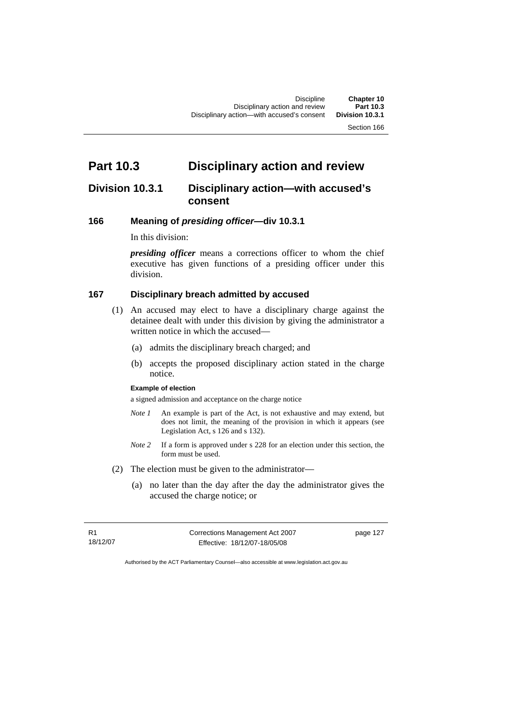# **Part 10.3 Disciplinary action and review**

# **Division 10.3.1 Disciplinary action—with accused's consent**

### **166 Meaning of** *presiding officer***—div 10.3.1**

In this division:

*presiding officer* means a corrections officer to whom the chief executive has given functions of a presiding officer under this division.

### **167 Disciplinary breach admitted by accused**

- (1) An accused may elect to have a disciplinary charge against the detainee dealt with under this division by giving the administrator a written notice in which the accused—
	- (a) admits the disciplinary breach charged; and
	- (b) accepts the proposed disciplinary action stated in the charge notice.

#### **Example of election**

a signed admission and acceptance on the charge notice

- *Note 1* An example is part of the Act, is not exhaustive and may extend, but does not limit, the meaning of the provision in which it appears (see Legislation Act, s 126 and s 132).
- *Note 2* If a form is approved under s 228 for an election under this section, the form must be used.
- (2) The election must be given to the administrator—
	- (a) no later than the day after the day the administrator gives the accused the charge notice; or

R1 18/12/07 Corrections Management Act 2007 Effective: 18/12/07-18/05/08

page 127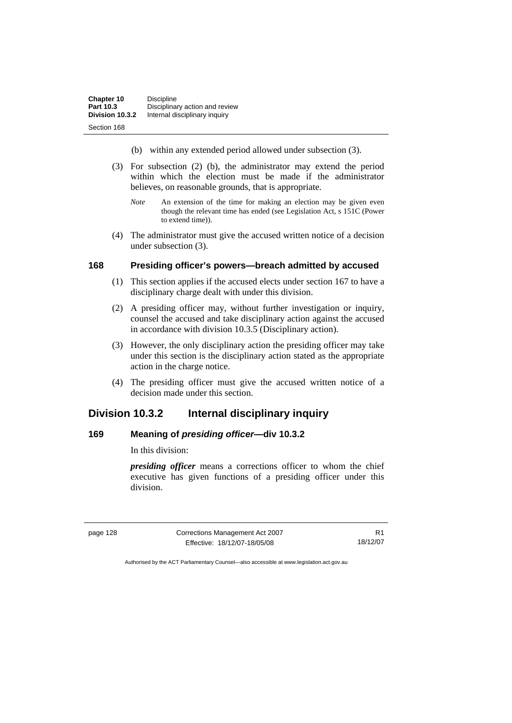- (b) within any extended period allowed under subsection (3).
- (3) For subsection (2) (b), the administrator may extend the period within which the election must be made if the administrator believes, on reasonable grounds, that is appropriate.
	- *Note* An extension of the time for making an election may be given even though the relevant time has ended (see Legislation Act, s 151C (Power to extend time)).
- (4) The administrator must give the accused written notice of a decision under subsection (3).

#### **168 Presiding officer's powers—breach admitted by accused**

- (1) This section applies if the accused elects under section 167 to have a disciplinary charge dealt with under this division.
- (2) A presiding officer may, without further investigation or inquiry, counsel the accused and take disciplinary action against the accused in accordance with division 10.3.5 (Disciplinary action).
- (3) However, the only disciplinary action the presiding officer may take under this section is the disciplinary action stated as the appropriate action in the charge notice.
- (4) The presiding officer must give the accused written notice of a decision made under this section.

# **Division 10.3.2 Internal disciplinary inquiry**

### **169 Meaning of** *presiding officer***—div 10.3.2**

In this division:

*presiding officer* means a corrections officer to whom the chief executive has given functions of a presiding officer under this division.

page 128 Corrections Management Act 2007 Effective: 18/12/07-18/05/08

R1 18/12/07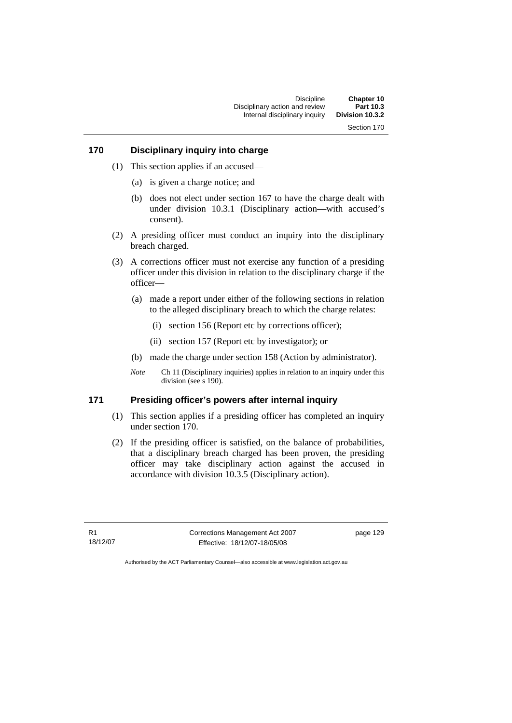Discipline **Chapter 10**  Disciplinary action and review **Part 10.3 Internal disciplinary inquiry** Section 170

### **170 Disciplinary inquiry into charge**

- (1) This section applies if an accused—
	- (a) is given a charge notice; and
	- (b) does not elect under section 167 to have the charge dealt with under division 10.3.1 (Disciplinary action—with accused's consent).
- (2) A presiding officer must conduct an inquiry into the disciplinary breach charged.
- (3) A corrections officer must not exercise any function of a presiding officer under this division in relation to the disciplinary charge if the officer—
	- (a) made a report under either of the following sections in relation to the alleged disciplinary breach to which the charge relates:
		- (i) section 156 (Report etc by corrections officer);
		- (ii) section 157 (Report etc by investigator); or
	- (b) made the charge under section 158 (Action by administrator).
	- *Note* Ch 11 (Disciplinary inquiries) applies in relation to an inquiry under this division (see s 190).

### **171 Presiding officer's powers after internal inquiry**

- (1) This section applies if a presiding officer has completed an inquiry under section 170.
- (2) If the presiding officer is satisfied, on the balance of probabilities, that a disciplinary breach charged has been proven, the presiding officer may take disciplinary action against the accused in accordance with division 10.3.5 (Disciplinary action).

R1 18/12/07 Corrections Management Act 2007 Effective: 18/12/07-18/05/08

page 129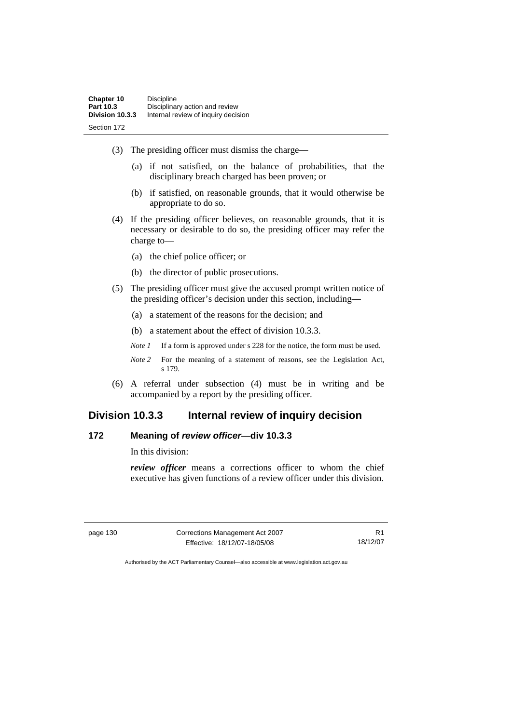- (3) The presiding officer must dismiss the charge—
	- (a) if not satisfied, on the balance of probabilities, that the disciplinary breach charged has been proven; or
	- (b) if satisfied, on reasonable grounds, that it would otherwise be appropriate to do so.
- (4) If the presiding officer believes, on reasonable grounds, that it is necessary or desirable to do so, the presiding officer may refer the charge to—
	- (a) the chief police officer; or
	- (b) the director of public prosecutions.
- (5) The presiding officer must give the accused prompt written notice of the presiding officer's decision under this section, including—
	- (a) a statement of the reasons for the decision; and
	- (b) a statement about the effect of division 10.3.3.
	- *Note 1* If a form is approved under s 228 for the notice, the form must be used.
	- *Note 2* For the meaning of a statement of reasons, see the Legislation Act, s 179.
- (6) A referral under subsection (4) must be in writing and be accompanied by a report by the presiding officer.

# **Division 10.3.3 Internal review of inquiry decision**

### **172 Meaning of** *review officer*—**div 10.3.3**

In this division:

*review officer* means a corrections officer to whom the chief executive has given functions of a review officer under this division.

page 130 Corrections Management Act 2007 Effective: 18/12/07-18/05/08

R1 18/12/07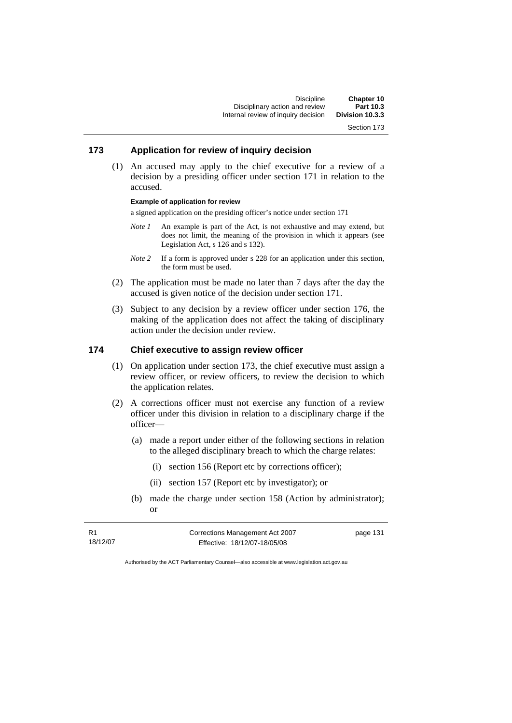Discipline **Chapter 10**  Disciplinary action and review **Part 10.3**  Internal review of inquiry decision

Section 173

## **173 Application for review of inquiry decision**

 (1) An accused may apply to the chief executive for a review of a decision by a presiding officer under section 171 in relation to the accused.

#### **Example of application for review**

a signed application on the presiding officer's notice under section 171

- *Note 1* An example is part of the Act, is not exhaustive and may extend, but does not limit, the meaning of the provision in which it appears (see Legislation Act, s 126 and s 132).
- *Note 2* If a form is approved under s 228 for an application under this section, the form must be used.
- (2) The application must be made no later than 7 days after the day the accused is given notice of the decision under section 171.
- (3) Subject to any decision by a review officer under section 176, the making of the application does not affect the taking of disciplinary action under the decision under review.

## **174 Chief executive to assign review officer**

- (1) On application under section 173, the chief executive must assign a review officer, or review officers, to review the decision to which the application relates.
- (2) A corrections officer must not exercise any function of a review officer under this division in relation to a disciplinary charge if the officer—
	- (a) made a report under either of the following sections in relation to the alleged disciplinary breach to which the charge relates:
		- (i) section 156 (Report etc by corrections officer);
		- (ii) section 157 (Report etc by investigator); or
	- (b) made the charge under section 158 (Action by administrator); or

R1 18/12/07 Corrections Management Act 2007 Effective: 18/12/07-18/05/08

page 131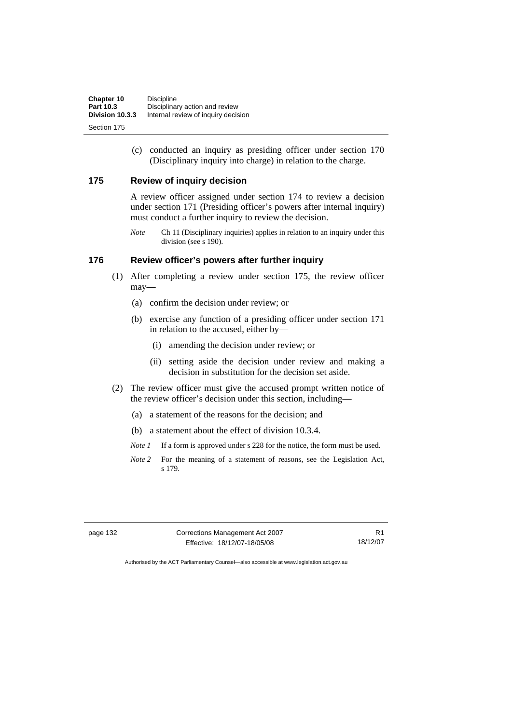| Chapter 10      | <b>Discipline</b>                   |
|-----------------|-------------------------------------|
| Part 10.3       | Disciplinary action and review      |
| Division 10.3.3 | Internal review of inquiry decision |
| Section 175     |                                     |

 (c) conducted an inquiry as presiding officer under section 170 (Disciplinary inquiry into charge) in relation to the charge.

## **175 Review of inquiry decision**

A review officer assigned under section 174 to review a decision under section 171 (Presiding officer's powers after internal inquiry) must conduct a further inquiry to review the decision.

*Note* Ch 11 (Disciplinary inquiries) applies in relation to an inquiry under this division (see s 190).

## **176 Review officer's powers after further inquiry**

- (1) After completing a review under section 175, the review officer may—
	- (a) confirm the decision under review; or
	- (b) exercise any function of a presiding officer under section 171 in relation to the accused, either by—
		- (i) amending the decision under review; or
		- (ii) setting aside the decision under review and making a decision in substitution for the decision set aside.
- (2) The review officer must give the accused prompt written notice of the review officer's decision under this section, including—
	- (a) a statement of the reasons for the decision; and
	- (b) a statement about the effect of division 10.3.4.
	- *Note 1* If a form is approved under s 228 for the notice, the form must be used.
	- *Note 2* For the meaning of a statement of reasons, see the Legislation Act, s 179.

page 132 Corrections Management Act 2007 Effective: 18/12/07-18/05/08

R1 18/12/07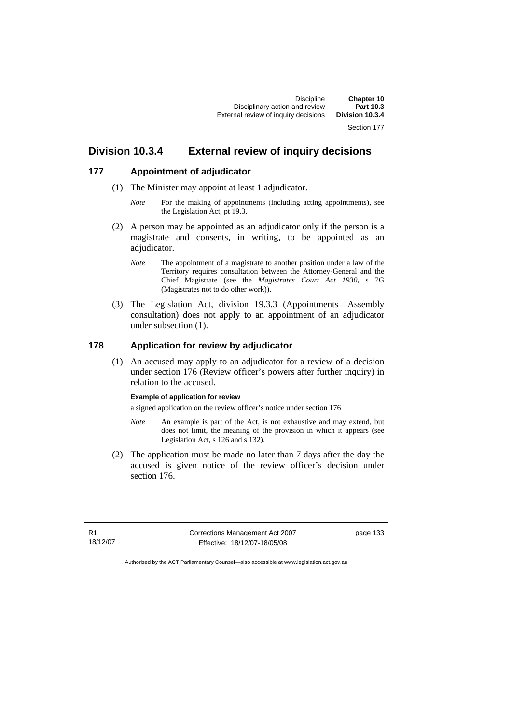# **Division 10.3.4 External review of inquiry decisions**

### **177 Appointment of adjudicator**

- (1) The Minister may appoint at least 1 adjudicator.
	- *Note* For the making of appointments (including acting appointments), see the Legislation Act, pt 19.3.
- (2) A person may be appointed as an adjudicator only if the person is a magistrate and consents, in writing, to be appointed as an adjudicator.
	- *Note* The appointment of a magistrate to another position under a law of the Territory requires consultation between the Attorney-General and the Chief Magistrate (see the *Magistrates Court Act 1930*, s 7G (Magistrates not to do other work)).
- (3) The Legislation Act, division 19.3.3 (Appointments—Assembly consultation) does not apply to an appointment of an adjudicator under subsection (1).

## **178 Application for review by adjudicator**

 (1) An accused may apply to an adjudicator for a review of a decision under section 176 (Review officer's powers after further inquiry) in relation to the accused.

#### **Example of application for review**

a signed application on the review officer's notice under section 176

- *Note* An example is part of the Act, is not exhaustive and may extend, but does not limit, the meaning of the provision in which it appears (see Legislation Act, s 126 and s 132).
- (2) The application must be made no later than 7 days after the day the accused is given notice of the review officer's decision under section 176.

R1 18/12/07 Corrections Management Act 2007 Effective: 18/12/07-18/05/08

page 133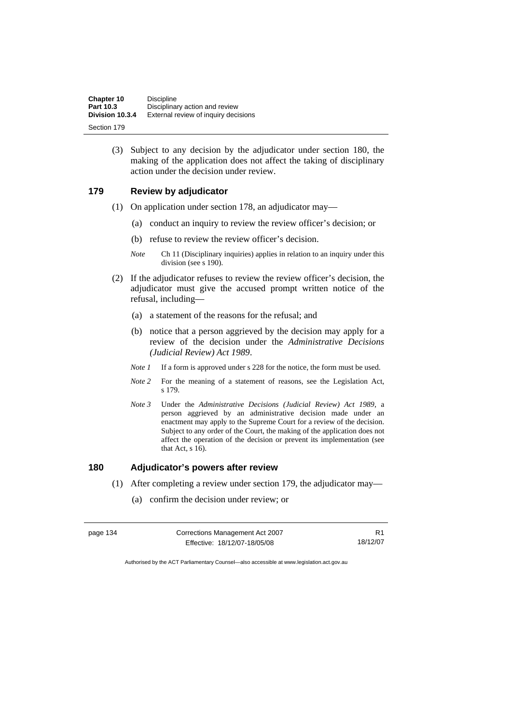| Chapter 10      | <b>Discipline</b>                    |
|-----------------|--------------------------------------|
| Part 10.3       | Disciplinary action and review       |
| Division 10.3.4 | External review of inquiry decisions |
| Section 179     |                                      |

 (3) Subject to any decision by the adjudicator under section 180, the making of the application does not affect the taking of disciplinary action under the decision under review.

## **179 Review by adjudicator**

- (1) On application under section 178, an adjudicator may—
	- (a) conduct an inquiry to review the review officer's decision; or
	- (b) refuse to review the review officer's decision.
	- *Note* Ch 11 (Disciplinary inquiries) applies in relation to an inquiry under this division (see s 190).
- (2) If the adjudicator refuses to review the review officer's decision, the adjudicator must give the accused prompt written notice of the refusal, including—
	- (a) a statement of the reasons for the refusal; and
	- (b) notice that a person aggrieved by the decision may apply for a review of the decision under the *Administrative Decisions (Judicial Review) Act 1989*.
	- *Note 1* If a form is approved under s 228 for the notice, the form must be used.
	- *Note 2* For the meaning of a statement of reasons, see the Legislation Act, s 179.
	- *Note 3* Under the *Administrative Decisions (Judicial Review) Act 1989*, a person aggrieved by an administrative decision made under an enactment may apply to the Supreme Court for a review of the decision. Subject to any order of the Court, the making of the application does not affect the operation of the decision or prevent its implementation (see that Act, s 16).

## **180 Adjudicator's powers after review**

- (1) After completing a review under section 179, the adjudicator may—
	- (a) confirm the decision under review; or

| page 134 | Corrections Management Act 2007 | R <sub>1</sub> |
|----------|---------------------------------|----------------|
|          | Effective: 18/12/07-18/05/08    | 18/12/07       |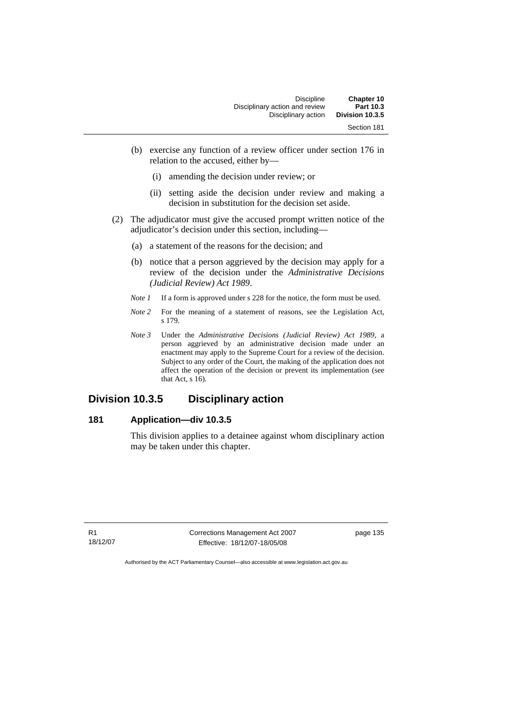| Chapter 10      | <b>Discipline</b>              |
|-----------------|--------------------------------|
| Part 10.3       | Disciplinary action and review |
| Division 10.3.5 | Disciplinary action            |
| Section 181     |                                |

- (b) exercise any function of a review officer under section 176 in relation to the accused, either by—
	- (i) amending the decision under review; or
	- (ii) setting aside the decision under review and making a decision in substitution for the decision set aside.
- (2) The adjudicator must give the accused prompt written notice of the adjudicator's decision under this section, including—
	- (a) a statement of the reasons for the decision; and
	- (b) notice that a person aggrieved by the decision may apply for a review of the decision under the *Administrative Decisions (Judicial Review) Act 1989*.
	- *Note 1* If a form is approved under s 228 for the notice, the form must be used.
	- *Note 2* For the meaning of a statement of reasons, see the Legislation Act, s 179.
	- *Note 3* Under the *Administrative Decisions (Judicial Review) Act 1989*, a person aggrieved by an administrative decision made under an enactment may apply to the Supreme Court for a review of the decision. Subject to any order of the Court, the making of the application does not affect the operation of the decision or prevent its implementation (see that Act,  $s$  16).

# **Division 10.3.5 Disciplinary action**

## **181 Application—div 10.3.5**

This division applies to a detainee against whom disciplinary action may be taken under this chapter.

R1 18/12/07 Corrections Management Act 2007 Effective: 18/12/07-18/05/08

page 135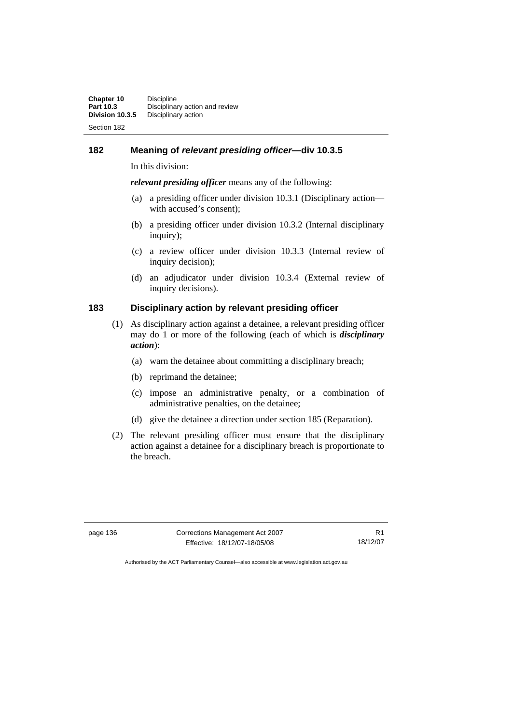## **182 Meaning of** *relevant presiding officer***—div 10.3.5**

In this division:

*relevant presiding officer* means any of the following:

- (a) a presiding officer under division 10.3.1 (Disciplinary action with accused's consent);
- (b) a presiding officer under division 10.3.2 (Internal disciplinary inquiry);
- (c) a review officer under division 10.3.3 (Internal review of inquiry decision);
- (d) an adjudicator under division 10.3.4 (External review of inquiry decisions).

## **183 Disciplinary action by relevant presiding officer**

- (1) As disciplinary action against a detainee, a relevant presiding officer may do 1 or more of the following (each of which is *disciplinary action*):
	- (a) warn the detainee about committing a disciplinary breach;
	- (b) reprimand the detainee;
	- (c) impose an administrative penalty, or a combination of administrative penalties, on the detainee;
	- (d) give the detainee a direction under section 185 (Reparation).
- (2) The relevant presiding officer must ensure that the disciplinary action against a detainee for a disciplinary breach is proportionate to the breach.

page 136 Corrections Management Act 2007 Effective: 18/12/07-18/05/08

R1 18/12/07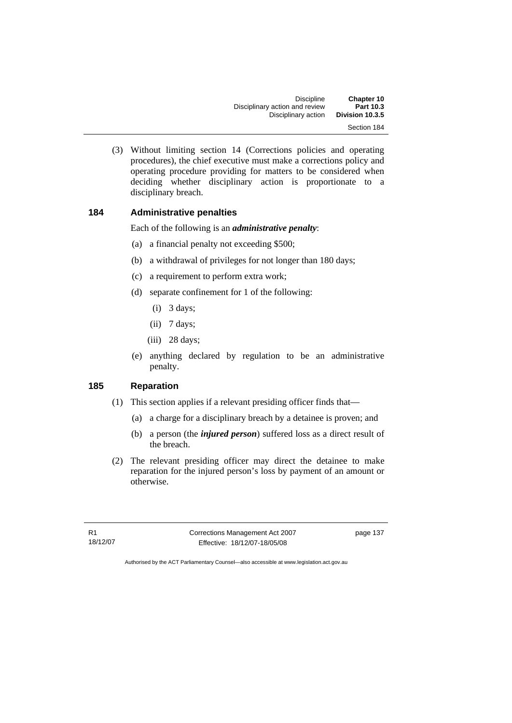| Chapter 10      | <b>Discipline</b>              |
|-----------------|--------------------------------|
| Part 10.3       | Disciplinary action and review |
| Division 10.3.5 | Disciplinary action            |
| Section 184     |                                |

 (3) Without limiting section 14 (Corrections policies and operating procedures), the chief executive must make a corrections policy and operating procedure providing for matters to be considered when deciding whether disciplinary action is proportionate to a disciplinary breach.

## **184 Administrative penalties**

Each of the following is an *administrative penalty*:

- (a) a financial penalty not exceeding \$500;
- (b) a withdrawal of privileges for not longer than 180 days;
- (c) a requirement to perform extra work;
- (d) separate confinement for 1 of the following:
	- (i) 3 days;
	- (ii) 7 days;
	- (iii) 28 days;
- (e) anything declared by regulation to be an administrative penalty.

## **185 Reparation**

- (1) This section applies if a relevant presiding officer finds that—
	- (a) a charge for a disciplinary breach by a detainee is proven; and
	- (b) a person (the *injured person*) suffered loss as a direct result of the breach.
- (2) The relevant presiding officer may direct the detainee to make reparation for the injured person's loss by payment of an amount or otherwise.

R1 18/12/07 Corrections Management Act 2007 Effective: 18/12/07-18/05/08

page 137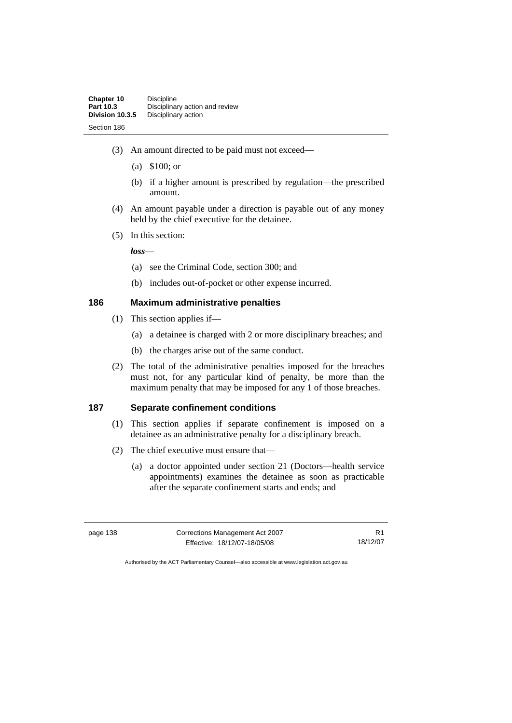- (3) An amount directed to be paid must not exceed—
	- (a) \$100; or
	- (b) if a higher amount is prescribed by regulation—the prescribed amount.
- (4) An amount payable under a direction is payable out of any money held by the chief executive for the detainee.
- (5) In this section:

*loss*—

- (a) see the Criminal Code, section 300; and
- (b) includes out-of-pocket or other expense incurred.

## **186 Maximum administrative penalties**

- (1) This section applies if—
	- (a) a detainee is charged with 2 or more disciplinary breaches; and
	- (b) the charges arise out of the same conduct.
- (2) The total of the administrative penalties imposed for the breaches must not, for any particular kind of penalty, be more than the maximum penalty that may be imposed for any 1 of those breaches.

#### **187 Separate confinement conditions**

- (1) This section applies if separate confinement is imposed on a detainee as an administrative penalty for a disciplinary breach.
- (2) The chief executive must ensure that—
	- (a) a doctor appointed under section 21 (Doctors—health service appointments) examines the detainee as soon as practicable after the separate confinement starts and ends; and

| page 138 | Corrections Management Act 2007 |          |
|----------|---------------------------------|----------|
|          | Effective: 18/12/07-18/05/08    | 18/12/07 |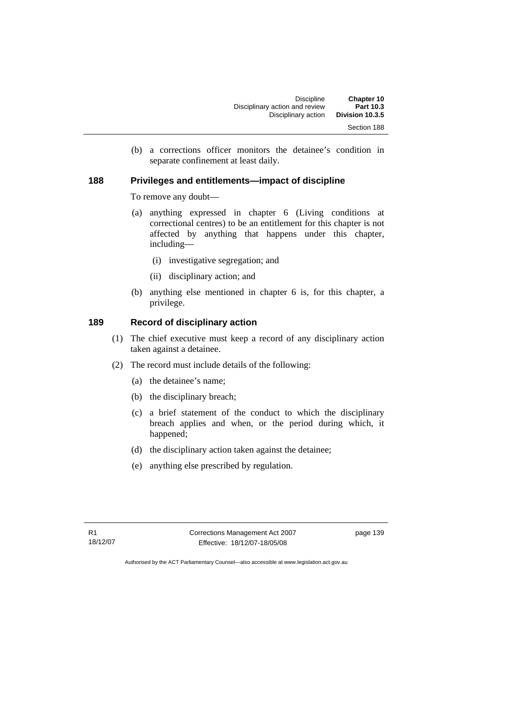(b) a corrections officer monitors the detainee's condition in separate confinement at least daily.

## **188 Privileges and entitlements—impact of discipline**

To remove any doubt—

- (a) anything expressed in chapter 6 (Living conditions at correctional centres) to be an entitlement for this chapter is not affected by anything that happens under this chapter, including—
	- (i) investigative segregation; and
	- (ii) disciplinary action; and
- (b) anything else mentioned in chapter 6 is, for this chapter, a privilege.

## **189 Record of disciplinary action**

- (1) The chief executive must keep a record of any disciplinary action taken against a detainee.
- (2) The record must include details of the following:
	- (a) the detainee's name;
	- (b) the disciplinary breach;
	- (c) a brief statement of the conduct to which the disciplinary breach applies and when, or the period during which, it happened;
	- (d) the disciplinary action taken against the detainee;
	- (e) anything else prescribed by regulation.

R1 18/12/07 Corrections Management Act 2007 Effective: 18/12/07-18/05/08

page 139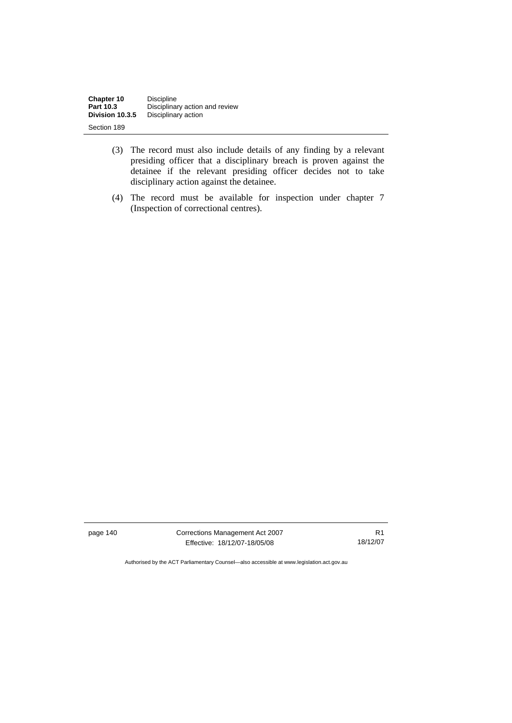| Chapter 10      | <b>Discipline</b>              |
|-----------------|--------------------------------|
| Part 10.3       | Disciplinary action and review |
| Division 10.3.5 | Disciplinary action            |
| Section 189     |                                |

- (3) The record must also include details of any finding by a relevant presiding officer that a disciplinary breach is proven against the detainee if the relevant presiding officer decides not to take disciplinary action against the detainee.
- (4) The record must be available for inspection under chapter 7 (Inspection of correctional centres).

page 140 Corrections Management Act 2007 Effective: 18/12/07-18/05/08

R1 18/12/07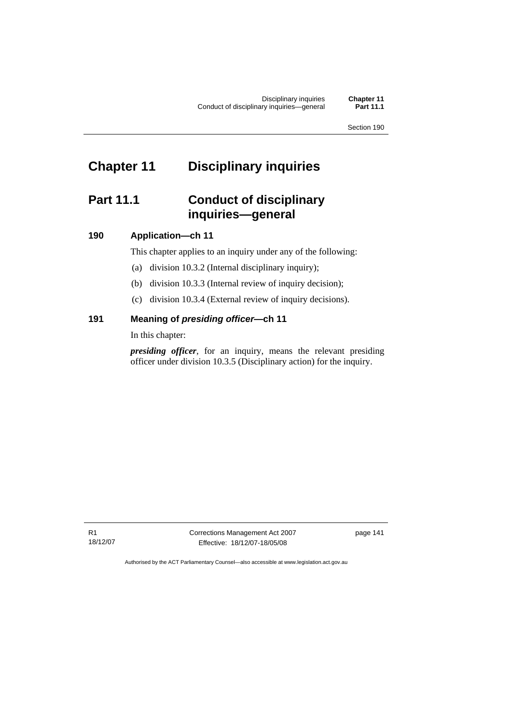# **Chapter 11 Disciplinary inquiries**

# **Part 11.1 Conduct of disciplinary inquiries—general**

# **190 Application—ch 11**

This chapter applies to an inquiry under any of the following:

- (a) division 10.3.2 (Internal disciplinary inquiry);
- (b) division 10.3.3 (Internal review of inquiry decision);
- (c) division 10.3.4 (External review of inquiry decisions).

# **191 Meaning of** *presiding officer—***ch 11**

In this chapter:

*presiding officer*, for an inquiry, means the relevant presiding officer under division 10.3.5 (Disciplinary action) for the inquiry.

R1 18/12/07 Corrections Management Act 2007 Effective: 18/12/07-18/05/08

page 141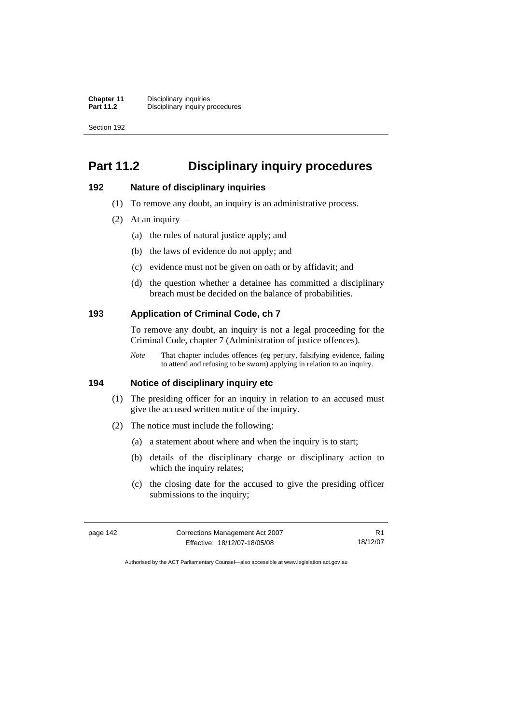# **Part 11.2 Disciplinary inquiry procedures**

## **192 Nature of disciplinary inquiries**

- (1) To remove any doubt, an inquiry is an administrative process.
- (2) At an inquiry—
	- (a) the rules of natural justice apply; and
	- (b) the laws of evidence do not apply; and
	- (c) evidence must not be given on oath or by affidavit; and
	- (d) the question whether a detainee has committed a disciplinary breach must be decided on the balance of probabilities.

## **193 Application of Criminal Code, ch 7**

To remove any doubt, an inquiry is not a legal proceeding for the Criminal Code, chapter 7 (Administration of justice offences).

*Note* That chapter includes offences (eg perjury, falsifying evidence, failing to attend and refusing to be sworn) applying in relation to an inquiry.

## **194 Notice of disciplinary inquiry etc**

- (1) The presiding officer for an inquiry in relation to an accused must give the accused written notice of the inquiry.
- (2) The notice must include the following:
	- (a) a statement about where and when the inquiry is to start;
	- (b) details of the disciplinary charge or disciplinary action to which the inquiry relates;
	- (c) the closing date for the accused to give the presiding officer submissions to the inquiry;

| page 142 | Corrections Management Act 2007 |          |
|----------|---------------------------------|----------|
|          | Effective: 18/12/07-18/05/08    | 18/12/07 |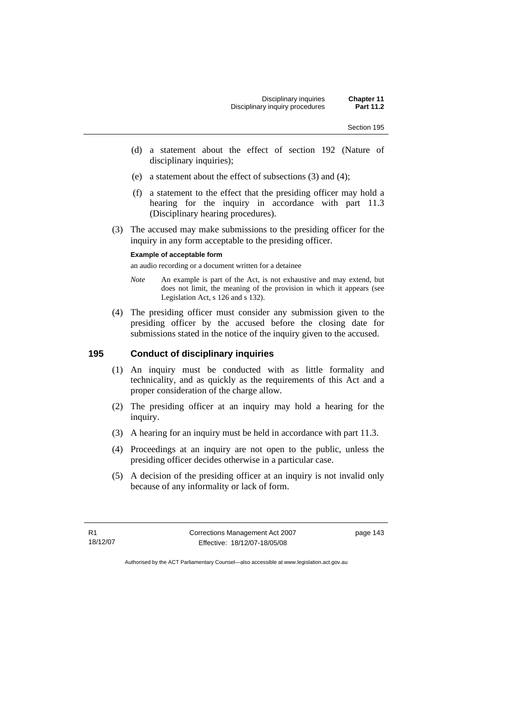- (d) a statement about the effect of section 192 (Nature of disciplinary inquiries);
- (e) a statement about the effect of subsections (3) and (4);
- (f) a statement to the effect that the presiding officer may hold a hearing for the inquiry in accordance with part 11.3 (Disciplinary hearing procedures).
- (3) The accused may make submissions to the presiding officer for the inquiry in any form acceptable to the presiding officer.

#### **Example of acceptable form**

an audio recording or a document written for a detainee

- *Note* An example is part of the Act, is not exhaustive and may extend, but does not limit, the meaning of the provision in which it appears (see Legislation Act, s 126 and s 132).
- (4) The presiding officer must consider any submission given to the presiding officer by the accused before the closing date for submissions stated in the notice of the inquiry given to the accused.

# **195 Conduct of disciplinary inquiries**

- (1) An inquiry must be conducted with as little formality and technicality, and as quickly as the requirements of this Act and a proper consideration of the charge allow.
- (2) The presiding officer at an inquiry may hold a hearing for the inquiry.
- (3) A hearing for an inquiry must be held in accordance with part 11.3.
- (4) Proceedings at an inquiry are not open to the public, unless the presiding officer decides otherwise in a particular case.
- (5) A decision of the presiding officer at an inquiry is not invalid only because of any informality or lack of form.

R1 18/12/07 Corrections Management Act 2007 Effective: 18/12/07-18/05/08

page 143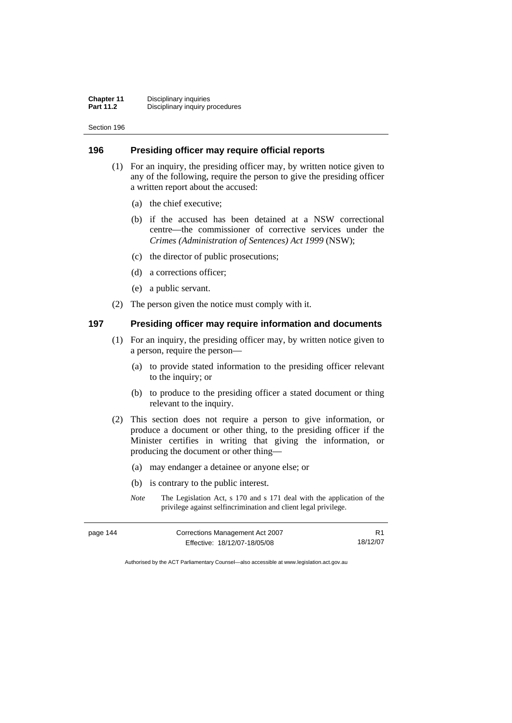## **196 Presiding officer may require official reports**

- (1) For an inquiry, the presiding officer may, by written notice given to any of the following, require the person to give the presiding officer a written report about the accused:
	- (a) the chief executive;
	- (b) if the accused has been detained at a NSW correctional centre—the commissioner of corrective services under the *Crimes (Administration of Sentences) Act 1999* (NSW);
	- (c) the director of public prosecutions;
	- (d) a corrections officer;
	- (e) a public servant.
- (2) The person given the notice must comply with it.

# **197 Presiding officer may require information and documents**

- (1) For an inquiry, the presiding officer may, by written notice given to a person, require the person—
	- (a) to provide stated information to the presiding officer relevant to the inquiry; or
	- (b) to produce to the presiding officer a stated document or thing relevant to the inquiry.
- (2) This section does not require a person to give information, or produce a document or other thing, to the presiding officer if the Minister certifies in writing that giving the information, or producing the document or other thing—
	- (a) may endanger a detainee or anyone else; or
	- (b) is contrary to the public interest.
	- *Note* The Legislation Act, s 170 and s 171 deal with the application of the privilege against selfincrimination and client legal privilege.

| page 144 | Corrections Management Act 2007 |          |
|----------|---------------------------------|----------|
|          | Effective: 18/12/07-18/05/08    | 18/12/07 |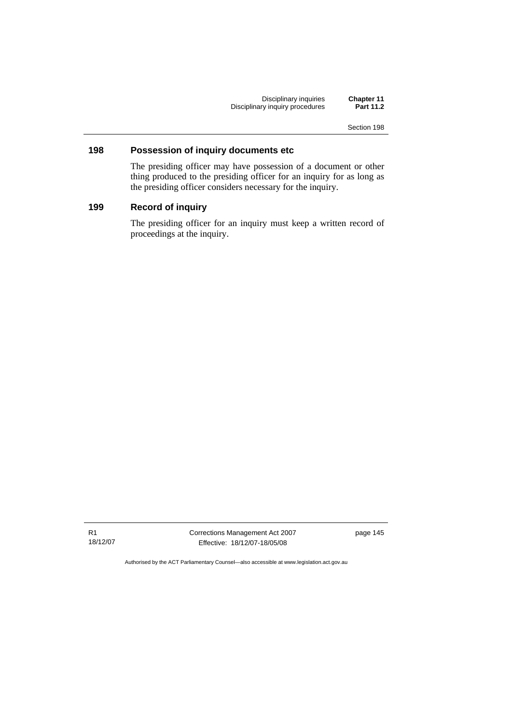Disciplinary inquiries **Chapter 11**  Disciplinary inquiry procedures **Part 11.2** 

Section 198

## **198 Possession of inquiry documents etc**

The presiding officer may have possession of a document or other thing produced to the presiding officer for an inquiry for as long as the presiding officer considers necessary for the inquiry.

# **199 Record of inquiry**

The presiding officer for an inquiry must keep a written record of proceedings at the inquiry.

R1 18/12/07 Corrections Management Act 2007 Effective: 18/12/07-18/05/08

page 145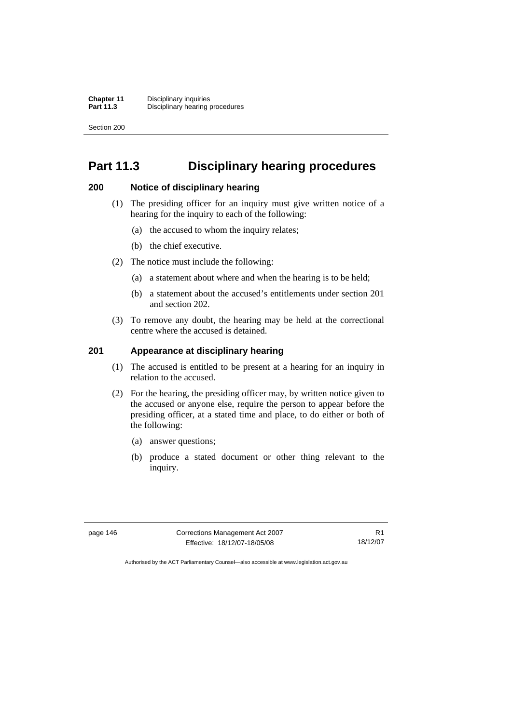# **Part 11.3 Disciplinary hearing procedures**

## **200 Notice of disciplinary hearing**

- (1) The presiding officer for an inquiry must give written notice of a hearing for the inquiry to each of the following:
	- (a) the accused to whom the inquiry relates;
	- (b) the chief executive.
- (2) The notice must include the following:
	- (a) a statement about where and when the hearing is to be held;
	- (b) a statement about the accused's entitlements under section 201 and section 202.
- (3) To remove any doubt, the hearing may be held at the correctional centre where the accused is detained.

## **201 Appearance at disciplinary hearing**

- (1) The accused is entitled to be present at a hearing for an inquiry in relation to the accused.
- (2) For the hearing, the presiding officer may, by written notice given to the accused or anyone else, require the person to appear before the presiding officer, at a stated time and place, to do either or both of the following:
	- (a) answer questions;
	- (b) produce a stated document or other thing relevant to the inquiry.

page 146 Corrections Management Act 2007 Effective: 18/12/07-18/05/08

R1 18/12/07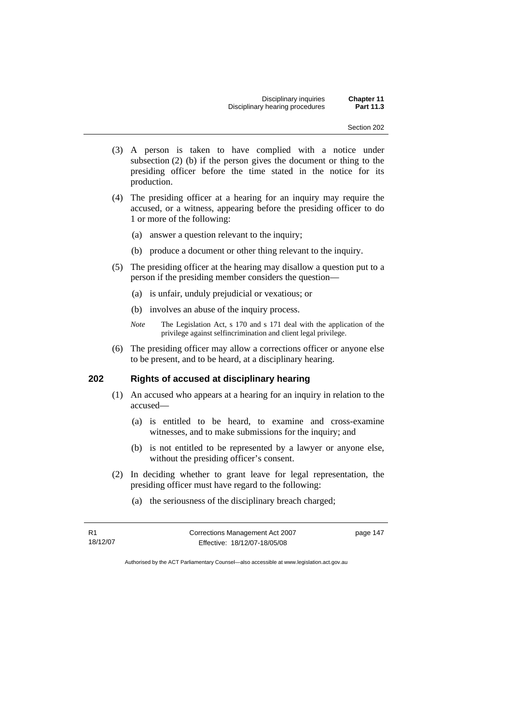- (3) A person is taken to have complied with a notice under subsection (2) (b) if the person gives the document or thing to the presiding officer before the time stated in the notice for its production.
- (4) The presiding officer at a hearing for an inquiry may require the accused, or a witness, appearing before the presiding officer to do 1 or more of the following:
	- (a) answer a question relevant to the inquiry;
	- (b) produce a document or other thing relevant to the inquiry.
- (5) The presiding officer at the hearing may disallow a question put to a person if the presiding member considers the question—
	- (a) is unfair, unduly prejudicial or vexatious; or
	- (b) involves an abuse of the inquiry process.
	- *Note* The Legislation Act, s 170 and s 171 deal with the application of the privilege against selfincrimination and client legal privilege.
- (6) The presiding officer may allow a corrections officer or anyone else to be present, and to be heard, at a disciplinary hearing.

## **202 Rights of accused at disciplinary hearing**

- (1) An accused who appears at a hearing for an inquiry in relation to the accused—
	- (a) is entitled to be heard, to examine and cross-examine witnesses, and to make submissions for the inquiry; and
	- (b) is not entitled to be represented by a lawyer or anyone else, without the presiding officer's consent.
- (2) In deciding whether to grant leave for legal representation, the presiding officer must have regard to the following:
	- (a) the seriousness of the disciplinary breach charged;

| R <sub>1</sub> | Corrections Management Act 2007 |  |
|----------------|---------------------------------|--|
| 18/12/07       | Effective: 18/12/07-18/05/08    |  |

page 147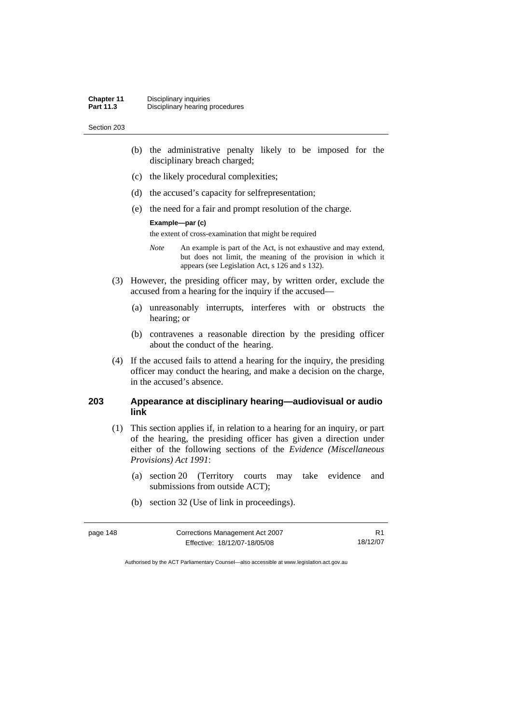- (b) the administrative penalty likely to be imposed for the disciplinary breach charged;
- (c) the likely procedural complexities;
- (d) the accused's capacity for selfrepresentation;
- (e) the need for a fair and prompt resolution of the charge.

#### **Example—par (c)**

the extent of cross-examination that might be required

- *Note* An example is part of the Act, is not exhaustive and may extend, but does not limit, the meaning of the provision in which it appears (see Legislation Act, s 126 and s 132).
- (3) However, the presiding officer may, by written order, exclude the accused from a hearing for the inquiry if the accused—
	- (a) unreasonably interrupts, interferes with or obstructs the hearing; or
	- (b) contravenes a reasonable direction by the presiding officer about the conduct of the hearing.
- (4) If the accused fails to attend a hearing for the inquiry, the presiding officer may conduct the hearing, and make a decision on the charge, in the accused's absence.

# **203 Appearance at disciplinary hearing—audiovisual or audio link**

- (1) This section applies if, in relation to a hearing for an inquiry, or part of the hearing, the presiding officer has given a direction under either of the following sections of the *Evidence (Miscellaneous Provisions) Act 1991*:
	- (a) section 20 (Territory courts may take evidence and submissions from outside ACT);
	- (b) section 32 (Use of link in proceedings).

| page 148 | Corrections Management Act 2007 |          |
|----------|---------------------------------|----------|
|          | Effective: 18/12/07-18/05/08    | 18/12/07 |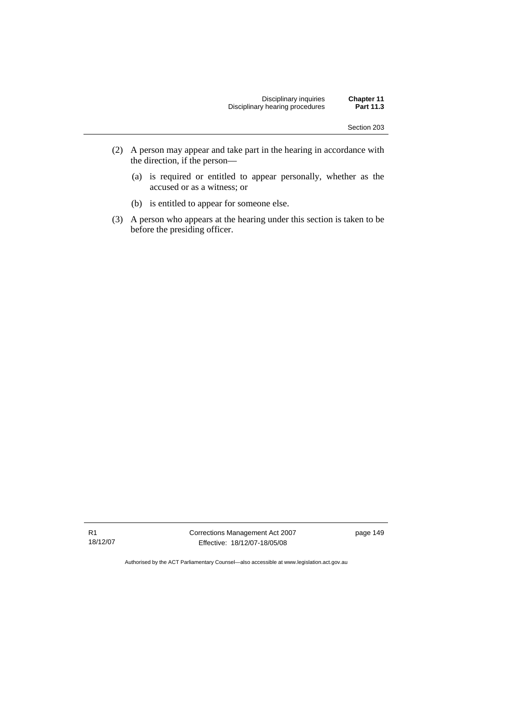- (2) A person may appear and take part in the hearing in accordance with the direction, if the person—
	- (a) is required or entitled to appear personally, whether as the accused or as a witness; or
	- (b) is entitled to appear for someone else.
- (3) A person who appears at the hearing under this section is taken to be before the presiding officer.

R1 18/12/07 Corrections Management Act 2007 Effective: 18/12/07-18/05/08

page 149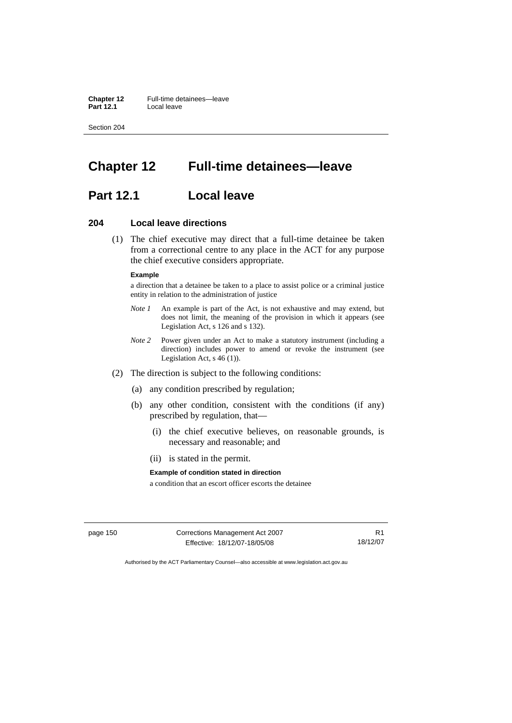**Chapter 12** Full-time detainees—leave<br>**Part 12.1** Local leave **Part 12.1** Local leave

Section 204

# **Chapter 12 Full-time detainees—leave**

# **Part 12.1 Local leave**

## **204 Local leave directions**

 (1) The chief executive may direct that a full-time detainee be taken from a correctional centre to any place in the ACT for any purpose the chief executive considers appropriate.

#### **Example**

a direction that a detainee be taken to a place to assist police or a criminal justice entity in relation to the administration of justice

- *Note 1* An example is part of the Act, is not exhaustive and may extend, but does not limit, the meaning of the provision in which it appears (see Legislation Act, s 126 and s 132).
- *Note 2* Power given under an Act to make a statutory instrument (including a direction) includes power to amend or revoke the instrument (see Legislation Act, s 46 (1)).
- (2) The direction is subject to the following conditions:
	- (a) any condition prescribed by regulation;
	- (b) any other condition, consistent with the conditions (if any) prescribed by regulation, that—
		- (i) the chief executive believes, on reasonable grounds, is necessary and reasonable; and
		- (ii) is stated in the permit.

#### **Example of condition stated in direction**

a condition that an escort officer escorts the detainee

page 150 Corrections Management Act 2007 Effective: 18/12/07-18/05/08

R1 18/12/07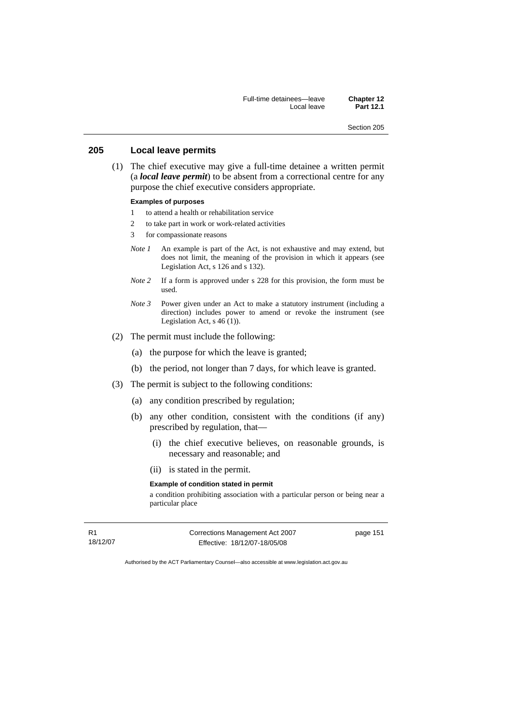Full-time detainees—leave **Chapter 12**  Part 12.1

Section 205

## **205 Local leave permits**

 (1) The chief executive may give a full-time detainee a written permit (a *local leave permit*) to be absent from a correctional centre for any purpose the chief executive considers appropriate.

## **Examples of purposes**

- 1 to attend a health or rehabilitation service
- 2 to take part in work or work-related activities
- 3 for compassionate reasons
- *Note 1* An example is part of the Act, is not exhaustive and may extend, but does not limit, the meaning of the provision in which it appears (see Legislation Act, s 126 and s 132).
- *Note 2* If a form is approved under s 228 for this provision, the form must be used.
- *Note 3* Power given under an Act to make a statutory instrument (including a direction) includes power to amend or revoke the instrument (see Legislation Act, s  $46(1)$ ).
- (2) The permit must include the following:
	- (a) the purpose for which the leave is granted;
	- (b) the period, not longer than 7 days, for which leave is granted.
- (3) The permit is subject to the following conditions:
	- (a) any condition prescribed by regulation;
	- (b) any other condition, consistent with the conditions (if any) prescribed by regulation, that—
		- (i) the chief executive believes, on reasonable grounds, is necessary and reasonable; and
		- (ii) is stated in the permit.

#### **Example of condition stated in permit**

a condition prohibiting association with a particular person or being near a particular place

R1 18/12/07 Corrections Management Act 2007 Effective: 18/12/07-18/05/08

page 151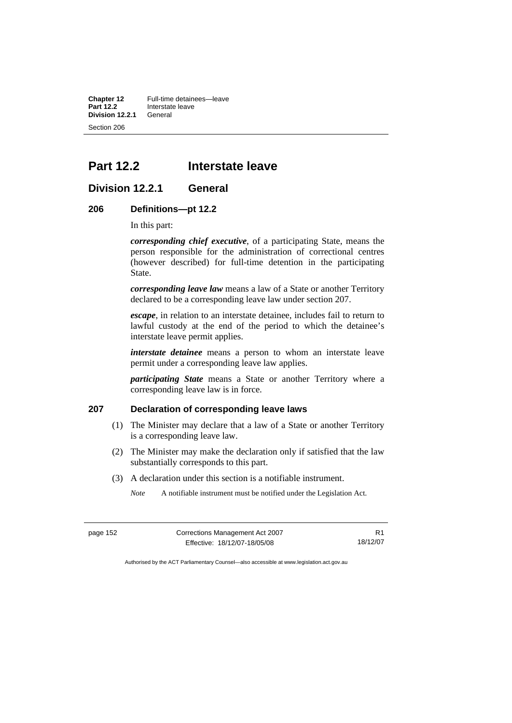**Chapter 12** Full-time detainees—leave<br>**Part 12.2** Interstate leave **Interstate leave Division 12.2.1** General Section 206

# **Part 12.2 Interstate leave**

## **Division 12.2.1 General**

### **206 Definitions—pt 12.2**

In this part:

*corresponding chief executive*, of a participating State, means the person responsible for the administration of correctional centres (however described) for full-time detention in the participating State.

*corresponding leave law* means a law of a State or another Territory declared to be a corresponding leave law under section 207.

*escape*, in relation to an interstate detainee, includes fail to return to lawful custody at the end of the period to which the detainee's interstate leave permit applies.

*interstate detainee* means a person to whom an interstate leave permit under a corresponding leave law applies.

*participating State* means a State or another Territory where a corresponding leave law is in force.

## **207 Declaration of corresponding leave laws**

- (1) The Minister may declare that a law of a State or another Territory is a corresponding leave law.
- (2) The Minister may make the declaration only if satisfied that the law substantially corresponds to this part.
- (3) A declaration under this section is a notifiable instrument.
	- *Note* A notifiable instrument must be notified under the Legislation Act.

| nage |  |
|------|--|
|------|--|

**Corrections Management Act 2007** Effective: 18/12/07-18/05/08

R1 18/12/07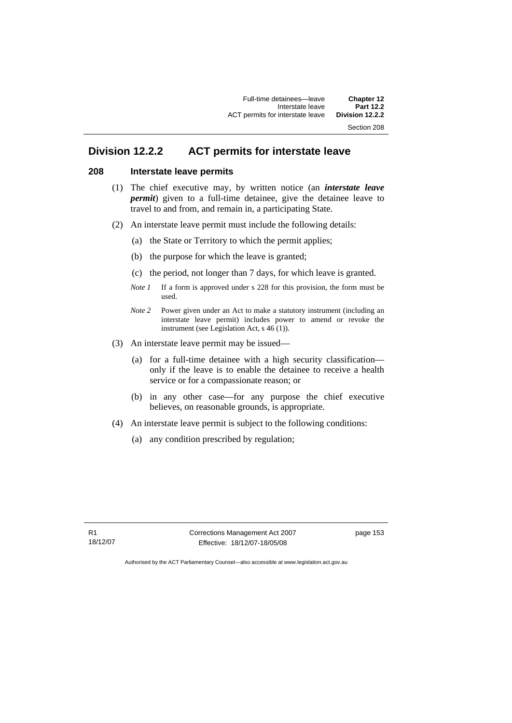# **Division 12.2.2 ACT permits for interstate leave**

## **208 Interstate leave permits**

- (1) The chief executive may, by written notice (an *interstate leave permit*) given to a full-time detainee, give the detainee leave to travel to and from, and remain in, a participating State.
- (2) An interstate leave permit must include the following details:
	- (a) the State or Territory to which the permit applies;
	- (b) the purpose for which the leave is granted;
	- (c) the period, not longer than 7 days, for which leave is granted.
	- *Note 1* If a form is approved under s 228 for this provision, the form must be used.
	- *Note 2* Power given under an Act to make a statutory instrument (including an interstate leave permit) includes power to amend or revoke the instrument (see Legislation Act, s 46 (1)).
- (3) An interstate leave permit may be issued—
	- (a) for a full-time detainee with a high security classification only if the leave is to enable the detainee to receive a health service or for a compassionate reason; or
	- (b) in any other case—for any purpose the chief executive believes, on reasonable grounds, is appropriate.
- (4) An interstate leave permit is subject to the following conditions:
	- (a) any condition prescribed by regulation;

R1 18/12/07 Corrections Management Act 2007 Effective: 18/12/07-18/05/08

page 153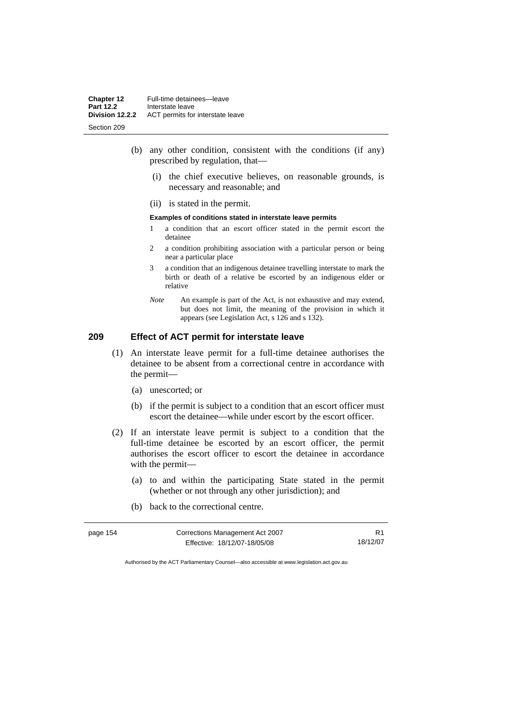- (b) any other condition, consistent with the conditions (if any) prescribed by regulation, that—
	- (i) the chief executive believes, on reasonable grounds, is necessary and reasonable; and
	- (ii) is stated in the permit.

#### **Examples of conditions stated in interstate leave permits**

- 1 a condition that an escort officer stated in the permit escort the detainee
- 2 a condition prohibiting association with a particular person or being near a particular place
- 3 a condition that an indigenous detainee travelling interstate to mark the birth or death of a relative be escorted by an indigenous elder or relative
- *Note* An example is part of the Act, is not exhaustive and may extend, but does not limit, the meaning of the provision in which it appears (see Legislation Act, s 126 and s 132).

# **209 Effect of ACT permit for interstate leave**

- (1) An interstate leave permit for a full-time detainee authorises the detainee to be absent from a correctional centre in accordance with the permit—
	- (a) unescorted; or
	- (b) if the permit is subject to a condition that an escort officer must escort the detainee—while under escort by the escort officer.
- (2) If an interstate leave permit is subject to a condition that the full-time detainee be escorted by an escort officer, the permit authorises the escort officer to escort the detainee in accordance with the permit—
	- (a) to and within the participating State stated in the permit (whether or not through any other jurisdiction); and
	- (b) back to the correctional centre.

| page 154 | Corrections Management Act 2007 | R <sub>1</sub> |
|----------|---------------------------------|----------------|
|          | Effective: 18/12/07-18/05/08    | 18/12/07       |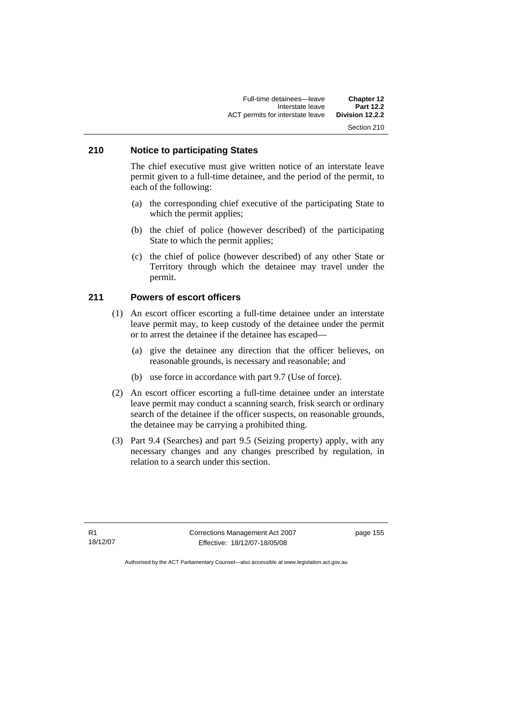## **210 Notice to participating States**

The chief executive must give written notice of an interstate leave permit given to a full-time detainee, and the period of the permit, to each of the following:

- (a) the corresponding chief executive of the participating State to which the permit applies;
- (b) the chief of police (however described) of the participating State to which the permit applies;
- (c) the chief of police (however described) of any other State or Territory through which the detainee may travel under the permit.

# **211 Powers of escort officers**

- (1) An escort officer escorting a full-time detainee under an interstate leave permit may, to keep custody of the detainee under the permit or to arrest the detainee if the detainee has escaped—
	- (a) give the detainee any direction that the officer believes, on reasonable grounds, is necessary and reasonable; and
	- (b) use force in accordance with part 9.7 (Use of force).
- (2) An escort officer escorting a full-time detainee under an interstate leave permit may conduct a scanning search, frisk search or ordinary search of the detainee if the officer suspects, on reasonable grounds, the detainee may be carrying a prohibited thing.
- (3) Part 9.4 (Searches) and part 9.5 (Seizing property) apply, with any necessary changes and any changes prescribed by regulation, in relation to a search under this section.

R1 18/12/07 Corrections Management Act 2007 Effective: 18/12/07-18/05/08

page 155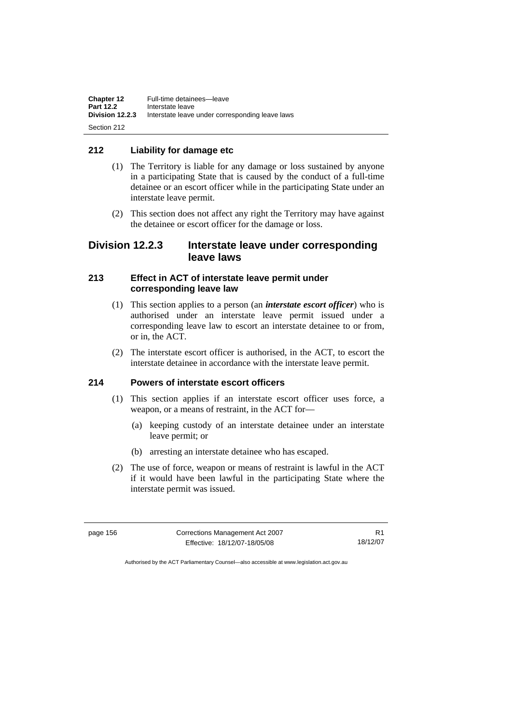## **212 Liability for damage etc**

- (1) The Territory is liable for any damage or loss sustained by anyone in a participating State that is caused by the conduct of a full-time detainee or an escort officer while in the participating State under an interstate leave permit.
- (2) This section does not affect any right the Territory may have against the detainee or escort officer for the damage or loss.

# **Division 12.2.3 Interstate leave under corresponding leave laws**

## **213 Effect in ACT of interstate leave permit under corresponding leave law**

- (1) This section applies to a person (an *interstate escort officer*) who is authorised under an interstate leave permit issued under a corresponding leave law to escort an interstate detainee to or from, or in, the ACT.
- (2) The interstate escort officer is authorised, in the ACT, to escort the interstate detainee in accordance with the interstate leave permit.

# **214 Powers of interstate escort officers**

- (1) This section applies if an interstate escort officer uses force, a weapon, or a means of restraint, in the ACT for—
	- (a) keeping custody of an interstate detainee under an interstate leave permit; or
	- (b) arresting an interstate detainee who has escaped.
- (2) The use of force, weapon or means of restraint is lawful in the ACT if it would have been lawful in the participating State where the interstate permit was issued.

| page 156 | Corrections Management Act 2007 |          |
|----------|---------------------------------|----------|
|          | Effective: 18/12/07-18/05/08    | 18/12/07 |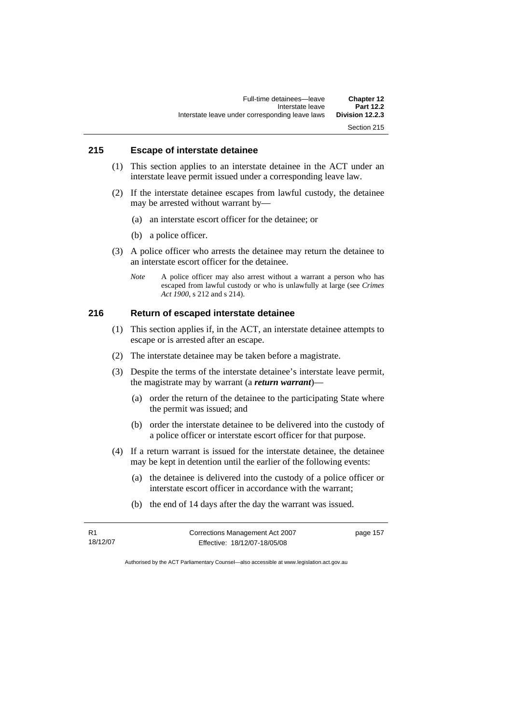## **215 Escape of interstate detainee**

- (1) This section applies to an interstate detainee in the ACT under an interstate leave permit issued under a corresponding leave law.
- (2) If the interstate detainee escapes from lawful custody, the detainee may be arrested without warrant by—
	- (a) an interstate escort officer for the detainee; or
	- (b) a police officer.
- (3) A police officer who arrests the detainee may return the detainee to an interstate escort officer for the detainee.
	- *Note* A police officer may also arrest without a warrant a person who has escaped from lawful custody or who is unlawfully at large (see *Crimes Act 1900*, s 212 and s 214).

## **216 Return of escaped interstate detainee**

- (1) This section applies if, in the ACT, an interstate detainee attempts to escape or is arrested after an escape.
- (2) The interstate detainee may be taken before a magistrate.
- (3) Despite the terms of the interstate detainee's interstate leave permit, the magistrate may by warrant (a *return warrant*)—
	- (a) order the return of the detainee to the participating State where the permit was issued; and
	- (b) order the interstate detainee to be delivered into the custody of a police officer or interstate escort officer for that purpose.
- (4) If a return warrant is issued for the interstate detainee, the detainee may be kept in detention until the earlier of the following events:
	- (a) the detainee is delivered into the custody of a police officer or interstate escort officer in accordance with the warrant;
	- (b) the end of 14 days after the day the warrant was issued.

| R1       | Corrections Management Act 2007 |  |
|----------|---------------------------------|--|
| 18/12/07 | Effective: 18/12/07-18/05/08    |  |

page 157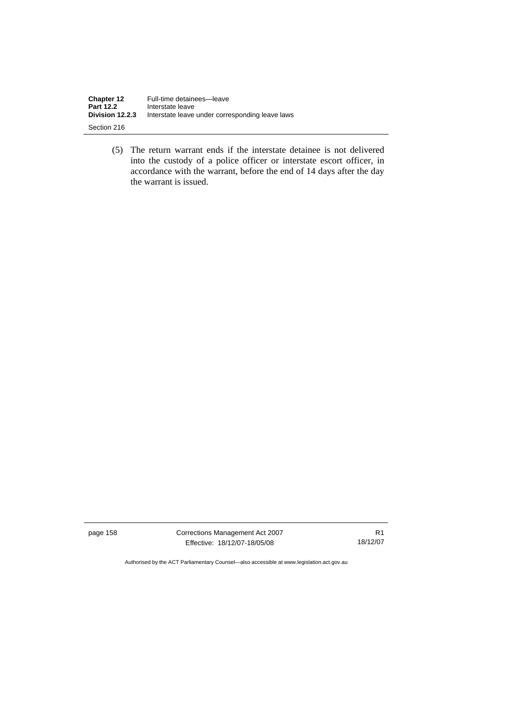| Chapter 12       | Full-time detainees-leave                       |
|------------------|-------------------------------------------------|
| <b>Part 12.2</b> | Interstate leave                                |
| Division 12.2.3  | Interstate leave under corresponding leave laws |
| Section 216      |                                                 |

 (5) The return warrant ends if the interstate detainee is not delivered into the custody of a police officer or interstate escort officer, in accordance with the warrant, before the end of 14 days after the day the warrant is issued.

page 158 Corrections Management Act 2007 Effective: 18/12/07-18/05/08

R1 18/12/07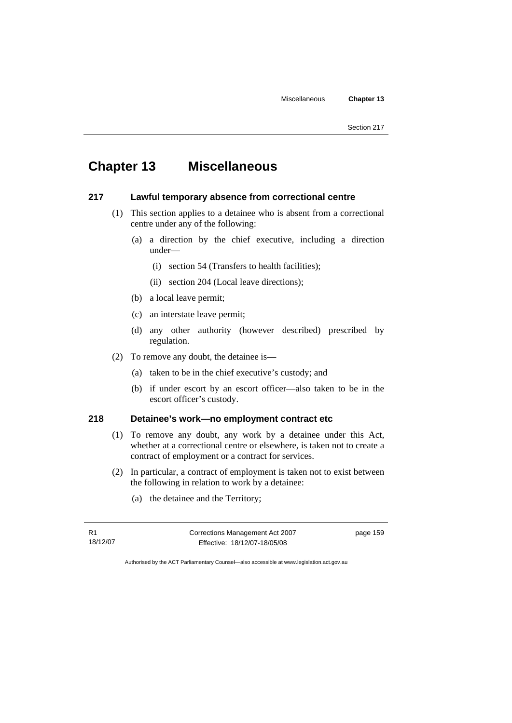# **Chapter 13 Miscellaneous**

# **217 Lawful temporary absence from correctional centre**

- (1) This section applies to a detainee who is absent from a correctional centre under any of the following:
	- (a) a direction by the chief executive, including a direction under—
		- (i) section 54 (Transfers to health facilities);
		- (ii) section 204 (Local leave directions);
	- (b) a local leave permit;
	- (c) an interstate leave permit;
	- (d) any other authority (however described) prescribed by regulation.
- (2) To remove any doubt, the detainee is—
	- (a) taken to be in the chief executive's custody; and
	- (b) if under escort by an escort officer—also taken to be in the escort officer's custody.

## **218 Detainee's work—no employment contract etc**

- (1) To remove any doubt, any work by a detainee under this Act, whether at a correctional centre or elsewhere, is taken not to create a contract of employment or a contract for services.
- (2) In particular, a contract of employment is taken not to exist between the following in relation to work by a detainee:
	- (a) the detainee and the Territory;

R1 18/12/07 Corrections Management Act 2007 Effective: 18/12/07-18/05/08

page 159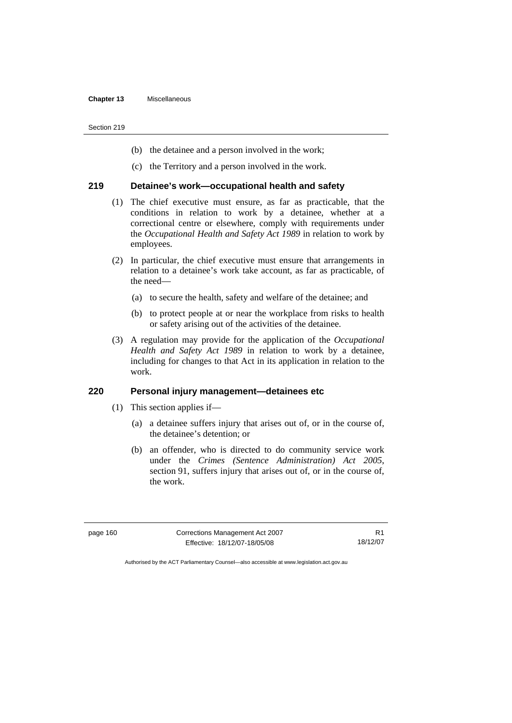- (b) the detainee and a person involved in the work;
- (c) the Territory and a person involved in the work.

## **219 Detainee's work—occupational health and safety**

- (1) The chief executive must ensure, as far as practicable, that the conditions in relation to work by a detainee, whether at a correctional centre or elsewhere, comply with requirements under the *Occupational Health and Safety Act 1989* in relation to work by employees.
- (2) In particular, the chief executive must ensure that arrangements in relation to a detainee's work take account, as far as practicable, of the need—
	- (a) to secure the health, safety and welfare of the detainee; and
	- (b) to protect people at or near the workplace from risks to health or safety arising out of the activities of the detainee.
- (3) A regulation may provide for the application of the *Occupational Health and Safety Act 1989* in relation to work by a detainee, including for changes to that Act in its application in relation to the work.

## **220 Personal injury management—detainees etc**

- (1) This section applies if—
	- (a) a detainee suffers injury that arises out of, or in the course of, the detainee's detention; or
	- (b) an offender, who is directed to do community service work under the *Crimes (Sentence Administration) Act 2005*, section 91, suffers injury that arises out of, or in the course of, the work.

page 160 Corrections Management Act 2007 Effective: 18/12/07-18/05/08

R1 18/12/07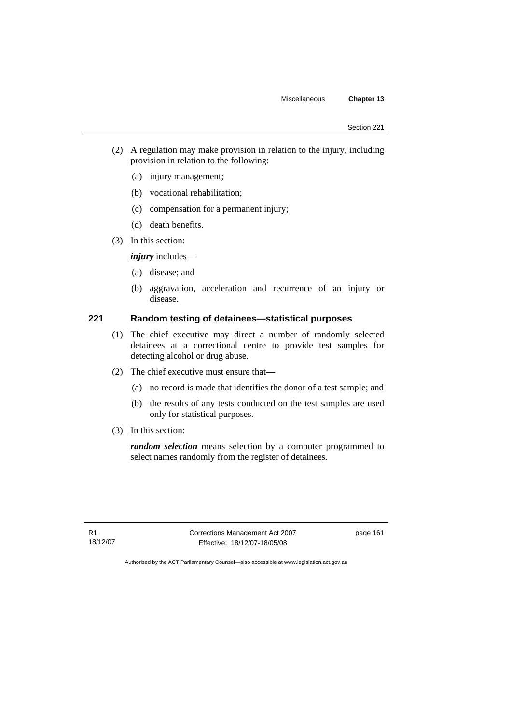- (2) A regulation may make provision in relation to the injury, including provision in relation to the following:
	- (a) injury management;
	- (b) vocational rehabilitation;
	- (c) compensation for a permanent injury;
	- (d) death benefits.
- (3) In this section:

*injury* includes—

- (a) disease; and
- (b) aggravation, acceleration and recurrence of an injury or disease.

## **221 Random testing of detainees—statistical purposes**

- (1) The chief executive may direct a number of randomly selected detainees at a correctional centre to provide test samples for detecting alcohol or drug abuse.
- (2) The chief executive must ensure that—
	- (a) no record is made that identifies the donor of a test sample; and
	- (b) the results of any tests conducted on the test samples are used only for statistical purposes.
- (3) In this section:

*random selection* means selection by a computer programmed to select names randomly from the register of detainees.

R1 18/12/07 Corrections Management Act 2007 Effective: 18/12/07-18/05/08

page 161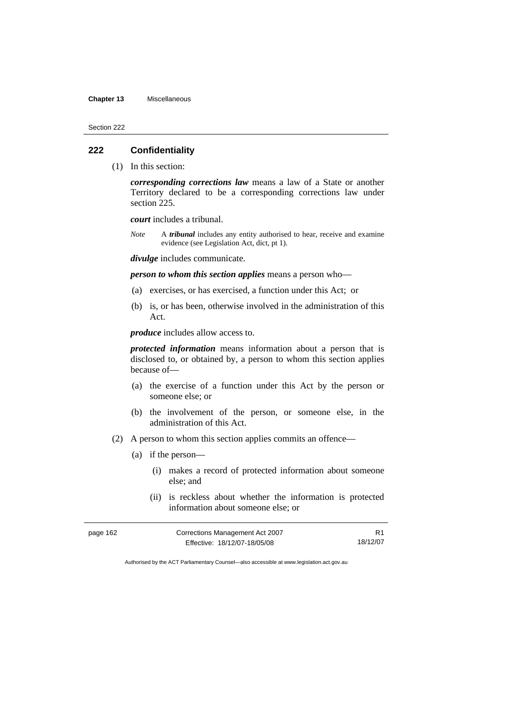### **Chapter 13** Miscellaneous

Section 222

### **222 Confidentiality**

(1) In this section:

*corresponding corrections law* means a law of a State or another Territory declared to be a corresponding corrections law under section 225.

*court* includes a tribunal.

*Note* A *tribunal* includes any entity authorised to hear, receive and examine evidence (see Legislation Act, dict, pt 1).

*divulge* includes communicate.

*person to whom this section applies* means a person who—

- (a) exercises, or has exercised, a function under this Act; or
- (b) is, or has been, otherwise involved in the administration of this Act.

*produce* includes allow access to.

*protected information* means information about a person that is disclosed to, or obtained by, a person to whom this section applies because of—

- (a) the exercise of a function under this Act by the person or someone else; or
- (b) the involvement of the person, or someone else, in the administration of this Act.
- (2) A person to whom this section applies commits an offence—
	- (a) if the person—
		- (i) makes a record of protected information about someone else; and
		- (ii) is reckless about whether the information is protected information about someone else; or

| page 162 | Corrections Management Act 2007 |          |
|----------|---------------------------------|----------|
|          | Effective: 18/12/07-18/05/08    | 18/12/07 |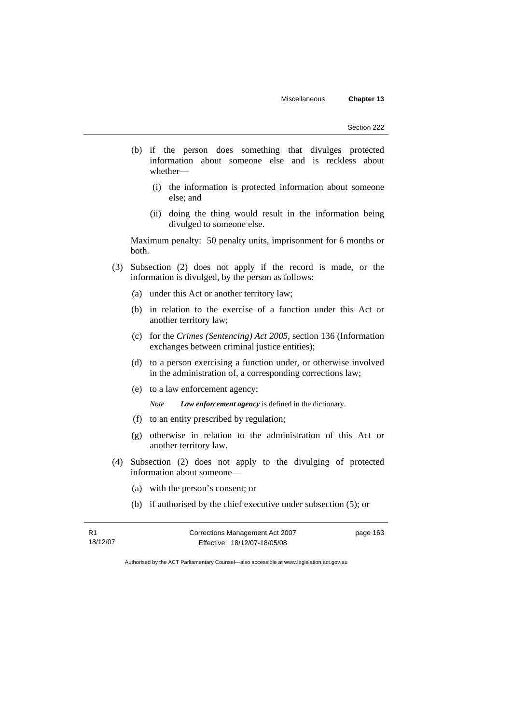- (b) if the person does something that divulges protected information about someone else and is reckless about whether—
	- (i) the information is protected information about someone else; and
	- (ii) doing the thing would result in the information being divulged to someone else.

Maximum penalty: 50 penalty units, imprisonment for 6 months or both.

- (3) Subsection (2) does not apply if the record is made, or the information is divulged, by the person as follows:
	- (a) under this Act or another territory law;
	- (b) in relation to the exercise of a function under this Act or another territory law;
	- (c) for the *Crimes (Sentencing) Act 2005*, section 136 (Information exchanges between criminal justice entities);
	- (d) to a person exercising a function under, or otherwise involved in the administration of, a corresponding corrections law;
	- (e) to a law enforcement agency;

*Note Law enforcement agency* is defined in the dictionary.

- (f) to an entity prescribed by regulation;
- (g) otherwise in relation to the administration of this Act or another territory law.
- (4) Subsection (2) does not apply to the divulging of protected information about someone—
	- (a) with the person's consent; or
	- (b) if authorised by the chief executive under subsection (5); or

| R1       |  |
|----------|--|
| 18/12/07 |  |

Corrections Management Act 2007 Effective: 18/12/07-18/05/08

page 163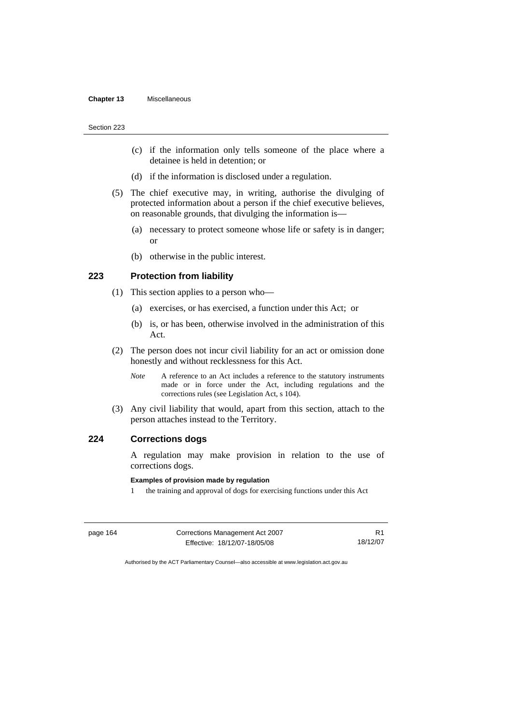- (c) if the information only tells someone of the place where a detainee is held in detention; or
- (d) if the information is disclosed under a regulation.
- (5) The chief executive may, in writing, authorise the divulging of protected information about a person if the chief executive believes, on reasonable grounds, that divulging the information is—
	- (a) necessary to protect someone whose life or safety is in danger; or
	- (b) otherwise in the public interest.

## **223 Protection from liability**

- (1) This section applies to a person who—
	- (a) exercises, or has exercised, a function under this Act; or
	- (b) is, or has been, otherwise involved in the administration of this Act.
- (2) The person does not incur civil liability for an act or omission done honestly and without recklessness for this Act.
	- *Note* A reference to an Act includes a reference to the statutory instruments made or in force under the Act, including regulations and the corrections rules (see Legislation Act, s 104).
- (3) Any civil liability that would, apart from this section, attach to the person attaches instead to the Territory.

## **224 Corrections dogs**

A regulation may make provision in relation to the use of corrections dogs.

#### **Examples of provision made by regulation**

1 the training and approval of dogs for exercising functions under this Act

| page 164 | Corrections Management Act 2007 |          |
|----------|---------------------------------|----------|
|          | Effective: 18/12/07-18/05/08    | 18/12/07 |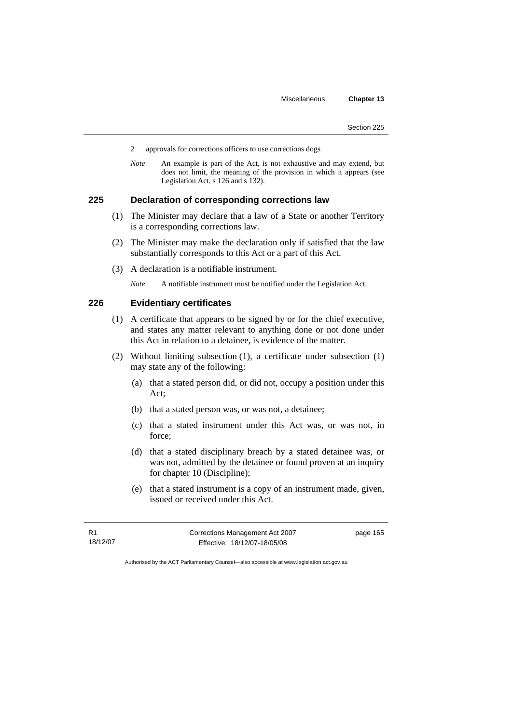- 2 approvals for corrections officers to use corrections dogs
- *Note* An example is part of the Act, is not exhaustive and may extend, but does not limit, the meaning of the provision in which it appears (see Legislation Act, s 126 and s 132).

#### **225 Declaration of corresponding corrections law**

- (1) The Minister may declare that a law of a State or another Territory is a corresponding corrections law.
- (2) The Minister may make the declaration only if satisfied that the law substantially corresponds to this Act or a part of this Act.
- (3) A declaration is a notifiable instrument.
	- *Note* A notifiable instrument must be notified under the Legislation Act.

## **226 Evidentiary certificates**

- (1) A certificate that appears to be signed by or for the chief executive, and states any matter relevant to anything done or not done under this Act in relation to a detainee, is evidence of the matter.
- (2) Without limiting subsection (1), a certificate under subsection (1) may state any of the following:
	- (a) that a stated person did, or did not, occupy a position under this Act;
	- (b) that a stated person was, or was not, a detainee;
	- (c) that a stated instrument under this Act was, or was not, in force;
	- (d) that a stated disciplinary breach by a stated detainee was, or was not, admitted by the detainee or found proven at an inquiry for chapter 10 (Discipline);
	- (e) that a stated instrument is a copy of an instrument made, given, issued or received under this Act.

R1 18/12/07 Corrections Management Act 2007 Effective: 18/12/07-18/05/08

page 165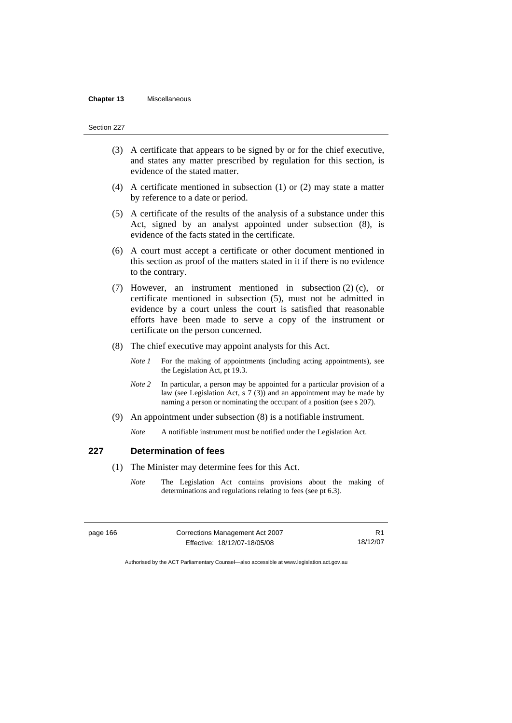#### **Chapter 13** Miscellaneous

#### Section 227

- (3) A certificate that appears to be signed by or for the chief executive, and states any matter prescribed by regulation for this section, is evidence of the stated matter.
- (4) A certificate mentioned in subsection (1) or (2) may state a matter by reference to a date or period.
- (5) A certificate of the results of the analysis of a substance under this Act, signed by an analyst appointed under subsection (8), is evidence of the facts stated in the certificate.
- (6) A court must accept a certificate or other document mentioned in this section as proof of the matters stated in it if there is no evidence to the contrary.
- (7) However, an instrument mentioned in subsection (2) (c), or certificate mentioned in subsection (5), must not be admitted in evidence by a court unless the court is satisfied that reasonable efforts have been made to serve a copy of the instrument or certificate on the person concerned.
- (8) The chief executive may appoint analysts for this Act.
	- *Note 1* For the making of appointments (including acting appointments), see the Legislation Act, pt 19.3.
	- *Note 2* In particular, a person may be appointed for a particular provision of a law (see Legislation Act, s 7 (3)) and an appointment may be made by naming a person or nominating the occupant of a position (see s 207).
- (9) An appointment under subsection (8) is a notifiable instrument.

*Note* A notifiable instrument must be notified under the Legislation Act.

#### **227 Determination of fees**

- (1) The Minister may determine fees for this Act.
	- *Note* The Legislation Act contains provisions about the making of determinations and regulations relating to fees (see pt 6.3).

| page 166 | Corrections Management Act 2007 |          |
|----------|---------------------------------|----------|
|          | Effective: 18/12/07-18/05/08    | 18/12/07 |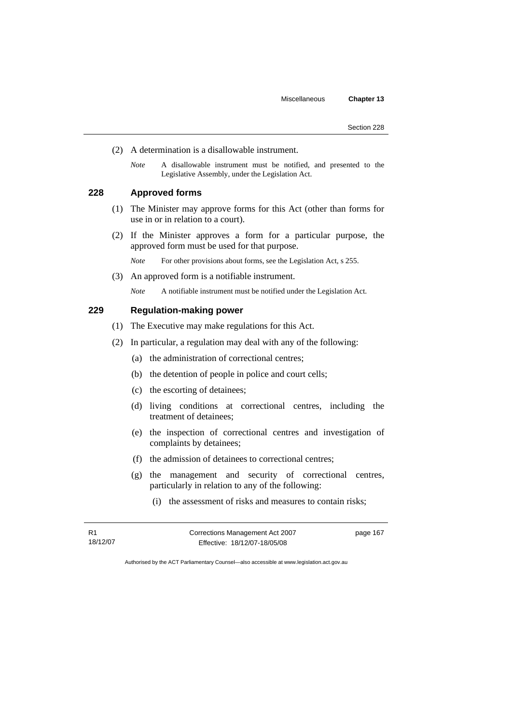- (2) A determination is a disallowable instrument.
	- *Note* A disallowable instrument must be notified, and presented to the Legislative Assembly, under the Legislation Act.

# **228 Approved forms**

- (1) The Minister may approve forms for this Act (other than forms for use in or in relation to a court).
- (2) If the Minister approves a form for a particular purpose, the approved form must be used for that purpose.

*Note* For other provisions about forms, see the Legislation Act, s 255.

(3) An approved form is a notifiable instrument.

*Note* A notifiable instrument must be notified under the Legislation Act.

# **229 Regulation-making power**

- (1) The Executive may make regulations for this Act.
- (2) In particular, a regulation may deal with any of the following:
	- (a) the administration of correctional centres;
	- (b) the detention of people in police and court cells;
	- (c) the escorting of detainees;
	- (d) living conditions at correctional centres, including the treatment of detainees;
	- (e) the inspection of correctional centres and investigation of complaints by detainees;
	- (f) the admission of detainees to correctional centres;
	- (g) the management and security of correctional centres, particularly in relation to any of the following:
		- (i) the assessment of risks and measures to contain risks;

R1 18/12/07 Corrections Management Act 2007 Effective: 18/12/07-18/05/08

page 167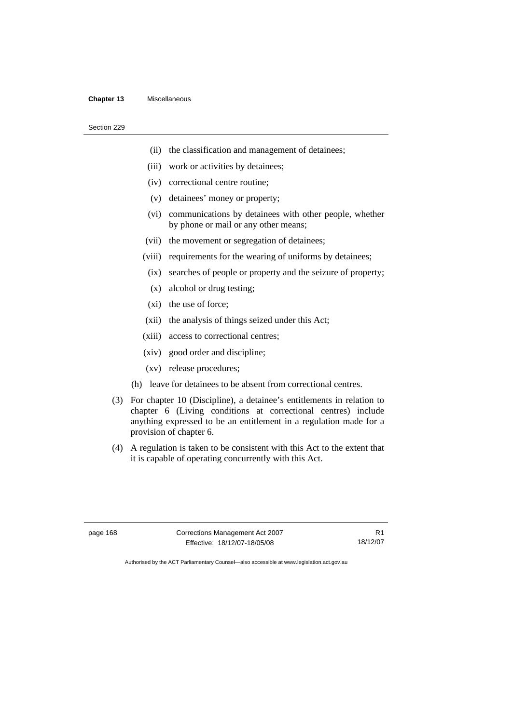#### **Chapter 13** Miscellaneous

#### Section 229

- (ii) the classification and management of detainees;
- (iii) work or activities by detainees;
- (iv) correctional centre routine;
- (v) detainees' money or property;
- (vi) communications by detainees with other people, whether by phone or mail or any other means;
- (vii) the movement or segregation of detainees;
- (viii) requirements for the wearing of uniforms by detainees;
- (ix) searches of people or property and the seizure of property;
- (x) alcohol or drug testing;
- (xi) the use of force;
- (xii) the analysis of things seized under this Act;
- (xiii) access to correctional centres;
- (xiv) good order and discipline;
- (xv) release procedures;
- (h) leave for detainees to be absent from correctional centres.
- (3) For chapter 10 (Discipline), a detainee's entitlements in relation to chapter 6 (Living conditions at correctional centres) include anything expressed to be an entitlement in a regulation made for a provision of chapter 6.
- (4) A regulation is taken to be consistent with this Act to the extent that it is capable of operating concurrently with this Act.

page 168 Corrections Management Act 2007 Effective: 18/12/07-18/05/08

R1 18/12/07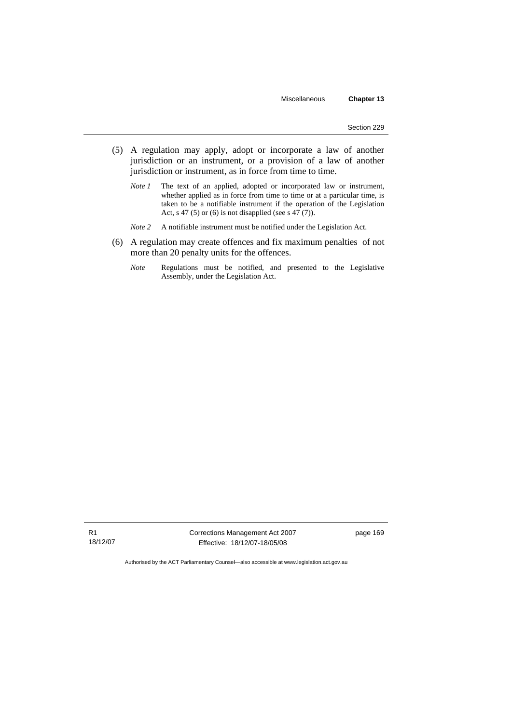- (5) A regulation may apply, adopt or incorporate a law of another jurisdiction or an instrument, or a provision of a law of another jurisdiction or instrument, as in force from time to time.
	- *Note 1* The text of an applied, adopted or incorporated law or instrument, whether applied as in force from time to time or at a particular time, is taken to be a notifiable instrument if the operation of the Legislation Act, s 47 (5) or (6) is not disapplied (see s  $47(7)$ ).
	- *Note 2* A notifiable instrument must be notified under the Legislation Act.
- (6) A regulation may create offences and fix maximum penalties of not more than 20 penalty units for the offences.
	- *Note* Regulations must be notified, and presented to the Legislative Assembly, under the Legislation Act.

Corrections Management Act 2007 Effective: 18/12/07-18/05/08

page 169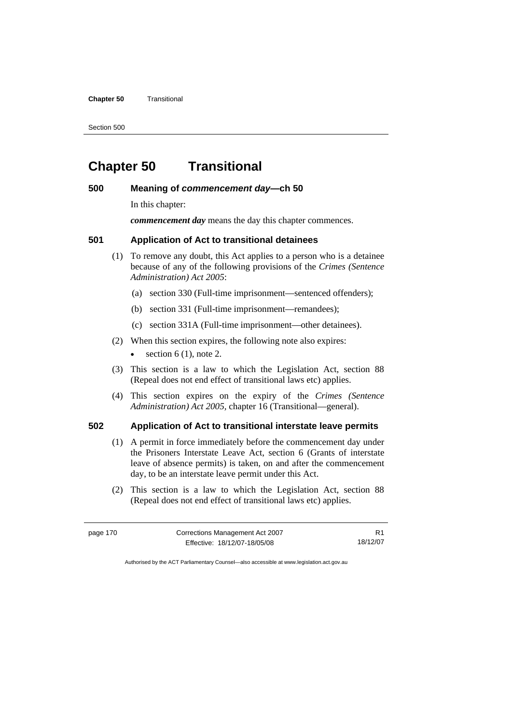#### **Chapter 50** Transitional

Section 500

# **Chapter 50 Transitional**

# **500 Meaning of** *commencement day***—ch 50**

In this chapter:

*commencement day* means the day this chapter commences.

# **501 Application of Act to transitional detainees**

- (1) To remove any doubt, this Act applies to a person who is a detainee because of any of the following provisions of the *Crimes (Sentence Administration) Act 2005*:
	- (a) section 330 (Full-time imprisonment—sentenced offenders);
	- (b) section 331 (Full-time imprisonment—remandees);
	- (c) section 331A (Full-time imprisonment—other detainees).
- (2) When this section expires, the following note also expires:
	- section  $6(1)$ , note 2.
- (3) This section is a law to which the Legislation Act, section 88 (Repeal does not end effect of transitional laws etc) applies.
- (4) This section expires on the expiry of the *Crimes (Sentence Administration) Act 2005,* chapter 16 (Transitional—general).

#### **502 Application of Act to transitional interstate leave permits**

- (1) A permit in force immediately before the commencement day under the Prisoners Interstate Leave Act, section 6 (Grants of interstate leave of absence permits) is taken, on and after the commencement day, to be an interstate leave permit under this Act.
- (2) This section is a law to which the Legislation Act, section 88 (Repeal does not end effect of transitional laws etc) applies.

| page 170 | Corrections Management Act 2007 |          |
|----------|---------------------------------|----------|
|          | Effective: 18/12/07-18/05/08    | 18/12/07 |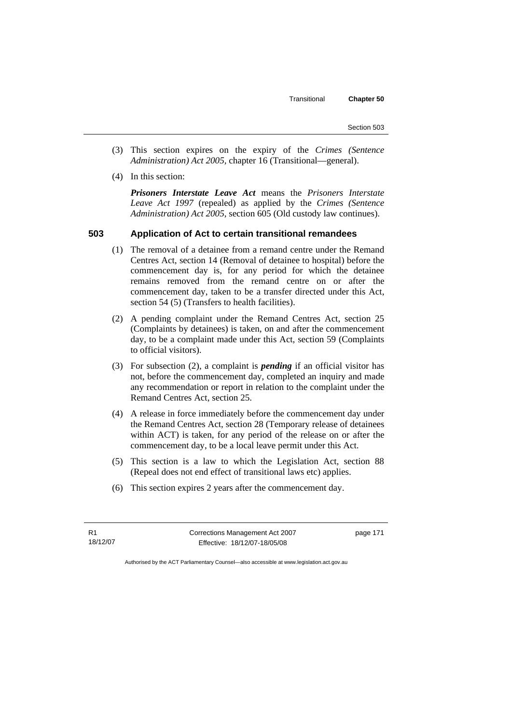- (3) This section expires on the expiry of the *Crimes (Sentence Administration) Act 2005,* chapter 16 (Transitional—general).
- (4) In this section:

*Prisoners Interstate Leave Act* means the *Prisoners Interstate Leave Act 1997* (repealed) as applied by the *Crimes (Sentence Administration) Act 2005*, section 605 (Old custody law continues).

# **503 Application of Act to certain transitional remandees**

- (1) The removal of a detainee from a remand centre under the Remand Centres Act, section 14 (Removal of detainee to hospital) before the commencement day is, for any period for which the detainee remains removed from the remand centre on or after the commencement day, taken to be a transfer directed under this Act, section 54 (5) (Transfers to health facilities).
- (2) A pending complaint under the Remand Centres Act, section 25 (Complaints by detainees) is taken, on and after the commencement day, to be a complaint made under this Act, section 59 (Complaints to official visitors).
- (3) For subsection (2), a complaint is *pending* if an official visitor has not, before the commencement day, completed an inquiry and made any recommendation or report in relation to the complaint under the Remand Centres Act, section 25.
- (4) A release in force immediately before the commencement day under the Remand Centres Act, section 28 (Temporary release of detainees within ACT) is taken, for any period of the release on or after the commencement day, to be a local leave permit under this Act.
- (5) This section is a law to which the Legislation Act, section 88 (Repeal does not end effect of transitional laws etc) applies.
- (6) This section expires 2 years after the commencement day.

R1 18/12/07 Corrections Management Act 2007 Effective: 18/12/07-18/05/08

page 171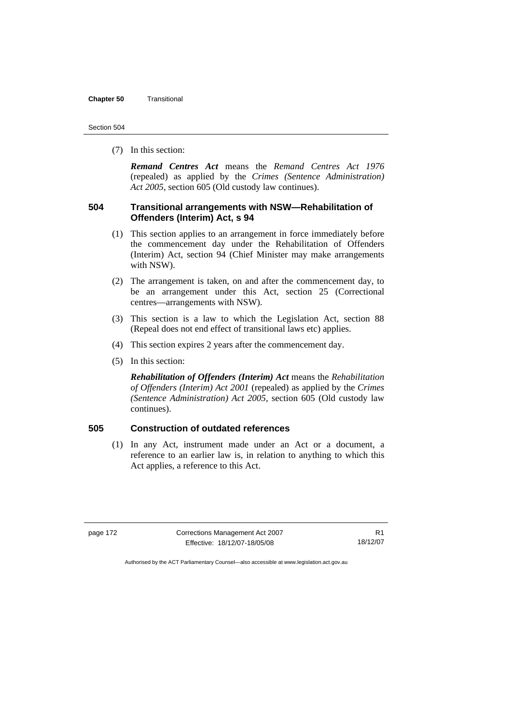### **Chapter 50** Transitional

(7) In this section:

*Remand Centres Act* means the *Remand Centres Act 1976*  (repealed) as applied by the *Crimes (Sentence Administration) Act 2005*, section 605 (Old custody law continues).

# **504 Transitional arrangements with NSW—Rehabilitation of Offenders (Interim) Act, s 94**

- (1) This section applies to an arrangement in force immediately before the commencement day under the Rehabilitation of Offenders (Interim) Act, section 94 (Chief Minister may make arrangements with NSW).
- (2) The arrangement is taken, on and after the commencement day, to be an arrangement under this Act, section 25 (Correctional centres—arrangements with NSW).
- (3) This section is a law to which the Legislation Act, section 88 (Repeal does not end effect of transitional laws etc) applies.
- (4) This section expires 2 years after the commencement day.
- (5) In this section:

*Rehabilitation of Offenders (Interim) Act* means the *Rehabilitation of Offenders (Interim) Act 2001* (repealed) as applied by the *Crimes (Sentence Administration) Act 2005*, section 605 (Old custody law continues).

# **505 Construction of outdated references**

 (1) In any Act, instrument made under an Act or a document, a reference to an earlier law is, in relation to anything to which this Act applies, a reference to this Act.

page 172 Corrections Management Act 2007 Effective: 18/12/07-18/05/08

R1 18/12/07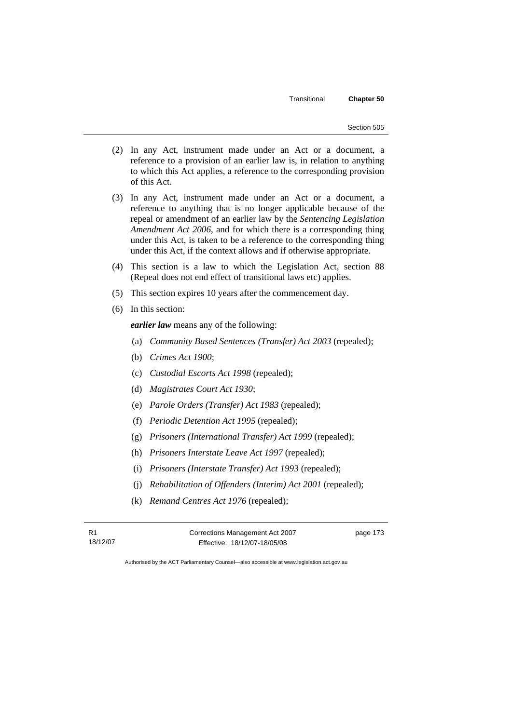- (2) In any Act, instrument made under an Act or a document, a reference to a provision of an earlier law is, in relation to anything to which this Act applies, a reference to the corresponding provision of this Act.
- (3) In any Act, instrument made under an Act or a document, a reference to anything that is no longer applicable because of the repeal or amendment of an earlier law by the *Sentencing Legislation Amendment Act 2006*, and for which there is a corresponding thing under this Act, is taken to be a reference to the corresponding thing under this Act, if the context allows and if otherwise appropriate.
- (4) This section is a law to which the Legislation Act, section 88 (Repeal does not end effect of transitional laws etc) applies.
- (5) This section expires 10 years after the commencement day.
- (6) In this section:

*earlier law* means any of the following:

- (a) *Community Based Sentences (Transfer) Act 2003* (repealed);
- (b) *Crimes Act 1900*;
- (c) *Custodial Escorts Act 1998* (repealed);
- (d) *Magistrates Court Act 1930*;
- (e) *Parole Orders (Transfer) Act 1983* (repealed);
- (f) *Periodic Detention Act 1995* (repealed);
- (g) *Prisoners (International Transfer) Act 1999* (repealed);
- (h) *Prisoners Interstate Leave Act 1997* (repealed);
- (i) *Prisoners (Interstate Transfer) Act 1993* (repealed);
- (j) *Rehabilitation of Offenders (Interim) Act 2001* (repealed);
- (k) *Remand Centres Act 1976* (repealed);

R1 18/12/07 Corrections Management Act 2007 Effective: 18/12/07-18/05/08

page 173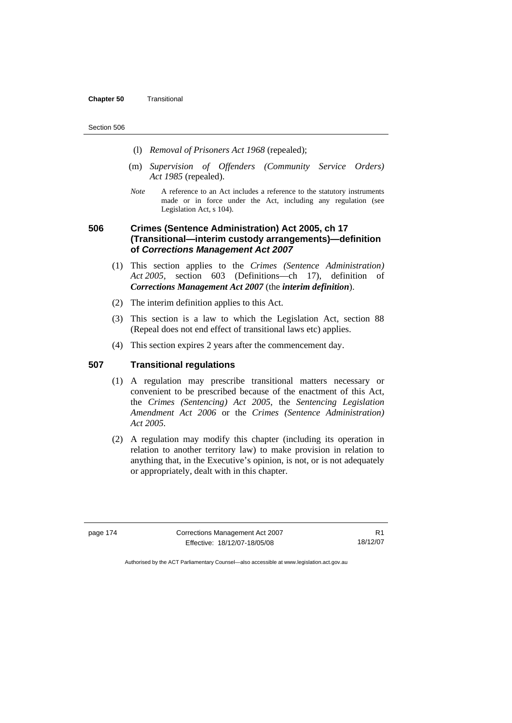#### **Chapter 50** Transitional

#### Section 506

- (l) *Removal of Prisoners Act 1968* (repealed);
- (m) *Supervision of Offenders (Community Service Orders) Act 1985* (repealed).
- *Note* A reference to an Act includes a reference to the statutory instruments made or in force under the Act, including any regulation (see Legislation Act, s 104).

# **506 Crimes (Sentence Administration) Act 2005, ch 17 (Transitional—interim custody arrangements)—definition of** *Corrections Management Act 2007*

- (1) This section applies to the *Crimes (Sentence Administration) Act 2005*, section 603 (Definitions—ch 17), definition of *Corrections Management Act 2007* (the *interim definition*).
- (2) The interim definition applies to this Act.
- (3) This section is a law to which the Legislation Act, section 88 (Repeal does not end effect of transitional laws etc) applies.
- (4) This section expires 2 years after the commencement day.

# **507 Transitional regulations**

- (1) A regulation may prescribe transitional matters necessary or convenient to be prescribed because of the enactment of this Act, the *Crimes (Sentencing) Act 2005*, the *Sentencing Legislation Amendment Act 2006* or the *Crimes (Sentence Administration) Act 2005.*
- (2) A regulation may modify this chapter (including its operation in relation to another territory law) to make provision in relation to anything that, in the Executive's opinion, is not, or is not adequately or appropriately, dealt with in this chapter.

page 174 Corrections Management Act 2007 Effective: 18/12/07-18/05/08

R1 18/12/07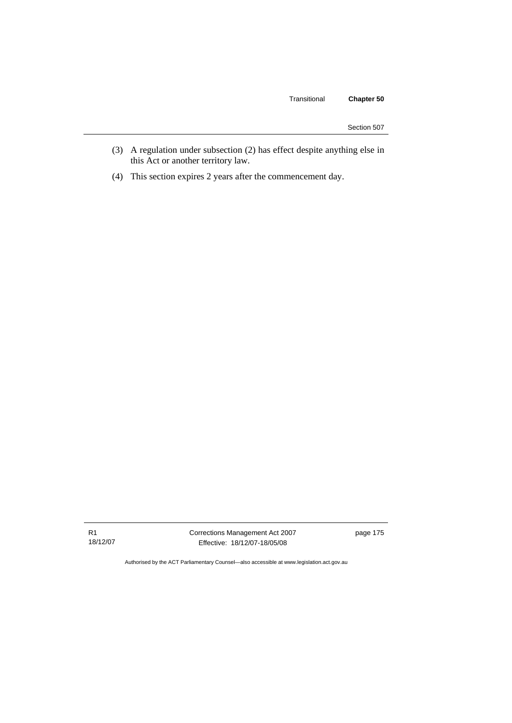# Transitional **Chapter 50**

| Section 507 |  |
|-------------|--|
|             |  |

- (3) A regulation under subsection (2) has effect despite anything else in this Act or another territory law.
- (4) This section expires 2 years after the commencement day.

R1 18/12/07 Corrections Management Act 2007 Effective: 18/12/07-18/05/08

page 175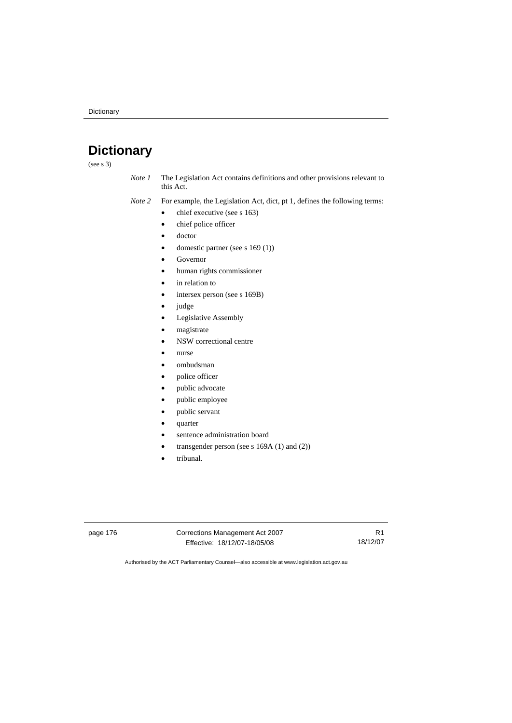# **Dictionary**

(see s 3)

- *Note 1* The Legislation Act contains definitions and other provisions relevant to this Act.
- *Note 2* For example, the Legislation Act, dict, pt 1, defines the following terms:
	- $\bullet$  chief executive (see s 163)
	- chief police officer
	- doctor
	- domestic partner (see s 169 (1))
	- Governor
	- human rights commissioner
	- in relation to
	- intersex person (see s 169B)
	- judge
	- Legislative Assembly
	- magistrate
	- NSW correctional centre
	- nurse
	- ombudsman
	- police officer
	- public advocate
	- public employee
	- public servant
	- quarter
	- sentence administration board
	- transgender person (see s 169A (1) and (2))
	- tribunal.

page 176 Corrections Management Act 2007 Effective: 18/12/07-18/05/08

R1 18/12/07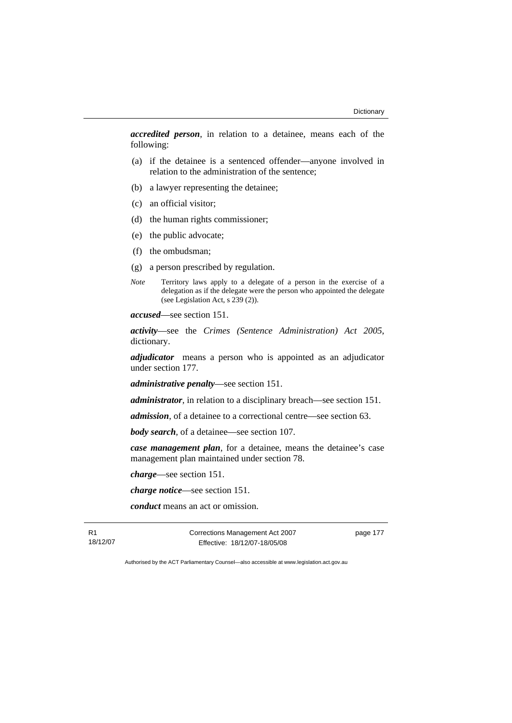*accredited person*, in relation to a detainee, means each of the following:

- (a) if the detainee is a sentenced offender—anyone involved in relation to the administration of the sentence;
- (b) a lawyer representing the detainee;
- (c) an official visitor;
- (d) the human rights commissioner;
- (e) the public advocate;
- (f) the ombudsman;
- (g) a person prescribed by regulation.
- *Note* Territory laws apply to a delegate of a person in the exercise of a delegation as if the delegate were the person who appointed the delegate (see Legislation Act, s 239 (2)).

*accused*—see section 151.

*activity*—see the *Crimes (Sentence Administration) Act 2005*, dictionary.

*adjudicator* means a person who is appointed as an adjudicator under section 177.

*administrative penalty*—see section 151.

*administrator*, in relation to a disciplinary breach—see section 151.

*admission*, of a detainee to a correctional centre—see section 63.

*body search*, of a detainee—see section 107.

*case management plan*, for a detainee, means the detainee's case management plan maintained under section 78.

*charge*—see section 151.

*charge notice*—see section 151.

*conduct* means an act or omission.

R1 18/12/07 Corrections Management Act 2007 Effective: 18/12/07-18/05/08

page 177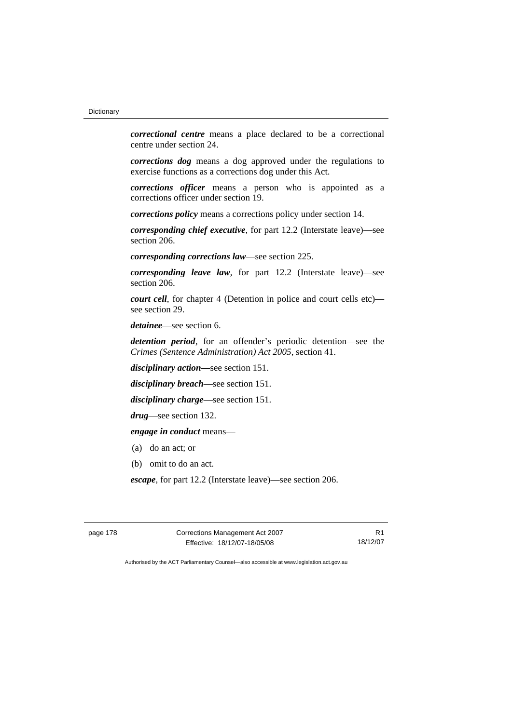*correctional centre* means a place declared to be a correctional centre under section 24.

*corrections dog* means a dog approved under the regulations to exercise functions as a corrections dog under this Act.

*corrections officer* means a person who is appointed as a corrections officer under section 19.

*corrections policy* means a corrections policy under section 14.

*corresponding chief executive*, for part 12.2 (Interstate leave)—see section 206.

*corresponding corrections law*—see section 225.

*corresponding leave law*, for part 12.2 (Interstate leave)—see section 206.

*court cell*, for chapter 4 (Detention in police and court cells etc) see section 29.

*detainee*—see section 6.

*detention period*, for an offender's periodic detention—see the *Crimes (Sentence Administration) Act 2005*, section 41.

*disciplinary action*—see section 151.

*disciplinary breach*—see section 151.

*disciplinary charge*—see section 151.

*drug*—see section 132.

*engage in conduct* means—

- (a) do an act; or
- (b) omit to do an act.

*escape*, for part 12.2 (Interstate leave)—see section 206.

page 178 Corrections Management Act 2007 Effective: 18/12/07-18/05/08

R1 18/12/07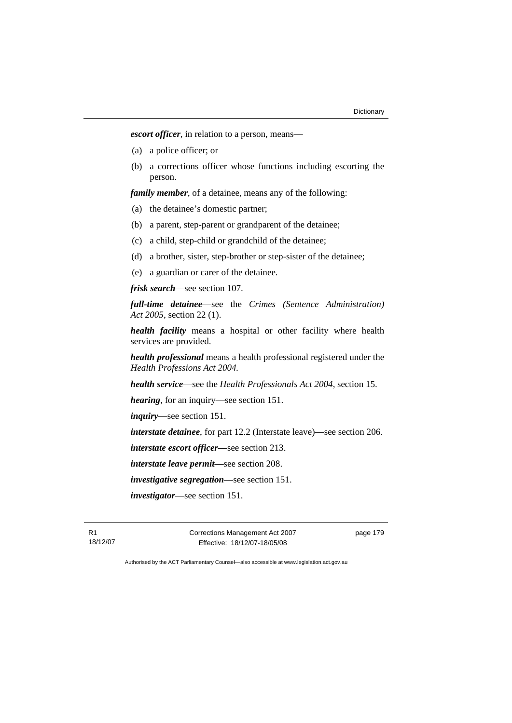*escort officer*, in relation to a person, means—

- (a) a police officer; or
- (b) a corrections officer whose functions including escorting the person.

*family member*, of a detainee, means any of the following:

- (a) the detainee's domestic partner;
- (b) a parent, step-parent or grandparent of the detainee;
- (c) a child, step-child or grandchild of the detainee;
- (d) a brother, sister, step-brother or step-sister of the detainee;
- (e) a guardian or carer of the detainee.

*frisk search*—see section 107.

*full-time detainee*—see the *Crimes (Sentence Administration) Act 2005*, section 22 (1).

*health facility* means a hospital or other facility where health services are provided.

*health professional* means a health professional registered under the *Health Professions Act 2004.*

*health service*—see the *Health Professionals Act 2004*, section 15.

*hearing*, for an inquiry—see section 151.

*inquiry*—see section 151.

*interstate detainee*, for part 12.2 (Interstate leave)—see section 206.

*interstate escort officer*—see section 213.

*interstate leave permit*—see section 208.

*investigative segregation*—see section 151.

*investigator*—see section 151.

R1 18/12/07 Corrections Management Act 2007 Effective: 18/12/07-18/05/08

page 179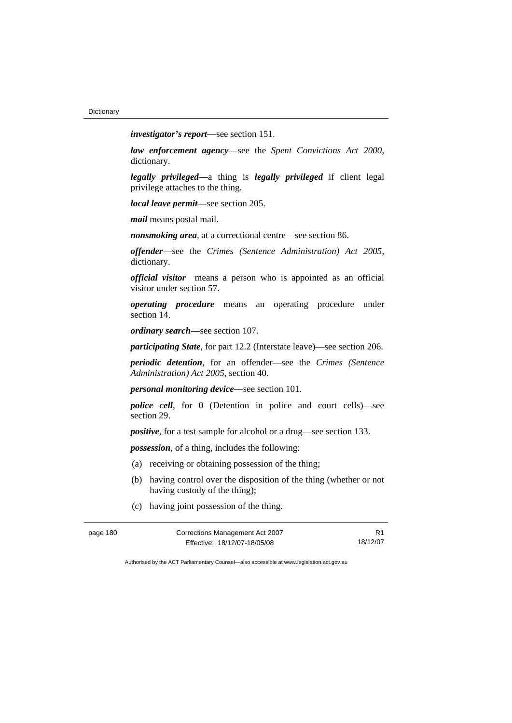*investigator's report*—see section 151.

*law enforcement agency*—see the *Spent Convictions Act 2000*, dictionary.

*legally privileged—*a thing is *legally privileged* if client legal privilege attaches to the thing.

*local leave permit—*see section 205.

*mail* means postal mail.

*nonsmoking area*, at a correctional centre—see section 86.

*offender*—see the *Crimes (Sentence Administration) Act 2005*, dictionary.

*official visitor* means a person who is appointed as an official visitor under section 57.

*operating procedure* means an operating procedure under section 14.

*ordinary search*—see section 107.

*participating State*, for part 12.2 (Interstate leave)—see section 206.

*periodic detention*, for an offender—see the *Crimes (Sentence Administration) Act 2005*, section 40.

*personal monitoring device*—see section 101.

*police cell*, for 0 (Detention in police and court cells)—see section 29.

*positive*, for a test sample for alcohol or a drug—see section 133.

*possession*, of a thing, includes the following:

- (a) receiving or obtaining possession of the thing;
- (b) having control over the disposition of the thing (whether or not having custody of the thing);
- (c) having joint possession of the thing.

| page 180 | Corrections Management Act 2007 | R <sub>1</sub> |
|----------|---------------------------------|----------------|
|          | Effective: 18/12/07-18/05/08    | 18/12/07       |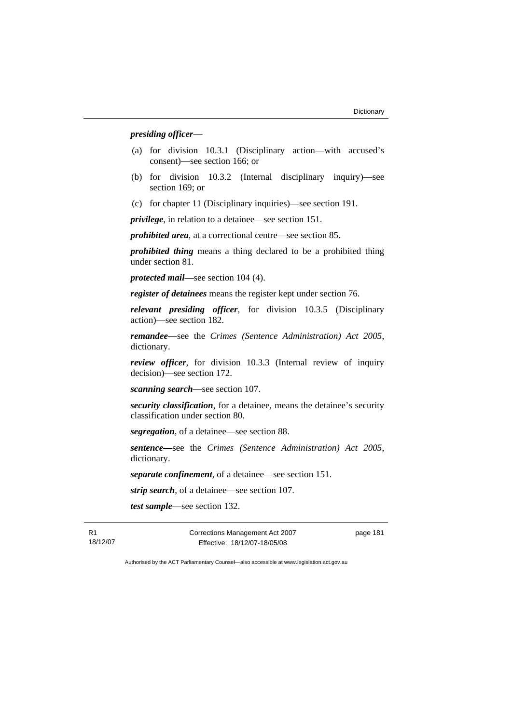#### *presiding officer*—

- (a) for division 10.3.1 (Disciplinary action—with accused's consent)—see section 166; or
- (b) for division 10.3.2 (Internal disciplinary inquiry)—see section 169; or
- (c) for chapter 11 (Disciplinary inquiries)—see section 191.

*privilege*, in relation to a detainee—see section 151.

*prohibited area*, at a correctional centre—see section 85.

*prohibited thing* means a thing declared to be a prohibited thing under section 81.

*protected mail*—see section 104 (4).

*register of detainees* means the register kept under section 76.

*relevant presiding officer*, for division 10.3.5 (Disciplinary action)—see section 182.

*remandee*—see the *Crimes (Sentence Administration) Act 2005*, dictionary.

*review officer*, for division 10.3.3 (Internal review of inquiry decision)—see section 172.

*scanning search*—see section 107.

*security classification*, for a detainee, means the detainee's security classification under section 80.

*segregation*, of a detainee—see section 88.

*sentence—*see the *Crimes (Sentence Administration) Act 2005*, dictionary.

*separate confinement*, of a detainee—see section 151.

*strip search*, of a detainee—see section 107.

*test sample*—see section 132.

R1 18/12/07 Corrections Management Act 2007 Effective: 18/12/07-18/05/08

page 181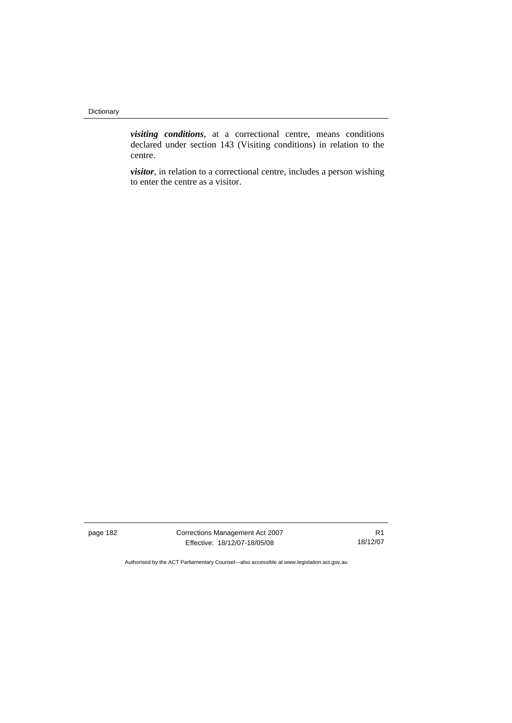*visiting conditions*, at a correctional centre, means conditions declared under section 143 (Visiting conditions) in relation to the centre.

*visitor*, in relation to a correctional centre, includes a person wishing to enter the centre as a visitor.

page 182 Corrections Management Act 2007 Effective: 18/12/07-18/05/08

R1 18/12/07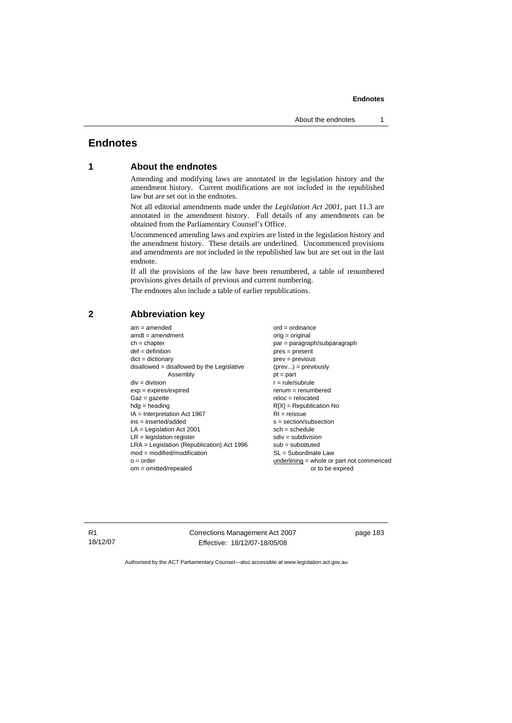# **Endnotes**

### **1 About the endnotes**

Amending and modifying laws are annotated in the legislation history and the amendment history. Current modifications are not included in the republished law but are set out in the endnotes.

Not all editorial amendments made under the *Legislation Act 2001*, part 11.3 are annotated in the amendment history. Full details of any amendments can be obtained from the Parliamentary Counsel's Office.

Uncommenced amending laws and expiries are listed in the legislation history and the amendment history. These details are underlined. Uncommenced provisions and amendments are not included in the republished law but are set out in the last endnote.

If all the provisions of the law have been renumbered, a table of renumbered provisions gives details of previous and current numbering.

The endnotes also include a table of earlier republications.

# **2 Abbreviation key**

 $am = amended$  ord = ordinance  $amdt = amendment$  orig = original ch = chapter par = paragraph/subparagraph def = definition pres = present dict = dictionary prev = previous disallowed = disallowed by the Legislative  $(prev...) = previously$  $\mathsf{Assemblv}$   $\mathsf{pt} = \mathsf{part}$  $div = div$ ision  $r = rule/subrule$ exp = expires/expired renum = renumbered  $Gaz = qazette$  relocated hdg = heading R[X] = Republication No IA = Interpretation Act 1967 RI = reissue  $ins = insected/added$ <br>  $LA = Leaislation Act 2001$ <br>  $sch = schedule$  $LA =$  Legislation Act 2001  $LR =$  legislation register set of  $s$  and  $s$  sdiv = subdivision LRA = Legislation (Republication) Act 1996 sub = substituted mod = modified/modification SL = Subordinate Law o = order underlining = whole or part not commenced om = omitted/repealed or to be expired

R1 18/12/07 Corrections Management Act 2007 Effective: 18/12/07-18/05/08

page 183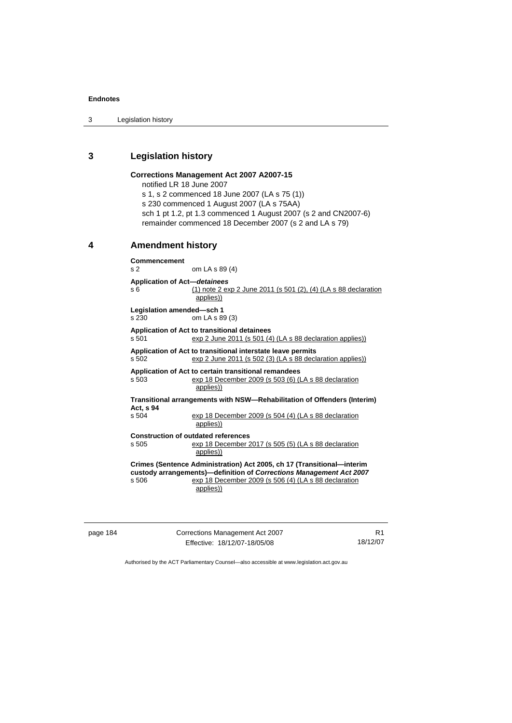#### **Endnotes**

3 Legislation history

# **3 Legislation history**

# **Corrections Management Act 2007 A2007-15**

notified LR 18 June 2007

s 1, s 2 commenced 18 June 2007 (LA s 75 (1))

s 230 commenced 1 August 2007 (LA s 75AA)

sch 1 pt 1.2, pt 1.3 commenced 1 August 2007 (s 2 and CN2007-6) remainder commenced 18 December 2007 (s 2 and LA s 79)

# **4 Amendment history**

**Commencement**  s 2 om LA s 89 (4) **Application of Act—***detainees* s 6 (1) note 2 exp 2 June 2011 (s 501 (2), (4) (LA s 88 declaration applies)) **Legislation amended—sch 1**  s 230 om LA s 89 (3) **Application of Act to transitional detainees**  s 501 exp 2 June 2011 (s 501 (4) (LA s 88 declaration applies)) **Application of Act to transitional interstate leave permits**  s 502 exp 2 June 2011 (s 502 (3) (LA s 88 declaration applies)) **Application of Act to certain transitional remandees**  s 503 exp 18 December 2009 (s 503 (6) (LA s 88 declaration applies)) **Transitional arrangements with NSW—Rehabilitation of Offenders (Interim) Act, s 94**  exp 18 December 2009 (s 504 (4) (LA s 88 declaration applies)) **Construction of outdated references**  s 505 exp 18 December 2017 (s 505 (5) (LA s 88 declaration applies)) **Crimes (Sentence Administration) Act 2005, ch 17 (Transitional—interim custody arrangements)—definition of** *Corrections Management Act 2007* s 506 exp 18 December 2009 (s 506 (4) (LA s 88 declaration applies))

page 184 Corrections Management Act 2007 Effective: 18/12/07-18/05/08

R1 18/12/07